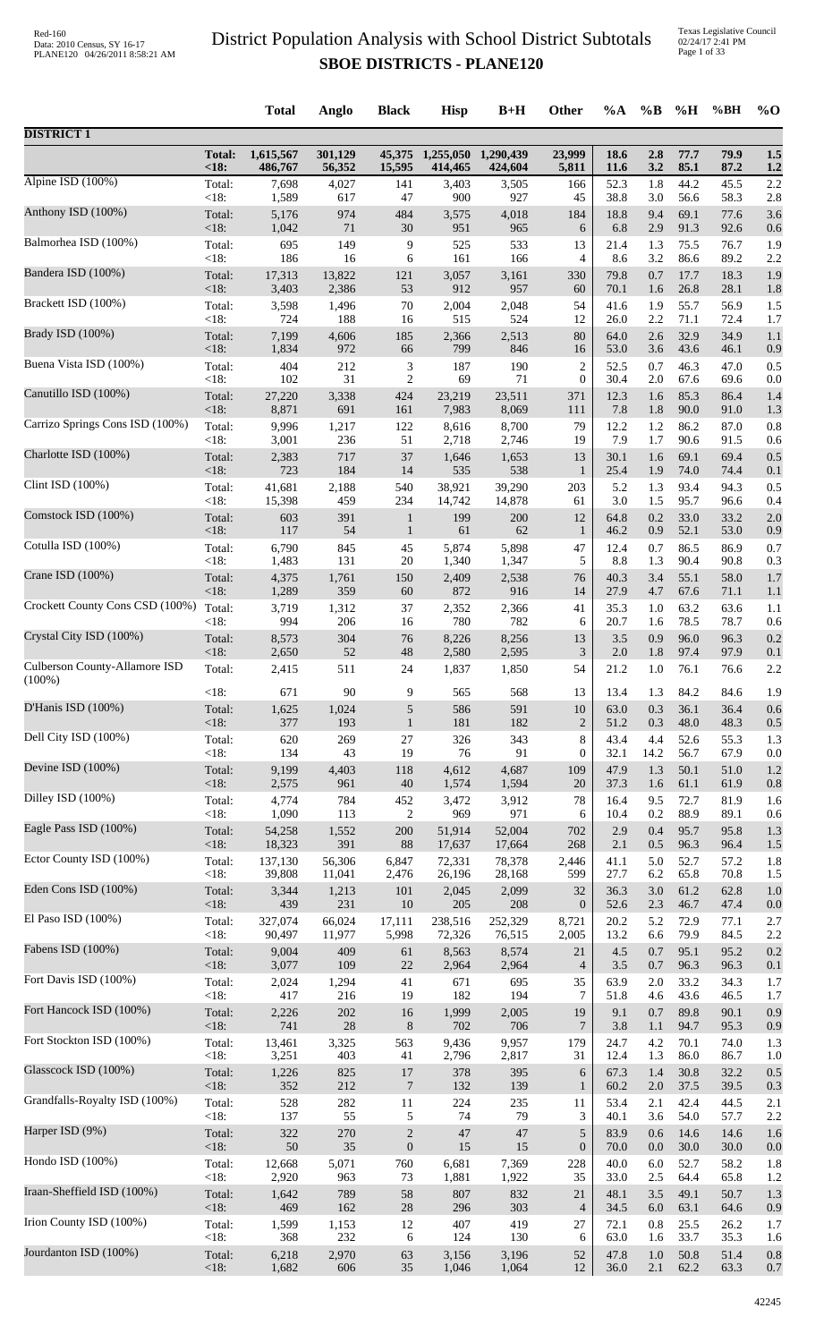|                                 |                        | <b>Total</b>            | Anglo             | <b>Black</b>   | <b>Hisp</b>                 | $B+H$                | Other               | %A                  | $\%B$             | $\%$ H               | %BH                  | $\%$ O         |
|---------------------------------|------------------------|-------------------------|-------------------|----------------|-----------------------------|----------------------|---------------------|---------------------|-------------------|----------------------|----------------------|----------------|
| <b>DISTRICT 1</b>               |                        |                         |                   |                |                             |                      |                     |                     |                   |                      |                      |                |
|                                 | <b>Total:</b><br>< 18: | 1,615,567<br>486,767    | 301,129<br>56,352 | 15,595         | 45,375 1,255,050<br>414,465 | 1,290,439<br>424,604 | 23,999<br>5,811     | 18.6<br>11.6        | 2.8<br>3.2        | 77.7<br>85.1         | 79.9<br>87.2         | 1.5<br>1.2     |
| Alpine ISD (100%)               | Total:<br><18:         | 7,698                   | 4,027<br>617      | 141<br>47      | 3,403<br>900                | 3,505<br>927         | 166<br>45           | 52.3                | 1.8               | 44.2                 | 45.5                 | 2.2<br>$2.8\,$ |
| Anthony ISD (100%)              | Total:<br>$<18$ :      | 1,589<br>5,176<br>1,042 | 974<br>71         | 484<br>30      | 3,575<br>951                | 4,018<br>965         | 184                 | 38.8<br>18.8<br>6.8 | 3.0<br>9.4<br>2.9 | 56.6<br>69.1<br>91.3 | 58.3<br>77.6<br>92.6 | 3.6            |
| Balmorhea ISD (100%)            | Total:                 | 695                     | 149               | 9              | 525                         | 533                  | 6<br>13             | 21.4                | 1.3               | 75.5                 | 76.7                 | 0.6<br>1.9     |
| Bandera ISD (100%)              | <18:                   | 186                     | 16                | 6              | 161                         | 166                  | 4                   | 8.6                 | 3.2               | 86.6                 | 89.2                 | 2.2            |
|                                 | Total:                 | 17,313                  | 13,822            | 121            | 3,057                       | 3,161                | 330                 | 79.8                | 0.7               | 17.7                 | 18.3                 | 1.9            |
| Brackett ISD (100%)             | < 18:                  | 3,403                   | 2,386             | 53             | 912                         | 957                  | 60                  | 70.1                | 1.6               | 26.8                 | 28.1                 | 1.8            |
|                                 | Total:                 | 3,598                   | 1,496             | 70             | 2,004                       | 2,048                | 54                  | 41.6                | 1.9               | 55.7                 | 56.9                 | 1.5            |
| Brady ISD (100%)                | <18:                   | 724                     | 188               | 16             | 515                         | 524                  | 12                  | 26.0                | 2.2               | 71.1                 | 72.4                 | 1.7            |
|                                 | Total:                 | 7,199                   | 4,606             | 185            | 2,366                       | 2,513                | 80                  | 64.0                | 2.6               | 32.9                 | 34.9                 | 1.1            |
| Buena Vista ISD (100%)          | <18:                   | 1,834                   | 972               | 66             | 799                         | 846                  | 16                  | 53.0                | 3.6               | 43.6                 | 46.1                 | 0.9            |
|                                 | Total:                 | 404                     | 212               | 3              | 187                         | 190                  | $\overline{c}$      | 52.5                | 0.7               | 46.3                 | 47.0                 | 0.5            |
| Canutillo ISD (100%)            | <18:                   | 102                     | 31                | $\overline{c}$ | 69                          | 71                   | $\boldsymbol{0}$    | 30.4                | 2.0               | 67.6                 | 69.6                 | 0.0            |
|                                 | Total:                 | 27,220                  | 3,338             | 424            | 23,219                      | 23,511               | 371                 | 12.3                | 1.6               | 85.3                 | 86.4                 | 1.4            |
|                                 | <18:                   | 8,871                   | 691               | 161            | 7,983                       | 8,069                | 111                 | 7.8                 | 1.8               | 90.0                 | 91.0                 | 1.3            |
| Carrizo Springs Cons ISD (100%) | Total:                 | 9,996                   | 1,217             | 122            | 8,616                       | 8,700                | 79                  | 12.2                | 1.2               | 86.2                 | 87.0                 | 0.8            |
|                                 | <18:                   | 3,001                   | 236               | 51             | 2,718                       | 2,746                | 19                  | 7.9                 | 1.7               | 90.6                 | 91.5                 | 0.6            |
| Charlotte ISD (100%)            | Total:                 | 2,383                   | 717               | 37             | 1,646                       | 1,653                | 13                  | 30.1                | 1.6               | 69.1                 | 69.4                 | 0.5            |
|                                 | <18:                   | 723                     | 184               | 14             | 535                         | 538                  | $\mathbf{1}$        | 25.4                | 1.9               | 74.0                 | 74.4                 | 0.1            |
| Clint ISD (100%)                | Total:                 | 41,681                  | 2,188             | 540            | 38,921                      | 39,290               | 203                 | 5.2                 | 1.3               | 93.4                 | 94.3                 | 0.5            |
|                                 | <18:                   | 15,398                  | 459               | 234            | 14,742                      | 14,878               | 61                  | 3.0                 | 1.5               | 95.7                 | 96.6                 | 0.4            |
| Comstock ISD (100%)             | Total:                 | 603                     | 391               | $\mathbf{1}$   | 199                         | 200                  | 12                  | 64.8                | 0.2               | 33.0                 | 33.2                 | $2.0\,$        |
|                                 | $<18$ :                | 117                     | 54                | $\mathbf{1}$   | 61                          | 62                   | 1                   | 46.2                | 0.9               | 52.1                 | 53.0                 | 0.9            |
| Cotulla ISD (100%)              | Total:                 | 6,790                   | 845               | 45             | 5,874                       | 5,898                | 47                  | 12.4                | 0.7               | 86.5                 | 86.9                 | 0.7            |
| Crane ISD (100%)                | <18:                   | 1,483                   | 131               | 20             | 1,340                       | 1,347                | 5                   | 8.8                 | 1.3               | 90.4                 | 90.8                 | 0.3            |
|                                 | Total:                 | 4,375                   | 1,761             | 150            | 2,409                       | 2,538                | 76                  | 40.3                | 3.4               | 55.1                 | 58.0                 | 1.7            |
| Crockett County Cons CSD (100%) | <18:                   | 1,289                   | 359               | 60             | 872                         | 916                  | 14                  | 27.9                | 4.7               | 67.6                 | 71.1                 | 1.1            |
|                                 | Total:                 | 3,719                   | 1,312             | 37             | 2,352                       | 2,366                | 41                  | 35.3                | 1.0               | 63.2                 | 63.6                 | 1.1            |
| Crystal City ISD (100%)         | < 18:                  | 994                     | 206               | 16             | 780                         | 782                  | 6                   | 20.7                | 1.6               | 78.5                 | 78.7                 | 0.6            |
|                                 | Total:                 | 8,573                   | 304               | 76             | 8,226                       | 8,256                | 13                  | 3.5                 | 0.9               | 96.0                 | 96.3                 | 0.2            |
| Culberson County-Allamore ISD   | <18:                   | 2,650                   | 52                | 48             | 2,580                       | 2,595                | 3                   | 2.0                 | 1.8               | 97.4                 | 97.9                 | 0.1            |
|                                 | Total:                 | 2,415                   | 511               | 24             | 1,837                       | 1,850                | 54                  | 21.2                | 1.0               | 76.1                 | 76.6                 | $2.2\,$        |
| $(100\%)$                       | <18:                   | 671                     | 90                | 9              | 565                         | 568                  | 13                  | 13.4                | 1.3               | 84.2                 | 84.6                 | 1.9            |
| D'Hanis ISD (100%)              | Total:                 | 1,625                   | 1,024             | 5              | 586                         | 591                  | 10                  | 63.0                | 0.3               | 36.1                 | 36.4                 | 0.6            |
|                                 | $<18$ :                | 377                     | 193               | 1              | 181                         | 182                  | $\overline{2}$      | 51.2                | 0.3               | 48.0                 | 48.3                 | $0.5\,$        |
| Dell City ISD (100%)            | Total:                 | 620                     | 269               | 27             | 326                         | 343                  | $8\,$               | 43.4                | 4.4               | 52.6                 | 55.3                 | 1.3            |
| Devine ISD (100%)               | < 18:                  | 134                     | 43                | 19             | 76                          | 91                   | $\mathbf{0}$        | 32.1                | 14.2              | 56.7                 | 67.9                 | 0.0            |
|                                 | Total:                 | 9,199                   | 4,403             | 118            | 4,612                       | 4,687                | 109                 | 47.9                | 1.3               | 50.1                 | 51.0                 | 1.2            |
| Dilley ISD (100%)               | < 18:                  | 2,575                   | 961               | 40             | 1,574                       | 1,594                | 20                  | 37.3                | 1.6               | 61.1                 | 61.9                 | 0.8            |
|                                 | Total:                 | 4,774                   | 784               | 452            | 3,472                       | 3,912                | 78                  | 16.4                | 9.5               | 72.7                 | 81.9                 | 1.6            |
| Eagle Pass ISD (100%)           | <18:                   | 1,090                   | 113               | $\overline{2}$ | 969                         | 971                  | 6                   | 10.4                | 0.2               | 88.9                 | 89.1                 | 0.6            |
|                                 | Total:                 | 54,258                  | 1,552             | 200            | 51,914                      | 52,004               | 702                 | 2.9                 | 0.4               | 95.7                 | 95.8                 | 1.3            |
| Ector County ISD (100%)         | < 18:                  | 18,323                  | 391               | 88             | 17,637                      | 17,664               | 268                 | 2.1                 | $0.5\,$           | 96.3                 | 96.4                 | 1.5            |
|                                 | Total:                 | 137,130                 | 56,306            | 6,847          | 72,331                      | 78,378               | 2,446               | 41.1                | 5.0               | 52.7                 | 57.2                 | 1.8            |
| Eden Cons ISD (100%)            | $<18$ :                | 39,808                  | 11,041            | 2,476          | 26,196                      | 28,168               | 599                 | 27.7                | 6.2               | 65.8                 | 70.8                 | 1.5            |
|                                 | Total:                 | 3,344                   | 1,213             | 101            | 2,045                       | 2,099                | 32                  | 36.3                | 3.0               | 61.2                 | 62.8                 | 1.0            |
|                                 | < 18:                  | 439                     | 231               | 10             | 205                         | 208                  | $\mathbf{0}$        | 52.6                | 2.3               | 46.7                 | 47.4                 | 0.0            |
| El Paso ISD (100%)              | Total:                 | 327,074                 | 66,024            | 17,111         | 238,516                     | 252,329              | 8,721               | 20.2                | 5.2               | 72.9                 | 77.1                 | 2.7            |
|                                 | < 18:                  | 90,497                  | 11,977            | 5,998          | 72,326                      | 76,515               | 2,005               | 13.2                | 6.6               | 79.9                 | 84.5                 | 2.2            |
| Fabens ISD (100%)               | Total:                 | 9,004                   | 409               | 61             | 8,563                       | 8,574                | 21                  | 4.5                 | 0.7               | 95.1                 | 95.2                 | 0.2            |
|                                 | <18:                   | 3,077                   | 109               | $22\,$         | 2,964                       | 2,964                | $\overline{4}$      | 3.5                 | 0.7               | 96.3                 | 96.3                 | 0.1            |
| Fort Davis ISD (100%)           | Total:                 | 2,024                   | 1,294             | 41             | 671                         | 695                  | 35                  | 63.9                | 2.0               | 33.2                 | 34.3                 | 1.7            |
|                                 | <18:                   | 417                     | 216               | 19             | 182                         | 194                  | 7                   | 51.8                | 4.6               | 43.6                 | 46.5                 | 1.7            |
| Fort Hancock ISD (100%)         | Total:                 | 2,226                   | 202               | 16             | 1,999                       | 2,005                | 19                  | 9.1                 | 0.7               | 89.8                 | 90.1                 | 0.9            |
|                                 | $<18$ :                | 741                     | 28                | $\,8\,$        | 702                         | 706                  | 7                   | 3.8                 | 1.1               | 94.7                 | 95.3                 | 0.9            |
| Fort Stockton ISD (100%)        | Total:                 | 13,461                  | 3,325             | 563            | 9,436                       | 9,957                | 179                 | 24.7                | 4.2               | 70.1                 | 74.0                 | 1.3            |
| Glasscock ISD (100%)            | <18:                   | 3,251                   | 403               | 41             | 2,796                       | 2,817                | 31                  | 12.4                | 1.3               | 86.0                 | 86.7                 | 1.0            |
|                                 | Total:                 | 1,226                   | 825               | 17             | 378                         | 395                  | $\sqrt{6}$          | 67.3                | 1.4               | 30.8                 | 32.2                 | $0.5\,$        |
| Grandfalls-Royalty ISD (100%)   | < 18:                  | 352                     | 212               | $\overline{7}$ | 132                         | 139                  | $\mathbf{1}$        | 60.2                | 2.0               | 37.5                 | 39.5                 | 0.3            |
|                                 | Total:                 | 528                     | 282               | 11             | 224                         | 235                  | 11                  | 53.4                | 2.1               | 42.4                 | 44.5                 | 2.1            |
| Harper ISD (9%)                 | <18:                   | 137                     | 55                | 5              | 74                          | 79                   | 3                   | 40.1                | 3.6               | 54.0                 | 57.7                 | 2.2            |
|                                 | Total:                 | 322                     | 270               | $\sqrt{2}$     | 47                          | 47                   | 5                   | 83.9                | 0.6               | 14.6                 | 14.6                 | 1.6            |
| Hondo ISD (100%)                | $<18$ :                | 50<br>12,668            | 35                | $\mathbf{0}$   | 15                          | 15                   | $\mathbf{0}$<br>228 | 70.0<br>40.0        | 0.0               | 30.0<br>52.7         | 30.0<br>58.2         | 0.0            |
|                                 | Total:<br><18:         | 2,920                   | 5,071<br>963      | 760<br>73      | 6,681<br>1,881              | 7,369<br>1,922       | 35                  | 33.0                | 6.0<br>2.5        | 64.4                 | 65.8                 | 1.8<br>1.2     |
| Iraan-Sheffield ISD (100%)      | Total:                 | 1,642                   | 789               | 58             | 807                         | 832                  | $21\,$              | 48.1                | 3.5               | 49.1                 | 50.7                 | 1.3            |
|                                 | <18:                   | 469                     | 162               | $28\,$         | 296                         | 303                  | $\overline{4}$      | 34.5                | 6.0               | 63.1                 | 64.6                 | 0.9            |
| Irion County ISD (100%)         | Total:                 | 1,599                   | 1,153             | 12             | 407                         | 419                  | 27                  | 72.1                | 0.8               | 25.5                 | 26.2                 | 1.7            |
|                                 | <18:                   | 368                     | 232               | 6              | 124                         | 130                  | 6                   | 63.0                | 1.6               | 33.7                 | 35.3                 | 1.6            |
| Jourdanton ISD (100%)           | Total:                 | 6,218                   | 2,970             | 63             | 3,156                       | 3,196                | 52                  | 47.8                | 1.0               | 50.8                 | 51.4                 | 0.8            |
|                                 | <18:                   | 1,682                   | 606               | 35             | 1,046                       | 1,064                | 12                  | 36.0                | 2.1               | 62.2                 | 63.3                 | 0.7            |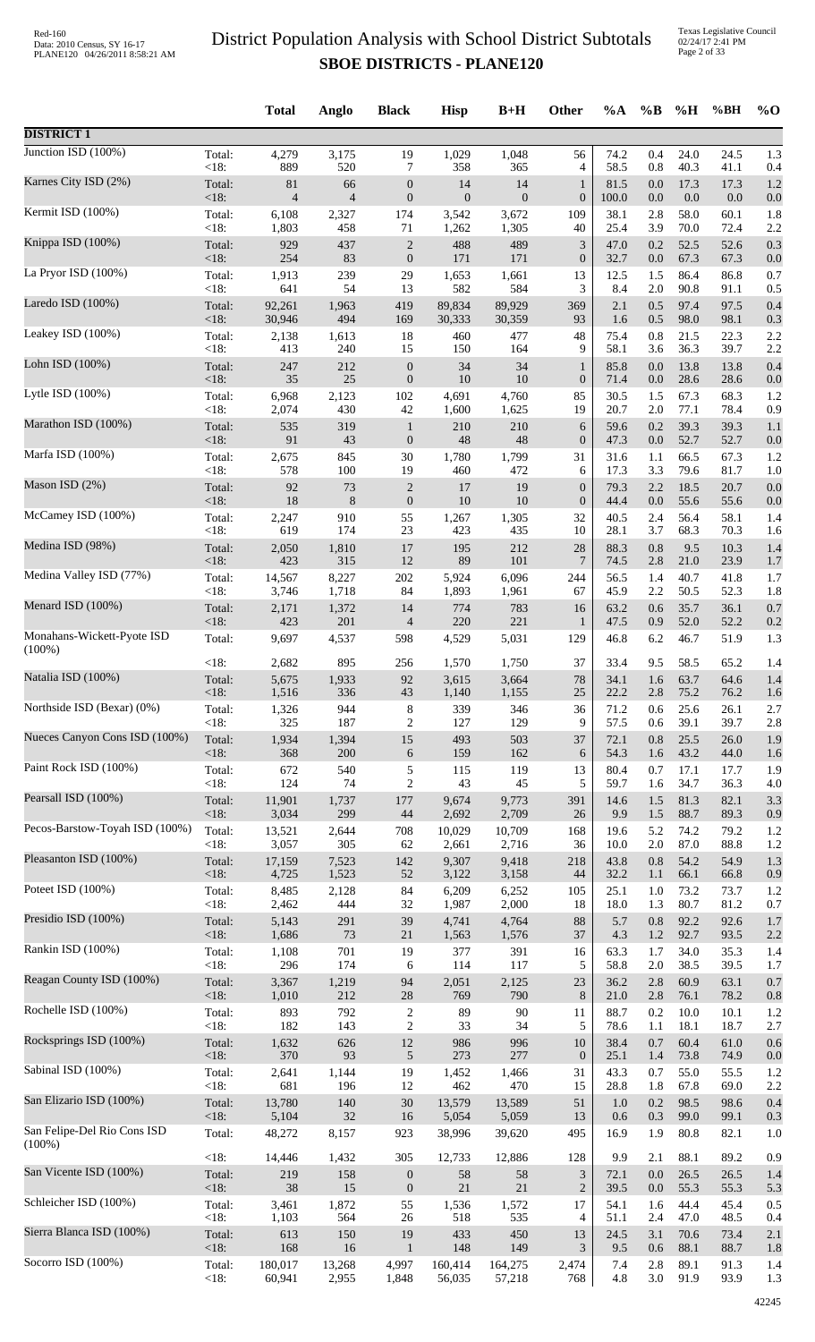Texas Legislative Council 02/24/17 2:41 PM Page 2 of 33

|                                          |                | <b>Total</b>   | Anglo                    | <b>Black</b>                     | <b>Hisp</b>      | $B+H$        | Other            | $\%A$        | $\%B$      | %H           | %BH          | $\%$ O     |
|------------------------------------------|----------------|----------------|--------------------------|----------------------------------|------------------|--------------|------------------|--------------|------------|--------------|--------------|------------|
| <b>DISTRICT 1</b>                        |                |                |                          |                                  |                  |              |                  |              |            |              |              |            |
| Junction ISD $(100\%)$                   | Total:         | 4,279          | 3,175                    | 19                               | 1,029            | 1,048        | 56               | 74.2         | 0.4        | 24.0         | 24.5         | 1.3        |
| Karnes City ISD (2%)                     | <18:           | 889            | 520                      | 7                                | 358              | 365          | 4                | 58.5         | 0.8        | 40.3         | 41.1         | 0.4        |
|                                          | Total:         | 81             | 66                       | $\boldsymbol{0}$                 | 14               | 14           | $\mathbf{1}$     | 81.5         | 0.0        | 17.3         | 17.3         | 1.2        |
| Kermit ISD (100%)                        | <18:           | $\overline{4}$ | $\overline{\mathcal{L}}$ | $\boldsymbol{0}$                 | $\mathbf{0}$     | $\mathbf{0}$ | $\boldsymbol{0}$ | 100.0        | $0.0\,$    | 0.0          | 0.0          | 0.0        |
|                                          | Total:         | 6,108          | 2,327                    | 174                              | 3,542            | 3,672        | 109              | 38.1         | 2.8        | 58.0         | 60.1         | 1.8        |
|                                          | <18:           | 1,803          | 458                      | 71                               | 1,262            | 1,305        | 40               | 25.4         | 3.9        | 70.0         | 72.4         | 2.2        |
| Knippa ISD (100%)                        | Total:         | 929            | 437                      | $\sqrt{2}$                       | 488              | 489          | $\mathfrak{Z}$   | 47.0         | 0.2        | 52.5         | 52.6         | 0.3        |
|                                          | $<18$ :        | 254            | 83                       | $\boldsymbol{0}$                 | 171              | 171          | $\boldsymbol{0}$ | 32.7         | 0.0        | 67.3         | 67.3         | 0.0        |
| La Pryor ISD (100%)                      | Total:         | 1,913          | 239                      | 29                               | 1,653            | 1,661        | 13               | 12.5         | 1.5        | 86.4         | 86.8         | 0.7        |
|                                          | $<18$ :        | 641            | 54                       | 13                               | 582              | 584          | 3                | 8.4          | 2.0        | 90.8         | 91.1         | 0.5        |
| Laredo ISD $(100\%)$                     | Total:         | 92,261         | 1,963                    | 419                              | 89,834           | 89,929       | 369              | 2.1          | 0.5        | 97.4         | 97.5         | 0.4        |
|                                          | <18:           | 30,946         | 494                      | 169                              | 30,333           | 30,359       | 93               | 1.6          | 0.5        | 98.0         | 98.1         | 0.3        |
| Leakey ISD (100%)                        | Total:         | 2,138          | 1,613                    | 18                               | 460              | 477          | 48               | 75.4         | 0.8        | 21.5         | 22.3         | 2.2        |
| Lohn ISD (100%)                          | <18:           | 413            | 240                      | 15                               | 150              | 164          | 9                | 58.1         | 3.6        | 36.3         | 39.7         | 2.2        |
|                                          | Total:         | 247            | 212                      | $\boldsymbol{0}$                 | 34               | 34           | $\mathbf{1}$     | 85.8         | 0.0        | 13.8         | 13.8         | 0.4        |
| Lytle ISD $(100\%)$                      | $<18$ :        | 35             | 25                       | $\boldsymbol{0}$                 | 10               | 10           | $\boldsymbol{0}$ | 71.4         | 0.0        | 28.6         | 28.6         | 0.0        |
|                                          | Total:         | 6,968          | 2,123                    | 102                              | 4,691            | 4,760        | 85               | 30.5         | 1.5        | 67.3         | 68.3         | 1.2        |
| Marathon ISD (100%)                      | <18:<br>Total: | 2,074<br>535   | 430<br>319               | 42                               | 1,600<br>$210\,$ | 1,625<br>210 | 19<br>6          | 20.7<br>59.6 | 2.0<br>0.2 | 77.1<br>39.3 | 78.4<br>39.3 | 0.9<br>1.1 |
|                                          | $<18$ :        | 91             | 43                       | $\mathbf{1}$<br>$\boldsymbol{0}$ | 48               | 48           | $\boldsymbol{0}$ | 47.3         | 0.0        | 52.7         | 52.7         | 0.0        |
| Marfa ISD (100%)                         | Total:         | 2,675          | 845                      | 30                               | 1,780            | 1,799        | 31               | 31.6         | 1.1        | 66.5         | 67.3         | 1.2        |
|                                          | < 18:          | 578            | 100                      | 19                               | 460              | 472          | 6                | 17.3         | 3.3        | 79.6         | 81.7         | 1.0        |
| Mason ISD (2%)                           | Total:         | 92             | 73                       | $\sqrt{2}$                       | 17               | 19           | $\boldsymbol{0}$ | 79.3         | 2.2        | 18.5         | 20.7         | 0.0        |
|                                          | <18:           | 18             | $\,8\,$                  | $\boldsymbol{0}$                 | $10\,$           | 10           | $\boldsymbol{0}$ | 44.4         | $0.0\,$    | 55.6         | 55.6         | 0.0        |
| McCamey ISD (100%)                       | Total:         | 2,247          | 910                      | 55                               | 1,267            | 1,305        | 32               | 40.5         | 2.4        | 56.4         | 58.1         | 1.4        |
| Medina ISD (98%)                         | <18:           | 619            | 174                      | 23                               | 423              | 435          | 10               | 28.1         | 3.7        | 68.3         | 70.3         | 1.6        |
|                                          | Total:         | 2,050          | 1,810                    | 17                               | 195              | 212          | 28               | 88.3         | 0.8        | 9.5          | 10.3         | 1.4        |
| Medina Valley ISD (77%)                  | $<18$ :        | 423            | 315                      | 12                               | 89               | 101          | $\overline{7}$   | 74.5         | 2.8        | 21.0         | 23.9         | 1.7        |
|                                          | Total:         | 14,567         | 8,227                    | $202\,$                          | 5,924            | 6,096        | 244              | 56.5         | 1.4        | 40.7         | 41.8         | 1.7        |
| Menard ISD (100%)                        | $<18$ :        | 3,746          | 1,718                    | 84                               | 1,893            | 1,961        | 67               | 45.9         | 2.2        | 50.5         | 52.3         | 1.8        |
|                                          | Total:         | 2,171          | 1,372                    | 14                               | 774              | 783          | 16               | 63.2         | 0.6        | 35.7         | 36.1         | 0.7        |
|                                          | <18:           | 423            | 201                      | $\overline{\mathcal{A}}$         | 220              | 221          | $\mathbf{1}$     | 47.5         | 0.9        | 52.0         | 52.2         | 0.2        |
| Monahans-Wickett-Pyote ISD<br>$(100\%)$  | Total:         | 9,697          | 4,537                    | 598                              | 4,529            | 5,031        | 129              | 46.8         | 6.2        | 46.7         | 51.9         | 1.3        |
| Natalia ISD (100%)                       | <18:           | 2,682          | 895                      | 256                              | 1,570            | 1,750        | 37               | 33.4         | 9.5        | 58.5         | 65.2         | 1.4        |
|                                          | Total:         | 5,675          | 1,933                    | 92                               | 3,615            | 3,664        | 78               | 34.1         | 1.6        | 63.7         | 64.6         | 1.4        |
|                                          | ${<}18:$       | 1,516          | 336                      | 43                               | 1,140            | 1,155        | 25               | 22.2         | 2.8        | 75.2         | 76.2         | 1.6        |
| Northside ISD (Bexar) (0%)               | Total:         | 1,326          | 944                      | 8                                | 339              | 346          | 36               | 71.2         | 0.6        | 25.6         | 26.1         | 2.7        |
|                                          | $<18$ :        | 325            | 187                      | $\overline{c}$                   | 127              | 129          | 9                | 57.5         | 0.6        | 39.1         | 39.7         | 2.8        |
| Nueces Canyon Cons ISD (100%)            | Total:         | 1,934          | 1,394                    | 15                               | 493              | 503          | 37               | 72.1         | 0.8        | 25.5         | 26.0         | 1.9        |
|                                          | <18:           | 368            | 200                      | 6                                | 159              | 162          | 6                | 54.3         | 1.6        | 43.2         | 44.0         | 1.6        |
| Paint Rock ISD (100%)                    | Total:         | 672            | 540                      | 5                                | 115              | 119          | 13               | 80.4         | 0.7        | 17.1         | 17.7         | 1.9        |
|                                          | $<18$ :        | 124            | 74                       | $\overline{2}$                   | 43               | 45           | 5                | 59.7         | 1.6        | 34.7         | 36.3         | 4.0        |
| Pearsall ISD (100%)                      | Total:         | 11,901         | 1,737                    | 177                              | 9,674            | 9,773        | 391              | 14.6         | 1.5        | 81.3         | 82.1         | 3.3        |
| Pecos-Barstow-Toyah ISD (100%)           | $<18$ :        | 3,034          | 299                      | 44                               | 2,692            | 2,709        | 26               | 9.9          | 1.5        | 88.7         | 89.3         | 0.9        |
|                                          | Total:         | 13,521         | 2,644                    | 708                              | 10,029           | 10,709       | 168              | 19.6         | 5.2        | 74.2         | 79.2         | 1.2        |
| Pleasanton ISD (100%)                    | < 18:          | 3,057          | 305                      | 62                               | 2,661            | 2,716        | 36               | 10.0         | $2.0\,$    | 87.0         | 88.8         | 1.2        |
|                                          | Total:         | 17,159         | 7,523                    | 142                              | 9,307            | 9,418        | 218              | 43.8         | 0.8        | 54.2         | 54.9         | 1.3        |
|                                          | $<18$ :        | 4,725          | 1,523                    | 52                               | 3,122            | 3,158        | 44               | 32.2         | 1.1        | 66.1         | 66.8         | 0.9        |
| Poteet ISD (100%)                        | Total:         | 8,485          | 2,128                    | 84                               | 6,209            | 6,252        | 105              | 25.1         | 1.0        | 73.2         | 73.7         | 1.2        |
|                                          | < 18:          | 2,462          | 444                      | 32                               | 1,987            | 2,000        | 18               | 18.0         | 1.3        | 80.7         | 81.2         | 0.7        |
| Presidio ISD (100%)                      | Total:         | 5,143          | 291                      | 39                               | 4,741            | 4,764        | 88               | 5.7          | 0.8        | 92.2         | 92.6         | 1.7        |
|                                          | $<18$ :        | 1,686          | 73                       | $21\,$                           | 1,563            | 1,576        | 37               | 4.3          | $1.2\,$    | 92.7         | 93.5         | 2.2        |
| Rankin ISD (100%)                        | Total:         | 1,108          | 701                      | 19                               | 377              | 391          | 16               | 63.3         | 1.7        | 34.0         | 35.3         | 1.4        |
|                                          | <18:           | 296            | 174                      | 6                                | 114              | 117          | 5                | 58.8         | $2.0\,$    | 38.5         | 39.5         | 1.7        |
| Reagan County ISD (100%)                 | Total:         | 3,367          | 1,219                    | 94                               | 2,051            | 2,125        | 23               | 36.2         | 2.8        | 60.9         | 63.1         | 0.7        |
| Rochelle ISD (100%)                      | $<18$ :        | 1,010          | 212                      | $28\,$                           | 769              | 790          | $\,8\,$          | 21.0         | 2.8        | 76.1         | 78.2         | 0.8        |
|                                          | Total:         | 893            | 792                      | $\sqrt{2}$                       | 89               | 90           | 11               | 88.7         | 0.2        | 10.0         | 10.1         | 1.2        |
| Rocksprings ISD (100%)                   | <18:           | 182            | 143                      | $\overline{c}$                   | 33               | 34           | 5                | 78.6         | 1.1        | 18.1         | 18.7         | 2.7        |
|                                          | Total:         | 1,632          | 626                      | 12                               | 986              | 996          | 10               | 38.4         | 0.7        | 60.4         | 61.0         | 0.6        |
| Sabinal ISD (100%)                       | $<18$ :        | 370            | 93                       | $\sqrt{5}$                       | 273              | 277          | $\boldsymbol{0}$ | 25.1         | 1.4        | 73.8         | 74.9         | 0.0        |
|                                          | Total:         | 2,641          | 1,144                    | 19                               | 1,452            | 1,466        | 31               | 43.3         | 0.7        | 55.0         | 55.5         | 1.2        |
|                                          | <18:           | 681            | 196                      | 12                               | 462              | 470          | 15               | 28.8         | 1.8        | 67.8         | 69.0         | 2.2        |
| San Elizario ISD (100%)                  | Total:         | 13,780         | 140                      | $30\,$                           | 13,579           | 13,589       | 51               | 1.0          | 0.2        | 98.5         | 98.6         | 0.4        |
|                                          | < 18:          | 5,104          | 32                       | 16                               | 5,054            | 5,059        | 13               | 0.6          | 0.3        | 99.0         | 99.1         | 0.3        |
| San Felipe-Del Rio Cons ISD<br>$(100\%)$ | Total:         | 48,272         | 8,157                    | 923                              | 38,996           | 39,620       | 495              | 16.9         | 1.9        | 80.8         | 82.1         | 1.0        |
| San Vicente ISD (100%)                   | < 18:          | 14,446         | 1,432                    | 305                              | 12,733           | 12,886       | 128              | 9.9          | 2.1        | 88.1         | 89.2         | 0.9        |
|                                          | Total:         | 219            | 158                      | $\boldsymbol{0}$                 | 58               | 58           | $\mathfrak{Z}$   | 72.1         | 0.0        | 26.5         | 26.5         | 1.4        |
|                                          | <18:           | $38\,$         | 15                       | $\boldsymbol{0}$                 | 21               | $21\,$       | $\sqrt{2}$       | 39.5         | 0.0        | 55.3         | 55.3         | 5.3        |
| Schleicher ISD (100%)                    | Total:         | 3,461          | 1,872                    | 55                               | 1,536            | 1,572        | 17               | 54.1         | 1.6        | 44.4         | 45.4         | 0.5        |
|                                          | <18:           | 1,103          | 564                      | 26                               | 518              | 535          | 4                | 51.1         | 2.4        | 47.0         | 48.5         | 0.4        |
| Sierra Blanca ISD (100%)                 | Total:         | 613            | 150                      | 19                               | 433              | 450          | 13               | 24.5         | 3.1        | 70.6         | 73.4         | 2.1        |
|                                          | $<18$ :        | 168            | 16                       | $\mathbf{1}$                     | 148              | 149          | 3                | 9.5          | 0.6        | 88.1         | 88.7         | 1.8        |
| Socorro ISD (100%)                       | Total:         | 180,017        | 13,268                   | 4,997                            | 160,414          | 164,275      | 2,474            | 7.4          | 2.8        | 89.1         | 91.3         | 1.4        |
|                                          | $<18$ :        | 60,941         | 2,955                    | 1,848                            | 56,035           | 57,218       | 768              | 4.8          | 3.0        | 91.9         | 93.9         | 1.3        |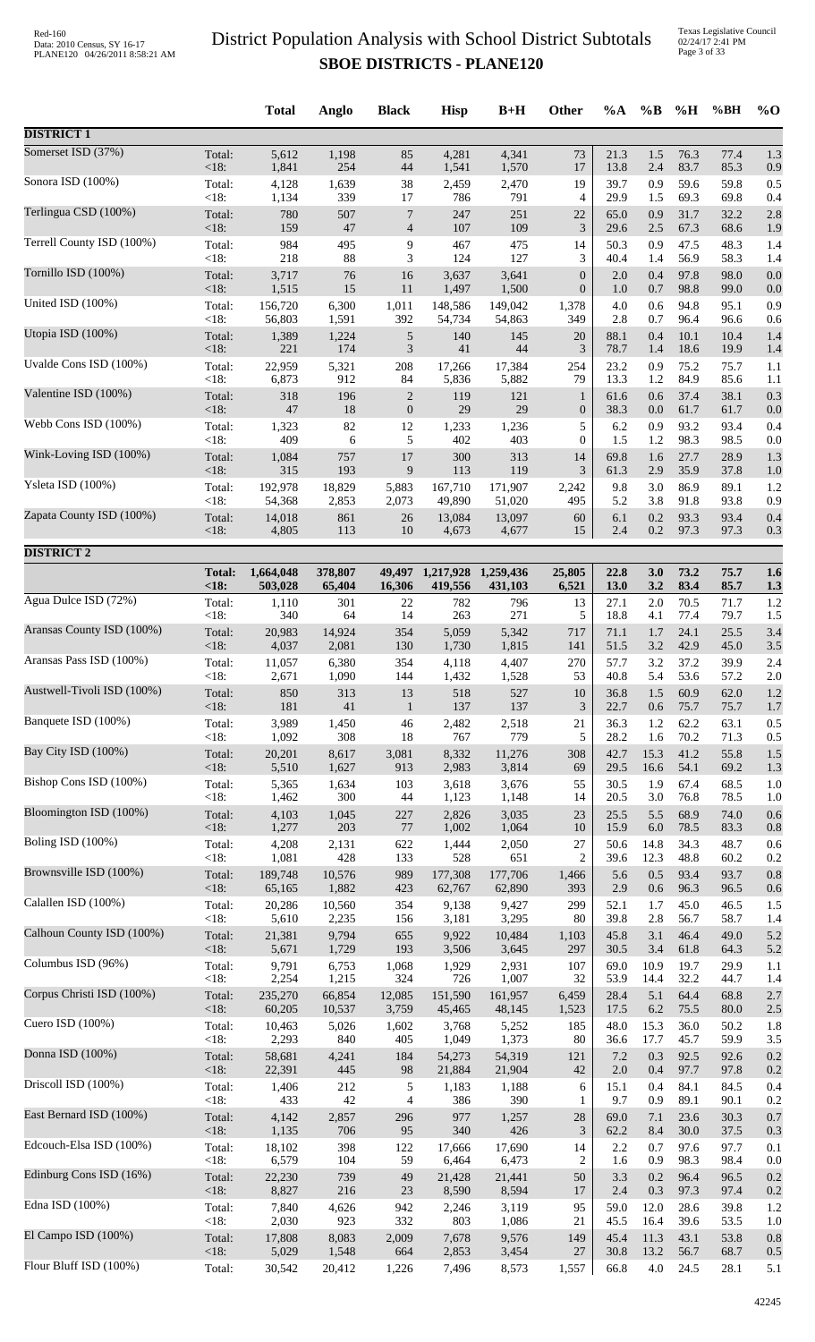Texas Legislative Council 02/24/17 2:41 PM Page 3 of 33

|                            |                        | <b>Total</b>         | Anglo             | <b>Black</b>                   | <b>Hisp</b>          | $B+H$                | Other                            | $\%A$        | $\%$ B         | %H           | %BH          | $%$ <sup>O</sup> |
|----------------------------|------------------------|----------------------|-------------------|--------------------------------|----------------------|----------------------|----------------------------------|--------------|----------------|--------------|--------------|------------------|
| <b>DISTRICT 1</b>          |                        |                      |                   |                                |                      |                      |                                  |              |                |              |              |                  |
| Somerset ISD (37%)         | Total:                 | 5,612                | 1,198             | 85                             | 4,281                | 4,341                | 73                               | 21.3         | 1.5            | 76.3         | 77.4         | 1.3              |
|                            | < 18:                  | 1,841                | 254               | 44                             | 1,541                | 1,570                | 17                               | 13.8         | 2.4            | 83.7         | 85.3         | 0.9              |
| Sonora ISD (100%)          | Total:<br>$<18$ :      | 4,128<br>1,134       | 1,639<br>339      | 38<br>17                       | 2,459<br>786         | 2,470<br>791         | 19<br>4                          | 39.7<br>29.9 | 0.9<br>1.5     | 59.6<br>69.3 | 59.8<br>69.8 | 0.5<br>0.4       |
| Terlingua CSD (100%)       | Total:                 | 780                  | 507               | 7                              | 247                  | 251                  | 22                               | 65.0         | 0.9            | 31.7         | 32.2         | 2.8              |
| Terrell County ISD (100%)  | <18:<br>Total:         | 159<br>984           | 47<br>495         | $\overline{4}$<br>9            | 107<br>467           | 109<br>475           | $\mathfrak{Z}$<br>14             | 29.6<br>50.3 | 2.5<br>0.9     | 67.3<br>47.5 | 68.6<br>48.3 | 1.9<br>1.4       |
|                            | <18:                   | 218                  | 88                | 3                              | 124                  | 127                  | 3                                | 40.4         | 1.4            | 56.9         | 58.3         | 1.4              |
| Tornillo ISD (100%)        | Total:<br>$<18$ :      | 3,717<br>1,515       | 76<br>15          | 16<br>11                       | 3,637<br>1,497       | 3,641<br>1,500       | $\mathbf{0}$<br>$\boldsymbol{0}$ | 2.0<br>1.0   | 0.4<br>0.7     | 97.8<br>98.8 | 98.0<br>99.0 | 0.0<br>0.0       |
| United ISD (100%)          | Total:<br><18:         | 156,720<br>56,803    | 6,300<br>1,591    | 1,011<br>392                   | 148,586<br>54,734    | 149,042<br>54,863    | 1,378<br>349                     | 4.0<br>2.8   | 0.6<br>0.7     | 94.8<br>96.4 | 95.1<br>96.6 | 0.9<br>0.6       |
| Utopia ISD (100%)          | Total:                 | 1,389                | 1,224             | $\sqrt{5}$                     | 140                  | 145                  | 20                               | 88.1         | 0.4            | 10.1         | 10.4         | 1.4              |
| Uvalde Cons ISD (100%)     | < 18:<br>Total:        | 221<br>22,959        | 174<br>5,321      | 3<br>208                       | 41<br>17,266         | 44<br>17,384         | 3<br>254                         | 78.7<br>23.2 | 1.4<br>0.9     | 18.6<br>75.2 | 19.9<br>75.7 | 1.4<br>1.1       |
| Valentine ISD (100%)       | < 18:                  | 6,873                | 912               | 84                             | 5,836                | 5,882                | 79                               | 13.3         | 1.2            | 84.9<br>37.4 | 85.6         | 1.1              |
|                            | Total:<br>< 18:        | 318<br>$47\,$        | 196<br>18         | $\sqrt{2}$<br>$\boldsymbol{0}$ | 119<br>29            | 121<br>29            | $\mathbf{1}$<br>$\boldsymbol{0}$ | 61.6<br>38.3 | 0.6<br>0.0     | 61.7         | 38.1<br>61.7 | 0.3<br>0.0       |
| Webb Cons ISD (100%)       | Total:<br><18:         | 1,323<br>409         | 82<br>6           | 12<br>5                        | 1,233<br>402         | 1,236<br>403         | 5<br>$\overline{0}$              | 6.2<br>1.5   | 0.9<br>1.2     | 93.2<br>98.3 | 93.4<br>98.5 | 0.4<br>0.0       |
| Wink-Loving ISD (100%)     | Total:<br>< 18:        | 1,084<br>315         | 757<br>193        | 17<br>9                        | 300<br>113           | 313<br>119           | 14<br>3                          | 69.8<br>61.3 | 1.6<br>2.9     | 27.7<br>35.9 | 28.9<br>37.8 | 1.3<br>1.0       |
| Ysleta ISD (100%)          | Total:                 | 192,978              | 18,829            | 5,883                          | 167,710              | 171,907              | 2,242                            | 9.8          | 3.0            | 86.9         | 89.1         | 1.2              |
| Zapata County ISD (100%)   | <18:<br>Total:         | 54,368<br>14,018     | 2,853<br>861      | 2,073<br>26                    | 49,890<br>13,084     | 51,020<br>13,097     | 495<br>60                        | 5.2<br>6.1   | 3.8<br>0.2     | 91.8<br>93.3 | 93.8<br>93.4 | 0.9<br>0.4       |
|                            | < 18:                  | 4,805                | 113               | 10                             | 4,673                | 4,677                | 15                               | 2.4          | $0.2\,$        | 97.3         | 97.3         | 0.3              |
| <b>DISTRICT 2</b>          |                        |                      |                   |                                |                      |                      |                                  |              |                |              |              |                  |
|                            | <b>Total:</b><br>< 18: | 1,664,048<br>503,028 | 378,807<br>65,404 | 49,497<br>16,306               | 1,217,928<br>419,556 | 1,259,436<br>431,103 | 25,805<br>6,521                  | 22.8<br>13.0 | 3.0<br>3.2     | 73.2<br>83.4 | 75.7<br>85.7 | 1.6<br>1.3       |
| Agua Dulce ISD (72%)       | Total:                 | 1,110                | 301               | 22                             | 782                  | 796                  | 13                               | 27.1         | 2.0            | 70.5         | 71.7         | 1.2              |
| Aransas County ISD (100%)  | <18:<br>Total:         | 340<br>20,983        | 64<br>14,924      | 14<br>354                      | 263<br>5,059         | 271<br>5,342         | 5<br>717                         | 18.8<br>71.1 | 4.1<br>1.7     | 77.4<br>24.1 | 79.7<br>25.5 | 1.5<br>3.4       |
| Aransas Pass ISD (100%)    | < 18:<br>Total:        | 4,037<br>11,057      | 2,081<br>6,380    | 130<br>354                     | 1,730<br>4,118       | 1,815<br>4,407       | 141<br>270                       | 51.5<br>57.7 | $3.2\,$<br>3.2 | 42.9<br>37.2 | 45.0<br>39.9 | 3.5<br>2.4       |
| Austwell-Tivoli ISD (100%) | <18:                   | 2,671                | 1,090             | 144                            | 1,432                | 1,528                | 53                               | 40.8         | 5.4            | 53.6         | 57.2         | 2.0              |
|                            | Total:<br><18:         | 850<br>181           | 313<br>41         | 13<br>$\mathbf{1}$             | 518<br>137           | 527<br>137           | 10<br>3                          | 36.8<br>22.7 | 1.5<br>0.6     | 60.9<br>75.7 | 62.0<br>75.7 | 1.2<br>1.7       |
| Banquete ISD (100%)        | Total:<br><18:         | 3,989<br>1,092       | 1,450<br>308      | 46<br>18                       | 2,482<br>767         | 2,518<br>779         | 21<br>5                          | 36.3<br>28.2 | 1.2<br>1.6     | 62.2<br>70.2 | 63.1<br>71.3 | 0.5<br>0.5       |
| Bay City ISD (100%)        | Total:<br>< 18:        | 20,201<br>5,510      | 8,617<br>1,627    | 3,081<br>913                   | 8,332<br>2,983       | 11,276<br>3,814      | 308<br>69                        | 42.7<br>29.5 | 15.3<br>16.6   | 41.2<br>54.1 | 55.8<br>69.2 | 1.5<br>1.3       |
| Bishop Cons ISD (100%)     | Total:                 | 5,365                | 1,634             | 103                            | 3,618                | 3,676                | 55                               | 30.5         | 1.9            | 67.4         | 68.5         | 1.0              |
| Bloomington ISD (100%)     | $<18$ :                | 1,462                | 300               | 44                             | 1,123                | 1,148                | 14                               | 20.5         | 3.0            | 76.8         | 78.5         | 1.0              |
|                            | Total:<br>< 18:        | 4,103<br>1,277       | 1,045<br>203      | 227<br>$77\,$                  | 2,826<br>1,002       | 3,035<br>1,064       | 23<br>10                         | 25.5<br>15.9 | 5.5<br>6.0     | 68.9<br>78.5 | 74.0<br>83.3 | 0.6<br>0.8       |
| Boling ISD (100%)          | Total:<br><18:         | 4,208<br>1,081       | 2,131<br>428      | 622<br>133                     | 1,444<br>528         | 2,050<br>651         | 27<br>$\overline{2}$             | 50.6<br>39.6 | 14.8<br>12.3   | 34.3<br>48.8 | 48.7<br>60.2 | 0.6<br>0.2       |
| Brownsville ISD (100%)     | Total:                 | 189,748              | 10,576            | 989                            | 177,308              | 177,706              | 1,466                            | 5.6          | 0.5            | 93.4         | 93.7         | 0.8              |
| Calallen ISD (100%)        | $<18$ :                | 65,165<br>20,286     | 1,882<br>10,560   | 423<br>354                     | 62,767               | 62,890               | 393<br>299                       | 2.9<br>52.1  | 0.6<br>1.7     | 96.3<br>45.0 | 96.5<br>46.5 | 0.6<br>1.5       |
|                            | Total:<br><18:         | 5,610                | 2,235             | 156                            | 9,138<br>3,181       | 9,427<br>3,295       | 80                               | 39.8         | 2.8            | 56.7         | 58.7         | 1.4              |
| Calhoun County ISD (100%)  | Total:<br>< 18:        | 21,381<br>5,671      | 9,794<br>1,729    | 655<br>193                     | 9,922<br>3,506       | 10,484<br>3,645      | 1,103<br>297                     | 45.8<br>30.5 | 3.1<br>3.4     | 46.4<br>61.8 | 49.0<br>64.3 | 5.2<br>5.2       |
| Columbus ISD (96%)         | Total:                 | 9,791                | 6,753             | 1,068                          | 1,929                | 2,931                | 107                              | 69.0         | 10.9           | 19.7         | 29.9         | 1.1              |
| Corpus Christi ISD (100%)  | <18:<br>Total:         | 2,254<br>235,270     | 1,215<br>66,854   | 324<br>12,085                  | 726<br>151,590       | 1,007<br>161,957     | 32<br>6,459                      | 53.9<br>28.4 | 14.4<br>5.1    | 32.2<br>64.4 | 44.7<br>68.8 | 1.4<br>2.7       |
| Cuero ISD (100%)           | < 18:<br>Total:        | 60,205<br>10,463     | 10,537<br>5,026   | 3,759<br>1,602                 | 45,465<br>3,768      | 48,145<br>5,252      | 1,523<br>185                     | 17.5<br>48.0 | 6.2<br>15.3    | 75.5<br>36.0 | 80.0<br>50.2 | 2.5<br>1.8       |
| Donna ISD (100%)           | <18:<br>Total:         | 2,293<br>58,681      | 840<br>4,241      | 405<br>184                     | 1,049<br>54,273      | 1,373<br>54,319      | 80<br>121                        | 36.6<br>7.2  | 17.7<br>0.3    | 45.7<br>92.5 | 59.9<br>92.6 | 3.5<br>0.2       |
|                            | <18:                   | 22,391               | 445               | 98                             | 21,884               | 21,904               | 42                               | $2.0\,$      | 0.4            | 97.7         | 97.8         | 0.2              |
| Driscoll ISD (100%)        | Total:<br><18:         | 1,406<br>433         | 212<br>42         | 5<br>4                         | 1,183<br>386         | 1,188<br>390         | 6<br>1                           | 15.1<br>9.7  | 0.4<br>0.9     | 84.1<br>89.1 | 84.5<br>90.1 | 0.4<br>0.2       |
| East Bernard ISD (100%)    | Total:<br>< 18:        | 4,142<br>1,135       | 2,857<br>706      | 296<br>95                      | 977<br>340           | 1,257<br>426         | 28<br>3                          | 69.0<br>62.2 | 7.1<br>8.4     | 23.6<br>30.0 | 30.3<br>37.5 | 0.7<br>0.3       |
| Edcouch-Elsa ISD (100%)    | Total:                 | 18,102               | 398               | 122                            | 17,666               | 17,690               | 14                               | 2.2          | 0.7            | 97.6         | 97.7         | 0.1              |
| Edinburg Cons ISD (16%)    | <18:<br>Total:         | 6,579<br>22,230      | 104<br>739        | 59<br>49                       | 6,464<br>21,428      | 6,473<br>21,441      | $\overline{c}$<br>50             | 1.6<br>3.3   | 0.9<br>0.2     | 98.3<br>96.4 | 98.4<br>96.5 | 0.0<br>0.2       |
| Edna ISD (100%)            | $<18$ :                | 8,827                | 216               | 23                             | 8,590                | 8,594                | 17<br>95                         | 2.4<br>59.0  | 0.3            | 97.3<br>28.6 | 97.4         | 0.2              |
|                            | Total:<br>$<18$ :      | 7,840<br>2,030       | 4,626<br>923      | 942<br>332                     | 2,246<br>803         | 3,119<br>1,086       | 21                               | 45.5         | 12.0<br>16.4   | 39.6         | 39.8<br>53.5 | 1.2<br>1.0       |
| El Campo ISD (100%)        | Total:<br>$<18$ :      | 17,808<br>5,029      | 8,083<br>1,548    | 2,009<br>664                   | 7,678<br>2,853       | 9,576<br>3,454       | 149<br>27                        | 45.4<br>30.8 | 11.3<br>13.2   | 43.1<br>56.7 | 53.8<br>68.7 | 0.8<br>0.5       |
| Flour Bluff ISD (100%)     | Total:                 | 30,542               | 20,412            | 1,226                          | 7,496                | 8,573                | 1,557                            | 66.8         | 4.0            | 24.5         | 28.1         | 5.1              |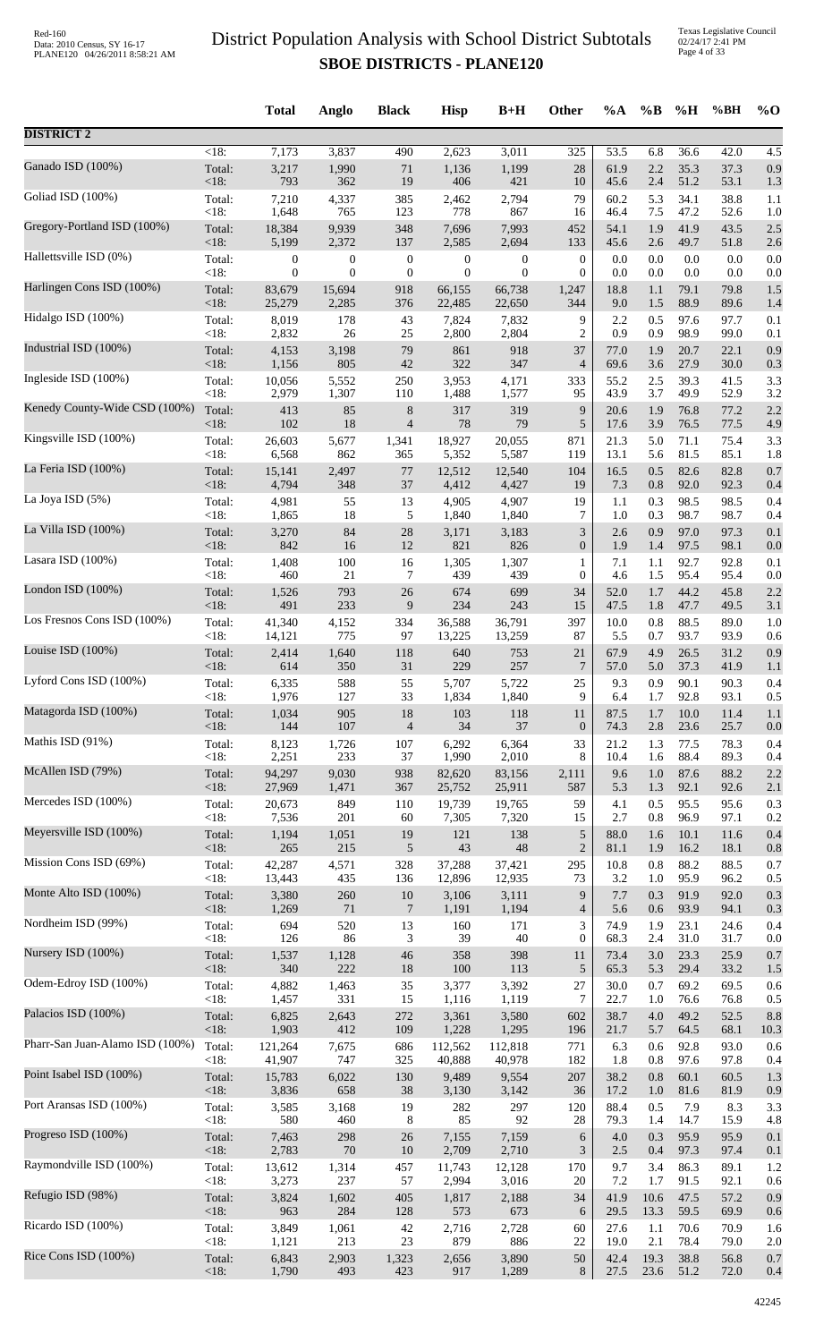Texas Legislative Council 02/24/17 2:41 PM Page 4 of 33

|                                 |                | <b>Total</b>    | Anglo            | <b>Black</b>     | <b>Hisp</b>      | $B+H$            | <b>Other</b>           | $\%A$        | $\%B$      | $\%$ H       | %BH          | $\%$ O     |
|---------------------------------|----------------|-----------------|------------------|------------------|------------------|------------------|------------------------|--------------|------------|--------------|--------------|------------|
| <b>DISTRICT 2</b>               |                |                 |                  |                  |                  |                  |                        |              |            |              |              |            |
| Ganado ISD (100%)               | $<18$ :        | 7,173           | 3,837            | 490              | 2,623            | 3,011            | $\overline{325}$<br>28 | 53.5<br>61.9 | 6.8<br>2.2 | 36.6<br>35.3 | 42.0<br>37.3 | 4.5<br>0.9 |
|                                 | Total:<br><18: | 3,217<br>793    | 1,990<br>362     | 71<br>19         | 1,136<br>406     | 1,199<br>421     | 10                     | 45.6         | 2.4        | 51.2         | 53.1         | 1.3        |
| Goliad ISD (100%)               | Total:         | 7,210           | 4,337            | 385              | 2,462            | 2,794            | 79                     | 60.2         | 5.3        | 34.1         | 38.8         | 1.1        |
|                                 | <18:           | 1,648           | 765              | 123              | 778              | 867              | 16                     | 46.4         | 7.5        | 47.2         | 52.6         | 1.0        |
| Gregory-Portland ISD (100%)     | Total:         | 18,384          | 9,939            | 348              | 7,696            | 7,993            | 452                    | 54.1         | 1.9        | 41.9         | 43.5         | 2.5        |
| Hallettsville ISD (0%)          | $<18$ :        | 5,199           | 2,372            | 137              | 2,585            | 2,694            | 133                    | 45.6         | 2.6        | 49.7         | 51.8         | 2.6        |
|                                 | Total:         | 0               | $\boldsymbol{0}$ | $\boldsymbol{0}$ | $\boldsymbol{0}$ | $\boldsymbol{0}$ | $\boldsymbol{0}$       | 0.0          | 0.0        | 0.0          | 0.0          | 0.0        |
| Harlingen Cons ISD (100%)       | < 18:          | $\overline{0}$  | $\overline{0}$   | $\boldsymbol{0}$ | $\mathbf{0}$     | $\boldsymbol{0}$ | $\overline{0}$         | 0.0          | 0.0        | 0.0          | 0.0          | 0.0        |
|                                 | Total:         | 83,679          | 15,694           | 918              | 66,155           | 66,738           | 1,247                  | 18.8         | 1.1        | 79.1         | 79.8         | 1.5        |
| Hidalgo ISD (100%)              | <18:           | 25,279          | 2,285            | 376              | 22,485           | 22,650           | 344                    | 9.0          | 1.5        | 88.9         | 89.6         | 1.4        |
|                                 | Total:         | 8,019           | 178              | 43               | 7,824            | 7,832            | 9                      | 2.2          | 0.5        | 97.6         | 97.7         | 0.1        |
|                                 | <18:           | 2,832           | 26               | $25\,$           | 2,800            | 2,804            | $\overline{c}$         | 0.9          | 0.9        | 98.9         | 99.0         | 0.1        |
| Industrial ISD (100%)           | Total:         | 4,153           | 3,198            | 79               | 861              | 918              | 37                     | 77.0         | 1.9        | 20.7         | 22.1         | 0.9        |
|                                 | <18:           | 1,156           | 805              | 42               | 322              | 347              | $\overline{4}$         | 69.6         | 3.6        | 27.9         | 30.0         | 0.3        |
| Ingleside ISD (100%)            | Total:         | 10,056          | 5,552            | 250              | 3,953            | 4,171            | 333                    | 55.2         | 2.5        | 39.3         | 41.5         | 3.3        |
|                                 | $<18$ :        | 2,979           | 1,307            | 110              | 1,488            | 1,577            | 95                     | 43.9         | 3.7        | 49.9         | 52.9         | 3.2        |
| Kenedy County-Wide CSD (100%)   | Total:         | 413             | 85               | 8                | 317              | 319              | 9                      | 20.6         | 1.9        | 76.8         | 77.2         | 2.2        |
|                                 | <18:           | 102             | 18               | $\overline{4}$   | 78               | 79               | 5                      | 17.6         | 3.9        | 76.5         | 77.5         | 4.9        |
| Kingsville ISD (100%)           | Total:         | 26,603          | 5,677            | 1,341            | 18,927           | 20,055           | 871                    | 21.3         | 5.0        | 71.1         | 75.4         | 3.3        |
| La Feria ISD (100%)             | <18:           | 6,568           | 862              | 365              | 5,352            | 5,587            | 119                    | 13.1         | 5.6        | 81.5         | 85.1         | 1.8        |
|                                 | Total:         | 15,141          | 2,497            | 77               | 12,512           | 12,540           | 104                    | 16.5         | 0.5        | 82.6         | 82.8         | 0.7        |
| La Joya ISD (5%)                | <18:           | 4,794           | 348              | 37               | 4,412            | 4,427            | 19                     | 7.3          | 0.8        | 92.0         | 92.3         | 0.4        |
|                                 | Total:         | 4,981           | 55               | 13               | 4,905            | 4,907            | 19                     | 1.1          | 0.3        | 98.5         | 98.5         | 0.4        |
| La Villa ISD (100%)             | <18:           | 1,865           | 18<br>84         | 5<br>$28\,$      | 1,840            | 1,840            | 7                      | 1.0<br>2.6   | 0.3<br>0.9 | 98.7<br>97.0 | 98.7<br>97.3 | 0.4        |
|                                 | Total:<br><18: | 3,270<br>842    | 16               | 12               | 3,171<br>821     | 3,183<br>826     | 3<br>$\boldsymbol{0}$  | 1.9          | 1.4        | 97.5         | 98.1         | 0.1<br>0.0 |
| Lasara ISD (100%)               | Total:         | 1,408           | 100              | 16               | 1,305            | 1,307            | 1                      | 7.1          | 1.1        | 92.7         | 92.8         | 0.1        |
|                                 | <18:           | 460             | 21               | 7                | 439              | 439              | 0                      | 4.6          | 1.5        | 95.4         | 95.4         | 0.0        |
| London ISD $(100\%)$            | Total:         | 1,526           | 793              | 26               | 674              | 699              | 34                     | 52.0         | 1.7        | 44.2         | 45.8         | 2.2        |
|                                 | <18:           | 491             | 233              | 9                | 234              | 243              | 15                     | 47.5         | 1.8        | 47.7         | 49.5         | 3.1        |
| Los Fresnos Cons ISD (100%)     | Total:         | 41,340          | 4,152            | 334              | 36,588           | 36,791           | 397                    | 10.0         | 0.8        | 88.5         | 89.0         | 1.0        |
|                                 | <18:           | 14,121          | 775              | 97               | 13,225           | 13,259           | 87                     | 5.5          | 0.7        | 93.7         | 93.9         | 0.6        |
| Louise ISD (100%)               | Total:         | 2,414           | 1,640            | 118              | 640              | 753              | 21                     | 67.9         | 4.9        | 26.5         | 31.2         | 0.9        |
| Lyford Cons ISD (100%)          | $<18$ :        | 614             | 350              | 31               | 229              | 257              | 7                      | 57.0         | 5.0        | 37.3         | 41.9         | 1.1        |
|                                 | Total:         | 6,335           | 588              | 55               | 5,707            | 5,722            | 25                     | 9.3          | 0.9        | 90.1         | 90.3         | 0.4        |
| Matagorda ISD (100%)            | $< 18$ :       | 1,976           | 127              | 33               | 1,834            | 1,840            | 9                      | 6.4          | 1.7        | 92.8         | 93.1         | 0.5        |
|                                 | Total:         | 1,034           | 905              | 18               | 103              | 118              | 11                     | 87.5         | 1.7        | 10.0         | 11.4         | 1.1        |
|                                 | <18:           | 144             | 107              | $\overline{4}$   | 34               | 37               | $\mathbf{0}$           | 74.3         | 2.8        | 23.6         | 25.7         | 0.0        |
| Mathis ISD (91%)                | Total:         | 8,123           | 1,726            | 107              | 6,292            | 6,364            | 33                     | 21.2         | 1.3        | 77.5         | 78.3         | 0.4        |
|                                 | <18:           | 2,251           | 233              | 37               | 1,990            | 2,010            | 8                      | 10.4         | 1.6        | 88.4         | 89.3         | 0.4        |
| McAllen ISD (79%)               | Total:         | 94,297          | 9,030            | 938              | 82,620           | 83,156           | 2,111                  | 9.6          | 1.0        | 87.6         | 88.2         | 2.2        |
|                                 | <18:           | 27,969          | 1,471            | 367              | 25,752           | 25,911           | 587                    | 5.3          | 1.3        | 92.1         | 92.6         | 2.1        |
| Mercedes ISD (100%)             | Total:         | 20,673          | 849              | 110              | 19,739           | 19,765           | 59                     | 4.1          | 0.5        | 95.5         | 95.6         | 0.3        |
|                                 | $<18$ :        | 7,536           | 201              | 60               | 7,305            | 7,320            | 15                     | 2.7          | 0.8        | 96.9         | 97.1         | 0.2        |
| Meyersville ISD (100%)          | Total:         | 1,194           | 1,051            | 19               | 121              | 138              | 5                      | 88.0         | 1.6        | 10.1         | 11.6         | 0.4        |
|                                 | <18:           | 265             | 215              | $\sqrt{5}$       | 43               | 48               | $\overline{2}$         | 81.1         | 1.9        | 16.2         | 18.1         | 0.8        |
| Mission Cons ISD (69%)          | Total:         | 42,287          | 4,571            | 328              | 37,288           | 37,421           | 295                    | 10.8         | 0.8        | 88.2         | 88.5         | 0.7        |
| Monte Alto ISD (100%)           | $<18$ :        | 13,443          | 435              | 136              | 12,896           | 12,935           | 73                     | 3.2          | 1.0        | 95.9         | 96.2         | 0.5        |
|                                 | Total:         | 3,380           | 260              | $10\,$           | 3,106            | 3,111            | 9                      | 7.7          | 0.3        | 91.9         | 92.0         | 0.3        |
| Nordheim ISD (99%)              | <18:           | 1,269           | 71               | $\tau$           | 1,191            | 1,194            | $\overline{4}$         | 5.6          | 0.6        | 93.9         | 94.1         | 0.3        |
|                                 | Total:         | 694             | 520              | 13               | 160              | 171              | 3                      | 74.9         | 1.9        | 23.1         | 24.6         | 0.4        |
| Nursery ISD (100%)              | <18:           | 126             | 86               | 3                | 39               | 40               | $\mathbf{0}$           | 68.3         | 2.4        | 31.0         | 31.7         | 0.0        |
|                                 | Total:         | 1,537           | 1,128            | 46               | 358              | 398              | 11                     | 73.4         | 3.0        | 23.3         | 25.9         | 0.7        |
|                                 | $<18$ :        | 340             | 222              | 18               | 100              | 113              | 5                      | 65.3         | 5.3        | 29.4         | 33.2         | 1.5        |
| Odem-Edroy ISD (100%)           | Total:         | 4,882           | 1,463            | 35               | 3,377            | 3,392            | $27\,$                 | 30.0         | 0.7        | 69.2         | 69.5         | 0.6        |
|                                 | <18:           | 1,457           | 331              | 15               | 1,116            | 1,119            | $\tau$                 | 22.7         | 1.0        | 76.6         | 76.8         | 0.5        |
| Palacios ISD (100%)             | Total:         | 6,825           | 2,643            | 272              | 3,361            | 3,580            | 602                    | 38.7         | 4.0        | 49.2         | 52.5         | 8.8        |
|                                 | <18:           | 1,903           | 412              | 109              | 1,228            | 1,295            | 196                    | 21.7         | 5.7        | 64.5         | 68.1         | 10.3       |
| Pharr-San Juan-Alamo ISD (100%) | Total:         | 121,264         | 7,675            | 686              | 112,562          | 112,818          | 771                    | 6.3          | 0.6        | 92.8         | 93.0         | 0.6        |
|                                 | <18:           | 41,907          | 747              | 325              | 40,888           | 40,978           | 182                    | 1.8          | 0.8        | 97.6         | 97.8         | 0.4        |
| Point Isabel ISD (100%)         | Total:         | 15,783          | 6,022            | 130              | 9,489            | 9,554            | 207                    | 38.2         | 0.8        | 60.1         | 60.5         | 1.3        |
| Port Aransas ISD (100%)         | <18:           | 3,836           | 658              | 38               | 3,130            | 3,142            | 36                     | 17.2         | 1.0        | 81.6         | 81.9         | 0.9        |
|                                 | Total:         | 3,585           | 3,168            | 19               | 282              | 297              | 120                    | 88.4         | 0.5        | 7.9          | 8.3          | 3.3        |
| Progreso ISD (100%)             | $<18$ :        | 580             | 460              | 8                | 85               | 92               | $28\,$                 | 79.3         | 1.4        | 14.7         | 15.9         | 4.8        |
|                                 | Total:         | 7,463           | 298              | 26               | 7,155            | 7,159            | 6                      | 4.0          | 0.3        | 95.9         | 95.9         | 0.1        |
| Raymondville ISD (100%)         | <18:           | 2,783           | $70\,$           | $10\,$           | 2,709            | 2,710            | 3                      | 2.5          | 0.4<br>3.4 | 97.3<br>86.3 | 97.4         | 0.1        |
|                                 | Total:<br><18: | 13,612<br>3,273 | 1,314<br>237     | 457<br>57        | 11,743<br>2,994  | 12,128<br>3,016  | 170<br>20              | 9.7<br>7.2   | 1.7        | 91.5         | 89.1<br>92.1 | 1.2<br>0.6 |
| Refugio ISD (98%)               | Total:         | 3,824           | 1,602            | 405              | 1,817            | 2,188            | 34                     | 41.9         | 10.6       | 47.5         | 57.2         | 0.9        |
|                                 | <18:           | 963             | 284              | 128              | 573              | 673              | 6                      | 29.5         | 13.3       | 59.5         | 69.9         | 0.6        |
| Ricardo ISD (100%)              | Total:         | 3,849           | 1,061            | 42               | 2,716            | 2,728            | 60                     | 27.6         | 1.1        | 70.6         | 70.9         | 1.6        |
|                                 | $<18$ :        | 1,121           | 213              | 23               | 879              | 886              | 22                     | 19.0         | 2.1        | 78.4         | 79.0         | 2.0        |
| Rice Cons ISD (100%)            | Total:         | 6,843           | 2,903            | 1,323            | 2,656            | 3,890            | 50                     | 42.4         | 19.3       | 38.8         | 56.8         | 0.7        |
|                                 | $<18$ :        | 1,790           | 493              | 423              | 917              | 1,289            | 8                      | 27.5         | 23.6       | 51.2         | 72.0         | 0.4        |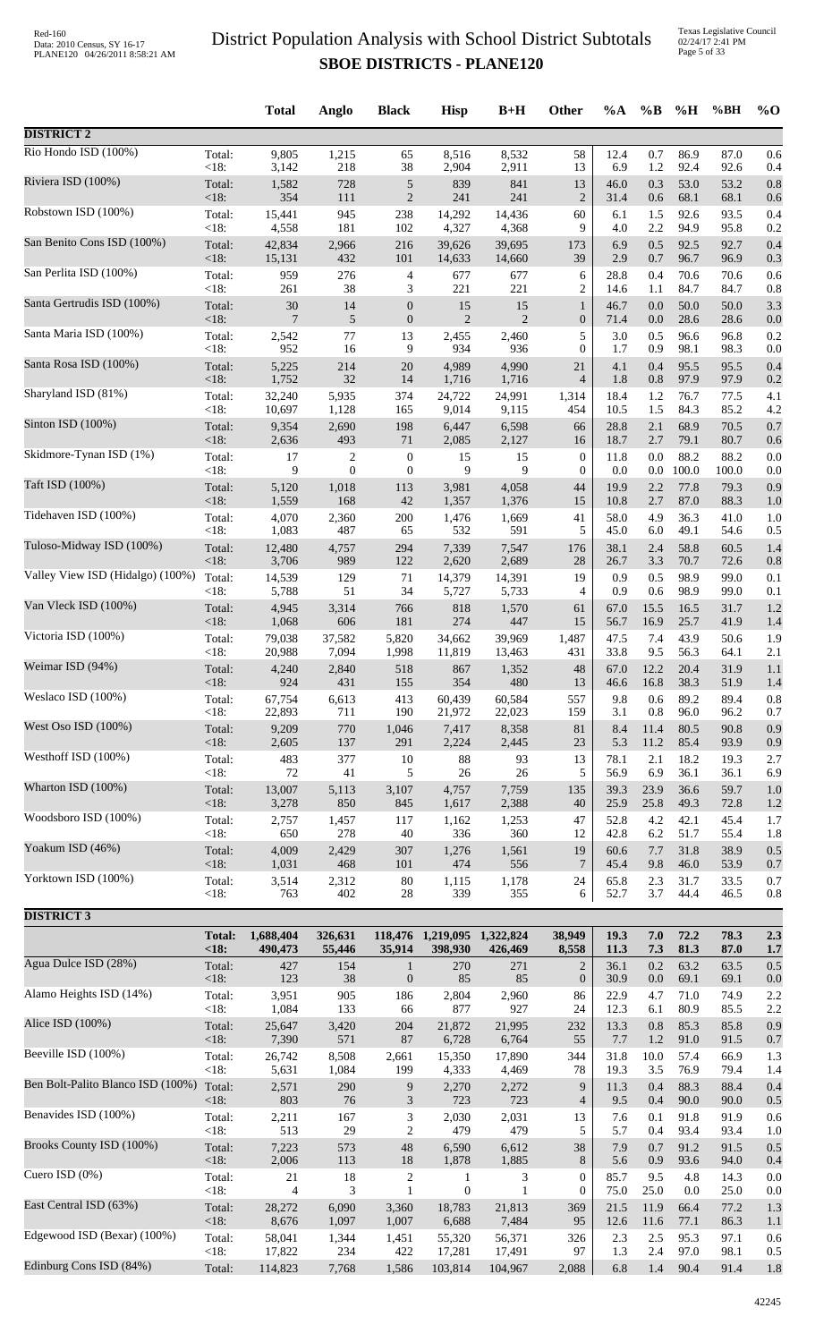Texas Legislative Council 02/24/17 2:41 PM Page 5 of 33

|                                   |                   | <b>Total</b>     | Anglo                     | <b>Black</b>                         | <b>Hisp</b>           | $B+H$                | <b>Other</b>                       | %A           | $\%B$          | %H            | %BH           | $\%$ O     |
|-----------------------------------|-------------------|------------------|---------------------------|--------------------------------------|-----------------------|----------------------|------------------------------------|--------------|----------------|---------------|---------------|------------|
| <b>DISTRICT 2</b>                 |                   |                  |                           |                                      |                       |                      |                                    |              |                |               |               |            |
| Rio Hondo ISD (100%)              | Total:            | 9,805            | 1,215                     | 65                                   | 8,516                 | 8,532                | 58                                 | 12.4         | 0.7            | 86.9          | 87.0          | 0.6        |
| Riviera ISD (100%)                | $<18$ :<br>Total: | 3,142<br>1,582   | 218<br>728                | 38<br>5                              | 2,904<br>839          | 2,911<br>841         | 13<br>13                           | 6.9<br>46.0  | $1.2\,$<br>0.3 | 92.4<br>53.0  | 92.6<br>53.2  | 0.4<br>0.8 |
|                                   | $<18$ :           | 354              | 111                       | $\boldsymbol{2}$                     | 241                   | 241                  | $\overline{c}$                     | 31.4         | 0.6            | 68.1          | 68.1          | 0.6        |
| Robstown ISD (100%)               | Total:<br>$<18$ : | 15,441<br>4,558  | 945<br>181                | 238<br>102                           | 14,292<br>4,327       | 14,436<br>4,368      | 60<br>9                            | 6.1<br>4.0   | 1.5<br>2.2     | 92.6<br>94.9  | 93.5<br>95.8  | 0.4<br>0.2 |
| San Benito Cons ISD (100%)        | Total:            | 42,834           | 2,966                     | 216                                  | 39,626                | 39,695               | 173                                | 6.9<br>2.9   | 0.5            | 92.5          | 92.7          | 0.4        |
| San Perlita ISD (100%)            | $<18$ :<br>Total: | 15,131<br>959    | 432<br>276                | 101<br>4                             | 14,633<br>677         | 14,660<br>677        | 39<br>6                            | 28.8         | 0.7<br>0.4     | 96.7<br>70.6  | 96.9<br>70.6  | 0.3<br>0.6 |
| Santa Gertrudis ISD (100%)        | $<18$ :           | 261              | 38                        | 3                                    | 221                   | 221                  | $\overline{2}$                     | 14.6         | 1.1            | 84.7          | 84.7          | 0.8        |
|                                   | Total:<br>$<18$ : | $30\,$<br>7      | 14<br>5                   | $\boldsymbol{0}$<br>$\boldsymbol{0}$ | 15<br>$\overline{2}$  | 15<br>$\overline{2}$ | $\mathbf{1}$<br>$\boldsymbol{0}$   | 46.7<br>71.4 | 0.0<br>0.0     | 50.0<br>28.6  | 50.0<br>28.6  | 3.3<br>0.0 |
| Santa Maria ISD (100%)            | Total:<br><18:    | 2,542<br>952     | 77<br>16                  | 13<br>9                              | 2,455<br>934          | 2,460<br>936         | 5<br>$\theta$                      | 3.0<br>1.7   | 0.5<br>0.9     | 96.6<br>98.1  | 96.8<br>98.3  | 0.2<br>0.0 |
| Santa Rosa ISD (100%)             | Total:            | 5,225            | 214                       | 20                                   | 4,989                 | 4,990                | 21                                 | 4.1          | 0.4            | 95.5          | 95.5          | 0.4        |
| Sharyland ISD (81%)               | $<18$ :<br>Total: | 1,752<br>32,240  | 32<br>5,935               | 14<br>374                            | 1,716<br>24,722       | 1,716<br>24,991      | $\overline{4}$<br>1,314            | 1.8<br>18.4  | 0.8<br>1.2     | 97.9<br>76.7  | 97.9<br>77.5  | 0.2<br>4.1 |
|                                   | <18:              | 10,697           | 1,128                     | 165                                  | 9,014                 | 9,115                | 454                                | 10.5         | 1.5            | 84.3          | 85.2          | 4.2        |
| Sinton ISD (100%)                 | Total:<br><18:    | 9,354<br>2,636   | 2,690<br>493              | 198<br>71                            | 6,447<br>2,085        | 6,598<br>2,127       | 66<br>16                           | 28.8<br>18.7 | 2.1<br>2.7     | 68.9<br>79.1  | 70.5<br>80.7  | 0.7<br>0.6 |
| Skidmore-Tynan ISD (1%)           | Total:            | 17               | 2                         | $\boldsymbol{0}$                     | 15                    | 15                   | $\boldsymbol{0}$                   | 11.8         | 0.0            | 88.2          | 88.2          | 0.0        |
| Taft ISD (100%)                   | <18:<br>Total:    | 9<br>5,120       | $\boldsymbol{0}$<br>1,018 | $\boldsymbol{0}$<br>113              | 9<br>3,981            | 9<br>4,058           | $\mathbf{0}$<br>44                 | 0.0<br>19.9  | $0.0\,$<br>2.2 | 100.0<br>77.8 | 100.0<br>79.3 | 0.0<br>0.9 |
| Tidehaven ISD (100%)              | <18:              | 1,559            | 168                       | 42                                   | 1,357                 | 1,376                | 15                                 | 10.8         | 2.7            | 87.0          | 88.3          | 1.0        |
|                                   | Total:<br>$<18$ : | 4,070<br>1,083   | 2,360<br>487              | 200<br>65                            | 1,476<br>532          | 1,669<br>591         | 41<br>5                            | 58.0<br>45.0 | 4.9<br>6.0     | 36.3<br>49.1  | 41.0<br>54.6  | 1.0<br>0.5 |
| Tuloso-Midway ISD (100%)          | Total:<br><18:    | 12,480<br>3,706  | 4,757<br>989              | 294<br>122                           | 7,339<br>2,620        | 7,547<br>2,689       | 176<br>28                          | 38.1<br>26.7 | 2.4<br>3.3     | 58.8<br>70.7  | 60.5<br>72.6  | 1.4<br>0.8 |
| Valley View ISD (Hidalgo) (100%)  | Total:            | 14,539           | 129                       | 71                                   | 14,379                | 14,391               | 19                                 | 0.9          | 0.5            | 98.9          | 99.0          | 0.1        |
| Van Vleck ISD (100%)              | $<18$ :<br>Total: | 5,788<br>4,945   | 51<br>3,314               | 34<br>766                            | 5,727<br>818          | 5,733<br>1,570       | $\overline{4}$<br>61               | 0.9<br>67.0  | 0.6<br>15.5    | 98.9<br>16.5  | 99.0<br>31.7  | 0.1<br>1.2 |
|                                   | <18:              | 1,068            | 606                       | 181                                  | 274                   | 447                  | 15                                 | 56.7         | 16.9           | 25.7          | 41.9          | 1.4        |
| Victoria ISD (100%)               | Total:<br><18:    | 79,038<br>20,988 | 37,582<br>7,094           | 5,820<br>1,998                       | 34,662<br>11,819      | 39,969<br>13,463     | 1,487<br>431                       | 47.5<br>33.8 | 7.4<br>9.5     | 43.9<br>56.3  | 50.6<br>64.1  | 1.9<br>2.1 |
| Weimar ISD (94%)                  | Total:            | 4,240            | 2,840                     | 518                                  | 867                   | 1,352                | 48                                 | 67.0         | 12.2           | 20.4          | 31.9          | 1.1        |
| Weslaco ISD (100%)                | $<18$ :<br>Total: | 924<br>67,754    | 431<br>6,613              | 155<br>413                           | 354<br>60,439         | 480<br>60,584        | 13<br>557                          | 46.6<br>9.8  | 16.8<br>0.6    | 38.3<br>89.2  | 51.9<br>89.4  | 1.4<br>0.8 |
|                                   | <18:              | 22,893           | 711                       | 190                                  | 21,972                | 22,023               | 159                                | 3.1          | 0.8            | 96.0          | 96.2          | 0.7        |
| West Oso ISD (100%)               | Total:<br>$<18$ : | 9,209<br>2,605   | 770<br>137                | 1,046<br>291                         | 7,417<br>2,224        | 8,358<br>2,445       | 81<br>23                           | 8.4<br>5.3   | 11.4<br>11.2   | 80.5<br>85.4  | 90.8<br>93.9  | 0.9<br>0.9 |
| Westhoff ISD (100%)               | Total:            | 483              | 377                       | 10                                   | $88\,$                | 93                   | 13                                 | 78.1         | 2.1            | 18.2          | 19.3          | 2.7        |
| Wharton ISD (100%)                | <18:<br>Total:    | $72\,$<br>13,007 | 41<br>5,113               | 5<br>3,107                           | $26\,$<br>4,757       | $26\,$<br>7,759      | 5<br>135                           | 56.9<br>39.3 | 6.9<br>23.9    | 36.1<br>36.6  | 36.1<br>59.7  | 6.9<br>1.0 |
| Woodsboro ISD (100%)              | <18:              | 3,278            | 850                       | 845                                  | 1,617                 | 2,388                | 40                                 | 25.9         | 25.8           | 49.3          | 72.8          | 1.2        |
|                                   | Total:<br><18:    | 2,757<br>650     | 1,457<br>278              | 117<br>40                            | 1,162<br>336          | 1,253<br>360         | 47<br>12                           | 52.8<br>42.8 | 4.2<br>6.2     | 42.1<br>51.7  | 45.4<br>55.4  | 1.7<br>1.8 |
| Yoakum ISD (46%)                  | Total:<br><18:    | 4,009<br>1,031   | 2,429<br>468              | 307<br>101                           | 1,276<br>474          | 1,561<br>556         | 19<br>$\tau$                       | 60.6<br>45.4 | 7.7<br>9.8     | 31.8<br>46.0  | 38.9<br>53.9  | 0.5<br>0.7 |
| Yorktown ISD (100%)               | Total:            | 3,514            | 2,312                     | 80                                   | 1,115                 | 1,178                | 24                                 | 65.8         | 2.3            | 31.7          | 33.5          | 0.7        |
|                                   | $<18$ :           | 763              | 402                       | 28                                   | 339                   | 355                  | 6                                  | 52.7         | 3.7            | 44.4          | 46.5          | 0.8        |
| <b>DISTRICT 3</b>                 | <b>Total:</b>     | 1,688,404        | 326,631                   |                                      | 118,476 1,219,095     | 1,322,824            | 38,949                             | 19.3         | 7.0            | 72.2          | 78.3          | 2.3        |
|                                   | <18:              | 490,473          | 55,446                    | 35,914                               | 398,930               | 426,469              | 8,558                              | 11.3         | 7.3            | 81.3          | 87.0          | 1.7        |
| Agua Dulce ISD (28%)              | Total:<br>$<18$ : | 427<br>123       | 154<br>38                 | $\mathbf{1}$<br>$\boldsymbol{0}$     | 270<br>85             | 271<br>85            | $\overline{2}$<br>$\boldsymbol{0}$ | 36.1<br>30.9 | 0.2<br>0.0     | 63.2<br>69.1  | 63.5<br>69.1  | 0.5<br>0.0 |
| Alamo Heights ISD (14%)           | Total:            | 3,951            | 905                       | 186                                  | 2,804                 | 2,960                | 86                                 | 22.9         | 4.7            | 71.0          | 74.9          | 2.2        |
| Alice ISD (100%)                  | <18:<br>Total:    | 1,084<br>25,647  | 133<br>3,420              | 66<br>204                            | 877<br>21,872         | 927<br>21,995        | 24<br>232                          | 12.3<br>13.3 | 6.1<br>0.8     | 80.9<br>85.3  | 85.5<br>85.8  | 2.2<br>0.9 |
|                                   | <18:              | 7,390            | 571                       | 87                                   | 6,728                 | 6,764                | 55                                 | 7.7          | 1.2            | 91.0          | 91.5          | 0.7        |
| Beeville ISD (100%)               | Total:<br><18:    | 26,742<br>5,631  | 8,508<br>1,084            | 2,661<br>199                         | 15,350<br>4,333       | 17,890<br>4,469      | 344<br>78                          | 31.8<br>19.3 | 10.0<br>3.5    | 57.4<br>76.9  | 66.9<br>79.4  | 1.3<br>1.4 |
| Ben Bolt-Palito Blanco ISD (100%) | Total:            | 2,571            | 290                       | 9                                    | 2,270                 | 2,272                | 9                                  | 11.3         | 0.4            | 88.3          | 88.4          | 0.4        |
| Benavides ISD (100%)              | <18:<br>Total:    | 803<br>2,211     | $76\,$<br>167             | $\mathfrak{Z}$<br>3                  | 723<br>2,030          | 723<br>2,031         | $\overline{4}$<br>13               | 9.5<br>7.6   | 0.4<br>0.1     | 90.0<br>91.8  | 90.0<br>91.9  | 0.5<br>0.6 |
| Brooks County ISD (100%)          | <18:              | 513              | 29                        | $\mathbf{2}$                         | 479                   | 479                  | 5                                  | 5.7          | 0.4            | 93.4          | 93.4          | 1.0        |
|                                   | Total:<br><18:    | 7,223<br>2,006   | 573<br>113                | $\sqrt{48}$<br>18                    | 6,590<br>1,878        | 6,612<br>1,885       | 38<br>8                            | 7.9<br>5.6   | 0.7<br>0.9     | 91.2<br>93.6  | 91.5<br>94.0  | 0.5<br>0.4 |
| Cuero ISD (0%)                    | Total:<br><18:    | $21\,$<br>4      | 18<br>3                   | $\sqrt{2}$<br>$\mathbf{1}$           | 1<br>$\boldsymbol{0}$ | 3<br>1               | $\mathbf{0}$<br>$\mathbf{0}$       | 85.7<br>75.0 | 9.5<br>25.0    | 4.8<br>0.0    | 14.3<br>25.0  | 0.0<br>0.0 |
| East Central ISD (63%)            | Total:            | 28,272           | 6,090                     | 3,360                                | 18,783                | 21,813               | 369                                | 21.5         | 11.9           | 66.4          | 77.2          | 1.3        |
| Edgewood ISD (Bexar) (100%)       | <18:<br>Total:    | 8,676<br>58,041  | 1,097<br>1,344            | 1,007<br>1,451                       | 6,688<br>55,320       | 7,484<br>56,371      | 95<br>326                          | 12.6<br>2.3  | 11.6<br>2.5    | 77.1<br>95.3  | 86.3<br>97.1  | 1.1<br>0.6 |
|                                   | <18:              | 17,822           | 234                       | 422                                  | 17,281                | 17,491               | 97                                 | 1.3          | 2.4            | 97.0          | 98.1          | 0.5        |
| Edinburg Cons ISD (84%)           | Total:            | 114,823          | 7,768                     | 1,586                                | 103,814               | 104,967              | 2,088                              | 6.8          | 1.4            | 90.4          | 91.4          | 1.8        |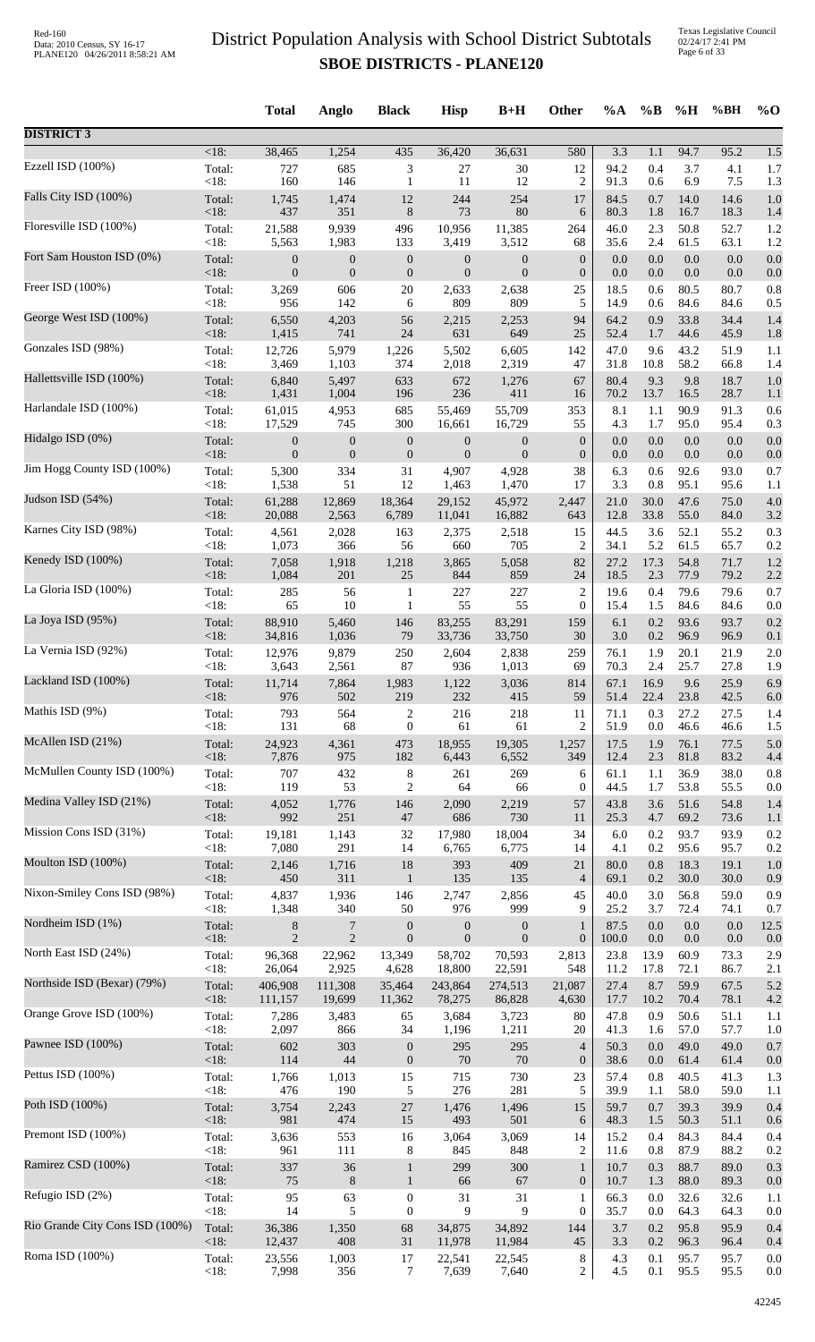|                                 |                   | <b>Total</b>     | Anglo            | <b>Black</b>           | <b>Hisp</b>      | $B+H$            | Other                   | $\%A$        | $\%B$       | %H           | %BH                  | $\%$ O     |
|---------------------------------|-------------------|------------------|------------------|------------------------|------------------|------------------|-------------------------|--------------|-------------|--------------|----------------------|------------|
| <b>DISTRICT 3</b>               |                   |                  |                  |                        |                  |                  |                         |              |             |              |                      |            |
| Ezzell ISD (100%)               | $<18$ :           | 38,465           | 1,254            | 435                    | 36,420           | 36,631           | 580                     | 3.3          | 1.1         | 94.7         | 95.2                 | 1.5        |
|                                 | Total:            | 727              | 685              | 3                      | 27               | $30\,$           | 12                      | 94.2         | 0.4         | 3.7          | 4.1                  | 1.7        |
|                                 | <18:              | 160              | 146              | $\mathbf{1}$           | 11               | 12               | $\overline{2}$          | 91.3         | 0.6         | 6.9          | 7.5                  | 1.3        |
| Falls City ISD (100%)           | Total:            | 1,745            | 1,474            | 12                     | 244              | 254              | 17                      | 84.5         | 0.7         | 14.0         | 14.6                 | 1.0        |
|                                 | <18:              | 437              | 351              | $8\,$                  | 73               | 80               | 6                       | 80.3         | 1.8         | 16.7         | 18.3                 | 1.4        |
| Floresville ISD (100%)          | Total:            | 21,588           | 9,939            | 496                    | 10,956           | 11,385           | 264                     | 46.0         | 2.3         | 50.8         | 52.7                 | 1.2        |
|                                 | <18:              | 5,563            | 1,983            | 133                    | 3,419            | 3,512            | 68                      | 35.6         | 2.4         | 61.5         | 63.1                 | 1.2        |
| Fort Sam Houston ISD (0%)       | Total:            | $\boldsymbol{0}$ | $\boldsymbol{0}$ | $\boldsymbol{0}$       | $\mathbf{0}$     | $\boldsymbol{0}$ | $\boldsymbol{0}$        | 0.0          | 0.0         | 0.0          | 0.0                  | 0.0        |
| Freer ISD (100%)                | <18:              | $\overline{0}$   | $\boldsymbol{0}$ | $\boldsymbol{0}$       | $\overline{0}$   | $\boldsymbol{0}$ | $\boldsymbol{0}$        | 0.0          | 0.0         | 0.0          | 0.0                  | 0.0        |
|                                 | Total:            | 3,269            | 606              | $20\,$                 | 2,633            | 2,638            | 25                      | 18.5         | 0.6         | 80.5         | 80.7                 | 0.8        |
| George West ISD (100%)          | < 18:             | 956              | 142              | 6                      | 809              | 809              | 5                       | 14.9         | 0.6         | 84.6         | 84.6                 | 0.5        |
|                                 | Total:            | 6,550            | 4,203            | 56                     | 2,215            | 2,253            | 94                      | 64.2         | 0.9         | 33.8         | 34.4                 | 1.4        |
|                                 | $<18$ :           | 1,415            | 741              | $24\,$                 | 631              | 649              | 25                      | 52.4         | 1.7         | 44.6         | 45.9                 | 1.8        |
| Gonzales ISD (98%)              | Total:            | 12,726           | 5,979            | 1,226                  | 5,502            | 6,605            | 142                     | 47.0         | 9.6         | 43.2         | 51.9                 | 1.1        |
|                                 | <18:              | 3,469            | 1,103            | 374                    | 2,018            | 2,319            | 47                      | 31.8         | 10.8        | 58.2         | 66.8                 | 1.4        |
| Hallettsville ISD (100%)        | Total:            | 6,840            | 5,497            | 633                    | 672              | 1,276            | 67                      | 80.4         | 9.3         | 9.8          | 18.7                 | 1.0        |
| Harlandale ISD (100%)           | <18:              | 1,431            | 1,004            | 196                    | 236              | 411              | 16                      | 70.2         | 13.7        | 16.5         | 28.7                 | 1.1        |
|                                 | Total:            | 61,015           | 4,953            | 685                    | 55,469           | 55,709           | 353                     | 8.1          | 1.1         | 90.9         | 91.3                 | 0.6        |
| Hidalgo ISD (0%)                | < 18:             | 17,529           | 745              | 300                    | 16,661           | 16,729           | 55                      | 4.3          | 1.7         | 95.0         | 95.4                 | 0.3        |
|                                 | Total:            | $\boldsymbol{0}$ | $\boldsymbol{0}$ | $\boldsymbol{0}$       | $\boldsymbol{0}$ | $\boldsymbol{0}$ | $\boldsymbol{0}$        | 0.0          | $0.0\,$     | $0.0\,$      | 0.0                  | 0.0        |
| Jim Hogg County ISD (100%)      | <18:              | $\mathbf{0}$     | $\boldsymbol{0}$ | $\boldsymbol{0}$       | $\mathbf{0}$     | $\boldsymbol{0}$ | $\boldsymbol{0}$        | 0.0          | 0.0         | 0.0          | 0.0                  | 0.0        |
|                                 | Total:            | 5,300            | 334              | 31                     | 4,907            | 4,928            | 38                      | 6.3          | 0.6         | 92.6         | 93.0                 | 0.7        |
|                                 | <18:              | 1,538            | 51               | 12                     | 1,463            | 1,470            | 17                      | 3.3          | 0.8         | 95.1         | 95.6                 | 1.1        |
| Judson ISD (54%)                | Total:            | 61,288           | 12,869           | 18,364                 | 29,152           | 45,972           | 2,447                   | 21.0         | 30.0        | 47.6         | 75.0                 | 4.0        |
|                                 | <18:              | 20,088           | 2,563            | 6,789                  | 11,041           | 16,882           | 643                     | 12.8         | 33.8        | 55.0         | 84.0                 | 3.2        |
| Karnes City ISD (98%)           | Total:<br><18:    | 4,561<br>1,073   | 2,028<br>366     | 163<br>56              | 2,375<br>660     | 2,518<br>705     | 15<br>2                 | 44.5<br>34.1 | 3.6<br>5.2  | 52.1<br>61.5 | 55.2<br>65.7         | 0.3        |
| Kenedy ISD (100%)               | Total:            | 7,058            | 1,918            | 1,218                  | 3,865            | 5,058            | 82                      | 27.2         | 17.3        | 54.8         | 71.7                 | 0.2<br>1.2 |
| La Gloria ISD (100%)            | <18:              | 1,084            | 201              | $25\,$                 | 844              | 859              | 24                      | 18.5         | 2.3         | 77.9         | 79.2                 | 2.2        |
|                                 | Total:            | 285              | 56               | 1                      | 227              | 227              | $\overline{\mathbf{c}}$ | 19.6         | 0.4         | 79.6         | 79.6                 | 0.7        |
|                                 | <18:              | 65               | 10               | $\mathbf{1}$           | 55               | 55               | $\boldsymbol{0}$        | 15.4         | 1.5         | 84.6         | 84.6                 | 0.0        |
| La Joya ISD (95%)               | Total:            | 88,910           | 5,460            | 146                    | 83,255           | 83,291           | 159                     | 6.1          | 0.2         | 93.6         | 93.7                 | 0.2        |
|                                 | <18:              | 34,816           | 1,036            | 79                     | 33,736           | 33,750           | 30                      | 3.0          | $0.2\,$     | 96.9         | 96.9                 | 0.1        |
| La Vernia ISD (92%)             | Total:            | 12,976           | 9,879            | 250                    | 2,604            | 2,838            | 259                     | 76.1         | 1.9         | 20.1         | 21.9                 | 2.0        |
|                                 | <18:              | 3,643            | 2,561            | 87                     | 936              | 1,013            | 69                      | 70.3         | 2.4         | 25.7         | 27.8                 | 1.9        |
| Lackland ISD (100%)             | Total:            | 11,714           | 7,864            | 1,983<br>219           | 1,122            | 3,036            | 814<br>59               | 67.1         | 16.9        | 9.6          | 25.9                 | 6.9        |
| Mathis ISD (9%)                 | <18:<br>Total:    | 976<br>793       | 502<br>564       | 2                      | 232<br>216       | 415<br>218       | 11                      | 51.4<br>71.1 | 22.4<br>0.3 | 23.8<br>27.2 | 42.5<br>27.5         | 6.0<br>1.4 |
| McAllen ISD (21%)               | < 18:             | 131              | 68               | $\boldsymbol{0}$       | 61               | 61               | $\overline{2}$          | 51.9         | 0.0         | 46.6         | 46.6                 | 1.5        |
|                                 | Total:            | 24,923           | 4,361            | 473                    | 18,955           | 19,305           | 1,257                   | 17.5         | 1.9         | 76.1         | 77.5                 | 5.0        |
|                                 | <18:              | 7,876            | 975              | 182                    | 6,443            | 6,552            | 349                     | 12.4         | 2.3         | 81.8         | 83.2                 | 4.4        |
| McMullen County ISD (100%)      | Total:            | 707              | 432              | $\,8\,$                | 261              | 269              | 6                       | 61.1         | 1.1         | 36.9         | 38.0                 | 0.8        |
|                                 | <18:              | 119              | 53               | 2                      | 64               | 66               | $\boldsymbol{0}$        | 44.5         | 1.7         | 53.8         | 55.5                 | 0.0        |
| Medina Valley ISD (21%)         | Total:            | 4,052            | 1,776            | 146                    | 2,090            | 2,219            | 57                      | 43.8         | 3.6         | 51.6         | 54.8                 | 1.4        |
|                                 | $<18$ :           | 992              | 251              | 47                     | 686              | 730              | 11                      | 25.3         | 4.7         | 69.2         | 73.6                 | 1.1        |
| Mission Cons ISD (31%)          | Total:            | 19,181           | 1,143            | 32                     | 17,980           | 18,004           | 34                      | 6.0          | 0.2         | 93.7         | 93.9                 | 0.2        |
|                                 | < 18:             | 7,080            | 291              | 14                     | 6,765            | 6,775            | 14                      | 4.1          | 0.2         | 95.6         | 95.7                 | 0.2        |
| Moulton ISD (100%)              | Total:            | 2,146            | 1,716            | $18\,$                 | 393              | 409              | 21                      | 80.0         | 0.8         | 18.3         | 19.1                 | 1.0        |
| Nixon-Smiley Cons ISD (98%)     | $<18$ :           | 450              | 311              | $\mathbf{1}$           | 135              | 135              | $\overline{4}$          | 69.1         | 0.2         | 30.0         | 30.0                 | 0.9        |
|                                 | Total:            | 4,837            | 1,936            | 146                    | 2,747            | 2,856            | 45                      | 40.0         | 3.0         | 56.8         | 59.0                 | 0.9        |
| Nordheim ISD (1%)               | <18:              | 1,348            | 340              | 50                     | 976              | 999              | 9                       | 25.2         | 3.7         | 72.4         | 74.1                 | 0.7        |
|                                 | Total:            | $\,8$            | $\boldsymbol{7}$ | $\boldsymbol{0}$       | $\boldsymbol{0}$ | $\boldsymbol{0}$ | $\mathbf{1}$            | 87.5         | 0.0         | 0.0          | 0.0                  | 12.5       |
|                                 | <18:              | $\overline{2}$   | $\overline{2}$   | $\boldsymbol{0}$       | $\mathbf{0}$     | $\mathbf{0}$     | $\boldsymbol{0}$        | 100.0        | $0.0\,$     | 0.0          | 0.0                  | 0.0        |
| North East ISD (24%)            | Total:            | 96,368           | 22,962           | 13,349                 | 58,702           | 70,593           | 2,813                   | 23.8         | 13.9        | 60.9         | 73.3                 | 2.9        |
|                                 | $<18$ :           | 26,064           | 2,925            | 4,628                  | 18,800           | 22,591           | 548                     | 11.2         | 17.8        | 72.1         | 86.7                 | 2.1        |
| Northside ISD (Bexar) (79%)     | Total:<br>$<18$ : | 406,908          | 111,308          | 35,464                 | 243,864          | 274,513          | 21,087                  | 27.4         | 8.7<br>10.2 | 59.9<br>70.4 | 67.5                 | 5.2        |
| Orange Grove ISD (100%)         | Total:<br>< 18:   | 111,157<br>7,286 | 19,699<br>3,483  | 11,362<br>65           | 78,275<br>3,684  | 86,828<br>3,723  | 4,630<br>80             | 17.7<br>47.8 | 0.9<br>1.6  | 50.6         | 78.1<br>51.1<br>57.7 | 4.2<br>1.1 |
| Pawnee ISD (100%)               | Total:            | 2,097<br>602     | 866<br>303       | 34<br>$\boldsymbol{0}$ | 1,196<br>295     | 1,211<br>295     | 20<br>$\overline{4}$    | 41.3<br>50.3 | 0.0         | 57.0<br>49.0 | 49.0                 | 1.0<br>0.7 |
| Pettus ISD (100%)               | <18:              | 114              | 44               | $\boldsymbol{0}$       | 70               | 70               | $\boldsymbol{0}$        | 38.6         | $0.0\,$     | 61.4         | 61.4                 | 0.0        |
|                                 | Total:            | 1,766            | 1,013            | 15                     | 715              | 730              | 23                      | 57.4         | 0.8         | 40.5         | 41.3                 | 1.3        |
| Poth ISD (100%)                 | < 18:             | 476              | 190              | 5                      | 276              | 281              | 5                       | 39.9         | 1.1         | 58.0         | 59.0                 | 1.1        |
|                                 | Total:            | 3,754            | 2,243            | $27\,$                 | 1,476            | 1,496            | 15                      | 59.7         | 0.7         | 39.3         | 39.9                 | 0.4        |
|                                 | $<18$ :           | 981              | 474              | 15                     | 493              | 501              | 6                       | 48.3         | 1.5         | 50.3         | 51.1                 | 0.6        |
| Premont ISD (100%)              | Total:            | 3,636            | 553              | 16                     | 3,064            | 3,069            | 14                      | 15.2         | 0.4         | 84.3         | 84.4                 | 0.4        |
|                                 | < 18:             | 961              | 111              | 8                      | 845              | 848              | 2                       | 11.6         | 0.8         | 87.9         | 88.2                 | 0.2        |
| Ramirez CSD (100%)              | Total:            | 337              | 36               | $\mathbf{1}$           | 299              | 300              | $\mathbf{1}$            | 10.7         | 0.3         | 88.7         | 89.0                 | 0.3        |
|                                 | <18:              | 75               | $\,8\,$          | $\mathbf{1}$           | 66               | 67               | $\boldsymbol{0}$        | 10.7         | 1.3         | 88.0         | 89.3                 | 0.0        |
| Refugio ISD (2%)                | Total:            | 95               | 63               | $\boldsymbol{0}$       | 31               | 31               | $\mathbf{1}$            | 66.3         | 0.0         | 32.6         | 32.6                 | 1.1        |
| Rio Grande City Cons ISD (100%) | < 18:             | 14               | 5                | $\boldsymbol{0}$       | 9                | 9                | $\overline{0}$          | 35.7         | 0.0         | 64.3         | 64.3                 | 0.0        |
|                                 | Total:            | 36,386           | 1,350            | 68                     | 34,875           | 34,892           | 144                     | 3.7          | 0.2         | 95.8         | 95.9                 | 0.4        |
| Roma ISD (100%)                 | $<18$ :           | 12,437           | 408              | 31                     | 11,978           | 11,984           | 45                      | 3.3          | 0.2         | 96.3         | 96.4                 | 0.4        |
|                                 | Total:            | 23,556           | 1,003            | 17                     | 22,541           | 22,545           | 8                       | 4.3          | 0.1         | 95.7         | 95.7                 | 0.0        |
|                                 | <18:              | 7,998            | 356              | 7                      | 7,639            | 7,640            | 2                       | 4.5          | 0.1         | 95.5         | 95.5                 | 0.0        |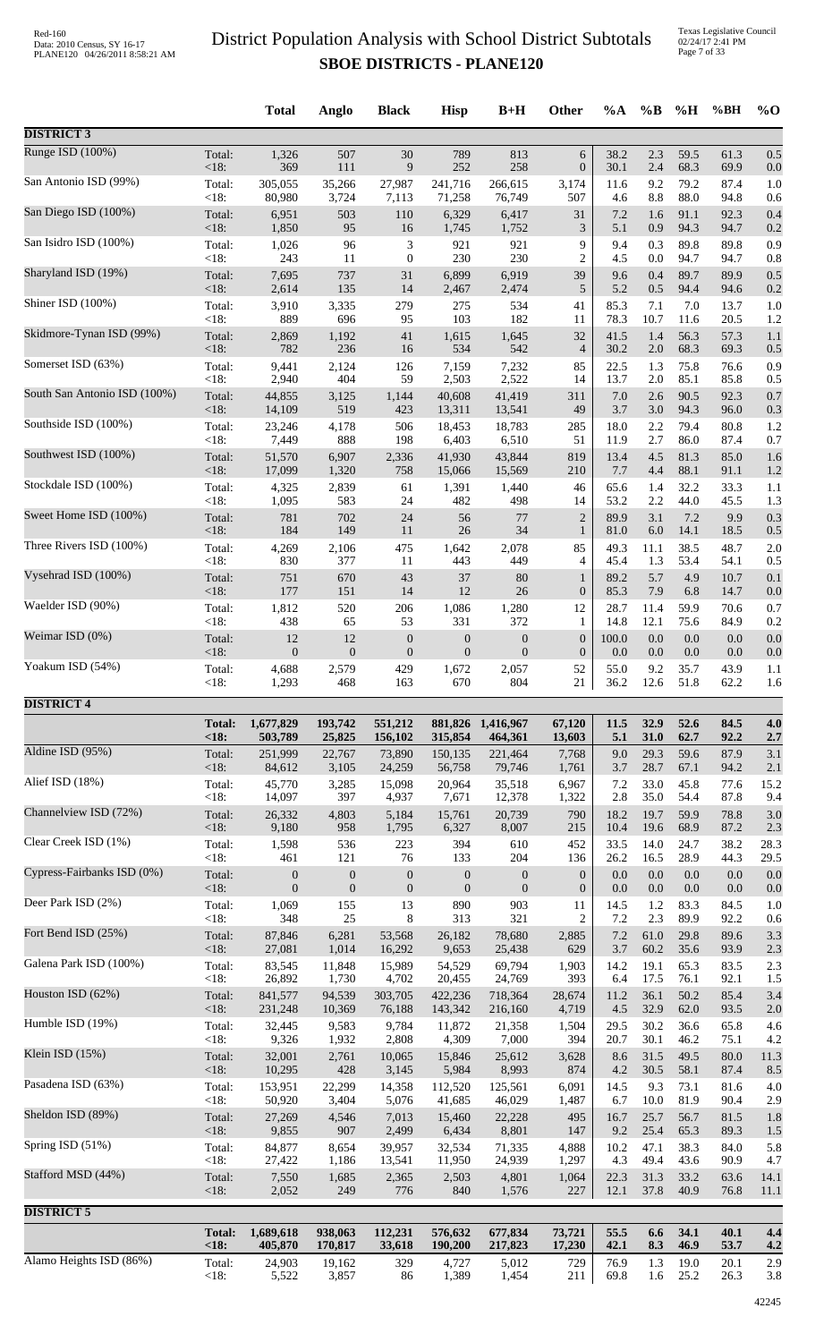Texas Legislative Council 02/24/17 2:41 PM Page 7 of 33

|                              |                 | <b>Total</b>      | Anglo            | <b>Black</b>                | <b>Hisp</b>       | $B+H$             | <b>Other</b>     | $\%A$       | $\%B$       | %H           | %BH          | $%$ O      |
|------------------------------|-----------------|-------------------|------------------|-----------------------------|-------------------|-------------------|------------------|-------------|-------------|--------------|--------------|------------|
| <b>DISTRICT 3</b>            |                 |                   |                  |                             |                   |                   |                  |             |             |              |              |            |
| Runge ISD (100%)             | Total:          | 1,326             | 507              | 30                          | 789               | 813               | $\sqrt{6}$       | 38.2        | 2.3         | 59.5         | 61.3         | 0.5        |
| San Antonio ISD (99%)        | <18:            | 369               | 111              | 9                           | 252               | 258               | $\boldsymbol{0}$ | 30.1        | 2.4         | 68.3         | 69.9         | 0.0        |
|                              | Total:          | 305,055           | 35,266           | 27,987                      | 241,716           | 266,615           | 3,174            | 11.6        | 9.2         | 79.2         | 87.4         | 1.0        |
| San Diego ISD (100%)         | < 18:           | 80,980            | 3,724            | 7,113                       | 71,258            | 76,749            | 507              | 4.6         | 8.8         | 88.0         | 94.8         | 0.6        |
|                              | Total:          | 6,951             | 503              | 110                         | 6,329             | 6,417             | 31               | 7.2         | 1.6         | 91.1         | 92.3         | 0.4        |
|                              | <18:            | 1,850             | 95               | 16                          | 1,745             | 1,752             | $\mathfrak{Z}$   | 5.1         | 0.9         | 94.3         | 94.7         | 0.2        |
| San Isidro ISD (100%)        | Total:          | 1,026             | 96               | $\ensuremath{\mathfrak{Z}}$ | 921               | 921               | 9                | 9.4         | 0.3         | 89.8         | 89.8         | 0.9        |
|                              | < 18:           | 243               | 11               | $\boldsymbol{0}$            | 230               | 230               | $\overline{2}$   | 4.5         | 0.0         | 94.7         | 94.7         | 0.8        |
| Sharyland ISD (19%)          | Total:          | 7,695             | 737              | 31                          | 6,899             | 6,919             | 39               | 9.6         | 0.4         | 89.7         | 89.9         | 0.5        |
| Shiner ISD (100%)            | <18:            | 2,614             | 135              | 14                          | 2,467             | 2,474             | 5                | 5.2         | 0.5         | 94.4         | 94.6         | 0.2        |
|                              | Total:          | 3,910             | 3,335            | 279                         | 275               | 534               | 41               | 85.3        | 7.1         | 7.0          | 13.7         | 1.0        |
| Skidmore-Tynan ISD (99%)     | < 18:           | 889               | 696              | 95                          | 103               | 182               | 11               | 78.3        | 10.7        | 11.6         | 20.5         | 1.2        |
|                              | Total:          | 2,869             | 1,192            | 41                          | 1,615             | 1,645             | 32               | 41.5        | 1.4         | 56.3         | 57.3         | 1.1        |
| Somerset ISD (63%)           | < 18:           | 782               | 236              | 16                          | 534               | 542               | $\overline{4}$   | 30.2        | $2.0\,$     | 68.3         | 69.3         | 0.5        |
|                              | Total:          | 9,441             | 2,124            | 126                         | 7,159             | 7,232             | 85               | 22.5        | 1.3         | 75.8         | 76.6         | 0.9        |
|                              | < 18:           | 2,940             | 404              | 59                          | 2,503             | 2,522             | 14               | 13.7        | 2.0         | 85.1         | 85.8         | 0.5        |
| South San Antonio ISD (100%) | Total:          | 44,855            | 3,125            | 1,144                       | 40,608            | 41,419            | 311              | 7.0         | 2.6         | 90.5         | 92.3         | 0.7        |
|                              | $<18$ :         | 14,109            | 519              | 423                         | 13,311            | 13,541            | 49               | 3.7         | 3.0         | 94.3         | 96.0         | 0.3        |
| Southside ISD (100%)         | Total:          | 23,246            | 4,178            | 506                         | 18,453            | 18,783            | 285              | 18.0        | 2.2         | 79.4         | 80.8         | 1.2        |
|                              | < 18:           | 7,449             | 888              | 198                         | 6,403             | 6,510             | 51               | 11.9        | 2.7         | 86.0         | 87.4         | 0.7        |
| Southwest ISD (100%)         | Total:          | 51,570            | 6,907            | 2,336                       | 41,930            | 43,844            | 819              | 13.4        | 4.5         | 81.3         | 85.0         | 1.6        |
|                              | < 18:           | 17,099            | 1,320            | 758                         | 15,066            | 15,569            | 210              | 7.7         | 4.4         | 88.1         | 91.1         | 1.2        |
| Stockdale ISD (100%)         | Total:          | 4,325             | 2,839            | 61                          | 1,391             | 1,440             | 46               | 65.6        | 1.4         | 32.2         | 33.3         | 1.1        |
| Sweet Home ISD (100%)        | < 18:           | 1,095             | 583              | 24                          | 482               | 498               | 14               | 53.2        | 2.2         | 44.0         | 45.5         | 1.3        |
|                              | Total:          | 781               | 702              | 24                          | 56                | 77                | $\overline{2}$   | 89.9        | 3.1         | 7.2          | 9.9          | 0.3        |
|                              | < 18:           | 184               | 149              | 11                          | $26\,$            | 34                | $\mathbf{1}$     | 81.0        | 6.0         | 14.1         | 18.5         | 0.5        |
| Three Rivers ISD (100%)      | Total:          | 4,269             | 2,106            | 475                         | 1,642             | 2,078             | 85               | 49.3        | 11.1        | 38.5         | 48.7         | 2.0        |
|                              | < 18:           | 830               | 377              | 11                          | 443               | 449               | 4                | 45.4        | 1.3         | 53.4         | 54.1         | 0.5        |
| Vysehrad ISD (100%)          | Total:          | 751               | 670              | 43                          | 37                | 80                | 1                | 89.2        | 5.7         | 4.9          | 10.7         | 0.1        |
|                              | < 18:           | 177               | 151              | 14                          | 12                | $26\,$            | $\boldsymbol{0}$ | 85.3        | 7.9         | 6.8          | 14.7         | 0.0        |
| Waelder ISD (90%)            | Total:          | 1,812             | 520              | 206                         | 1,086             | 1,280             | 12               | 28.7        | 11.4        | 59.9         | 70.6         | 0.7        |
|                              | < 18:           | 438               | 65               | 53                          | 331               | 372               | $\mathbf{1}$     | 14.8        | 12.1        | 75.6         | 84.9         | 0.2        |
| Weimar ISD (0%)              | Total:          | 12                | 12               | $\boldsymbol{0}$            | $\boldsymbol{0}$  | $\boldsymbol{0}$  | $\mathbf{0}$     | 100.0       | 0.0         | 0.0          | 0.0          | 0.0        |
| Yoakum ISD (54%)             | < 18:           | $\boldsymbol{0}$  | $\boldsymbol{0}$ | $\boldsymbol{0}$            | $\boldsymbol{0}$  | $\boldsymbol{0}$  | $\boldsymbol{0}$ | 0.0         | 0.0         | 0.0          | 0.0          | 0.0        |
|                              | Total:          | 4,688             | 2,579            | 429                         | 1,672             | 2,057             | 52               | 55.0        | 9.2         | 35.7         | 43.9         | 1.1        |
|                              | $<18$ :         | 1,293             | 468              | 163                         | 670               | 804               | 21               | 36.2        | 12.6        | 51.8         | 62.2         | 1.6        |
| <b>DISTRICT 4</b>            | <b>Total:</b>   | 1,677,829         | 193,742          | 551,212                     |                   | 881,826 1,416,967 | 67,120           | 11.5        | 32.9        | 52.6         | 84.5         | 4.0        |
|                              | < 18:           | 503,789           | 25,825           | 156,102                     | 315,854           | 464,361           | 13,603           | 5.1         | 31.0        | 62.7         | 92.2         | 2.7        |
| Aldine ISD (95%)             | Total:          | 251,999           | 22,767           | 73,890                      | 150,135           | 221,464           | 7,768            | 9.0         | 29.3        | 59.6         | 87.9         | 3.1        |
|                              | < 18:           | 84,612            | 3,105            | 24,259                      | 56,758            | 79,746            | 1,761            | 3.7         | 28.7        | 67.1         | 94.2         | 2.1        |
| Alief ISD (18%)              | Total:          | 45,770            | 3,285            | 15,098                      | 20,964            | 35,518            | 6,967            | 7.2         | 33.0        | 45.8         | 77.6         | 15.2       |
|                              | < 18:           | 14,097            | 397              | 4,937                       | 7,671             | 12,378            | 1,322            | 2.8         | 35.0        | 54.4         | 87.8         | 9.4        |
| Channelview ISD (72%)        | Total:          | 26,332            | 4,803            | 5,184                       | 15,761            | 20,739            | 790              | 18.2        | 19.7        | 59.9         | 78.8         | 3.0        |
| Clear Creek ISD (1%)         | < 18:           | 9,180             | 958              | 1,795                       | 6,327             | 8,007             | 215              | 10.4        | 19.6        | 68.9         | 87.2         | 2.3        |
|                              | Total:          | 1,598             | 536              | 223                         | 394               | 610               | 452              | 33.5        | 14.0        | 24.7         | 38.2         | 28.3       |
| Cypress-Fairbanks ISD (0%)   | < 18:           | 461               | 121              | 76                          | 133               | 204               | 136              | 26.2        | 16.5        | 28.9         | 44.3         | 29.5       |
|                              | Total:          | $\boldsymbol{0}$  | $\boldsymbol{0}$ | $\boldsymbol{0}$            | $\boldsymbol{0}$  | $\boldsymbol{0}$  | $\boldsymbol{0}$ | 0.0         | 0.0         | 0.0          | 0.0          | 0.0        |
|                              | < 18:           | $\mathbf{0}$      | $\mathbf{0}$     | $\boldsymbol{0}$            | $\boldsymbol{0}$  | $\boldsymbol{0}$  | $\boldsymbol{0}$ | 0.0         | 0.0         | $0.0\,$      | 0.0          | 0.0        |
| Deer Park ISD (2%)           | Total:          | 1,069             | 155              | 13                          | 890               | 903               | 11               | 14.5        | 1.2         | 83.3         | 84.5         | 1.0        |
|                              | <18:            | 348               | 25               | 8                           | 313               | 321               | $\overline{2}$   | 7.2         | 2.3         | 89.9         | 92.2         | 0.6        |
| Fort Bend ISD (25%)          | Total:          | 87,846            | 6,281            | 53,568                      | 26,182            | 78,680            | 2,885            | 7.2         | 61.0        | 29.8         | 89.6         | 3.3        |
|                              | < 18:           | 27,081            | 1,014            | 16,292                      | 9,653             | 25,438            | 629              | 3.7         | 60.2        | 35.6         | 93.9         | 2.3        |
| Galena Park ISD (100%)       | Total:          | 83,545            | 11,848           | 15,989                      | 54,529            | 69,794            | 1,903            | 14.2        | 19.1        | 65.3         | 83.5         | 2.3        |
|                              | < 18:           | 26,892            | 1,730            | 4,702                       | 20,455            | 24,769            | 393              | 6.4         | 17.5        | 76.1         | 92.1         | 1.5        |
| Houston ISD (62%)            | Total:          | 841,577           | 94,539           | 303,705                     | 422,236           | 718,364           | 28,674           | 11.2        | 36.1        | 50.2         | 85.4         | 3.4        |
| Humble ISD (19%)             | $<18$ :         | 231,248           | 10,369           | 76,188                      | 143,342           | 216,160           | 4,719            | 4.5         | 32.9        | 62.0         | 93.5         | 2.0        |
|                              | Total:          | 32,445            | 9,583            | 9,784                       | 11,872            | 21,358            | 1,504            | 29.5        | 30.2        | 36.6         | 65.8         | 4.6        |
| Klein ISD (15%)              | < 18:           | 9,326             | 1,932            | 2,808                       | 4,309             | 7,000             | 394              | 20.7        | 30.1        | 46.2         | 75.1         | 4.2        |
|                              | Total:          | 32,001            | 2,761            | 10,065                      | 15,846            | 25,612            | 3,628            | 8.6         | 31.5        | 49.5         | 80.0         | 11.3       |
| Pasadena ISD (63%)           | < 18:           | 10,295            | 428              | 3,145                       | 5,984             | 8,993             | 874              | 4.2         | 30.5        | 58.1<br>73.1 | 87.4<br>81.6 | 8.5        |
|                              | Total:<br>< 18: | 153,951<br>50,920 | 22,299<br>3,404  | 14,358<br>5,076             | 112,520<br>41,685 | 125,561<br>46,029 | 6,091<br>1,487   | 14.5<br>6.7 | 9.3<br>10.0 | 81.9         | 90.4         | 4.0<br>2.9 |
| Sheldon ISD (89%)            | Total:          | 27,269            | 4,546            | 7,013                       | 15,460            | 22,228            | 495              | 16.7        | 25.7        | 56.7         | 81.5         | 1.8        |
|                              | < 18:           | 9,855             | 907              | 2,499                       | 6,434             | 8,801             | 147              | 9.2         | 25.4        | 65.3         | 89.3         | 1.5        |
| Spring ISD (51%)             | Total:          | 84,877            | 8,654            | 39,957                      | 32,534            | 71,335            | 4,888            | 10.2        | 47.1        | 38.3         | 84.0         | 5.8        |
|                              | < 18:           | 27,422            | 1,186            | 13,541                      | 11,950            | 24,939            | 1,297            | 4.3         | 49.4        | 43.6         | 90.9         | 4.7        |
| Stafford MSD (44%)           | Total:          | 7,550             | 1,685            | 2,365                       | 2,503             | 4,801             | 1,064            | 22.3        | 31.3        | 33.2         | 63.6         | 14.1       |
|                              | < 18:           | 2,052             | 249              | 776                         | 840               | 1,576             | 227              | 12.1        | 37.8        | 40.9         | 76.8         | 11.1       |
| <b>DISTRICT 5</b>            |                 |                   |                  |                             |                   |                   |                  |             |             |              |              |            |
|                              | <b>Total:</b>   | 1,689,618         | 938,063          | 112,231                     | 576,632           | 677,834           | 73,721           | 55.5        | 6.6         | 34.1         | 40.1         | 4.4        |
| Alamo Heights ISD (86%)      | <18:            | 405,870           | 170,817          | 33,618                      | 190,200           | 217,823           | 17,230           | 42.1        | 8.3         | 46.9         | 53.7         | 4.2        |
|                              | Total:          | 24,903            | 19,162           | 329                         | 4,727             | 5,012             | 729              | 76.9        | 1.3         | 19.0         | 20.1         | 2.9        |
|                              | <18:            | 5,522             | 3,857            | 86                          | 1,389             | 1,454             | 211              | 69.8        | 1.6         | 25.2         | 26.3         | 3.8        |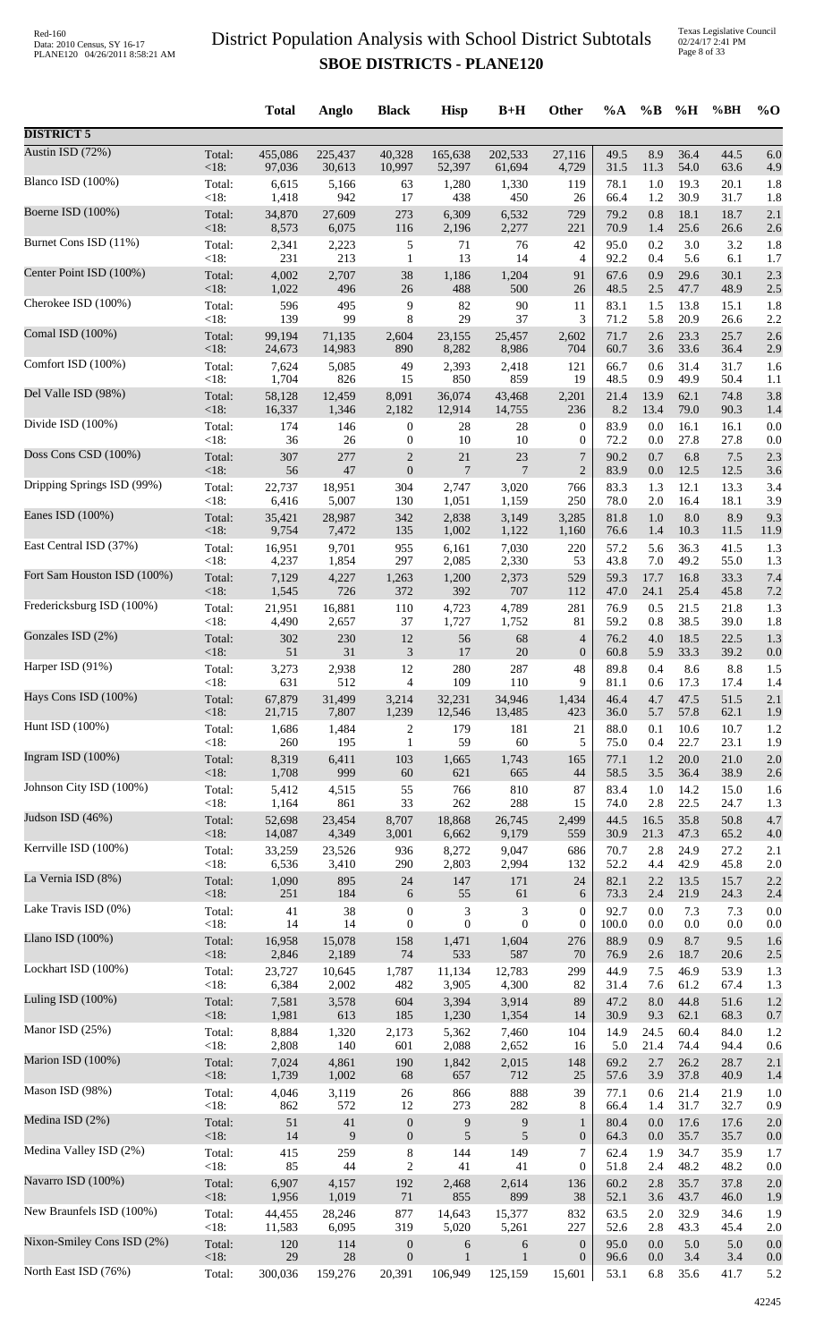|                             |                | <b>Total</b>   | Anglo        | <b>Black</b>     | <b>Hisp</b>    | $B+H$                       | Other            | $\%A$        | $\%$ B     | %H           | %BH          | $\%$ O     |
|-----------------------------|----------------|----------------|--------------|------------------|----------------|-----------------------------|------------------|--------------|------------|--------------|--------------|------------|
| <b>DISTRICT 5</b>           |                |                |              |                  |                |                             |                  |              |            |              |              |            |
| Austin ISD (72%)            | Total:         | 455,086        | 225,437      | 40,328           | 165,638        | 202,533                     | 27,116           | 49.5         | 8.9        | 36.4         | 44.5         | 6.0        |
|                             | $<18$ :        | 97,036         | 30,613       | 10,997           | 52,397         | 61,694                      | 4,729            | 31.5         | 11.3       | 54.0         | 63.6         | 4.9        |
| Blanco ISD (100%)           | Total:         | 6,615          | 5,166        | 63               | 1,280          | 1,330                       | 119              | 78.1         | 1.0        | 19.3         | 20.1         | 1.8        |
| Boerne ISD (100%)           | <18:           | 1,418          | 942          | 17               | 438            | 450                         | 26               | 66.4         | 1.2        | 30.9         | 31.7         | 1.8        |
|                             | Total:         | 34,870         | 27,609       | 273              | 6,309          | 6,532                       | 729              | 79.2         | 0.8        | 18.1         | 18.7         | 2.1        |
| Burnet Cons ISD (11%)       | <18:           | 8,573          | 6,075        | 116              | 2,196          | 2,277                       | 221              | 70.9         | 1.4        | 25.6         | 26.6         | 2.6        |
|                             | Total:         | 2,341          | 2,223        | 5                | 71             | 76                          | 42               | 95.0         | 0.2        | 3.0          | 3.2          | 1.8        |
|                             | $<18$ :        | 231            | 213          | $\mathbf{1}$     | 13             | 14                          | $\overline{4}$   | 92.2         | 0.4        | 5.6          | 6.1          | 1.7        |
| Center Point ISD (100%)     | Total:         | 4,002          | 2,707        | 38               | 1,186          | 1,204                       | 91               | 67.6         | 0.9        | 29.6         | 30.1         | 2.3        |
|                             | $<18$ :        | 1,022          | 496          | 26               | 488            | 500                         | 26               | 48.5         | 2.5        | 47.7         | 48.9         | 2.5        |
| Cherokee ISD (100%)         | Total:         | 596            | 495          | 9                | 82             | 90                          | 11               | 83.1         | 1.5        | 13.8         | 15.1         | 1.8        |
|                             | <18:           | 139            | 99           | 8                | 29             | 37                          | 3                | 71.2         | 5.8        | 20.9         | 26.6         | 2.2        |
| Comal ISD (100%)            | Total:         | 99,194         | 71,135       | 2,604            | 23,155         | 25,457                      | 2,602            | 71.7         | 2.6        | 23.3         | 25.7         | 2.6        |
| Comfort ISD (100%)          | $<18$ :        | 24,673         | 14,983       | 890              | 8,282          | 8,986                       | 704              | 60.7         | 3.6        | 33.6         | 36.4         | 2.9        |
|                             | Total:         | 7,624          | 5,085        | 49               | 2,393          | 2,418                       | 121              | 66.7         | 0.6        | 31.4         | 31.7         | 1.6        |
| Del Valle ISD (98%)         | < 18:          | 1,704          | 826          | 15               | 850            | 859                         | 19               | 48.5         | 0.9        | 49.9         | 50.4         | 1.1        |
|                             | Total:         | 58,128         | 12,459       | 8,091            | 36,074         | 43,468                      | 2,201            | 21.4         | 13.9       | 62.1         | 74.8         | 3.8        |
| Divide ISD (100%)           | <18:           | 16,337         | 1,346        | 2,182            | 12,914         | 14,755                      | 236              | 8.2          | 13.4       | 79.0         | 90.3         | 1.4        |
|                             | Total:         | 174            | 146          | $\boldsymbol{0}$ | 28             | 28                          | $\boldsymbol{0}$ | 83.9         | 0.0        | 16.1         | 16.1         | 0.0        |
|                             | $<18$ :        | 36             | 26           | $\boldsymbol{0}$ | 10             | 10                          | $\boldsymbol{0}$ | 72.2         | 0.0        | 27.8         | 27.8         | 0.0        |
| Doss Cons CSD (100%)        | Total:         | 307            | 277          | $\overline{c}$   | 21             | $23\,$                      | 7                | 90.2         | 0.7        | 6.8          | 7.5          | 2.3        |
|                             | $<18$ :        | 56             | $47\,$       | $\boldsymbol{0}$ | $\overline{7}$ | 7                           | $\overline{2}$   | 83.9         | 0.0        | 12.5         | 12.5         | 3.6        |
| Dripping Springs ISD (99%)  | Total:         | 22,737         | 18,951       | 304              | 2,747          | 3,020                       | 766              | 83.3         | 1.3        | 12.1         | 13.3         | 3.4        |
|                             | < 18:          | 6,416          | 5,007        | 130              | 1,051          | 1,159                       | 250              | 78.0         | 2.0        | 16.4         | 18.1         | 3.9        |
| Eanes ISD (100%)            | Total:         | 35,421         | 28,987       | 342              | 2,838          | 3,149                       | 3,285            | 81.8         | 1.0        | 8.0          | 8.9          | 9.3        |
| East Central ISD (37%)      | < 18:          | 9,754          | 7,472        | 135              | 1,002          | 1,122                       | 1,160            | 76.6         | 1.4        | 10.3         | 11.5         | 11.9       |
|                             | Total:         | 16,951         | 9,701        | 955              | 6,161          | 7,030                       | 220              | 57.2         | 5.6        | 36.3         | 41.5         | 1.3        |
| Fort Sam Houston ISD (100%) | <18:           | 4,237          | 1,854        | 297              | 2,085          | 2,330                       | 53               | 43.8         | 7.0        | 49.2         | 55.0         | 1.3        |
|                             | Total:         | 7,129          | 4,227        | 1,263            | 1,200          | 2,373                       | 529              | 59.3         | 17.7       | 16.8         | 33.3         | 7.4        |
|                             | $<18$ :        | 1,545          | 726          | 372              | 392            | 707                         | 112              | 47.0         | 24.1       | 25.4         | 45.8         | 7.2        |
| Fredericksburg ISD (100%)   | Total:         | 21,951         | 16,881       | 110              | 4,723          | 4,789                       | 281              | 76.9         | 0.5        | 21.5         | 21.8         | 1.3        |
|                             | <18:           | 4,490          | 2,657        | 37               | 1,727          | 1,752                       | 81               | 59.2         | 0.8        | 38.5         | 39.0         | 1.8        |
| Gonzales ISD (2%)           | Total:         | 302            | 230          | 12               | 56             | 68                          | 4                | 76.2         | 4.0        | 18.5         | 22.5         | 1.3        |
|                             | <18:           | 51             | 31           | 3                | 17             | $20\,$                      | $\mathbf{0}$     | 60.8         | 5.9        | 33.3         | 39.2         | 0.0        |
| Harper ISD (91%)            | Total:         | 3,273          | 2,938        | 12               | 280            | 287                         | 48               | 89.8         | 0.4        | 8.6          | 8.8          | 1.5        |
|                             | <18:           | 631            | 512          | 4                | 109            | 110                         | 9                | 81.1         | 0.6        | 17.3         | 17.4         | 1.4        |
| Hays Cons ISD (100%)        | Total:         | 67,879         | 31,499       | 3,214            | 32,231         | 34,946                      | 1,434            | 46.4         | 4.7        | 47.5         | 51.5         | 2.1        |
| Hunt ISD (100%)             | $<18$ :        | 21,715         | 7,807        | 1,239            | 12,546         | 13,485                      | 423              | 36.0         | 5.7        | 57.8         | 62.1         | 1.9        |
|                             | Total:         | 1,686          | 1,484        | $\overline{c}$   | 179            | 181                         | 21               | 88.0         | 0.1        | 10.6         | 10.7         | 1.2        |
| Ingram ISD (100%)           | $<18$ :        | 260            | 195          | $\mathbf{1}$     | 59             | 60                          | 5                | 75.0         | 0.4        | 22.7         | 23.1         | 1.9        |
|                             | Total:         | 8,319          | 6,411        | 103              | 1,665          | 1,743                       | 165              | 77.1         | 1.2        | 20.0         | 21.0         | 2.0        |
| Johnson City ISD (100%)     | $<18$ :        | 1,708          | 999          | $60\,$           | 621            | 665<br>810                  | 44<br>87         | 58.5<br>83.4 | 3.5        | 36.4<br>14.2 | 38.9         | 2.6        |
|                             | Total:<br><18: | 5,412<br>1,164 | 4,515<br>861 | 55<br>33         | 766<br>262     | 288                         | 15               | 74.0         | 1.0<br>2.8 | 22.5         | 15.0<br>24.7 | 1.6<br>1.3 |
| Judson ISD (46%)            | Total:         | 52,698         | 23,454       | 8,707            | 18,868         | 26,745                      | 2,499            | 44.5         | 16.5       | 35.8         | 50.8         | 4.7        |
|                             | $<18$ :        | 14,087         | 4,349        | 3,001            | 6,662          | 9,179                       | 559              | 30.9         | 21.3       | 47.3         | 65.2         | 4.0        |
| Kerrville ISD (100%)        | Total:         | 33,259         | 23,526       | 936              | 8,272          | 9,047                       | 686              | 70.7         | 2.8        | 24.9         | 27.2         | 2.1        |
|                             | $<18$ :        | 6,536          | 3,410        | 290              | 2,803          | 2,994                       | 132              | 52.2         | 4.4        | 42.9         | 45.8         | 2.0        |
| La Vernia ISD (8%)          | Total:         | 1,090          | 895          | 24               | 147            | 171                         | 24               | 82.1         | 2.2        | 13.5         | 15.7         | 2.2        |
| Lake Travis ISD (0%)        | $<18$ :        | 251            | 184          | 6                | 55             | 61                          | 6                | 73.3         | 2.4        | 21.9         | 24.3         | 2.4        |
|                             | Total:         | 41             | 38           | $\boldsymbol{0}$ | $\sqrt{3}$     | $\ensuremath{\mathfrak{Z}}$ | $\boldsymbol{0}$ | 92.7         | 0.0        | 7.3          | 7.3          | 0.0        |
| Llano ISD $(100\%)$         | $<18$ :        | 14             | 14           | $\boldsymbol{0}$ | $\mathbf{0}$   | $\boldsymbol{0}$            | $\mathbf{0}$     | 100.0        | 0.0        | 0.0          | 0.0          | 0.0        |
|                             | Total:         | 16,958         | 15,078       | 158              | 1,471          | 1,604                       | 276              | 88.9         | 0.9        | 8.7          | 9.5          | 1.6        |
|                             | $<18$ :        | 2,846          | 2,189        | 74               | 533            | 587                         | 70               | 76.9         | 2.6        | 18.7         | 20.6         | 2.5        |
| Lockhart ISD (100%)         | Total:         | 23,727         | 10,645       | 1,787            | 11,134         | 12,783                      | 299              | 44.9         | 7.5        | 46.9         | 53.9         | 1.3        |
|                             | <18:           | 6,384          | 2,002        | 482              | 3,905          | 4,300                       | 82               | 31.4         | 7.6        | 61.2         | 67.4         | 1.3        |
| Luling ISD (100%)           | Total:         | 7,581          | 3,578        | 604              | 3,394          | 3,914                       | 89               | 47.2         | 8.0        | 44.8         | 51.6         | 1.2        |
|                             | $<18$ :        | 1,981          | 613          | 185              | 1,230          | 1,354                       | 14               | 30.9         | 9.3        | 62.1         | 68.3         | 0.7        |
| Manor ISD (25%)             | Total:         | 8,884          | 1,320        | 2,173            | 5,362          | 7,460                       | 104              | 14.9         | 24.5       | 60.4         | 84.0         | 1.2        |
|                             | $<18$ :        | 2,808          | 140          | 601              | 2,088          | 2,652                       | 16               | 5.0          | 21.4       | 74.4         | 94.4         | 0.6        |
| Marion ISD (100%)           | Total:         | 7,024          | 4,861        | 190              | 1,842          | 2,015                       | 148              | 69.2         | 2.7        | 26.2         | 28.7         | 2.1        |
| Mason ISD (98%)             | < 18:          | 1,739          | 1,002        | 68               | 657            | 712                         | 25               | 57.6         | 3.9        | 37.8         | 40.9         | 1.4        |
|                             | Total:         | 4,046          | 3,119        | 26               | 866            | 888                         | 39               | 77.1         | 0.6        | 21.4         | 21.9         | 1.0        |
| Medina ISD (2%)             | <18:           | 862            | 572          | 12               | 273            | 282                         | 8                | 66.4         | 1.4        | 31.7         | 32.7         | 0.9        |
|                             | Total:         | 51             | $41\,$       | $\boldsymbol{0}$ | $\overline{9}$ | 9                           | 1                | 80.4         | 0.0        | 17.6         | 17.6         | 2.0        |
| Medina Valley ISD (2%)      | $<18$ :        | 14             | 9            | $\boldsymbol{0}$ | 5              | 5                           | $\boldsymbol{0}$ | 64.3         | 0.0        | 35.7         | 35.7         | 0.0        |
|                             | Total:         | 415            | 259          | $\,8\,$          | 144            | 149                         | $\overline{7}$   | 62.4         | 1.9        | 34.7         | 35.9         | 1.7        |
|                             | <18:           | 85             | 44           | $\boldsymbol{2}$ | 41             | 41                          | $\boldsymbol{0}$ | 51.8         | 2.4        | 48.2         | 48.2         | 0.0        |
| Navarro ISD (100%)          | Total:         | 6,907          | 4,157        | 192              | 2,468          | 2,614                       | 136              | 60.2         | 2.8        | 35.7         | 37.8         | 2.0        |
|                             | $<18$ :        | 1,956          | 1,019        | $71\,$           | 855            | 899                         | 38               | 52.1         | 3.6        | 43.7         | 46.0         | 1.9        |
| New Braunfels ISD (100%)    | Total:         | 44,455         | 28,246       | 877              | 14,643         | 15,377                      | 832              | 63.5         | 2.0        | 32.9         | 34.6         | 1.9        |
|                             | $<18$ :        | 11,583         | 6,095        | 319              | 5,020          | 5,261                       | 227              | 52.6         | 2.8        | 43.3         | 45.4         | 2.0        |
| Nixon-Smiley Cons ISD (2%)  | Total:         | 120            | 114          | $\boldsymbol{0}$ | 6              | 6                           | $\mathbf{0}$     | 95.0         | 0.0        | 5.0          | 5.0          | 0.0        |
| North East ISD (76%)        | <18:           | 29             | $28\,$       | $\boldsymbol{0}$ | $\mathbf{1}$   | $\mathbf{1}$                | $\boldsymbol{0}$ | 96.6         | 0.0        | 3.4          | 3.4          | 0.0        |
|                             | Total:         | 300,036        | 159,276      | 20,391           | 106,949        | 125,159                     | 15,601           | 53.1         | 6.8        | 35.6         | 41.7         | 5.2        |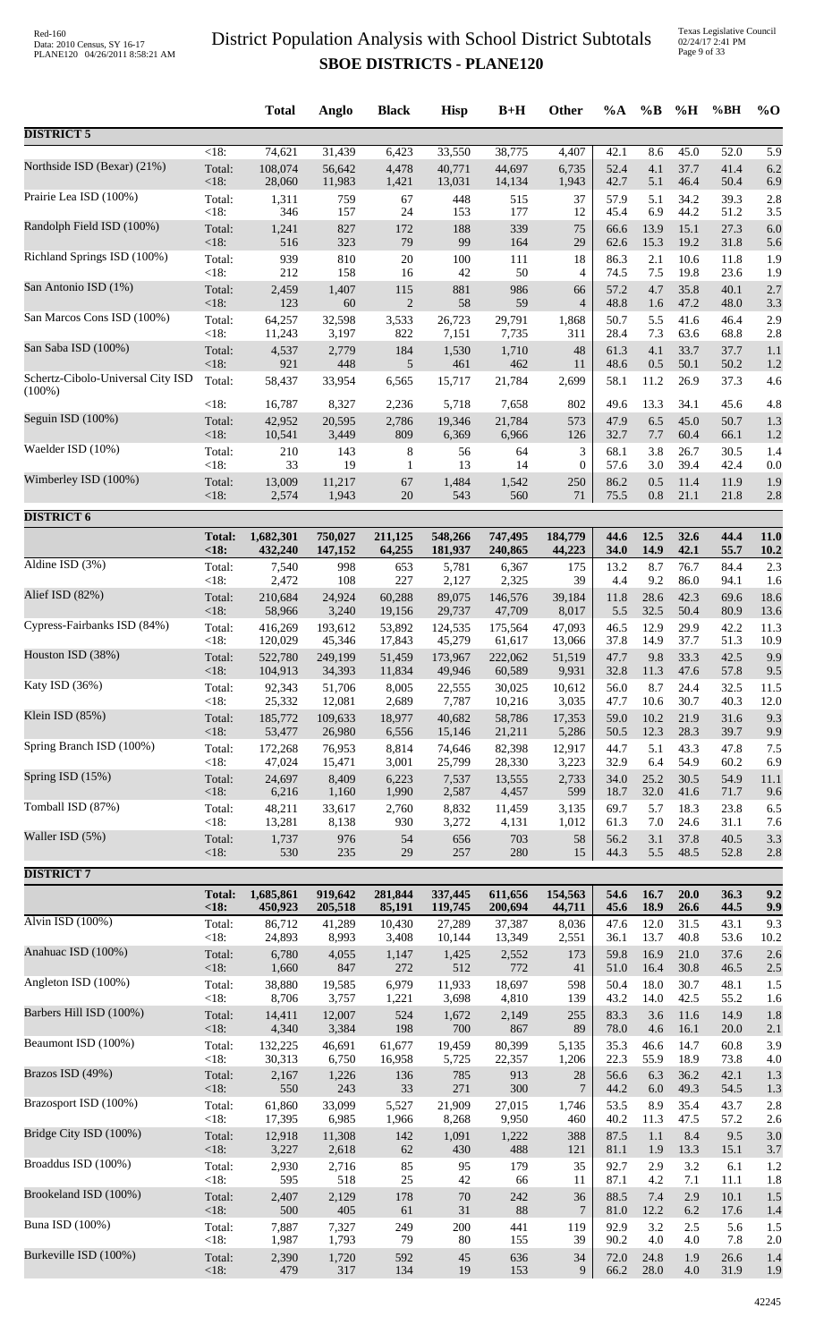|                                                |                | <b>Total</b> | Anglo       | <b>Black</b>          | <b>Hisp</b> | $B+H$     | Other            | %A           | $\%B$      | %H           | %BH          | $\%$ O           |
|------------------------------------------------|----------------|--------------|-------------|-----------------------|-------------|-----------|------------------|--------------|------------|--------------|--------------|------------------|
| <b>DISTRICT 5</b>                              |                |              |             |                       |             |           |                  |              |            |              |              |                  |
| Northside ISD (Bexar) (21%)                    | $<18$ :        | 74,621       | 31,439      | 6,423                 | 33,550      | 38,775    | 4,407            | 42.1         | 8.6        | 45.0         | 52.0         | $\overline{5.9}$ |
|                                                | Total:         | 108,074      | 56,642      | 4,478                 | 40,771      | 44,697    | 6,735            | 52.4         | 4.1        | 37.7         | 41.4         | 6.2              |
|                                                | <18:           | 28,060       | 11,983      | 1,421                 | 13,031      | 14,134    | 1,943            | 42.7         | 5.1        | 46.4         | 50.4         | 6.9              |
| Prairie Lea ISD (100%)                         | Total:         | 1,311        | 759         | 67                    | 448         | 515       | 37               | 57.9         | 5.1        | 34.2         | 39.3         | 2.8              |
|                                                | <18:           | 346          | 157         | 24                    | 153         | 177       | 12               | 45.4         | 6.9        | 44.2         | 51.2         | 3.5              |
| Randolph Field ISD (100%)                      | Total:         | 1,241        | 827         | 172                   | 188         | 339       | 75               | 66.6         | 13.9       | 15.1         | 27.3         | 6.0              |
| Richland Springs ISD (100%)                    | <18:           | 516          | 323         | 79                    | 99          | 164       | 29               | 62.6         | 15.3       | 19.2         | 31.8         | 5.6              |
|                                                | Total:         | 939          | 810         | $20\,$                | 100         | 111       | 18               | 86.3         | 2.1        | 10.6         | 11.8         | 1.9              |
| San Antonio ISD (1%)                           | <18:<br>Total: | 212          | 158         | 16                    | 42<br>881   | 50<br>986 | 4<br>66          | 74.5<br>57.2 | 7.5<br>4.7 | 19.8<br>35.8 | 23.6<br>40.1 | 1.9              |
|                                                | <18:           | 2,459<br>123 | 1,407<br>60 | 115<br>$\overline{c}$ | 58          | 59        | $\overline{4}$   | 48.8         | 1.6        | 47.2         | 48.0         | 2.7<br>3.3       |
| San Marcos Cons ISD (100%)                     | Total:         | 64,257       | 32,598      | 3,533                 | 26,723      | 29,791    | 1,868            | 50.7         | 5.5        | 41.6         | 46.4         | 2.9              |
|                                                | $<18$ :        | 11,243       | 3,197       | 822                   | 7,151       | 7,735     | 311              | 28.4         | 7.3        | 63.6         | 68.8         | 2.8              |
| San Saba ISD (100%)                            | Total:         | 4,537        | 2,779       | 184                   | 1,530       | 1,710     | 48               | 61.3         | 4.1        | 33.7         | 37.7         | 1.1              |
|                                                | <18:           | 921          | 448         | 5                     | 461         | 462       | 11               | 48.6         | 0.5        | 50.1         | 50.2         | 1.2              |
| Schertz-Cibolo-Universal City ISD<br>$(100\%)$ | Total:         | 58,437       | 33,954      | 6,565                 | 15,717      | 21,784    | 2,699            | 58.1         | 11.2       | 26.9         | 37.3         | 4.6              |
|                                                | <18:           | 16,787       | 8,327       | 2,236                 | 5,718       | 7,658     | 802              | 49.6         | 13.3       | 34.1         | 45.6         | 4.8              |
| Seguin ISD (100%)                              | Total:         | 42,952       | 20,595      | 2,786                 | 19,346      | 21,784    | 573              | 47.9         | 6.5        | 45.0         | 50.7         | 1.3              |
|                                                | <18:           | 10,541       | 3,449       | 809                   | 6,369       | 6,966     | 126              | 32.7         | 7.7        | 60.4         | 66.1         | 1.2              |
| Waelder ISD (10%)                              | Total:         | 210          | 143         | 8                     | 56          | 64        | 3                | 68.1         | 3.8        | 26.7         | 30.5         | 1.4              |
| Wimberley ISD (100%)                           | <18:           | 33           | 19          | 1                     | 13          | 14        | $\boldsymbol{0}$ | 57.6         | 3.0        | 39.4         | 42.4         | 0.0              |
|                                                | Total:         | 13,009       | 11,217      | 67                    | 1,484       | 1,542     | 250              | 86.2         | 0.5        | 11.4         | 11.9         | 1.9              |
|                                                | <18:           | 2,574        | 1,943       | $20\,$                | 543         | 560       | 71               | 75.5         | $0.8\,$    | 21.1         | 21.8         | 2.8              |
| <b>DISTRICT 6</b>                              |                |              |             |                       |             |           |                  |              |            |              |              |                  |
|                                                | <b>Total:</b>  | 1,682,301    | 750,027     | 211,125               | 548,266     | 747,495   | 184,779          | 44.6         | 12.5       | 32.6         | 44.4         | 11.0             |
|                                                | < 18:          | 432,240      | 147,152     | 64,255                | 181,937     | 240,865   | 44,223           | 34.0         | 14.9       | 42.1         | 55.7         | 10.2             |
| Aldine ISD (3%)                                | Total:         | 7,540        | 998         | 653                   | 5,781       | 6,367     | 175              | 13.2         | 8.7        | 76.7         | 84.4         | 2.3              |
|                                                | <18:           | 2,472        | 108         | 227                   | 2,127       | 2,325     | 39               | 4.4          | 9.2        | 86.0         | 94.1         | 1.6              |
| Alief ISD (82%)                                | Total:         | 210,684      | 24,924      | 60,288                | 89,075      | 146,576   | 39,184           | 11.8         | 28.6       | 42.3         | 69.6         | 18.6             |
| Cypress-Fairbanks ISD (84%)                    | <18:           | 58,966       | 3,240       | 19,156                | 29,737      | 47,709    | 8,017            | 5.5          | 32.5       | 50.4         | 80.9         | 13.6             |
|                                                | Total:         | 416,269      | 193,612     | 53,892                | 124,535     | 175,564   | 47,093           | 46.5         | 12.9       | 29.9         | 42.2         | 11.3             |
| Houston ISD (38%)                              | <18:           | 120,029      | 45,346      | 17,843                | 45,279      | 61,617    | 13,066           | 37.8         | 14.9       | 37.7         | 51.3         | 10.9             |
|                                                | Total:         | 522,780      | 249,199     | 51,459                | 173,967     | 222,062   | 51,519           | 47.7         | 9.8        | 33.3         | 42.5         | 9.9              |
| Katy ISD (36%)                                 | <18:           | 104,913      | 34,393      | 11,834                | 49,946      | 60,589    | 9,931            | 32.8         | 11.3       | 47.6         | 57.8         | 9.5              |
|                                                | Total:         | 92,343       | 51,706      | 8,005                 | 22,555      | 30,025    | 10,612           | 56.0         | 8.7        | 24.4         | 32.5         | 11.5             |
|                                                | $<18$ :        | 25,332       | 12,081      | 2,689                 | 7,787       | 10,216    | 3,035            | 47.7         | 10.6       | 30.7         | 40.3         | 12.0             |
| Klein ISD (85%)                                | Total:         | 185,772      | 109,633     | 18,977                | 40,682      | 58,786    | 17,353           | 59.0         | 10.2       | 21.9         | 31.6         | 9.3              |
|                                                | $<18$ :        | 53,477       | 26,980      | 6,556                 | 15,146      | 21,211    | 5,286            | 50.5         | 12.3       | 28.3         | 39.7         | 9.9              |
| Spring Branch ISD (100%)                       | Total:         | 172,268      | 76,953      | 8,814                 | 74,646      | 82,398    | 12,917           | 44.7         | 5.1        | 43.3         | 47.8         | 7.5              |
|                                                | <18:           | 47,024       | 15,471      | 3,001                 | 25,799      | 28,330    | 3,223            | 32.9         | 6.4        | 54.9         | 60.2         | 6.9              |
| Spring ISD $(15%)$                             | Total:         | 24,697       | 8,409       | 6,223                 | 7,537       | 13,555    | 2,733            | 34.0         | 25.2       | 30.5         | 54.9         | 11.1             |
| Tomball ISD (87%)                              | <18:           | 6,216        | 1,160       | 1,990                 | 2,587       | 4,457     | 599              | 18.7         | 32.0       | 41.6         | 71.7         | 9.6              |
|                                                | Total:         | 48,211       | 33,617      | 2,760                 | 8,832       | 11,459    | 3,135            | 69.7         | 5.7        | 18.3         | 23.8         | 6.5              |
| Waller ISD (5%)                                | <18:           | 13,281       | 8,138       | 930                   | 3,272       | 4,131     | 1,012            | 61.3         | 7.0        | 24.6         | 31.1         | 7.6              |
|                                                | Total:         | 1,737        | 976         | 54                    | 656         | 703       | 58               | 56.2         | 3.1        | 37.8         | 40.5         | 3.3              |
|                                                | $<18$ :        | 530          | 235         | 29                    | 257         | 280       | 15               | 44.3         | 5.5        | 48.5         | 52.8         | 2.8              |
| <b>DISTRICT 7</b>                              |                |              |             |                       |             |           |                  |              |            |              |              |                  |
|                                                | <b>Total:</b>  | 1,685,861    | 919,642     | 281,844               | 337,445     | 611,656   | 154,563          | 54.6         | 16.7       | 20.0         | 36.3         | 9.2              |
|                                                | < 18:          | 450,923      | 205,518     | 85,191                | 119,745     | 200,694   | 44,711           | 45.6         | 18.9       | 26.6         | 44.5         | 9.9              |
| Alvin ISD (100%)                               | Total:         | 86,712       | 41,289      | 10,430                | 27,289      | 37,387    | 8,036            | 47.6         | 12.0       | 31.5         | 43.1         | 9.3              |
|                                                | <18:           | 24,893       | 8,993       | 3,408                 | 10,144      | 13,349    | 2,551            | 36.1         | 13.7       | 40.8         | 53.6         | 10.2             |
| Anahuac ISD (100%)                             | Total:         | 6,780        | 4,055       | 1,147                 | 1,425       | 2,552     | 173              | 59.8         | 16.9       | 21.0         | 37.6         | 2.6              |
| Angleton ISD (100%)                            | <18:           | 1,660        | 847         | 272                   | 512         | 772       | 41               | 51.0         | 16.4       | 30.8         | 46.5         | 2.5              |
|                                                | Total:         | 38,880       | 19,585      | 6,979                 | 11,933      | 18,697    | 598              | 50.4         | 18.0       | 30.7         | 48.1         | 1.5              |
| Barbers Hill ISD (100%)                        | <18:           | 8,706        | 3,757       | 1,221                 | 3,698       | 4,810     | 139              | 43.2         | 14.0       | 42.5         | 55.2         | 1.6              |
|                                                | Total:         | 14,411       | 12,007      | 524                   | 1,672       | 2,149     | 255              | 83.3         | 3.6        | 11.6         | 14.9         | 1.8              |
| Beaumont ISD (100%)                            | $<18$ :        | 4,340        | 3,384       | 198                   | 700         | 867       | 89               | 78.0         | 4.6        | 16.1         | 20.0         | 2.1              |
|                                                | Total:         | 132,225      | 46,691      | 61,677                | 19,459      | 80,399    | 5,135            | 35.3         | 46.6       | 14.7         | 60.8         | 3.9              |
|                                                | <18:           | 30,313       | 6,750       | 16,958                | 5,725       | 22,357    | 1,206            | 22.3         | 55.9       | 18.9         | 73.8         | 4.0              |
| Brazos ISD (49%)                               | Total:         | 2,167        | 1,226       | 136                   | 785         | 913       | 28               | 56.6         | 6.3        | 36.2         | 42.1         | 1.3              |
|                                                | <18:           | 550          | 243         | 33                    | 271         | 300       | $\overline{7}$   | 44.2         | 6.0        | 49.3         | 54.5         | 1.3              |
| Brazosport ISD (100%)                          | Total:         | 61,860       | 33,099      | 5,527                 | 21,909      | 27,015    | 1,746            | 53.5         | 8.9        | 35.4         | 43.7         | 2.8              |
|                                                | < 18:          | 17,395       | 6,985       | 1,966                 | 8,268       | 9,950     | 460              | 40.2         | 11.3       | 47.5         | 57.2         | 2.6              |
| Bridge City ISD (100%)                         | Total:         | 12,918       | 11,308      | 142                   | 1,091       | 1,222     | 388              | 87.5         | 1.1        | 8.4          | 9.5          | 3.0              |
|                                                | <18:           | 3,227        | 2,618       | 62                    | 430         | 488       | 121              | 81.1         | 1.9        | 13.3         | 15.1         | 3.7              |
| Broaddus ISD (100%)                            | Total:         | 2,930        | 2,716       | 85                    | 95          | 179       | 35               | 92.7         | 2.9        | 3.2          | 6.1          | 1.2              |
| Brookeland ISD (100%)                          | <18:           | 595          | 518         | $25\,$                | $42\,$      | 66        | 11               | 87.1         | 4.2        | 7.1          | 11.1         | 1.8              |
|                                                | Total:         | 2,407        | 2,129       | 178                   | 70          | 242       | 36               | 88.5         | 7.4        | 2.9          | 10.1         | 1.5              |
| <b>Buna ISD</b> (100%)                         | $<18$ :        | 500          | 405         | 61                    | 31          | 88        | 7                | 81.0         | 12.2       | 6.2          | 17.6         | 1.4              |
|                                                | Total:         | 7,887        | 7,327       | 249                   | 200         | 441       | 119              | 92.9         | 3.2        | 2.5          | 5.6          | 1.5              |
| Burkeville ISD (100%)                          | <18:           | 1,987        | 1,793       | 79                    | 80          | 155       | 39               | 90.2         | 4.0        | 4.0          | 7.8          | 2.0              |
|                                                | Total:         | 2,390        | 1,720       | 592                   | 45          | 636       | 34               | 72.0         | 24.8       | 1.9          | 26.6         | 1.4              |
|                                                | <18:           | 479          | 317         | 134                   | 19          | 153       | 9                | 66.2         | 28.0       | 4.0          | 31.9         | 1.9              |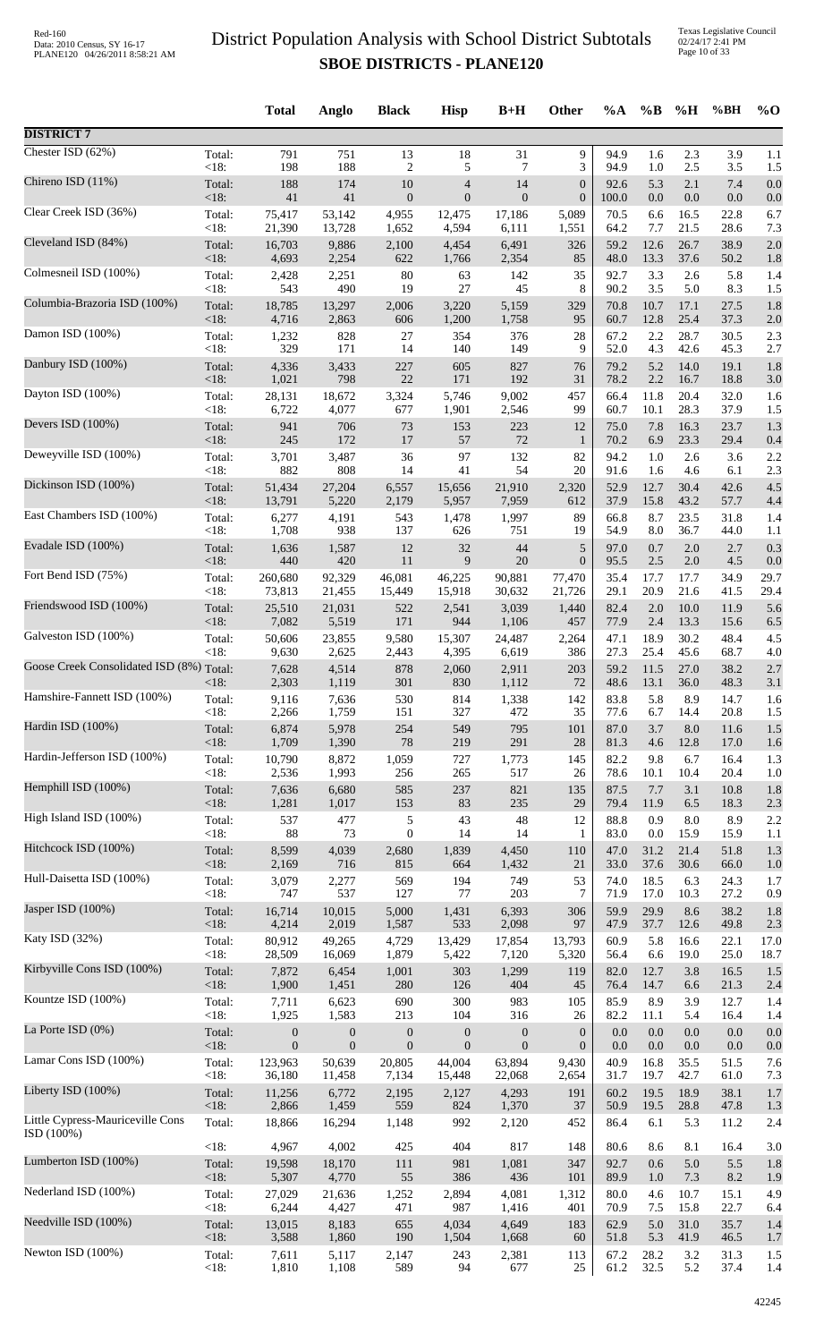Texas Legislative Council 02/24/17 2:41 PM Page 10 of 33

|                                          |                 | <b>Total</b>     | Anglo            | <b>Black</b>     | <b>Hisp</b>      | $B+H$            | Other            | $\%A$         | $\%B$          | %H              | %BH          | $\%$ O     |
|------------------------------------------|-----------------|------------------|------------------|------------------|------------------|------------------|------------------|---------------|----------------|-----------------|--------------|------------|
| <b>DISTRICT 7</b>                        |                 |                  |                  |                  |                  |                  |                  |               |                |                 |              |            |
| Chester ISD (62%)                        | Total:          | 791              | 751              | 13               | 18               | 31               | 9                | 94.9          | 1.6            | 2.3             | 3.9          | 1.1        |
| Chireno ISD (11%)                        | < 18:           | 198              | 188              | $\overline{c}$   | 5                | 7                | 3                | 94.9          | 1.0            | $2.5\,$         | 3.5          | 1.5        |
|                                          | Total:          | 188              | 174              | 10               | $\overline{4}$   | 14               | $\boldsymbol{0}$ | 92.6          | 5.3            | 2.1             | 7.4          | 0.0        |
| Clear Creek ISD (36%)                    | <18:<br>Total:  | 41<br>75,417     | 41               | $\boldsymbol{0}$ | $\mathbf{0}$     | $\mathbf{0}$     | $\boldsymbol{0}$ | 100.0<br>70.5 | $0.0\,$<br>6.6 | $0.0\,$<br>16.5 | 0.0<br>22.8  | 0.0        |
|                                          | <18:            | 21,390           | 53,142<br>13,728 | 4,955<br>1,652   | 12,475<br>4,594  | 17,186<br>6,111  | 5,089<br>1,551   | 64.2          | 7.7            | 21.5            | 28.6         | 6.7<br>7.3 |
| Cleveland ISD (84%)                      | Total:          | 16,703           | 9,886            | 2,100            | 4,454            | 6,491            | 326              | 59.2          | 12.6           | 26.7            | 38.9         | 2.0        |
|                                          | <18:            | 4,693            | 2,254            | 622              | 1,766            | 2,354            | 85               | 48.0          | 13.3           | 37.6            | 50.2         | 1.8        |
| Colmesneil ISD (100%)                    | Total:          | 2,428            | 2,251            | 80               | 63               | 142              | 35               | 92.7          | 3.3            | 2.6             | 5.8          | 1.4        |
|                                          | <18:            | 543              | 490              | 19               | 27               | 45               | 8                | 90.2          | 3.5            | 5.0             | 8.3          | 1.5        |
| Columbia-Brazoria ISD (100%)             | Total:          | 18,785           | 13,297           | 2,006            | 3,220            | 5,159            | 329              | 70.8          | 10.7           | 17.1            | 27.5         | 1.8        |
| Damon ISD (100%)                         | <18:            | 4,716            | 2,863            | 606              | 1,200            | 1,758            | 95               | 60.7          | 12.8           | 25.4            | 37.3         | 2.0        |
|                                          | Total:          | 1,232            | 828              | 27               | 354              | 376              | 28               | 67.2          | 2.2            | 28.7            | 30.5         | 2.3        |
| Danbury ISD (100%)                       | < 18:           | 329              | 171              | 14               | 140              | 149              | 9                | 52.0          | 4.3            | 42.6            | 45.3         | 2.7        |
|                                          | Total:          | 4,336            | 3,433            | 227              | 605              | 827              | 76               | 79.2          | 5.2            | 14.0            | 19.1         | 1.8        |
|                                          | $<18$ :         | 1,021            | 798              | 22               | 171              | 192              | 31               | 78.2          | 2.2            | 16.7            | 18.8         | 3.0        |
| Dayton ISD (100%)                        | Total:          | 28,131           | 18,672           | 3,324            | 5,746            | 9,002            | 457              | 66.4          | 11.8           | 20.4            | 32.0         | 1.6        |
|                                          | <18:            | 6,722            | 4,077            | 677              | 1,901            | 2,546            | 99               | 60.7          | 10.1           | 28.3            | 37.9         | 1.5        |
| Devers ISD (100%)                        | Total:          | 941              | 706              | 73               | 153              | 223              | 12               | 75.0          | 7.8            | 16.3            | 23.7         | 1.3        |
|                                          | <18:            | 245              | 172              | $17\,$           | 57               | $72\,$           | $\mathbf{1}$     | 70.2          | 6.9            | 23.3            | 29.4         | 0.4        |
| Deweyville ISD (100%)                    | Total:          | 3,701<br>882     | 3,487            | 36               | 97               | 132              | 82               | 94.2          | 1.0            | 2.6             | 3.6          | 2.2        |
| Dickinson ISD (100%)                     | < 18:<br>Total: | 51,434           | 808<br>27,204    | 14<br>6,557      | 41<br>15,656     | 54<br>21,910     | 20<br>2,320      | 91.6<br>52.9  | 1.6<br>12.7    | 4.6<br>30.4     | 6.1<br>42.6  | 2.3<br>4.5 |
| East Chambers ISD (100%)                 | <18:            | 13,791           | 5,220            | 2,179            | 5,957            | 7,959            | 612              | 37.9          | 15.8           | 43.2            | 57.7         | 4.4        |
|                                          | Total:          | 6,277            | 4,191            | 543              | 1,478            | 1,997            | 89               | 66.8          | 8.7            | 23.5            | 31.8         | 1.4        |
|                                          | < 18:           | 1,708            | 938              | 137              | 626              | 751              | 19               | 54.9          | 8.0            | 36.7            | 44.0         | 1.1        |
| Evadale ISD (100%)                       | Total:          | 1,636            | 1,587            | 12               | $32\,$           | 44               | $\sqrt{5}$       | 97.0          | 0.7            | 2.0             | 2.7          | 0.3        |
|                                          | < 18:           | 440              | 420              | 11               | 9                | 20               | $\boldsymbol{0}$ | 95.5          | 2.5            | 2.0             | 4.5          | 0.0        |
| Fort Bend ISD (75%)                      | Total:          | 260,680          | 92,329           | 46,081           | 46,225           | 90,881           | 77,470           | 35.4          | 17.7           | 17.7            | 34.9         | 29.7       |
|                                          | <18:            | 73,813           | 21,455           | 15,449           | 15,918           | 30,632           | 21,726           | 29.1          | 20.9           | 21.6            | 41.5         | 29.4       |
| Friendswood ISD (100%)                   | Total:          | 25,510           | 21,031           | 522              | 2,541            | 3,039            | 1,440            | 82.4          | 2.0            | 10.0            | 11.9         | 5.6        |
| Galveston ISD (100%)                     | <18:            | 7,082            | 5,519            | 171              | 944              | 1,106            | 457              | 77.9          | 2.4            | 13.3            | 15.6         | 6.5        |
|                                          | Total:          | 50,606           | 23,855           | 9,580            | 15,307           | 24,487           | 2,264            | 47.1          | 18.9           | 30.2            | 48.4         | 4.5        |
| Goose Creek Consolidated ISD (8%) Total: | $<18$ :         | 9,630            | 2,625            | 2,443            | 4,395            | 6,619            | 386              | 27.3          | 25.4           | 45.6            | 68.7         | 4.0        |
|                                          | $<$ 18:         | 7,628<br>2,303   | 4,514<br>1,119   | 878<br>301       | 2,060<br>830     | 2,911<br>1,112   | 203<br>72        | 59.2<br>48.6  | 11.5<br>13.1   | 27.0<br>36.0    | 38.2<br>48.3 | 2.7<br>3.1 |
| Hamshire-Fannett ISD (100%)              | Total:          | 9,116            | 7,636            | 530              | 814              | 1,338            | 142              | 83.8          | 5.8            | 8.9             | 14.7         | 1.6        |
|                                          | $<18$ :         | 2,266            | 1,759            | 151              | 327              | 472              | 35               | 77.6          | 6.7            | 14.4            | 20.8         | 1.5        |
| Hardin ISD (100%)                        | Total:          | 6,874            | 5,978            | 254              | 549              | 795              | 101              | 87.0          | 3.7            | 8.0             | 11.6         | 1.5        |
|                                          | < 18:           | 1,709            | 1,390            | 78               | 219              | 291              | 28               | 81.3          | 4.6            | 12.8            | 17.0         | 1.6        |
| Hardin-Jefferson ISD (100%)              | Total:          | 10,790           | 8,872            | 1,059            | 727              | 1,773            | 145              | 82.2          | 9.8            | 6.7             | 16.4         | 1.3        |
| Hemphill ISD (100%)                      | < 18:           | 2,536            | 1,993            | 256              | 265              | 517              | 26               | 78.6          | 10.1           | 10.4            | 20.4         | 1.0        |
|                                          | Total:          | 7,636            | 6,680            | 585              | 237              | 821              | 135              | 87.5          | 7.7            | 3.1             | 10.8         | 1.8        |
| High Island ISD (100%)                   | $<18$ :         | 1,281            | 1,017            | 153              | 83               | 235              | 29               | 79.4          | 11.9           | 6.5             | 18.3         | 2.3        |
|                                          | Total:          | 537              | 477              | 5                | 43               | $\sqrt{48}$      | 12               | 88.8          | 0.9            | $8.0\,$         | 8.9          | 2.2        |
|                                          | < 18:           | 88               | 73               | $\mathbf{0}$     | 14               | 14               | 1                | 83.0          | $0.0\,$        | 15.9            | 15.9         | 1.1        |
| Hitchcock ISD (100%)                     | Total:          | 8,599            | 4,039            | 2,680            | 1,839            | 4,450            | 110              | 47.0          | 31.2           | 21.4            | 51.8         | 1.3        |
|                                          | $<18$ :         | 2,169            | 716              | 815              | 664              | 1,432            | 21               | 33.0          | 37.6           | 30.6            | 66.0         | 1.0        |
| Hull-Daisetta ISD (100%)                 | Total:          | 3,079            | 2,277            | 569              | 194              | 749              | 53               | 74.0          | 18.5           | 6.3             | 24.3         | 1.7        |
|                                          | < 18:           | 747              | 537              | 127              | 77               | 203              | 7                | 71.9          | 17.0           | 10.3            | 27.2         | 0.9        |
| Jasper ISD (100%)                        | Total:          | 16,714           | 10,015           | 5,000            | 1,431            | 6,393            | 306              | 59.9          | 29.9           | 8.6             | 38.2         | 1.8        |
|                                          | < 18:           | 4,214            | 2,019            | 1,587            | 533              | 2,098            | 97               | 47.9          | 37.7           | 12.6            | 49.8         | 2.3        |
| Katy ISD (32%)                           | Total:          | 80,912           | 49,265           | 4,729            | 13,429           | 17,854           | 13,793           | 60.9          | 5.8            | 16.6            | 22.1         | 17.0       |
| Kirbyville Cons ISD (100%)               | < 18:           | 28,509           | 16,069           | 1,879            | 5,422            | 7,120            | 5,320            | 56.4          | 6.6            | 19.0            | 25.0         | 18.7       |
|                                          | Total:          | 7,872            | 6,454            | 1,001            | 303              | 1,299            | 119              | 82.0          | 12.7           | 3.8             | 16.5         | 1.5        |
| Kountze ISD (100%)                       | <18:            | 1,900            | 1,451            | 280              | 126              | 404              | 45               | 76.4          | 14.7           | 6.6             | 21.3         | 2.4        |
|                                          | Total:          | 7,711            | 6,623            | 690              | 300              | 983              | 105              | 85.9          | 8.9            | 3.9             | 12.7         | 1.4        |
|                                          | <18:            | 1,925            | 1,583            | 213              | 104              | 316              | 26               | 82.2          | 11.1           | 5.4             | 16.4         | 1.4        |
| La Porte ISD (0%)                        | Total:          | $\boldsymbol{0}$ | $\boldsymbol{0}$ | $\boldsymbol{0}$ | $\mathbf{0}$     | $\boldsymbol{0}$ | $\boldsymbol{0}$ | 0.0           | 0.0            | 0.0             | 0.0          | 0.0        |
|                                          | <18:            | $\boldsymbol{0}$ | $\boldsymbol{0}$ | $\boldsymbol{0}$ | $\boldsymbol{0}$ | $\boldsymbol{0}$ | $\mathbf{0}$     | $0.0\,$       | $0.0\,$        | 0.0             | 0.0          | 0.0        |
| Lamar Cons ISD (100%)                    | Total:          | 123,963          | 50,639           | 20,805           | 44,004           | 63,894           | 9,430            | 40.9          | 16.8           | 35.5            | 51.5         | 7.6        |
|                                          | < 18:           | 36,180           | 11,458           | 7,134            | 15,448           | 22,068           | 2,654            | 31.7          | 19.7           | 42.7            | 61.0         | 7.3        |
| Liberty ISD (100%)                       | Total:          | 11,256           | 6,772            | 2,195            | 2,127            | 4,293            | 191              | 60.2          | 19.5           | 18.9            | 38.1         | 1.7        |
| Little Cypress-Mauriceville Cons         | <18:            | 2,866            | 1,459            | 559              | 824              | 1,370            | 37               | 50.9          | 19.5           | 28.8            | 47.8         | 1.3        |
|                                          | Total:          | 18,866           | 16,294           | 1,148            | 992              | 2,120            | 452              | 86.4          | 6.1            | 5.3             | 11.2         | 2.4        |
| ISD(100%)                                | < 18:           | 4,967            | 4,002            | 425              | 404              | 817              | 148              | 80.6          | 8.6            | 8.1             | 16.4         | 3.0        |
| Lumberton ISD (100%)                     | Total:          | 19,598           | 18,170           | $111$            | 981              | 1,081            | 347              | 92.7          | 0.6            | 5.0             | 5.5          | 1.8        |
|                                          | < 18:           | 5,307            | 4,770            | 55               | 386              | 436              | 101              | 89.9          | $1.0\,$        | 7.3             | 8.2          | 1.9        |
| Nederland ISD (100%)                     | Total:          | 27,029           | 21,636           | 1,252            | 2,894            | 4,081            | 1,312            | 80.0          | 4.6            | 10.7            | 15.1         | 4.9        |
| Needville ISD (100%)                     | <18:            | 6,244            | 4,427            | 471              | 987              | 1,416            | 401              | 70.9          | 7.5            | 15.8            | 22.7         | 6.4        |
|                                          | Total:          | 13,015           | 8,183            | 655              | 4,034            | 4,649            | 183              | 62.9          | 5.0            | 31.0            | 35.7         | 1.4        |
| Newton ISD (100%)                        | <18:<br>Total:  | 3,588<br>7,611   | 1,860<br>5,117   | 190              | 1,504<br>243     | 1,668            | 60               | 51.8<br>67.2  | 5.3<br>28.2    | 41.9<br>3.2     | 46.5<br>31.3 | 1.7<br>1.5 |
|                                          | <18:            | 1,810            | 1,108            | 2,147<br>589     | 94               | 2,381<br>677     | 113<br>$25\,$    | 61.2          | 32.5           | 5.2             | 37.4         | 1.4        |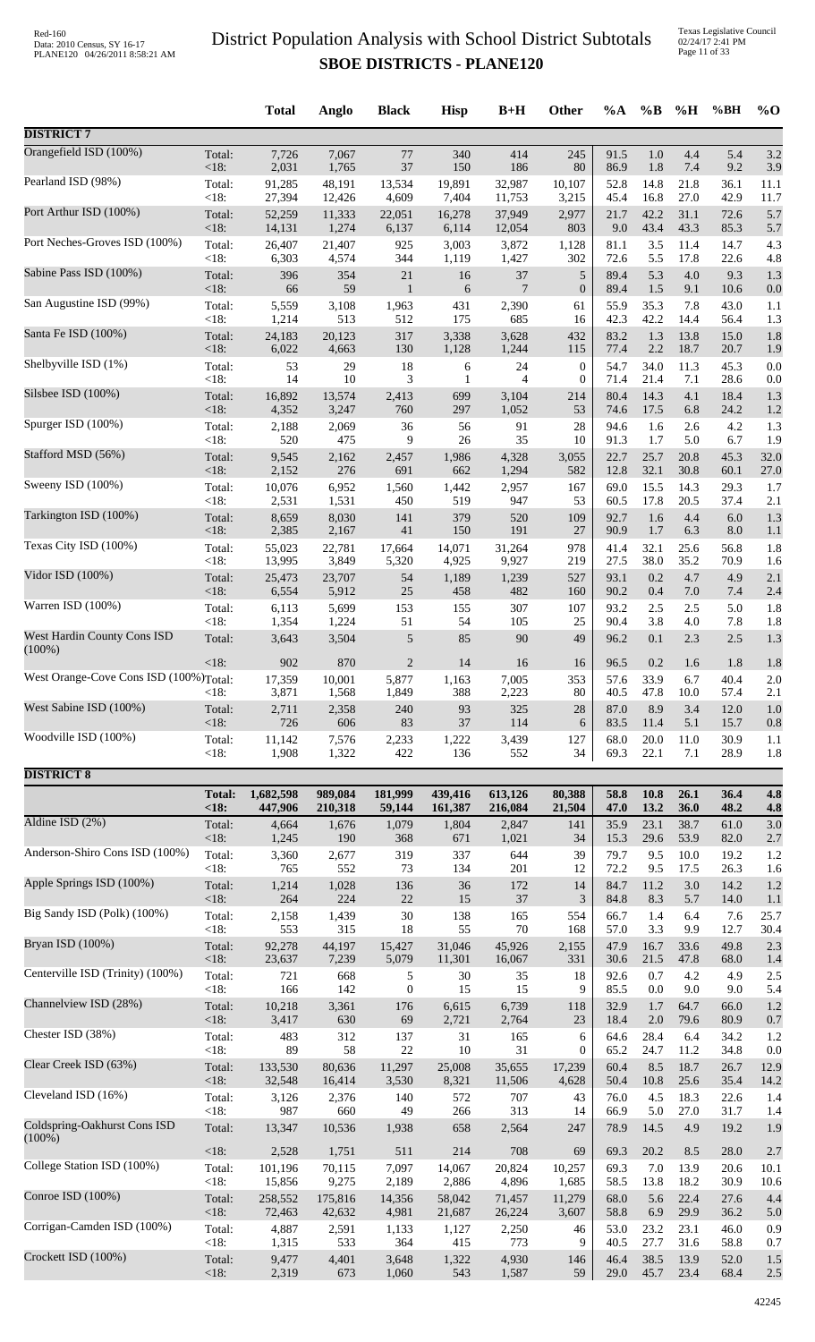Texas Legislative Council 02/24/17 2:41 PM Page 11 of 33

|                                        |               | <b>Total</b>    | Anglo           | <b>Black</b>   | <b>Hisp</b>  | $B+H$          | Other            | $\%A$        | $\%B$        | %H          | %BH          | $%$ <sup>O</sup> |
|----------------------------------------|---------------|-----------------|-----------------|----------------|--------------|----------------|------------------|--------------|--------------|-------------|--------------|------------------|
| <b>DISTRICT 7</b>                      |               |                 |                 |                |              |                |                  |              |              |             |              |                  |
| Orangefield ISD (100%)                 | Total:        | 7,726           | 7,067           | $77\,$         | 340          | 414            | 245              | 91.5         | 1.0          | 4.4         | 5.4          | 3.2              |
| Pearland ISD (98%)                     | < 18:         | 2,031           | 1,765           | 37             | 150          | 186            | 80               | 86.9         | 1.8          | 7.4         | 9.2          | 3.9              |
|                                        | Total:        | 91,285          | 48,191          | 13,534         | 19,891       | 32,987         | 10.107           | 52.8         | 14.8         | 21.8        | 36.1         | 11.1             |
|                                        | < 18:         | 27,394          | 12,426          | 4,609          | 7,404        | 11,753         | 3,215            | 45.4         | 16.8         | 27.0        | 42.9         | 11.7             |
| Port Arthur ISD (100%)                 | Total:        | 52,259          | 11,333          | 22,051         | 16,278       | 37,949         | 2,977            | 21.7         | 42.2         | 31.1        | 72.6         | 5.7              |
|                                        | <18:          | 14,131          | 1,274           | 6,137          | 6,114        | 12,054         | 803              | 9.0          | 43.4         | 43.3        | 85.3         | 5.7              |
| Port Neches-Groves ISD (100%)          | Total:        | 26,407          | 21,407          | 925            | 3,003        | 3,872          | 1,128            | 81.1         | 3.5          | 11.4        | 14.7         | 4.3              |
|                                        | < 18:         | 6,303           | 4,574           | 344            | 1,119        | 1,427          | 302              | 72.6         | 5.5          | 17.8        | 22.6         | 4.8              |
| Sabine Pass ISD (100%)                 | Total:        | 396             | 354             | $21\,$         | 16           | 37             | $\sqrt{5}$       | 89.4         | 5.3          | $4.0\,$     | 9.3          | 1.3              |
| San Augustine ISD (99%)                | <18:          | 66              | 59              | $\mathbf{1}$   | 6            | $\overline{7}$ | $\boldsymbol{0}$ | 89.4         | 1.5          | 9.1         | 10.6         | 0.0              |
|                                        | Total:        | 5,559           | 3,108           | 1,963          | 431          | 2,390          | 61               | 55.9         | 35.3         | 7.8         | 43.0         | 1.1              |
|                                        | < 18:         | 1,214           | 513             | 512            | 175          | 685            | 16               | 42.3         | 42.2         | 14.4        | 56.4         | 1.3              |
| Santa Fe ISD (100%)                    | Total:        | 24,183          | 20,123          | 317            | 3,338        | 3,628          | 432              | 83.2         | 1.3          | 13.8        | 15.0         | 1.8              |
|                                        | < 18:         | 6,022           | 4,663           | 130            | 1,128        | 1,244          | 115              | 77.4         | 2.2          | 18.7        | 20.7         | 1.9              |
| Shelbyville ISD (1%)                   | Total:        | 53              | 29              | 18             | 6            | 24             | $\boldsymbol{0}$ | 54.7         | 34.0         | 11.3        | 45.3         | 0.0              |
|                                        | < 18:         | 14              | 10              | 3              | 1            | $\overline{4}$ | $\boldsymbol{0}$ | 71.4         | 21.4         | 7.1         | 28.6         | 0.0              |
| Silsbee ISD (100%)                     | Total:        | 16,892          | 13,574          | 2,413          | 699          | 3,104          | 214              | 80.4         | 14.3         | 4.1         | 18.4         | 1.3              |
| Spurger ISD (100%)                     | < 18:         | 4,352           | 3,247           | 760            | 297          | 1,052          | 53               | 74.6         | 17.5         | 6.8         | 24.2         | 1.2              |
|                                        | Total:        | 2,188           | 2,069           | 36             | 56           | 91             | 28               | 94.6         | 1.6          | 2.6         | 4.2          | 1.3              |
|                                        | < 18:         | 520             | 475             | 9              | $26\,$       | 35             | 10               | 91.3         | 1.7          | 5.0         | 6.7          | 1.9              |
| Stafford MSD (56%)                     | Total:        | 9,545           | 2,162           | 2,457          | 1,986        | 4,328          | 3,055            | 22.7         | 25.7         | 20.8        | 45.3         | 32.0             |
|                                        | < 18:         | 2,152           | 276             | 691            | 662          | 1,294          | 582              | 12.8         | 32.1         | 30.8        | 60.1         | 27.0             |
| Sweeny ISD (100%)                      | Total:        | 10,076          | 6,952           | 1,560          | 1,442        | 2,957          | 167              | 69.0         | 15.5         | 14.3        | 29.3         | 1.7              |
|                                        | < 18:         | 2,531           | 1,531           | 450            | 519          | 947            | 53               | 60.5         | 17.8         | 20.5        | 37.4         | 2.1              |
| Tarkington ISD (100%)                  | Total:        | 8,659           | 8,030           | 141            | 379          | 520            | 109              | 92.7         | 1.6          | 4.4         | 6.0          | 1.3              |
| Texas City ISD (100%)                  | < 18:         | 2,385           | 2,167           | $41\,$         | 150          | 191            | 27               | 90.9         | 1.7          | 6.3         | 8.0          | 1.1              |
|                                        | Total:        | 55,023          | 22,781          | 17,664         | 14,071       | 31,264         | 978              | 41.4         | 32.1         | 25.6        | 56.8         | 1.8              |
|                                        | < 18:         | 13,995          | 3,849           | 5,320          | 4,925        | 9,927          | 219              | 27.5         | 38.0         | 35.2        | 70.9         | 1.6              |
| Vidor ISD (100%)                       | Total:        | 25,473          | 23,707          | 54             | 1,189        | 1,239          | 527              | 93.1         | 0.2          | 4.7         | 4.9          | 2.1              |
|                                        | < 18:         | 6,554           | 5,912           | $25\,$         | 458          | 482            | 160              | 90.2         | 0.4          | $7.0\,$     | 7.4          | 2.4              |
| Warren ISD (100%)                      | Total:        | 6,113           | 5,699           | 153            | 155          | 307            | 107              | 93.2         | 2.5          | 2.5         | 5.0          | 1.8              |
|                                        | < 18:         | 1,354           | 1,224           | 51             | 54           | 105            | 25               | 90.4         | 3.8          | 4.0         | 7.8          | 1.8              |
| West Hardin County Cons ISD            | Total:        | 3,643           | 3,504           | 5              | 85           | 90             | 49               | 96.2         | 0.1          | 2.3         | $2.5\,$      | 1.3              |
| $(100\%)$                              | $<18$ :       | 902             | 870             | $\overline{2}$ | 14           | 16             | 16               | 96.5         | 0.2          | 1.6         | 1.8          | 1.8              |
| West Orange-Cove Cons ISD (100%)Total: | $<18$ :       | 17,359<br>3,871 | 10,001<br>1,568 | 5,877<br>1,849 | 1,163<br>388 | 7,005<br>2,223 | 353<br>80        | 57.6<br>40.5 | 33.9<br>47.8 | 6.7<br>10.0 | 40.4<br>57.4 | 2.0<br>2.1       |
| West Sabine ISD (100%)                 | Total:        | 2,711           | 2,358           | 240            | 93           | 325            | 28               | 87.0         | 8.9          | 3.4         | 12.0         | 1.0              |
| Woodville ISD (100%)                   | $<18$ :       | 726             | 606             | 83             | 37           | 114            | 6                | 83.5         | 11.4         | 5.1         | 15.7         | 0.8              |
|                                        | Total:        | 11,142          | 7,576           | 2,233          | 1,222        | 3,439          | 127              | 68.0         | 20.0         | 11.0        | 30.9         | 1.1              |
|                                        | < 18:         | 1,908           | 1,322           | 422            | 136          | 552            | 34               | 69.3         | 22.1         | 7.1         | 28.9         | 1.8              |
| <b>DISTRICT 8</b>                      |               |                 |                 |                |              |                |                  |              |              |             |              |                  |
|                                        | <b>Total:</b> | 1,682,598       | 989,084         | 181,999        | 439,416      | 613,126        | 80,388           | 58.8         | 10.8         | 26.1        | 36.4         | 4.8              |
|                                        | < 18:         | 447,906         | 210,318         | 59,144         | 161,387      | 216,084        | 21,504           | 47.0         | 13.2         | 36.0        | 48.2         | 4.8              |
| Aldine ISD (2%)                        | Total:        | 4,664           | 1,676           | 1,079          | 1,804        | 2,847          | 141              | 35.9         | 23.1         | 38.7        | 61.0         | 3.0              |
|                                        | $<18$ :       | 1,245           | 190             | 368            | 671          | 1,021          | 34               | 15.3         | 29.6         | 53.9        | 82.0         | 2.7              |
| Anderson-Shiro Cons ISD (100%)         | Total:        | 3,360           | 2,677           | 319            | 337          | 644            | 39               | 79.7         | 9.5          | 10.0        | 19.2         | 1.2              |
| Apple Springs ISD (100%)               | < 18:         | 765             | 552             | 73             | 134          | 201            | 12               | 72.2         | 9.5          | 17.5        | 26.3         | 1.6              |
|                                        | Total:        | 1,214           | 1,028           | 136            | 36           | 172            | 14               | 84.7         | 11.2         | 3.0         | 14.2         | 1.2              |
| Big Sandy ISD (Polk) (100%)            | <18:          | 264             | 224             | $22\,$         | 15           | 37             | 3                | 84.8         | 8.3          | 5.7         | 14.0         | 1.1              |
|                                        | Total:        | 2,158           | 1,439           | 30             | 138          | 165            | 554              | 66.7         | 1.4          | 6.4         | 7.6          | 25.7             |
|                                        | < 18:         | 553             | 315             | 18             | 55           | 70             | 168              | 57.0         | 3.3          | 9.9         | 12.7         | 30.4             |
| Bryan ISD (100%)                       | Total:        | 92,278          | 44,197          | 15,427         | 31,046       | 45,926         | 2,155            | 47.9         | 16.7         | 33.6        | 49.8         | 2.3              |
|                                        | <18:          | 23,637          | 7,239           | 5,079          | 11,301       | 16,067         | 331              | 30.6         | 21.5         | 47.8        | 68.0         | 1.4              |
| Centerville ISD (Trinity) (100%)       | Total:        | 721             | 668             | 5              | 30           | 35             | 18               | 92.6         | 0.7          | 4.2         | 4.9          | 2.5              |
| Channelview ISD (28%)                  | < 18:         | 166             | 142             | $\mathbf{0}$   | 15           | 15             | 9                | 85.5         | 0.0          | 9.0         | 9.0          | 5.4              |
|                                        | Total:        | 10,218          | 3,361           | 176            | 6,615        | 6,739          | 118              | 32.9         | 1.7          | 64.7        | 66.0         | 1.2              |
| Chester ISD (38%)                      | <18:          | 3,417           | 630             | 69             | 2,721        | 2,764          | 23               | 18.4         | 2.0          | 79.6        | 80.9         | 0.7              |
|                                        | Total:        | 483             | 312             | 137            | 31           | 165            | 6                | 64.6         | 28.4         | 6.4         | 34.2         | 1.2              |
|                                        | < 18:         | 89              | 58              | 22             | 10           | 31             | $\boldsymbol{0}$ | 65.2         | 24.7         | 11.2        | 34.8         | 0.0              |
| Clear Creek ISD (63%)                  | Total:        | 133,530         | 80,636          | 11,297         | 25,008       | 35,655         | 17,239           | 60.4         | 8.5          | 18.7        | 26.7         | 12.9             |
|                                        | <18:          | 32,548          | 16,414          | 3,530          | 8,321        | 11,506         | 4,628            | 50.4         | 10.8         | 25.6        | 35.4         | 14.2             |
| Cleveland ISD (16%)                    | Total:        | 3,126           | 2,376           | 140            | 572          | 707            | 43               | 76.0         | 4.5          | 18.3        | 22.6         | 1.4              |
| Coldspring-Oakhurst Cons ISD           | < 18:         | 987             | 660             | 49             | 266          | 313            | 14               | 66.9         | 5.0          | 27.0        | 31.7         | 1.4              |
|                                        | Total:        | 13,347          | 10,536          | 1,938          | 658          | 2,564          | 247              | 78.9         | 14.5         | 4.9         | 19.2         | 1.9              |
| $(100\%)$                              | <18:          | 2,528           | 1,751           | 511            | 214          | 708            | 69               | 69.3         | 20.2         | 8.5         | 28.0         | 2.7              |
| College Station ISD (100%)             | Total:        | 101,196         | 70,115          | 7,097          | 14,067       | 20,824         | 10,257           | 69.3         | 7.0          | 13.9        | 20.6         | 10.1             |
|                                        | < 18:         | 15,856          | 9,275           | 2,189          | 2,886        | 4,896          | 1,685            | 58.5         | 13.8         | 18.2        | 30.9         | 10.6             |
| Conroe ISD (100%)                      | Total:        | 258,552         | 175,816         | 14,356         | 58,042       | 71,457         | 11,279           | 68.0         | 5.6          | 22.4        | 27.6         | 4.4              |
| Corrigan-Camden ISD (100%)             | <18:          | 72,463          | 42,632          | 4,981          | 21,687       | 26,224         | 3,607            | 58.8         | 6.9          | 29.9        | 36.2         | 5.0              |
|                                        | Total:        | 4,887           | 2,591           | 1,133          | 1,127        | 2,250          | 46               | 53.0         | 23.2         | 23.1        | 46.0         | 0.9              |
|                                        | < 18:         | 1,315           | 533             | 364            | 415          | 773            | 9                | 40.5         | 27.7         | 31.6        | 58.8         | 0.7              |
| Crockett ISD (100%)                    | Total:        | 9,477           | 4,401           | 3,648          | 1,322        | 4,930          | 146              | 46.4         | 38.5         | 13.9        | 52.0         | 1.5              |
|                                        | <18:          | 2,319           | 673             | 1,060          | 543          | 1,587          | 59               | 29.0         | 45.7         | 23.4        | 68.4         | 2.5              |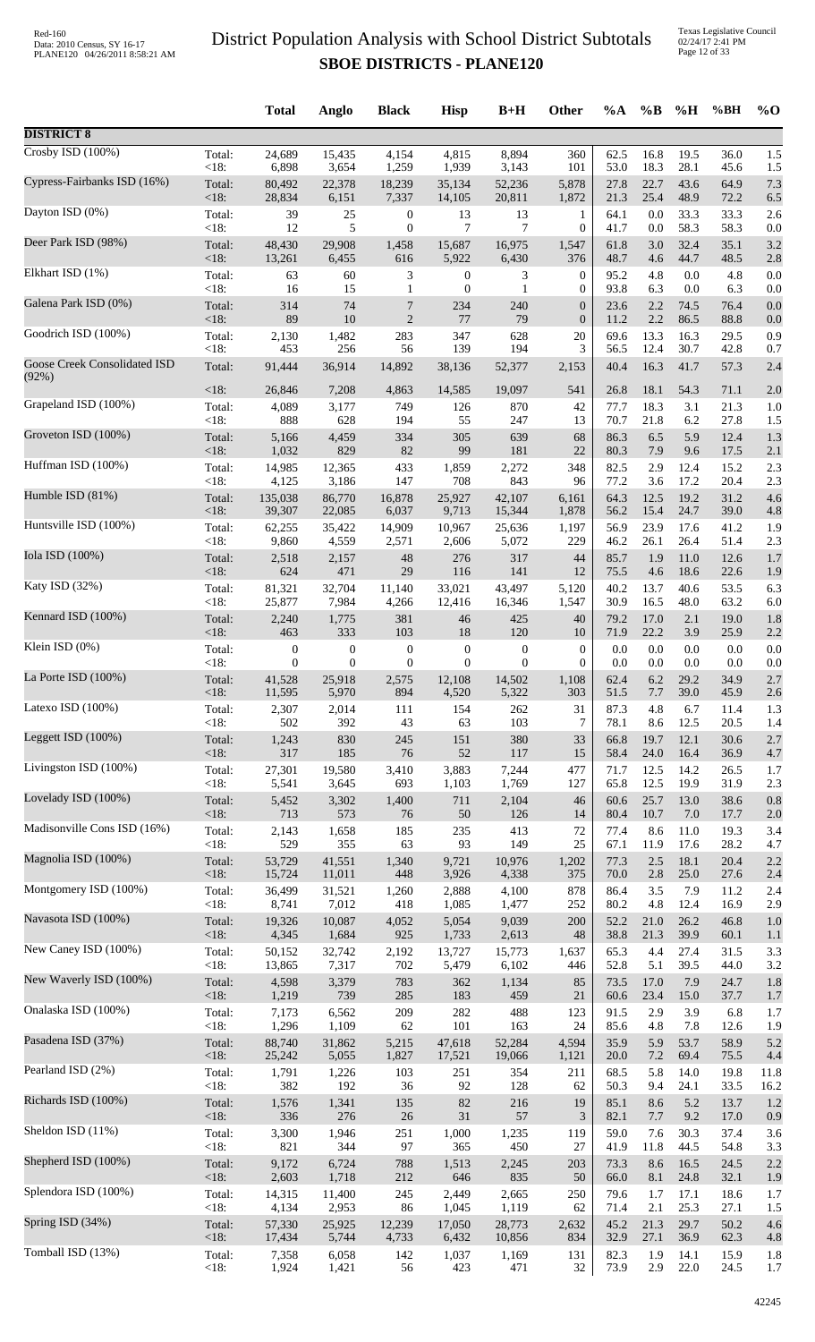Texas Legislative Council 02/24/17 2:41 PM Page 12 of 33

|                                       |                 | <b>Total</b>     | Anglo            | <b>Black</b>     | <b>Hisp</b>      | $B+H$            | Other            | $\%A$        | $\%$ B       | %H           | %BH          | $\%$ O     |
|---------------------------------------|-----------------|------------------|------------------|------------------|------------------|------------------|------------------|--------------|--------------|--------------|--------------|------------|
| <b>DISTRICT 8</b>                     |                 |                  |                  |                  |                  |                  |                  |              |              |              |              |            |
| $\overline{C}$ rosby ISD (100%)       | Total:          | 24,689           | 15,435           | 4,154            | 4,815            | 8,894            | 360              | 62.5         | 16.8         | 19.5         | 36.0         | 1.5        |
| Cypress-Fairbanks ISD (16%)           | < 18:           | 6,898            | 3,654            | 1,259            | 1,939            | 3,143            | 101              | 53.0         | 18.3         | 28.1         | 45.6         | 1.5        |
|                                       | Total:          | 80,492           | 22,378           | 18,239           | 35,134           | 52,236           | 5,878            | 27.8         | 22.7         | 43.6         | 64.9         | 7.3        |
| Dayton ISD (0%)                       | < 18:           | 28,834           | 6,151            | 7,337            | 14,105           | 20,811           | 1,872            | 21.3         | 25.4         | 48.9         | 72.2         | 6.5        |
|                                       | Total:          | 39               | 25               | $\boldsymbol{0}$ | 13               | 13               | $\mathbf{1}$     | 64.1         | 0.0          | 33.3         | 33.3         | 2.6        |
|                                       | < 18:           | 12               | 5                | $\boldsymbol{0}$ | $\overline{7}$   | 7                | $\boldsymbol{0}$ | 41.7         | 0.0          | 58.3         | 58.3         | 0.0        |
| Deer Park ISD (98%)                   | Total:          | 48,430           | 29,908           | 1,458            | 15,687           | 16,975           | 1,547            | 61.8         | 3.0          | 32.4         | 35.1         | 3.2        |
|                                       | <18:            | 13,261           | 6,455            | 616              | 5,922            | 6,430            | 376              | 48.7         | 4.6          | 44.7         | 48.5         | 2.8        |
| Elkhart ISD (1%)                      | Total:          | 63               | 60               | 3                | $\boldsymbol{0}$ | 3                | 0                | 95.2         | 4.8          | 0.0          | 4.8          | 0.0        |
| Galena Park ISD (0%)                  | < 18:           | 16               | 15               | 1                | $\mathbf{0}$     | 1                | $\boldsymbol{0}$ | 93.8         | 6.3          | 0.0          | 6.3          | 0.0        |
|                                       | Total:          | 314              | 74               | 7                | 234              | 240              | $\boldsymbol{0}$ | 23.6         | 2.2          | 74.5         | 76.4         | 0.0        |
| Goodrich ISD (100%)                   | <18:            | 89               | 10               | $\sqrt{2}$       | 77               | 79               | $\boldsymbol{0}$ | 11.2         | 2.2          | 86.5         | 88.8         | 0.0        |
|                                       | Total:          | 2,130            | 1,482            | 283              | 347              | 628              | 20               | 69.6         | 13.3         | 16.3         | 29.5         | 0.9        |
|                                       | < 18:           | 453              | 256              | 56               | 139              | 194              | 3                | 56.5         | 12.4         | 30.7         | 42.8         | 0.7        |
| Goose Creek Consolidated ISD<br>(92%) | Total:          | 91,444           | 36,914           | 14,892           | 38,136           | 52,377           | 2,153            | 40.4         | 16.3         | 41.7         | 57.3         | 2.4        |
| Grapeland ISD (100%)                  | <18:            | 26,846           | 7,208            | 4,863            | 14,585           | 19,097           | 541              | 26.8         | 18.1         | 54.3         | 71.1         | 2.0        |
|                                       | Total:          | 4,089            | 3,177            | 749              | 126              | 870              | 42               | 77.7         | 18.3         | 3.1          | 21.3         | 1.0        |
| Groveton ISD (100%)                   | < 18:           | 888              | 628              | 194<br>334       | 55               | 247<br>639       | 13<br>68         | 70.7<br>86.3 | 21.8<br>6.5  | 6.2          | 27.8         | 1.5        |
|                                       | Total:<br><18:  | 5,166<br>1,032   | 4,459<br>829     | 82               | 305<br>99        | 181              | 22               | 80.3         | 7.9          | 5.9<br>9.6   | 12.4<br>17.5 | 1.3<br>2.1 |
| Huffman ISD (100%)                    | Total:          | 14,985           | 12,365           | 433              | 1,859            | 2,272            | 348              | 82.5         | 2.9          | 12.4         | 15.2         | 2.3        |
|                                       | <18:            | 4,125            | 3,186            | 147              | 708              | 843              | 96               | 77.2         | 3.6          | 17.2         | 20.4         | 2.3        |
| Humble ISD (81%)                      | Total:<br><18:  | 135,038          | 86,770           | 16,878           | 25,927           | 42,107           | 6,161            | 64.3<br>56.2 | 12.5         | 19.2         | 31.2         | 4.6        |
| Huntsville ISD (100%)                 | Total:          | 39,307<br>62,255 | 22,085<br>35,422 | 6,037<br>14,909  | 9,713<br>10,967  | 15,344<br>25,636 | 1,878<br>1,197   | 56.9         | 15.4<br>23.9 | 24.7<br>17.6 | 39.0<br>41.2 | 4.8<br>1.9 |
| Iola ISD (100%)                       | < 18:           | 9,860            | 4,559            | 2,571            | 2,606            | 5,072            | 229              | 46.2         | 26.1         | 26.4         | 51.4         | 2.3        |
|                                       | Total:          | 2,518            | 2,157            | 48               | 276              | 317              | 44               | 85.7         | 1.9          | 11.0         | 12.6         | 1.7        |
|                                       | <18:            | 624              | 471              | 29               | 116              | 141              | 12               | 75.5         | 4.6          | 18.6         | 22.6         | 1.9        |
| Katy ISD (32%)                        | Total:          | 81,321           | 32,704           | 11,140           | 33,021           | 43,497           | 5,120            | 40.2         | 13.7         | 40.6         | 53.5         | 6.3        |
|                                       | <18:            | 25,877           | 7,984            | 4,266            | 12,416           | 16,346           | 1,547            | 30.9         | 16.5         | 48.0         | 63.2         | 6.0        |
| Kennard ISD (100%)                    | Total:          | 2,240            | 1,775            | 381              | 46               | 425              | 40               | 79.2         | 17.0         | 2.1          | 19.0         | 1.8        |
|                                       | <18:            | 463              | 333              | 103              | 18               | 120              | 10               | 71.9         | 22.2         | 3.9          | 25.9         | 2.2        |
| Klein ISD $(0\%)$                     | Total:          | $\mathbf{0}$     | $\boldsymbol{0}$ | $\boldsymbol{0}$ | $\boldsymbol{0}$ | $\boldsymbol{0}$ | $\boldsymbol{0}$ | 0.0          | 0.0          | $0.0\,$      | 0.0          | 0.0        |
|                                       | <18:            | 0                | $\overline{0}$   | $\boldsymbol{0}$ | $\boldsymbol{0}$ | $\theta$         | $\mathbf{0}$     | 0.0          | 0.0          | 0.0          | 0.0          | 0.0        |
| La Porte ISD $(100\%)$                | Total:          | 41,528           | 25,918           | 2,575            | 12,108           | 14,502           | 1,108            | 62.4         | 6.2          | 29.2         | 34.9         | 2.7        |
| Latexo ISD (100%)                     | ${<}18:$        | 11,595           | 5,970            | 894              | 4,520            | 5.322            | 303              | 51.5         | 7.7          | 39.0         | 45.9         | 2.6        |
|                                       | Total:          | 2,307            | 2,014            | 111              | 154              | 262              | 31               | 87.3         | 4.8          | 6.7          | 11.4         | 1.3        |
| Leggett ISD (100%)                    | < 18:           | 502              | 392              | 43               | 63               | 103              | 7                | 78.1         | 8.6          | 12.5         | 20.5         | 1.4        |
|                                       | Total:          | 1,243            | 830              | 245              | 151              | 380              | 33               | 66.8         | 19.7         | 12.1         | 30.6         | 2.7        |
|                                       | <18:            | 317              | 185              | 76               | 52               | 117              | 15               | 58.4         | 24.0         | 16.4         | 36.9         | 4.7        |
| Livingston ISD (100%)                 | Total:          | 27,301           | 19,580           | 3,410            | 3,883            | 7,244            | 477              | 71.7         | 12.5         | 14.2         | 26.5         | 1.7        |
|                                       | < 18:           | 5,541            | 3,645            | 693              | 1,103            | 1,769            | 127              | 65.8         | 12.5         | 19.9         | 31.9         | 2.3        |
| Lovelady ISD (100%)                   | Total:          | 5,452            | 3,302            | 1,400            | 711              | 2,104            | 46               | 60.6         | 25.7         | 13.0         | 38.6         | 0.8        |
|                                       | <18:            | 713              | 573              | 76               | $50\,$           | 126              | 14               | 80.4         | 10.7         | 7.0          | 17.7         | 2.0        |
| Madisonville Cons ISD (16%)           | Total:          | 2,143            | 1,658            | 185              | 235              | 413              | 72               | 77.4         | 8.6          | 11.0         | 19.3         | 3.4        |
| Magnolia ISD (100%)                   | < 18:           | 529              | 355              | 63               | 93               | 149              | 25               | 67.1         | 11.9         | 17.6         | 28.2         | 4.7        |
|                                       | Total:          | 53,729           | 41,551           | 1,340            | 9,721            | 10,976           | 1,202            | 77.3         | 2.5          | 18.1         | 20.4         | 2.2        |
| Montgomery ISD (100%)                 | <18:            | 15,724           | 11,011           | 448              | 3,926            | 4,338            | 375              | 70.0         | 2.8          | 25.0         | 27.6         | 2.4        |
|                                       | Total:          | 36,499           | 31,521           | 1,260            | 2,888            | 4,100            | 878              | 86.4         | 3.5          | 7.9          | 11.2         | 2.4        |
|                                       | < 18:           | 8,741            | 7,012            | 418              | 1,085            | 1,477            | 252              | 80.2         | 4.8          | 12.4         | 16.9         | 2.9        |
| Navasota ISD (100%)                   | Total:          | 19,326           | 10,087           | 4,052            | 5,054            | 9,039            | 200              | 52.2         | 21.0         | 26.2         | 46.8         | 1.0        |
|                                       | <18:            | 4,345            | 1,684            | 925              | 1,733            | 2,613            | 48               | 38.8         | 21.3         | 39.9         | 60.1         | 1.1        |
| New Caney ISD (100%)                  | Total:          | 50,152           | 32,742           | 2,192            | 13,727           | 15,773           | 1,637            | 65.3         | 4.4          | 27.4         | 31.5         | 3.3        |
| New Waverly ISD (100%)                | <18:            | 13,865           | 7,317            | 702              | 5,479            | 6,102            | 446              | 52.8         | 5.1          | 39.5         | 44.0         | 3.2        |
|                                       | Total:          | 4,598            | 3,379            | 783              | 362              | 1,134            | 85               | 73.5         | 17.0         | 7.9          | 24.7         | 1.8        |
| Onalaska ISD (100%)                   | <18:            | 1,219            | 739              | 285              | 183              | 459              | 21               | 60.6         | 23.4         | 15.0         | 37.7         | 1.7        |
|                                       | Total:          | 7,173            | 6,562            | 209              | 282              | 488              | 123              | 91.5         | 2.9          | 3.9          | 6.8          | 1.7        |
| Pasadena ISD (37%)                    | < 18:           | 1,296            | 1,109            | 62               | 101              | 163              | 24               | 85.6         | 4.8          | 7.8          | 12.6         | 1.9        |
|                                       | Total:          | 88,740           | 31,862           | 5,215            | 47,618           | 52,284           | 4,594            | 35.9         | 5.9          | 53.7         | 58.9         | 5.2        |
|                                       | <18:            | 25,242           | 5,055            | 1,827            | 17,521           | 19,066           | 1,121            | 20.0         | $7.2\,$      | 69.4         | 75.5         | 4.4        |
| Pearland ISD (2%)                     | Total:          | 1,791            | 1,226            | 103              | 251              | 354              | 211              | 68.5         | 5.8          | 14.0         | 19.8         | 11.8       |
|                                       | < 18:           | 382              | 192              | 36               | 92               | 128              | 62               | 50.3         | 9.4          | 24.1         | 33.5         | 16.2       |
| Richards ISD (100%)                   | Total:          | 1,576            | 1,341            | 135              | 82               | 216              | 19               | 85.1         | 8.6          | 5.2          | 13.7         | 1.2        |
|                                       | < 18:           | 336              | 276              | $26\,$           | 31               | 57               | 3                | 82.1         | 7.7          | 9.2          | 17.0         | 0.9        |
| Sheldon ISD (11%)                     | Total:<br>< 18: | 3,300<br>821     | 1,946<br>344     | 251<br>97        | 1,000<br>365     | 1,235<br>450     | 119<br>27        | 59.0<br>41.9 | 7.6          | 30.3         | 37.4         | 3.6        |
| Shepherd ISD (100%)                   | Total:          | 9,172            | 6,724            | 788              | 1,513            | 2,245            | 203              | 73.3         | 11.8<br>8.6  | 44.5<br>16.5 | 54.8<br>24.5 | 3.3<br>2.2 |
| Splendora ISD (100%)                  | < 18:           | 2,603            | 1,718            | 212              | 646              | 835              | 50               | 66.0         | 8.1          | 24.8         | 32.1         | 1.9        |
|                                       | Total:          | 14,315           | 11,400           | 245              | 2,449            | 2,665            | 250              | 79.6         | 1.7          | 17.1         | 18.6         | 1.7        |
| Spring ISD (34%)                      | < 18:           | 4,134            | 2,953            | 86               | 1,045            | 1,119            | 62               | 71.4         | 2.1          | 25.3         | 27.1         | 1.5        |
|                                       | Total:          | 57,330           | 25,925           | 12,239           | 17,050           | 28,773           | 2,632            | 45.2         | 21.3         | 29.7         | 50.2         | 4.6        |
|                                       | <18:            | 17,434           | 5,744            | 4,733            | 6,432            | 10,856           | 834              | 32.9         | 27.1         | 36.9         | 62.3         | 4.8        |
| Tomball ISD (13%)                     | Total:          | 7,358            | 6,058            | 142              | 1,037            | 1,169            | 131              | 82.3         | 1.9          | 14.1         | 15.9         | 1.8        |
|                                       | <18:            | 1,924            | 1,421            | 56               | 423              | 471              | $32\,$           | 73.9         | 2.9          | 22.0         | 24.5         | 1.7        |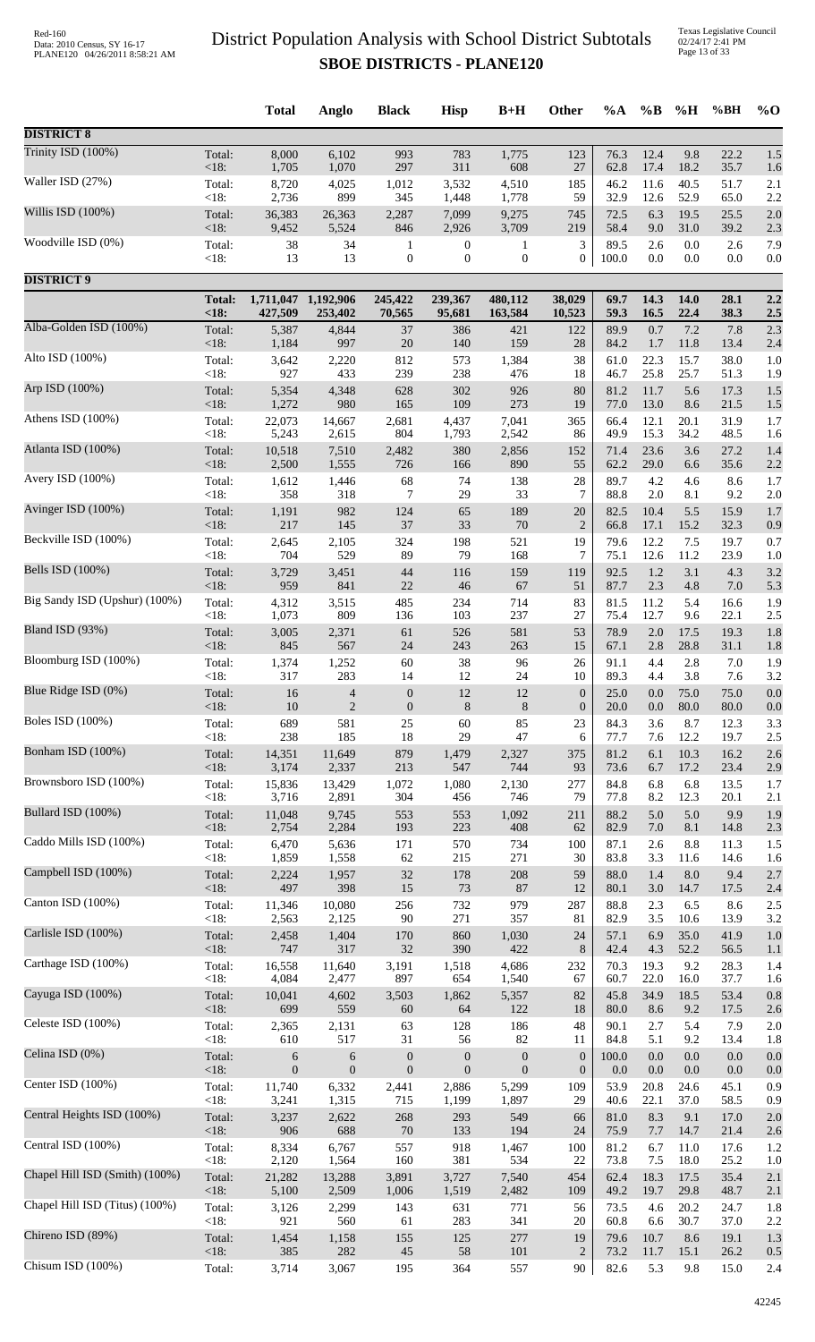Texas Legislative Council 02/24/17 2:41 PM Page 13 of 33

|                                |                   | <b>Total</b>    | Anglo            | <b>Black</b>     | <b>Hisp</b>      | $B+H$            | <b>Other</b>     | $\%A$        | $\%B$        | %H          | %BH          | $\%$ O     |
|--------------------------------|-------------------|-----------------|------------------|------------------|------------------|------------------|------------------|--------------|--------------|-------------|--------------|------------|
| <b>DISTRICT 8</b>              |                   |                 |                  |                  |                  |                  |                  |              |              |             |              |            |
| Trinity ISD (100%)             | Total:            | 8,000           | 6,102            | 993              | 783              | 1,775            | 123              | 76.3         | 12.4         | 9.8         | 22.2         | 1.5        |
| Waller ISD (27%)               | <18:              | 1,705           | 1,070            | 297              | 311              | 608              | 27               | 62.8         | 17.4         | 18.2        | 35.7         | 1.6        |
|                                | Total:            | 8,720           | 4,025            | 1,012            | 3,532            | 4,510            | 185              | 46.2         | 11.6         | 40.5        | 51.7         | 2.1        |
| Willis ISD (100%)              | <18:              | 2,736           | 899              | 345              | 1,448            | 1,778            | 59               | 32.9         | 12.6         | 52.9        | 65.0         | 2.2        |
|                                | Total:            | 36,383          | 26,363           | 2,287            | 7,099            | 9,275            | 745              | 72.5         | 6.3          | 19.5        | 25.5         | 2.0        |
| Woodville ISD (0%)             | <18:              | 9,452           | 5,524            | 846              | 2,926            | 3,709            | 219              | 58.4         | 9.0          | 31.0        | 39.2         | 2.3        |
|                                | Total:            | 38              | 34               | 1                | $\boldsymbol{0}$ | $\mathbf{1}$     | 3                | 89.5         | 2.6          | 0.0         | 2.6          | 7.9        |
|                                | <18:              | 13              | 13               | $\boldsymbol{0}$ | $\boldsymbol{0}$ | $\boldsymbol{0}$ | $\boldsymbol{0}$ | 100.0        | 0.0          | 0.0         | 0.0          | 0.0        |
| <b>DISTRICT 9</b>              |                   |                 |                  |                  |                  |                  |                  |              |              |             |              |            |
|                                | <b>Total:</b>     | 1,711,047       | 1,192,906        | 245,422          | 239,367          | 480,112          | 38,029           | 69.7         | 14.3         | 14.0        | 28.1         | 2.2        |
|                                | < 18:             | 427,509         | 253,402          | 70,565           | 95,681           | 163,584          | 10,523           | 59.3         | 16.5         | 22.4        | 38.3         | 2.5        |
| Alba-Golden ISD (100%)         | Total:            | 5,387           | 4,844            | 37               | 386              | 421              | 122              | 89.9         | 0.7          | 7.2         | 7.8          | 2.3        |
|                                | $<18$ :           | 1,184           | 997              | $20\,$           | 140              | 159              | 28               | 84.2         | 1.7          | 11.8        | 13.4         | 2.4        |
| Alto ISD (100%)                | Total:            | 3,642           | 2,220            | 812              | 573              | 1,384            | 38               | 61.0         | 22.3         | 15.7        | 38.0         | 1.0        |
|                                | <18:              | 927             | 433              | 239              | 238              | 476              | 18               | 46.7         | 25.8         | 25.7        | 51.3         | 1.9        |
| Arp ISD (100%)                 | Total:<br>$<18$ : | 5,354           | 4,348            | 628              | 302              | 926              | 80               | 81.2         | 11.7         | 5.6         | 17.3         | 1.5        |
| Athens ISD (100%)              | Total:            | 1,272<br>22,073 | 980<br>14,667    | 165<br>2,681     | 109<br>4,437     | 273<br>7,041     | 19<br>365        | 77.0<br>66.4 | 13.0<br>12.1 | 8.6<br>20.1 | 21.5<br>31.9 | 1.5<br>1.7 |
| Atlanta ISD (100%)             | <18:              | 5,243           | 2,615            | 804              | 1,793            | 2,542            | 86               | 49.9         | 15.3         | 34.2        | 48.5         | 1.6        |
|                                | Total:            | 10,518          | 7,510            | 2,482            | 380              | 2,856            | 152              | 71.4         | 23.6         | 3.6         | 27.2         | 1.4        |
| Avery ISD (100%)               | <18:              | 2,500           | 1,555            | 726              | 166              | 890              | 55               | 62.2         | 29.0         | 6.6         | 35.6         | 2.2        |
|                                | Total:            | 1,612           | 1,446            | 68               | 74               | 138              | 28               | 89.7         | 4.2          | 4.6         | 8.6          | 1.7        |
|                                | <18:              | 358             | 318              | 7                | 29               | 33               | 7                | 88.8         | 2.0          | 8.1         | 9.2          | 2.0        |
| Avinger ISD (100%)             | Total:            | 1,191           | 982              | 124              | 65               | 189              | 20               | 82.5         | 10.4         | 5.5         | 15.9         | 1.7        |
|                                | <18:              | 217             | 145              | 37               | 33               | $70\,$           | $\overline{2}$   | 66.8         | 17.1         | 15.2        | 32.3         | 0.9        |
| Beckville ISD (100%)           | Total:            | 2,645           | 2,105            | 324              | 198              | 521              | 19               | 79.6         | 12.2         | 7.5         | 19.7         | 0.7        |
|                                | < 18:             | 704             | 529              | 89               | 79               | 168              | 7                | 75.1         | 12.6         | 11.2        | 23.9         | 1.0        |
| Bells ISD (100%)               | Total:            | 3,729           | 3,451            | 44               | 116              | 159              | 119              | 92.5         | 1.2          | 3.1         | 4.3          | 3.2        |
|                                | <18:              | 959             | 841              | 22               | 46               | 67               | 51               | 87.7         | 2.3          | 4.8         | 7.0          | 5.3        |
| Big Sandy ISD (Upshur) (100%)  | Total:            | 4,312           | 3,515            | 485              | 234              | 714              | 83               | 81.5         | 11.2         | 5.4         | 16.6         | 1.9        |
|                                | <18:              | 1,073           | 809              | 136              | 103              | 237              | 27               | 75.4         | 12.7         | 9.6         | 22.1         | 2.5        |
| Bland ISD (93%)                | Total:            | 3,005           | 2,371            | 61               | 526              | 581              | 53               | 78.9         | 2.0          | 17.5        | 19.3         | 1.8        |
|                                | <18:              | 845             | 567              | 24               | 243              | 263              | 15               | 67.1         | 2.8          | 28.8        | 31.1         | 1.8        |
| Bloomburg ISD (100%)           | Total:            | 1,374           | 1,252            | 60               | 38               | 96               | 26               | 91.1         | 4.4          | 2.8         | 7.0          | 1.9        |
| Blue Ridge ISD (0%)            | $<18$ :           | 317             | 283              | 14               | 12               | 24               | 10               | 89.3         | 4.4          | 3.8         | 7.6          | 3.2        |
|                                | Total:            | 16              | $\overline{4}$   | $\overline{0}$   | 12               | $12\,$           | $\boldsymbol{0}$ | 25.0         | $0.0\,$      | 75.0        | 75.0         | 0.0        |
| <b>Boles ISD</b> (100%)        | $<18$ :           | 10              | $\overline{2}$   | $\boldsymbol{0}$ | 8                | $\,8\,$          | $\boldsymbol{0}$ | 20.0         | 0.0          | 80.0        | 80.0         | 0.0        |
|                                | Total:            | 689             | 581              | 25               | 60               | 85               | 23               | 84.3         | 3.6          | 8.7         | 12.3         | 3.3        |
| Bonham ISD (100%)              | $<18$ :           | 238             | 185              | 18               | 29               | 47               | 6                | 77.7         | 7.6          | 12.2        | 19.7         | 2.5        |
|                                | Total:            | 14,351          | 11,649           | 879              | 1,479            | 2,327            | 375              | 81.2         | 6.1          | 10.3        | 16.2         | 2.6        |
| Brownsboro ISD (100%)          | <18:              | 3,174           | 2,337            | 213              | 547              | 744              | 93               | 73.6         | 6.7          | 17.2        | 23.4         | 2.9        |
|                                | Total:            | 15,836          | 13,429           | 1,072            | 1,080            | 2,130            | 277              | 84.8         | 6.8          | 6.8         | 13.5         | 1.7        |
| Bullard ISD (100%)             | <18:              | 3,716           | 2,891            | 304              | 456              | 746              | 79               | 77.8         | 8.2          | 12.3        | 20.1         | 2.1        |
|                                | Total:            | 11,048          | 9,745            | 553              | 553              | 1,092            | 211              | 88.2         | 5.0          | 5.0         | 9.9          | 1.9        |
| Caddo Mills ISD (100%)         | <18:              | 2,754           | 2,284            | 193              | 223              | 408              | 62               | 82.9         | 7.0          | 8.1         | 14.8         | 2.3        |
|                                | Total:            | 6,470           | 5,636            | 171              | 570              | 734              | 100              | 87.1         | 2.6          | 8.8         | 11.3         | 1.5        |
|                                | < 18:             | 1,859           | 1,558            | 62               | 215              | 271              | 30               | 83.8         | 3.3          | 11.6        | 14.6         | 1.6        |
| Campbell ISD (100%)            | Total:            | 2,224           | 1,957            | 32               | 178              | 208              | 59               | 88.0         | 1.4          | $8.0\,$     | 9.4          | 2.7        |
|                                | <18:              | 497             | 398              | 15               | 73               | 87               | 12               | 80.1         | 3.0          | 14.7        | 17.5         | 2.4        |
| Canton ISD (100%)              | Total:            | 11,346          | 10,080           | 256              | 732              | 979              | 287              | 88.8         | 2.3          | 6.5         | 8.6          | 2.5        |
|                                | < 18:             | 2,563           | 2,125            | 90               | 271              | 357              | 81               | 82.9         | 3.5          | 10.6        | 13.9         | 3.2        |
| Carlisle ISD (100%)            | Total:            | 2,458           | 1,404            | 170              | 860              | 1,030            | 24               | 57.1         | 6.9          | 35.0        | 41.9         | 1.0        |
|                                | $<18$ :           | 747             | 317              | 32               | 390              | 422              | 8                | 42.4         | 4.3          | 52.2        | 56.5         | 1.1        |
| Carthage ISD (100%)            | Total:            | 16,558          | 11,640           | 3,191            | 1,518            | 4,686            | 232              | 70.3         | 19.3         | 9.2         | 28.3         | 1.4        |
|                                | < 18:             | 4,084           | 2,477            | 897              | 654              | 1,540            | 67               | 60.7         | 22.0         | 16.0        | 37.7         | 1.6        |
| Cayuga ISD (100%)              | Total:<br><18:    | 10,041<br>699   | 4,602<br>559     | 3,503<br>60      | 1,862<br>64      | 5,357<br>122     | 82<br>18         | 45.8<br>80.0 | 34.9<br>8.6  | 18.5<br>9.2 | 53.4<br>17.5 | 0.8        |
| Celeste ISD (100%)             | Total:            | 2,365           | 2,131            | 63               | 128              | 186              | 48               | 90.1         | 2.7          | 5.4         | 7.9          | 2.6<br>2.0 |
| Celina ISD (0%)                | <18:              | 610             | 517              | 31               | 56               | 82               | 11               | 84.8         | 5.1          | 9.2         | 13.4         | 1.8        |
|                                | Total:            | 6               | 6                | $\boldsymbol{0}$ | $\boldsymbol{0}$ | $\boldsymbol{0}$ | $\boldsymbol{0}$ | 100.0        | 0.0          | $0.0\,$     | 0.0          | 0.0        |
| Center ISD (100%)              | $<18$ :           | $\mathbf{0}$    | $\boldsymbol{0}$ | $\mathbf{0}$     | $\boldsymbol{0}$ | $\boldsymbol{0}$ | $\boldsymbol{0}$ | 0.0          | 0.0          | 0.0         | 0.0          | 0.0        |
|                                | Total:            | 11,740          | 6,332            | 2,441            | 2,886            | 5,299            | 109              | 53.9         | 20.8         | 24.6        | 45.1         | 0.9        |
| Central Heights ISD (100%)     | < 18:             | 3,241           | 1,315            | 715              | 1,199            | 1,897            | 29               | 40.6         | 22.1         | 37.0        | 58.5         | 0.9        |
|                                | Total:            | 3,237           | 2,622            | 268              | 293              | 549              | 66               | 81.0         | 8.3          | 9.1         | 17.0         | 2.0        |
| Central ISD (100%)             | < 18:             | 906             | 688              | 70               | 133              | 194              | 24               | 75.9         | 7.7          | 14.7        | 21.4         | 2.6        |
|                                | Total:            | 8,334           | 6,767            | 557              | 918              | 1,467            | 100              | 81.2         | 6.7          | 11.0        | 17.6         | 1.2        |
|                                | <18:              | 2,120           | 1,564            | 160              | 381              | 534              | 22               | 73.8         | 7.5          | 18.0        | 25.2         | 1.0        |
| Chapel Hill ISD (Smith) (100%) | Total:            | 21,282          | 13,288           | 3,891            | 3,727            | 7,540            | 454              | 62.4         | 18.3         | 17.5        | 35.4         | 2.1        |
|                                | <18:              | 5,100           | 2,509            | 1,006            | 1,519            | 2,482            | 109              | 49.2         | 19.7         | 29.8        | 48.7         | 2.1        |
| Chapel Hill ISD (Titus) (100%) | Total:            | 3,126           | 2,299            | 143              | 631              | 771              | 56               | 73.5         | 4.6          | 20.2        | 24.7         | 1.8        |
|                                | $<18$ :           | 921             | 560              | 61               | 283              | 341              | 20               | 60.8         | 6.6          | 30.7        | 37.0         | 2.2        |
| Chireno ISD (89%)              | Total:            | 1,454           | 1,158            | 155              | 125              | 277              | 19               | 79.6         | 10.7         | 8.6         | 19.1         | 1.3        |
|                                | <18:              | 385             | 282              | $45\,$           | 58               | 101              | $\overline{c}$   | 73.2         | 11.7         | 15.1        | 26.2         | 0.5        |
| Chisum ISD (100%)              | Total:            | 3,714           | 3,067            | 195              | 364              | 557              | 90               | 82.6         | 5.3          | 9.8         | 15.0         | 2.4        |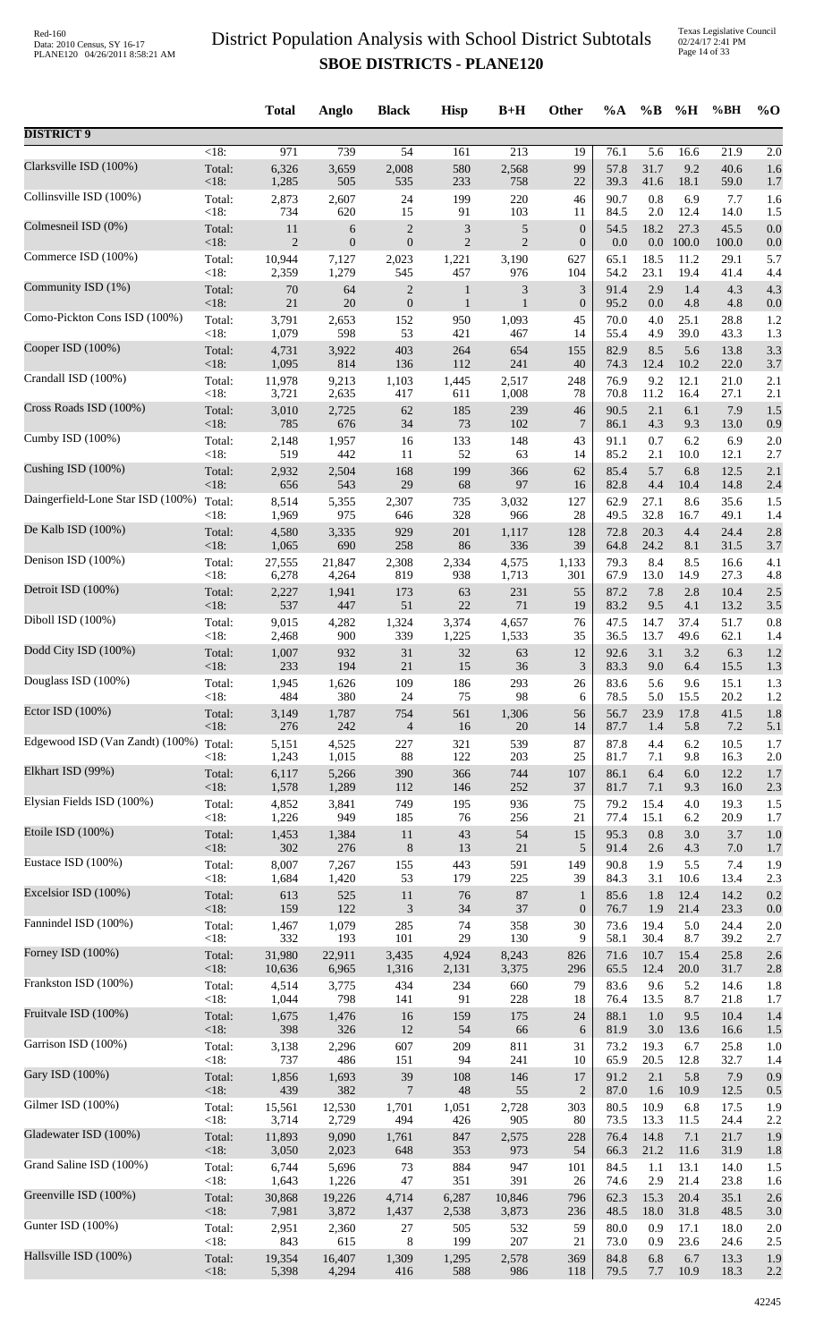Texas Legislative Council 02/24/17 2:41 PM Page 14 of 33

|                                   |         | <b>Total</b> | Anglo            | <b>Black</b>                | <b>Hisp</b>    | $B+H$          | Other            | %A   | $\%$ B           | %H    | %BH     | $%$ <sup>O</sup> |
|-----------------------------------|---------|--------------|------------------|-----------------------------|----------------|----------------|------------------|------|------------------|-------|---------|------------------|
| <b>DISTRICT 9</b>                 |         |              |                  |                             |                |                |                  |      |                  |       |         |                  |
| Clarksville ISD (100%)            | $<18$ : | 971          | 739              | 54                          | 161            | 213            | $\overline{19}$  | 76.1 | $\overline{5.6}$ | 16.6  | 21.9    | 2.0              |
|                                   | Total:  | 6,326        | 3,659            | 2,008                       | 580            | 2,568          | 99               | 57.8 | 31.7             | 9.2   | 40.6    | 1.6              |
|                                   | <18:    | 1,285        | 505              | 535                         | 233            | 758            | 22               | 39.3 | 41.6             | 18.1  | 59.0    | 1.7              |
| Collinsville ISD (100%)           | Total:  | 2,873        | 2,607            | 24                          | 199            | 220            | 46               | 90.7 | 0.8              | 6.9   | 7.7     | 1.6              |
|                                   | <18:    | 734          | 620              | 15                          | 91             | 103            | 11               | 84.5 | $2.0\,$          | 12.4  | 14.0    | 1.5              |
| Colmesneil ISD (0%)               | Total:  | 11           | 6                | $\sqrt{2}$                  | 3              | 5              | $\boldsymbol{0}$ | 54.5 | 18.2             | 27.3  | 45.5    | 0.0              |
|                                   | <18:    | 2            | $\boldsymbol{0}$ | $\boldsymbol{0}$            | $\overline{2}$ | $\overline{c}$ | $\mathbf{0}$     | 0.0  | $0.0\,$          | 100.0 | 100.0   | 0.0              |
| Commerce ISD (100%)               | Total:  | 10,944       | 7,127            | 2,023                       | 1,221          | 3,190          | 627              | 65.1 | 18.5             | 11.2  | 29.1    | 5.7              |
| Community ISD (1%)                | <18:    | 2,359        | 1,279            | 545                         | 457            | 976            | 104              | 54.2 | 23.1             | 19.4  | 41.4    | 4.4              |
|                                   | Total:  | 70           | 64               | $\overline{2}$              | $\mathbf{1}$   | 3              | $\mathfrak{Z}$   | 91.4 | 2.9              | 1.4   | 4.3     | 4.3              |
| Como-Pickton Cons ISD (100%)      | <18:    | $21\,$       | 20               | $\boldsymbol{0}$            | $\mathbf{1}$   | $\mathbf{1}$   | $\boldsymbol{0}$ | 95.2 | 0.0              | 4.8   | 4.8     | 0.0              |
|                                   | Total:  | 3,791        | 2,653            | 152                         | 950            | 1,093          | 45               | 70.0 | 4.0              | 25.1  | 28.8    | 1.2              |
| Cooper ISD (100%)                 | <18:    | 1,079        | 598              | 53                          | 421            | 467            | 14               | 55.4 | 4.9              | 39.0  | 43.3    | 1.3              |
|                                   | Total:  | 4,731        | 3,922            | 403                         | 264            | 654            | 155              | 82.9 | 8.5              | 5.6   | 13.8    | 3.3              |
| Crandall ISD (100%)               | $<18$ : | 1,095        | 814              | 136                         | 112            | 241            | 40               | 74.3 | 12.4             | 10.2  | 22.0    | 3.7              |
|                                   | Total:  | 11,978       | 9,213            | 1,103                       | 1,445          | 2,517          | 248              | 76.9 | 9.2              | 12.1  | 21.0    | 2.1              |
|                                   | <18:    | 3,721        | 2,635            | 417                         | 611            | 1,008          | 78               | 70.8 | 11.2             | 16.4  | 27.1    | 2.1              |
| Cross Roads ISD (100%)            | Total:  | 3,010        | 2,725            | 62                          | 185            | 239            | 46               | 90.5 | 2.1              | 6.1   | 7.9     | 1.5              |
|                                   | <18:    | 785          | 676              | 34                          | 73             | 102            | $\overline{7}$   | 86.1 | 4.3              | 9.3   | 13.0    | 0.9              |
| Cumby ISD (100%)                  | Total:  | 2,148        | 1,957            | 16                          | 133            | 148            | 43               | 91.1 | 0.7              | 6.2   | 6.9     | 2.0              |
|                                   | <18:    | 519          | 442              | 11                          | 52             | 63             | 14               | 85.2 | 2.1              | 10.0  | 12.1    | 2.7              |
| Cushing ISD (100%)                | Total:  | 2,932        | 2,504            | 168                         | 199            | 366            | 62               | 85.4 | 5.7              | 6.8   | 12.5    | 2.1              |
|                                   | <18:    | 656          | 543              | 29                          | 68             | 97             | 16               | 82.8 | 4.4              | 10.4  | 14.8    | 2.4              |
| Daingerfield-Lone Star ISD (100%) | Total:  | 8,514        | 5,355            | 2,307                       | 735            | 3,032          | 127              | 62.9 | 27.1             | 8.6   | 35.6    | 1.5              |
| De Kalb ISD (100%)                | $<18$ : | 1,969        | 975              | 646                         | 328            | 966            | 28               | 49.5 | 32.8             | 16.7  | 49.1    | 1.4              |
|                                   | Total:  | 4,580        | 3,335            | 929                         | 201            | 1,117          | 128              | 72.8 | 20.3             | 4.4   | 24.4    | 2.8              |
| Denison ISD (100%)                | <18:    | 1,065        | 690              | 258                         | 86             | 336            | 39               | 64.8 | 24.2             | 8.1   | 31.5    | 3.7              |
|                                   | Total:  | 27,555       | 21,847           | 2,308                       | 2,334          | 4,575          | 1,133            | 79.3 | 8.4              | 8.5   | 16.6    | 4.1              |
|                                   | <18:    | 6,278        | 4,264            | 819                         | 938            | 1,713          | 301              | 67.9 | 13.0             | 14.9  | 27.3    | 4.8              |
| Detroit ISD (100%)                | Total:  | 2,227        | 1,941            | 173                         | 63             | 231            | 55               | 87.2 | 7.8              | 2.8   | 10.4    | 2.5              |
|                                   | <18:    | 537          | 447              | 51                          | 22             | 71             | 19               | 83.2 | 9.5              | 4.1   | 13.2    | 3.5              |
| Diboll ISD (100%)                 | Total:  | 9,015        | 4,282            | 1,324                       | 3,374          | 4,657          | 76               | 47.5 | 14.7             | 37.4  | 51.7    | 0.8              |
|                                   | $<18$ : | 2,468        | 900              | 339                         | 1,225          | 1,533          | 35               | 36.5 | 13.7             | 49.6  | 62.1    | 1.4              |
| Dodd City ISD (100%)              | Total:  | 1,007        | 932              | 31                          | 32             | 63             | 12               | 92.6 | 3.1              | 3.2   | 6.3     | 1.2              |
|                                   | <18:    | 233          | 194              | $21\,$                      | 15             | 36             | $\mathfrak{Z}$   | 83.3 | 9.0              | 6.4   | 15.5    | 1.3              |
| Douglass ISD (100%)               | Total:  | 1,945        | 1,626            | 109                         | 186            | 293            | 26               | 83.6 | 5.6              | 9.6   | 15.1    | 1.3              |
| Ector ISD (100%)                  | < 18:   | 484          | 380              | 24                          | 75             | 98             | 6                | 78.5 | 5.0              | 15.5  | 20.2    | 1.2              |
|                                   | Total:  | 3,149        | 1,787            | 754                         | 561            | 1,306          | 56               | 56.7 | 23.9             | 17.8  | 41.5    | 1.8              |
| Edgewood ISD (Van Zandt) (100%)   | < 18:   | 276          | 242              | $\overline{4}$              | 16             | 20             | 14               | 87.7 | 1.4              | 5.8   | 7.2     | 5.1              |
|                                   | Total:  | 5,151        | 4,525            | 227                         | 321            | 539            | 87               | 87.8 | 4.4              | 6.2   | 10.5    | 1.7              |
| Elkhart ISD (99%)                 | < 18:   | 1,243        | 1,015            | 88                          | 122            | 203            | 25               | 81.7 | 7.1              | 9.8   | 16.3    | 2.0              |
|                                   | Total:  | 6,117        | 5,266            | 390                         | 366            | 744            | 107              | 86.1 | 6.4              | 6.0   | 12.2    | 1.7              |
|                                   | $<18$ : | 1,578        | 1,289            | 112                         | 146            | 252            | 37               | 81.7 | 7.1              | 9.3   | 16.0    | 2.3              |
| Elysian Fields ISD (100%)         | Total:  | 4,852        | 3,841            | 749                         | 195            | 936            | 75               | 79.2 | 15.4             | 4.0   | 19.3    | 1.5              |
|                                   | <18:    | 1,226        | 949              | 185                         | 76             | 256            | 21               | 77.4 | 15.1             | 6.2   | 20.9    | 1.7              |
| Etoile ISD (100%)                 | Total:  | 1,453        | 1,384            | 11                          | $43\,$         | 54             | 15               | 95.3 | $0.8\,$          | 3.0   | 3.7     | 1.0              |
|                                   | < 18:   | 302          | 276              | $\,8\,$                     | 13             | 21             | 5                | 91.4 | 2.6              | 4.3   | $7.0\,$ | 1.7              |
| Eustace ISD (100%)                | Total:  | 8,007        | 7,267            | 155                         | 443            | 591            | 149              | 90.8 | 1.9              | 5.5   | 7.4     | 1.9              |
|                                   | <18:    | 1,684        | 1,420            | 53                          | 179            | 225            | 39               | 84.3 | 3.1              | 10.6  | 13.4    | 2.3              |
| Excelsior ISD (100%)              | Total:  | 613          | 525              | $11\,$                      | 76             | 87             | $\mathbf{1}$     | 85.6 | 1.8              | 12.4  | 14.2    | 0.2              |
| Fannindel ISD (100%)              | <18:    | 159          | 122              | $\ensuremath{\mathfrak{Z}}$ | 34             | 37             | $\boldsymbol{0}$ | 76.7 | 1.9              | 21.4  | 23.3    | 0.0              |
|                                   | Total:  | 1,467        | 1,079            | 285                         | 74             | 358            | 30               | 73.6 | 19.4             | 5.0   | 24.4    | 2.0              |
| Forney ISD (100%)                 | <18:    | 332          | 193              | 101                         | 29             | 130            | 9                | 58.1 | 30.4             | 8.7   | 39.2    | 2.7              |
|                                   | Total:  | 31,980       | 22,911           | 3,435                       | 4,924          | 8,243          | 826              | 71.6 | 10.7             | 15.4  | 25.8    | 2.6              |
| Frankston ISD (100%)              | <18:    | 10,636       | 6,965            | 1,316                       | 2,131          | 3,375          | 296              | 65.5 | 12.4             | 20.0  | 31.7    | 2.8              |
|                                   | Total:  | 4,514        | 3,775            | 434                         | 234            | 660            | 79               | 83.6 | 9.6              | 5.2   | 14.6    | 1.8              |
|                                   | <18:    | 1,044        | 798              | 141                         | 91             | 228            | 18               | 76.4 | 13.5             | 8.7   | 21.8    | 1.7              |
| Fruitvale ISD (100%)              | Total:  | 1,675        | 1,476            | 16                          | 159            | 175            | 24               | 88.1 | 1.0              | 9.5   | 10.4    | 1.4              |
|                                   | <18:    | 398          | 326              | 12                          | 54             | 66             | 6                | 81.9 | 3.0              | 13.6  | 16.6    | 1.5              |
| Garrison ISD (100%)               | Total:  | 3,138        | 2,296            | 607                         | 209            | 811            | 31               | 73.2 | 19.3             | 6.7   | 25.8    | 1.0              |
|                                   | <18:    | 737          | 486              | 151                         | 94             | 241            | 10               | 65.9 | 20.5             | 12.8  | 32.7    | 1.4              |
| Gary ISD (100%)                   | Total:  | 1,856        | 1,693            | 39                          | 108            | 146            | 17               | 91.2 | 2.1              | 5.8   | 7.9     | 0.9              |
|                                   | $<18$ : | 439          | 382              | $\overline{7}$              | $\sqrt{48}$    | 55             | $\overline{2}$   | 87.0 | 1.6              | 10.9  | 12.5    | 0.5              |
| Gilmer ISD (100%)                 | Total:  | 15,561       | 12,530           | 1,701                       | 1,051          | 2,728          | 303              | 80.5 | 10.9             | 6.8   | 17.5    | 1.9              |
| Gladewater ISD (100%)             | <18:    | 3,714        | 2,729            | 494                         | 426            | 905            | 80               | 73.5 | 13.3             | 11.5  | 24.4    | 2.2              |
|                                   | Total:  | 11,893       | 9,090            | 1,761                       | 847            | 2,575          | 228              | 76.4 | 14.8             | 7.1   | 21.7    | 1.9              |
| Grand Saline ISD (100%)           | <18:    | 3,050        | 2,023            | 648                         | 353            | 973            | 54               | 66.3 | 21.2             | 11.6  | 31.9    | 1.8              |
|                                   | Total:  | 6,744        | 5,696            | 73                          | 884            | 947            | 101              | 84.5 | 1.1              | 13.1  | 14.0    | 1.5              |
| Greenville ISD (100%)             | <18:    | 1,643        | 1,226            | 47                          | 351            | 391            | 26               | 74.6 | 2.9              | 21.4  | 23.8    | 1.6              |
|                                   | Total:  | 30,868       | 19,226           | 4,714                       | 6,287          | 10,846         | 796              | 62.3 | 15.3             | 20.4  | 35.1    | 2.6              |
|                                   | <18:    | 7,981        | 3,872            | 1,437                       | 2,538          | 3,873          | 236              | 48.5 | 18.0             | 31.8  | 48.5    | 3.0              |
| Gunter ISD (100%)                 | Total:  | 2,951        | 2,360            | $27\,$                      | 505            | 532            | 59               | 80.0 | 0.9              | 17.1  | 18.0    | 2.0              |
|                                   | <18:    | 843          | 615              | 8                           | 199            | 207            | 21               | 73.0 | 0.9              | 23.6  | 24.6    | 2.5              |
| Hallsville ISD (100%)             | Total:  | 19,354       | 16,407           | 1,309                       | 1,295          | 2,578          | 369              | 84.8 | 6.8              | 6.7   | 13.3    | 1.9              |
|                                   | <18:    | 5,398        | 4,294            | 416                         | 588            | 986            | 118              | 79.5 | 7.7              | 10.9  | 18.3    | 2.2              |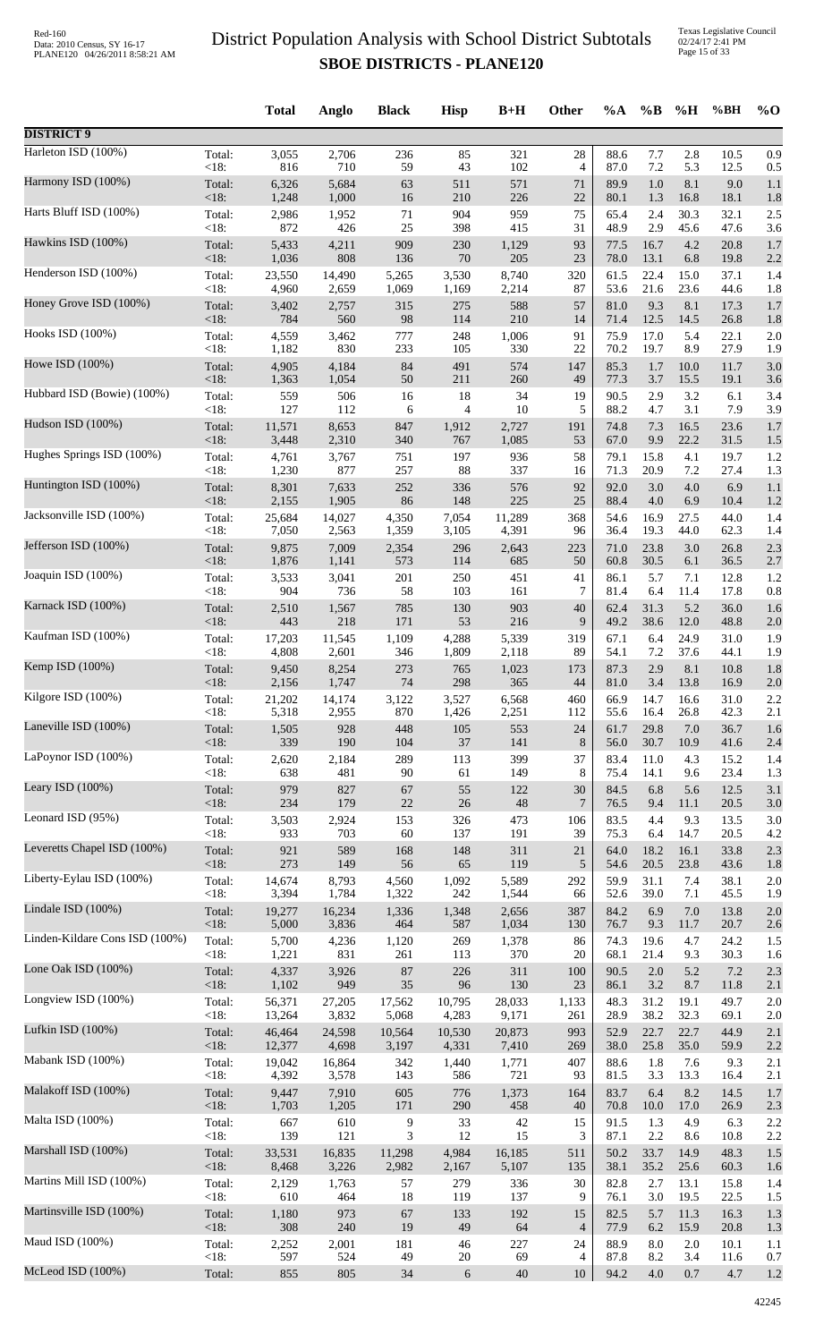Texas Legislative Council 02/24/17 2:41 PM Page 15 of 33

|                                |                 | <b>Total</b>  | Anglo        | <b>Black</b> | <b>Hisp</b>      | $B+H$        | Other          | $\%A$        | $\%B$        | %H          | %BH          | $%$ O      |
|--------------------------------|-----------------|---------------|--------------|--------------|------------------|--------------|----------------|--------------|--------------|-------------|--------------|------------|
| <b>DISTRICT 9</b>              |                 |               |              |              |                  |              |                |              |              |             |              |            |
| Harleton ISD (100%)            | Total:          | 3,055         | 2,706        | 236          | 85               | 321          | $28\,$         | 88.6         | 7.7          | 2.8         | 10.5         | 0.9        |
| Harmony ISD (100%)             | < 18:           | 816           | 710          | 59           | 43               | 102          | $\overline{4}$ | 87.0         | 7.2          | 5.3         | 12.5         | 0.5        |
|                                | Total:          | 6,326         | 5,684        | 63           | 511              | 571          | $71\,$         | 89.9         | 1.0          | 8.1         | 9.0          | 1.1        |
|                                | < 18:           | 1,248         | 1,000        | 16           | 210              | 226          | 22             | 80.1         | 1.3          | 16.8        | 18.1         | 1.8        |
| Harts Bluff ISD (100%)         | Total:          | 2,986         | 1,952        | $71\,$       | 904              | 959          | 75             | 65.4         | 2.4          | 30.3        | 32.1         | 2.5        |
|                                | < 18:           | 872           | 426          | 25           | 398              | 415          | 31             | 48.9         | 2.9          | 45.6        | 47.6         | 3.6        |
| Hawkins ISD (100%)             | Total:          | 5,433         | 4,211        | 909          | 230              | 1,129        | 93             | 77.5         | 16.7         | 4.2         | 20.8         | 1.7        |
|                                | <18:            | 1,036         | 808          | 136          | $70\,$           | 205          | 23             | 78.0         | 13.1         | 6.8         | 19.8         | 2.2        |
| Henderson ISD (100%)           | Total:          | 23,550        | 14,490       | 5,265        | 3,530            | 8,740        | 320            | 61.5         | 22.4         | 15.0        | 37.1         | 1.4        |
| Honey Grove ISD (100%)         | < 18:           | 4,960         | 2,659        | 1,069        | 1,169            | 2,214        | 87             | 53.6         | 21.6         | 23.6        | 44.6         | 1.8        |
|                                | Total:          | 3,402         | 2,757        | 315          | 275              | 588          | 57             | 81.0         | 9.3          | 8.1         | 17.3         | 1.7        |
|                                | < 18:           | 784           | 560          | 98           | 114              | 210          | 14             | 71.4         | 12.5         | 14.5        | 26.8         | 1.8        |
| Hooks ISD (100%)               | Total:          | 4,559         | 3,462        | 777          | 248              | 1,006        | 91             | 75.9         | 17.0         | 5.4         | 22.1         | 2.0        |
|                                | < 18:           | 1,182         | 830          | 233          | 105              | 330          | 22             | 70.2         | 19.7         | 8.9         | 27.9         | 1.9        |
| Howe ISD (100%)                | Total:          | 4,905         | 4,184        | 84           | 491              | 574          | 147            | 85.3         | 1.7          | 10.0        | 11.7         | 3.0        |
|                                | <18:            | 1,363         | 1,054        | 50           | 211              | 260          | 49             | 77.3         | 3.7          | 15.5        | 19.1         | 3.6        |
| Hubbard ISD (Bowie) (100%)     | Total:          | 559           | 506          | 16           | 18               | 34           | 19             | 90.5         | 2.9          | 3.2         | 6.1          | 3.4        |
| Hudson ISD (100%)              | < 18:           | 127           | 112          | 6            | 4                | 10           | 5              | 88.2         | 4.7          | 3.1         | 7.9          | 3.9        |
|                                | Total:          | 11,571        | 8,653        | 847          | 1,912            | 2,727        | 191            | 74.8         | 7.3          | 16.5        | 23.6         | 1.7        |
|                                | <18:            | 3,448         | 2,310        | 340          | 767              | 1,085        | 53             | 67.0         | 9.9          | 22.2        | 31.5         | 1.5        |
| Hughes Springs ISD (100%)      | Total:          | 4,761         | 3,767        | 751          | 197              | 936          | 58             | 79.1         | 15.8         | 4.1         | 19.7         | 1.2        |
|                                | < 18:           | 1,230         | 877          | 257          | 88               | 337          | 16             | 71.3         | 20.9         | 7.2         | 27.4         | 1.3        |
| Huntington ISD (100%)          | Total:          | 8,301         | 7,633        | 252          | 336              | 576          | 92             | 92.0         | 3.0          | $4.0\,$     | 6.9          | 1.1        |
|                                | <18:            | 2,155         | 1,905        | 86           | 148              | 225          | 25             | 88.4         | 4.0          | 6.9         | 10.4         | 1.2        |
| Jacksonville ISD (100%)        | Total:          | 25,684        | 14,027       | 4,350        | 7,054            | 11,289       | 368            | 54.6         | 16.9         | 27.5        | 44.0         | 1.4        |
| Jefferson ISD (100%)           | < 18:           | 7,050         | 2,563        | 1,359        | 3,105            | 4,391        | 96             | 36.4         | 19.3         | 44.0        | 62.3         | 1.4        |
|                                | Total:          | 9,875         | 7,009        | 2,354        | 296              | 2,643        | 223            | 71.0         | 23.8         | 3.0         | 26.8         | 2.3        |
|                                | <18:            | 1,876         | 1,141        | 573          | 114              | 685          | 50             | 60.8         | 30.5         | 6.1         | 36.5         | 2.7        |
| Joaquin ISD (100%)             | Total:          | 3,533         | 3,041        | 201          | 250              | 451          | 41             | 86.1         | 5.7          | 7.1         | 12.8         | 1.2        |
|                                | < 18:           | 904           | 736          | 58           | 103              | 161          | 7              | 81.4         | 6.4          | 11.4        | 17.8         | 0.8        |
| Karnack ISD (100%)             | Total:<br>< 18: | 2,510         | 1,567<br>218 | 785<br>171   | 130<br>53        | 903          | 40<br>9        | 62.4<br>49.2 | 31.3<br>38.6 | 5.2<br>12.0 | 36.0<br>48.8 | 1.6        |
| Kaufman ISD (100%)             | Total:          | 443<br>17,203 | 11,545       | 1,109        | 4,288            | 216<br>5,339 | 319            | 67.1         | 6.4          | 24.9        | 31.0         | 2.0<br>1.9 |
| Kemp ISD (100%)                | < 18:           | 4,808         | 2,601        | 346          | 1,809            | 2,118        | 89             | 54.1         | 7.2          | 37.6        | 44.1         | 1.9        |
|                                | Total:          | 9,450         | 8,254        | 273          | 765              | 1,023        | 173            | 87.3         | 2.9          | 8.1         | 10.8         | 1.8        |
|                                | $<18$ :         | 2,156         | 1,747        | 74           | 298              | 365          | 44             | 81.0         | 3.4          | 13.8        | 16.9         | 2.0        |
| Kilgore ISD (100%)             | Total:          | 21,202        | 14,174       | 3,122        | 3,527            | 6,568        | 460            | 66.9         | 14.7         | 16.6        | 31.0         | 2.2        |
|                                | <18:            | 5,318         | 2,955        | 870          | 1,426            | 2,251        | 112            | 55.6         | 16.4         | 26.8        | 42.3         | 2.1        |
| Laneville ISD (100%)           | Total:          | 1,505         | 928          | 448          | 105              | 553          | 24             | 61.7         | 29.8         | 7.0         | 36.7         | 1.6        |
| LaPoynor ISD (100%)            | <18:            | 339           | 190          | 104          | $37\,$           | 141          | $\,8\,$        | 56.0         | 30.7         | 10.9        | 41.6         | 2.4        |
|                                | Total:          | 2,620         | 2,184        | 289          | 113              | 399          | 37             | 83.4         | 11.0         | 4.3         | 15.2         | 1.4        |
| Leary ISD $(100\%)$            | < 18:           | 638           | 481          | $90\,$       | 61               | 149          | 8              | 75.4         | 14.1         | 9.6         | 23.4         | 1.3        |
|                                | Total:          | 979           | 827          | 67           | 55               | 122          | 30             | 84.5         | 6.8          | 5.6         | 12.5         | 3.1        |
|                                | $<18$ :         | 234           | 179          | $22\,$       | $26\,$           | 48           | 7              | 76.5         | 9.4          | 11.1        | 20.5         | 3.0        |
| Leonard ISD (95%)              | Total:          | 3,503         | 2,924        | 153          | 326              | 473          | 106            | 83.5         | 4.4          | 9.3         | 13.5         | 3.0        |
|                                | < 18:           | 933           | 703          | 60           | 137              | 191          | 39             | 75.3         | 6.4          | 14.7        | 20.5         | 4.2        |
| Leveretts Chapel ISD (100%)    | Total:          | 921           | 589          | 168          | 148              | 311          | $21\,$         | 64.0         | 18.2         | 16.1        | 33.8         | 2.3        |
|                                | <18:            | 273           | 149          | 56           | 65               | 119          | 5              | 54.6         | 20.5         | 23.8        | 43.6         | 1.8        |
| Liberty-Eylau ISD (100%)       | Total:          | 14,674        | 8,793        | 4,560        | 1,092            | 5,589        | 292            | 59.9         | 31.1         | 7.4         | 38.1         | 2.0        |
| Lindale ISD (100%)             | < 18:           | 3,394         | 1,784        | 1,322        | 242              | 1,544        | 66             | 52.6         | 39.0         | 7.1         | 45.5         | 1.9        |
|                                | Total:          | 19,277        | 16,234       | 1,336        | 1,348            | 2,656        | 387            | 84.2         | 6.9          | $7.0\,$     | 13.8         | 2.0        |
|                                | <18:            | 5,000         | 3,836        | 464          | 587              | 1,034        | 130            | 76.7         | 9.3          | 11.7        | 20.7         | 2.6        |
| Linden-Kildare Cons ISD (100%) | Total:          | 5,700         | 4,236        | 1,120        | 269              | 1,378        | 86             | 74.3         | 19.6         | 4.7         | 24.2         | 1.5        |
|                                | < 18:           | 1,221         | 831          | 261          | 113              | 370          | 20             | 68.1         | 21.4         | 9.3         | 30.3         | 1.6        |
| Lone Oak ISD (100%)            | Total:          | 4,337         | 3,926        | $87\,$       | 226              | 311          | 100            | 90.5         | $2.0\,$      | 5.2         | 7.2          | 2.3        |
|                                | <18:            | 1,102         | 949          | 35           | 96               | 130          | 23             | 86.1         | 3.2          | 8.7         | 11.8         | 2.1        |
| Longview ISD (100%)            | Total:          | 56,371        | 27,205       | 17,562       | 10,795           | 28,033       | 1,133          | 48.3         | 31.2         | 19.1        | 49.7         | 2.0        |
| Lufkin ISD (100%)              | <18:            | 13,264        | 3,832        | 5,068        | 4,283            | 9,171        | 261            | 28.9         | 38.2         | 32.3        | 69.1         | 2.0        |
|                                | Total:          | 46,464        | 24,598       | 10,564       | 10,530           | 20,873       | 993            | 52.9         | 22.7         | 22.7        | 44.9         | 2.1        |
|                                | <18:            | 12,377        | 4,698        | 3,197        | 4,331            | 7,410        | 269            | 38.0         | 25.8         | 35.0        | 59.9         | 2.2        |
| Mabank ISD (100%)              | Total:          | 19,042        | 16,864       | 342          | 1,440            | 1,771        | 407            | 88.6         | 1.8          | 7.6         | 9.3          | 2.1        |
|                                | < 18:           | 4,392         | 3,578        | 143          | 586              | 721          | 93             | 81.5         | 3.3          | 13.3        | 16.4         | 2.1        |
| Malakoff ISD (100%)            | Total:          | 9,447         | 7,910        | 605          | 776              | 1,373        | 164            | 83.7         | 6.4          | 8.2         | 14.5         | 1.7        |
|                                | < 18:           | 1,703         | 1,205        | 171          | 290              | 458          | 40             | 70.8         | 10.0         | 17.0        | 26.9         | 2.3        |
| Malta ISD (100%)               | Total:          | 667           | 610          | 9            | 33               | 42           | 15             | 91.5         | 1.3          | 4.9         | 6.3          | 2.2        |
| Marshall ISD (100%)            | <18:            | 139           | 121          | 3            | 12               | 15           | 3              | 87.1         | 2.2          | 8.6         | 10.8         | 2.2        |
|                                | Total:          | 33,531        | 16,835       | 11,298       | 4,984            | 16,185       | 511            | 50.2         | 33.7         | 14.9        | 48.3         | 1.5        |
|                                | <18:            | 8,468         | 3,226        | 2,982        | 2,167            | 5,107        | 135            | 38.1         | 35.2         | 25.6        | 60.3         | 1.6        |
| Martins Mill ISD (100%)        | Total:          | 2,129         | 1,763        | 57           | 279              | 336          | 30             | 82.8         | 2.7          | 13.1        | 15.8         | 1.4        |
|                                | < 18:           | 610           | 464          | 18           | 119              | 137          | 9              | 76.1         | 3.0          | 19.5        | 22.5         | 1.5        |
| Martinsville ISD (100%)        | Total:          | 1,180         | 973          | 67           | 133              | 192          | 15             | 82.5         | 5.7          | 11.3        | 16.3         | 1.3        |
|                                | <18:            | 308           | 240          | 19           | 49               | 64           | $\overline{4}$ | 77.9         | 6.2          | 15.9        | 20.8         | 1.3        |
| Maud ISD (100%)                | Total:          | 2,252         | 2,001        | 181          | $46\,$           | 227          | 24             | 88.9         | 8.0          | $2.0\,$     | 10.1         | 1.1        |
| McLeod ISD (100%)              | < 18:           | 597           | 524          | 49           | $20\,$           | 69           | 4              | 87.8         | 8.2          | 3.4         | 11.6         | 0.7        |
|                                | Total:          | 855           | 805          | 34           | $\boldsymbol{6}$ | 40           | 10             | 94.2         | 4.0          | 0.7         | 4.7          | 1.2        |
|                                |                 |               |              |              |                  |              |                |              |              |             |              |            |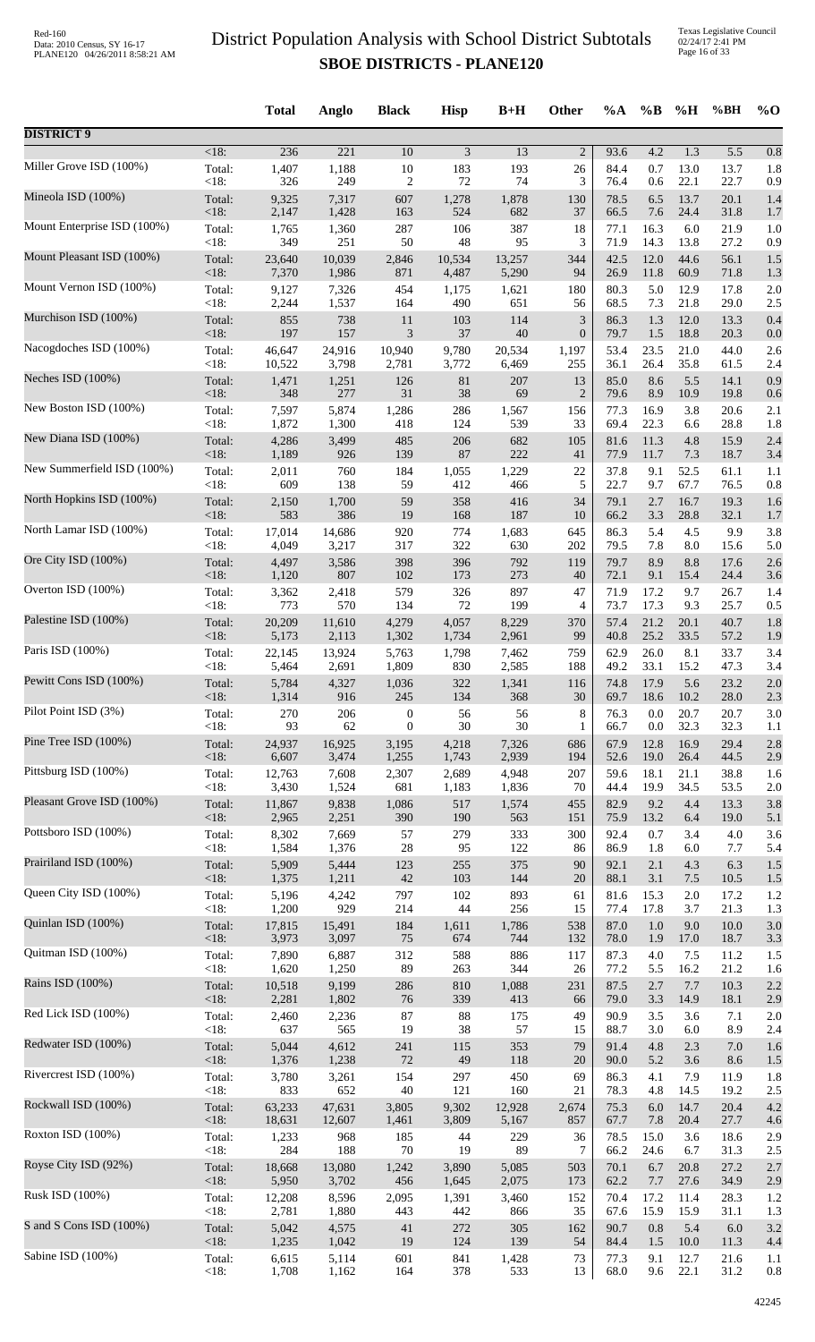Texas Legislative Council 02/24/17 2:41 PM Page 16 of 33

|                             |                    | <b>Total</b>   | Anglo                     | <b>Black</b>            | <b>Hisp</b> | $B+H$     | <b>Other</b>           | $\%A$        | $\%B$        | %H          | %BH          | $%$ <sup>O</sup> |
|-----------------------------|--------------------|----------------|---------------------------|-------------------------|-------------|-----------|------------------------|--------------|--------------|-------------|--------------|------------------|
| <b>DISTRICT 9</b>           |                    |                |                           |                         |             |           |                        |              |              |             |              |                  |
| Miller Grove ISD (100%)     | $\overline{<}18$ : | 236            | $\overline{221}$<br>1,188 | $\overline{10}$         | 3<br>183    | 13        | $\boldsymbol{2}$<br>26 | 93.6<br>84.4 | 4.2<br>0.7   | 1.3<br>13.0 | 5.5<br>13.7  | 0.8<br>1.8       |
|                             | Total:<br>< 18:    | 1,407<br>326   | 249                       | 10<br>$\overline{c}$    | 72          | 193<br>74 | 3                      | 76.4         | 0.6          | 22.1        | 22.7         | 0.9              |
| Mineola ISD (100%)          | Total:             | 9,325          | 7,317                     | 607                     | 1,278       | 1,878     | 130                    | 78.5         | 6.5          | 13.7        | 20.1         | 1.4              |
|                             | <18:               | 2,147          | 1,428                     | 163                     | 524         | 682       | 37                     | 66.5         | 7.6          | 24.4        | 31.8         | 1.7              |
| Mount Enterprise ISD (100%) | Total:             | 1,765          | 1,360                     | 287                     | 106         | 387       | 18                     | 77.1         | 16.3         | 6.0         | 21.9         | 1.0              |
|                             | < 18:              | 349            | 251                       | 50                      | 48          | 95        | 3                      | 71.9         | 14.3         | 13.8        | 27.2         | 0.9              |
| Mount Pleasant ISD (100%)   | Total:             | 23,640         | 10,039                    | 2,846                   | 10,534      | 13,257    | 344                    | 42.5         | 12.0         | 44.6        | 56.1         | 1.5              |
| Mount Vernon ISD (100%)     | <18:               | 7,370          | 1,986                     | 871                     | 4,487       | 5,290     | 94                     | 26.9         | 11.8         | 60.9        | 71.8         | 1.3              |
|                             | Total:             | 9,127          | 7,326                     | 454                     | 1,175       | 1,621     | 180                    | 80.3         | 5.0          | 12.9        | 17.8         | 2.0              |
| Murchison ISD (100%)        | < 18:              | 2,244          | 1,537                     | 164                     | 490         | 651       | 56                     | 68.5         | 7.3          | 21.8        | 29.0         | 2.5              |
|                             | Total:             | 855            | 738                       | 11                      | 103         | 114       | 3                      | 86.3         | 1.3          | 12.0        | 13.3         | 0.4              |
| Nacogdoches ISD (100%)      | <18:               | 197            | 157                       | $\mathfrak{Z}$          | 37          | 40        | $\boldsymbol{0}$       | 79.7         | 1.5          | 18.8        | 20.3         | 0.0              |
|                             | Total:             | 46,647         | 24,916                    | 10,940                  | 9,780       | 20,534    | 1,197                  | 53.4         | 23.5         | 21.0        | 44.0         | 2.6              |
|                             | < 18:              | 10,522         | 3,798                     | 2,781                   | 3,772       | 6,469     | 255                    | 36.1         | 26.4         | 35.8        | 61.5         | 2.4              |
| Neches ISD (100%)           | Total:             | 1,471          | 1,251                     | 126                     | 81          | 207       | 13                     | 85.0         | 8.6          | 5.5         | 14.1         | 0.9              |
|                             | $<18$ :            | 348            | 277                       | 31                      | 38          | 69        | $\overline{2}$         | 79.6         | 8.9          | 10.9        | 19.8         | 0.6              |
| New Boston ISD (100%)       | Total:             | 7,597          | 5,874                     | 1,286                   | 286         | 1,567     | 156                    | 77.3         | 16.9         | 3.8         | 20.6         | 2.1              |
|                             | < 18:              | 1,872          | 1,300                     | 418                     | 124         | 539       | 33                     | 69.4         | 22.3         | 6.6         | 28.8         | 1.8              |
| New Diana ISD (100%)        | Total:             | 4,286          | 3,499                     | 485                     | 206         | 682       | 105                    | 81.6         | 11.3         | 4.8         | 15.9         | 2.4              |
|                             | <18:               | 1,189          | 926                       | 139                     | 87          | 222       | 41                     | 77.9         | 11.7         | 7.3         | 18.7         | 3.4              |
| New Summerfield ISD (100%)  | Total:             | 2,011          | 760                       | 184                     | 1,055       | 1,229     | 22                     | 37.8         | 9.1          | 52.5        | 61.1         | 1.1              |
|                             | < 18:              | 609            | 138                       | 59                      | 412         | 466       | 5                      | 22.7         | 9.7          | 67.7        | 76.5         | 0.8              |
| North Hopkins ISD (100%)    | Total:             | 2,150          | 1,700                     | 59                      | 358         | 416       | 34                     | 79.1         | 2.7          | 16.7        | 19.3         | 1.6              |
| North Lamar ISD (100%)      | <18:               | 583            | 386                       | 19                      | 168         | 187       | 10                     | 66.2         | 3.3          | 28.8        | 32.1         | 1.7              |
|                             | Total:             | 17,014         | 14,686                    | 920                     | 774         | 1,683     | 645                    | 86.3         | 5.4          | 4.5         | 9.9          | 3.8              |
| Ore City ISD (100%)         | < 18:              | 4,049          | 3,217                     | 317                     | 322         | 630       | 202                    | 79.5         | 7.8          | 8.0         | 15.6         | 5.0              |
|                             | Total:             | 4,497          | 3,586                     | 398                     | 396         | 792       | 119                    | 79.7         | 8.9          | 8.8         | 17.6         | 2.6              |
| Overton ISD (100%)          | <18:               | 1,120          | 807                       | 102                     | 173         | 273       | 40                     | 72.1         | 9.1          | 15.4        | 24.4         | 3.6              |
|                             | Total:             | 3,362          | 2,418                     | 579                     | 326         | 897       | 47                     | 71.9         | 17.2         | 9.7         | 26.7         | 1.4              |
|                             | < 18:              | 773            | 570                       | 134                     | $72\,$      | 199       | 4                      | 73.7         | 17.3         | 9.3         | 25.7         | 0.5              |
| Palestine ISD (100%)        | Total:             | 20,209         | 11,610                    | 4,279                   | 4,057       | 8,229     | 370                    | 57.4         | 21.2         | 20.1        | 40.7         | 1.8              |
|                             | <18:               | 5,173          | 2,113                     | 1,302                   | 1,734       | 2,961     | 99                     | 40.8         | 25.2         | 33.5        | 57.2         | 1.9              |
| Paris ISD (100%)            | Total:             | 22,145         | 13,924                    | 5,763                   | 1,798       | 7,462     | 759                    | 62.9         | 26.0         | 8.1         | 33.7         | 3.4              |
|                             | <18:               | 5,464          | 2,691                     | 1,809                   | 830         | 2,585     | 188                    | 49.2         | 33.1         | 15.2        | 47.3         | 3.4              |
| Pewitt Cons ISD (100%)      | Total:             | 5,784          | 4,327                     | 1,036                   | 322<br>134  | 1,341     | 116<br>30              | 74.8<br>69.7 | 17.9<br>18.6 | 5.6<br>10.2 | 23.2<br>28.0 | 2.0<br>2.3       |
| Pilot Point ISD (3%)        | <18:<br>Total:     | 1,314<br>270   | 916<br>206                | 245<br>$\boldsymbol{0}$ | 56          | 368<br>56 | 8                      | 76.3         | 0.0          | 20.7        | 20.7         | 3.0              |
| Pine Tree ISD (100%)        | < 18:              | 93             | 62                        | $\boldsymbol{0}$        | $30\,$      | 30        | 1                      | 66.7         | 0.0          | 32.3        | 32.3         | 1.1              |
|                             | Total:             | 24,937         | 16,925                    | 3,195                   | 4,218       | 7,326     | 686                    | 67.9         | 12.8         | 16.9        | 29.4         | 2.8              |
| Pittsburg ISD (100%)        | <18:               | 6,607          | 3,474                     | 1,255                   | 1,743       | 2,939     | 194                    | 52.6         | 19.0         | 26.4        | 44.5         | 2.9              |
|                             | Total:             | 12,763         | 7,608                     | 2,307                   | 2,689       | 4,948     | 207                    | 59.6         | 18.1         | 21.1        | 38.8         | 1.6              |
| Pleasant Grove ISD (100%)   | < 18:              | 3,430          | 1,524                     | 681                     | 1,183       | 1,836     | 70                     | 44.4         | 19.9         | 34.5        | 53.5         | 2.0              |
|                             | Total:             | 11,867         | 9,838                     | 1,086                   | 517         | 1,574     | 455                    | 82.9         | 9.2          | 4.4         | 13.3         | 3.8              |
| Pottsboro ISD (100%)        | $<18$ :            | 2,965          | 2,251                     | 390                     | 190         | 563       | 151                    | 75.9         | 13.2         | 6.4         | 19.0         | 5.1              |
|                             | Total:             | 8,302          | 7,669                     | 57                      | 279         | 333       | 300                    | 92.4         | 0.7          | 3.4         | 4.0          | 3.6              |
|                             | < 18:              | 1,584          | 1,376                     | 28                      | 95          | 122       | 86                     | 86.9         | 1.8          | $6.0\,$     | 7.7          | 5.4              |
| Prairiland ISD (100%)       | Total:             | 5,909          | 5,444                     | 123                     | 255         | 375       | 90                     | 92.1         | 2.1          | 4.3         | 6.3          | 1.5              |
|                             | <18:               | 1,375          | 1,211                     | 42                      | 103         | 144       | 20                     | 88.1         | 3.1          | 7.5         | 10.5         | 1.5              |
| Queen City ISD (100%)       | Total:             | 5,196          | 4,242                     | 797                     | 102         | 893       | 61                     | 81.6         | 15.3         | $2.0\,$     | 17.2         | 1.2              |
|                             | < 18:              | 1,200          | 929                       | 214                     | 44          | 256       | 15                     | 77.4         | 17.8         | 3.7         | 21.3         | 1.3              |
| Quinlan ISD (100%)          | Total:             | 17,815         | 15,491                    | 184                     | 1,611       | 1,786     | 538                    | 87.0         | 1.0          | 9.0         | 10.0         | 3.0              |
| Quitman ISD (100%)          | <18:               | 3,973          | 3,097                     | 75                      | 674         | 744       | 132                    | 78.0         | 1.9          | 17.0        | 18.7         | 3.3              |
|                             | Total:             | 7,890          | 6,887                     | 312                     | 588         | 886       | 117                    | 87.3         | 4.0          | 7.5         | 11.2         | 1.5              |
| Rains ISD (100%)            | < 18:              | 1,620          | 1,250                     | 89                      | 263         | 344       | 26                     | 77.2         | 5.5          | 16.2        | 21.2         | 1.6              |
|                             | Total:             | 10,518         | 9,199                     | 286                     | 810         | 1,088     | 231                    | 87.5         | 2.7          | 7.7         | 10.3         | 2.2              |
| Red Lick ISD (100%)         | <18:               | 2,281          | 1,802                     | 76                      | 339         | 413       | 66                     | 79.0         | 3.3          | 14.9        | 18.1         | 2.9              |
|                             | Total:             | 2,460          | 2,236                     | 87                      | 88          | 175       | 49                     | 90.9         | 3.5          | 3.6         | 7.1          | 2.0              |
| Redwater ISD (100%)         | < 18:              | 637            | 565<br>4,612              | 19<br>241               | 38          | 57<br>353 | 15<br>79               | 88.7<br>91.4 | 3.0<br>4.8   | 6.0<br>2.3  | 8.9<br>7.0   | 2.4              |
|                             | Total:<br><18:     | 5,044<br>1,376 | 1,238                     | 72                      | 115<br>49   | 118       | 20                     | 90.0         | 5.2          | 3.6         | 8.6          | 1.6<br>1.5       |
| Rivercrest ISD (100%)       | Total:             | 3,780          | 3,261                     | 154                     | 297         | 450       | 69                     | 86.3         | 4.1          | 7.9         | 11.9         | 1.8              |
|                             | < 18:              | 833            | 652                       | 40                      | 121         | 160       | 21                     | 78.3         | 4.8          | 14.5        | 19.2         | 2.5              |
| Rockwall ISD (100%)         | Total:             | 63,233         | 47,631                    | 3,805                   | 9,302       | 12,928    | 2,674                  | 75.3         | 6.0          | 14.7        | 20.4         | 4.2              |
|                             | < 18:              | 18,631         | 12,607                    | 1,461                   | 3,809       | 5,167     | 857                    | 67.7         | 7.8          | 20.4        | 27.7         | 4.6              |
| Roxton ISD (100%)           | Total:             | 1,233          | 968                       | 185                     | 44          | 229       | 36                     | 78.5         | 15.0         | 3.6         | 18.6         | 2.9              |
|                             | < 18:              | 284            | 188                       | 70                      | 19          | 89        | 7                      | 66.2         | 24.6         | 6.7         | 31.3         | 2.5              |
| Royse City ISD (92%)        | Total:             | 18,668         | 13,080                    | 1,242                   | 3,890       | 5,085     | 503                    | 70.1         | 6.7          | 20.8        | 27.2         | 2.7              |
| Rusk ISD (100%)             | <18:               | 5,950          | 3,702                     | 456                     | 1,645       | 2,075     | 173                    | 62.2         | 7.7          | 27.6        | 34.9         | 2.9              |
|                             | Total:             | 12,208         | 8,596                     | 2,095                   | 1,391       | 3,460     | 152                    | 70.4         | 17.2         | 11.4        | 28.3         | 1.2              |
| S and S Cons ISD (100%)     | < 18:              | 2,781          | 1,880                     | 443                     | 442         | 866       | 35                     | 67.6         | 15.9         | 15.9        | 31.1         | 1.3              |
|                             | Total:             | 5,042          | 4,575                     | $41\,$                  | 272         | 305       | 162                    | 90.7         | 0.8          | 5.4         | 6.0          | 3.2              |
| Sabine ISD (100%)           | <18:               | 1,235          | 1,042                     | 19                      | 124         | 139       | 54                     | 84.4         | 1.5          | 10.0        | 11.3         | 4.4              |
|                             | Total:             | 6,615          | 5,114                     | 601                     | 841         | 1,428     | 73                     | 77.3         | 9.1          | 12.7        | 21.6         | 1.1              |
|                             | < 18:              | 1,708          | 1,162                     | 164                     | 378         | 533       | 13                     | 68.0         | 9.6          | 22.1        | 31.2         | 0.8              |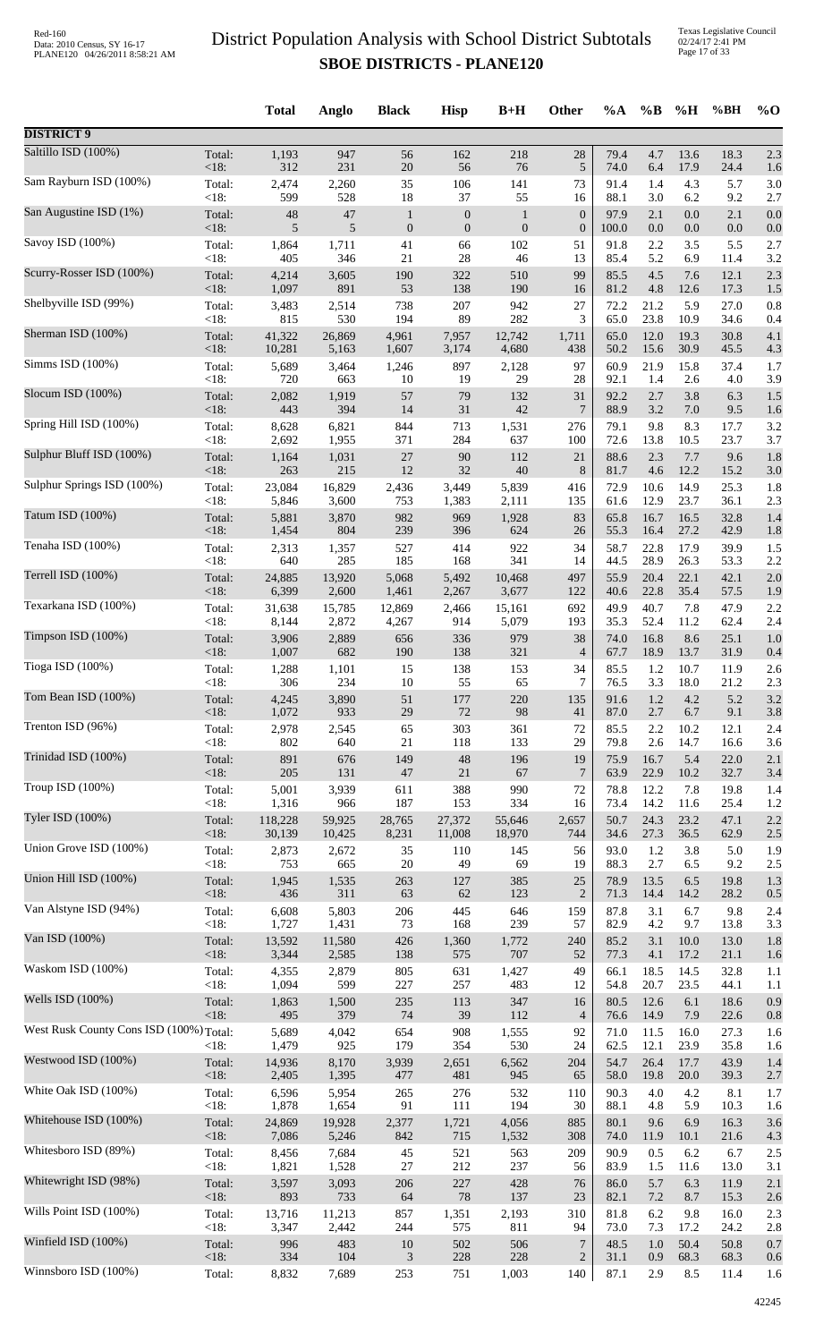|                                         |                   | <b>Total</b>    | Anglo           | <b>Black</b>     | <b>Hisp</b>      | $B+H$            | Other                | %A           | $\%$ B       | %H           | %BH          | $\%$ O     |
|-----------------------------------------|-------------------|-----------------|-----------------|------------------|------------------|------------------|----------------------|--------------|--------------|--------------|--------------|------------|
| <b>DISTRICT 9</b>                       |                   |                 |                 |                  |                  |                  |                      |              |              |              |              |            |
| Saltillo ISD (100%)                     | Total:            | 1,193           | 947             | 56               | 162              | 218              | 28                   | 79.4         | 4.7          | 13.6         | 18.3         | 2.3        |
|                                         | $<18$ :           | 312             | 231             | $20\,$           | 56               | 76               | 5                    | 74.0         | 6.4          | 17.9         | 24.4         | 1.6        |
| Sam Rayburn ISD (100%)                  | Total:            | 2,474           | 2,260           | 35               | 106              | 141              | 73                   | 91.4         | 1.4          | 4.3          | 5.7          | 3.0        |
| San Augustine ISD (1%)                  | <18:              | 599             | 528             | 18               | 37               | 55               | 16                   | 88.1         | 3.0          | 6.2          | 9.2          | 2.7        |
|                                         | Total:            | 48              | 47              | $\mathbf{1}$     | $\boldsymbol{0}$ | $\mathbf{1}$     | $\boldsymbol{0}$     | 97.9         | 2.1          | 0.0          | 2.1          | 0.0        |
| Savoy ISD (100%)                        | <18:              | 5               | 5               | $\boldsymbol{0}$ | $\mathbf{0}$     | $\boldsymbol{0}$ | $\mathbf{0}$         | 100.0        | 0.0          | 0.0          | 0.0          | 0.0        |
|                                         | Total:            | 1,864           | 1,711           | 41               | 66               | 102              | 51                   | 91.8         | 2.2          | 3.5          | 5.5          | 2.7        |
|                                         | $<18$ :           | 405             | 346             | 21               | 28               | 46               | 13                   | 85.4         | 5.2          | 6.9          | 11.4         | 3.2        |
| Scurry-Rosser ISD (100%)                | Total:            | 4,214           | 3,605           | 190              | 322              | 510              | 99                   | 85.5         | 4.5          | 7.6          | 12.1         | 2.3        |
|                                         | $<18$ :           | 1,097           | 891             | 53               | 138              | 190              | 16                   | 81.2         | 4.8          | 12.6         | 17.3         | 1.5        |
| Shelbyville ISD (99%)                   | Total:            | 3,483           | 2,514           | 738              | 207              | 942              | 27                   | 72.2         | 21.2         | 5.9          | 27.0         | 0.8        |
|                                         | < 18:             | 815             | 530             | 194              | 89               | 282              | 3                    | 65.0         | 23.8         | 10.9         | 34.6         | 0.4        |
| Sherman ISD (100%)                      | Total:<br>$<18$ : | 41,322          | 26,869          | 4,961<br>1,607   | 7,957            | 12,742<br>4,680  | 1,711                | 65.0         | 12.0         | 19.3<br>30.9 | 30.8         | 4.1        |
| Simms ISD (100%)                        | Total:            | 10,281<br>5,689 | 5,163<br>3,464  | 1,246            | 3,174<br>897     | 2,128            | 438<br>97            | 50.2<br>60.9 | 15.6<br>21.9 | 15.8         | 45.5<br>37.4 | 4.3<br>1.7 |
| Slocum ISD (100%)                       | < 18:             | 720             | 663             | 10               | 19               | 29               | 28                   | 92.1         | 1.4          | 2.6          | 4.0          | 3.9        |
|                                         | Total:            | 2,082           | 1,919           | 57               | 79               | 132              | 31                   | 92.2         | 2.7          | 3.8          | 6.3          | 1.5        |
| Spring Hill ISD (100%)                  | <18:              | 443             | 394             | 14               | 31               | 42               | 7                    | 88.9         | 3.2          | 7.0          | 9.5          | 1.6        |
|                                         | Total:            | 8,628           | 6,821           | 844              | 713              | 1,531            | 276                  | 79.1         | 9.8          | 8.3          | 17.7         | 3.2        |
| Sulphur Bluff ISD (100%)                | $<18$ :           | 2,692           | 1,955           | 371              | 284              | 637              | 100                  | 72.6         | 13.8         | 10.5         | 23.7         | 3.7        |
|                                         | Total:            | 1,164           | 1,031           | $27\,$           | 90               | 112              | 21                   | 88.6         | 2.3          | 7.7          | 9.6          | 1.8        |
|                                         | $<18$ :           | 263             | 215             | $12\,$           | 32               | $40\,$           | 8                    | 81.7         | 4.6          | 12.2         | 15.2         | 3.0        |
| Sulphur Springs ISD (100%)              | Total:            | 23,084          | 16,829          | 2,436            | 3,449            | 5,839            | 416                  | 72.9         | 10.6         | 14.9         | 25.3         | 1.8        |
|                                         | < 18:             | 5,846           | 3,600           | 753              | 1,383            | 2,111            | 135                  | 61.6         | 12.9         | 23.7         | 36.1         | 2.3        |
| Tatum ISD (100%)                        | Total:            | 5,881           | 3,870           | 982              | 969              | 1,928            | 83                   | 65.8         | 16.7         | 16.5         | 32.8         | 1.4        |
|                                         | <18:              | 1,454           | 804             | 239              | 396              | 624              | 26                   | 55.3         | 16.4         | 27.2         | 42.9         | 1.8        |
| Tenaha ISD (100%)                       | Total:            | 2,313           | 1,357           | 527              | 414              | 922              | 34                   | 58.7         | 22.8         | 17.9         | 39.9         | 1.5        |
| Terrell ISD (100%)                      | <18:              | 640             | 285             | 185              | 168              | 341              | 14                   | 44.5         | 28.9         | 26.3         | 53.3         | 2.2        |
|                                         | Total:            | 24,885          | 13,920          | 5,068            | 5,492            | 10,468           | 497                  | 55.9         | 20.4         | 22.1         | 42.1         | $2.0$      |
| Texarkana ISD (100%)                    | <18:              | 6,399           | 2,600           | 1,461            | 2,267            | 3,677            | 122                  | 40.6         | 22.8         | 35.4         | 57.5         | 1.9        |
|                                         | Total:            | 31,638          | 15,785          | 12,869           | 2,466            | 15,161           | 692                  | 49.9         | 40.7         | 7.8          | 47.9         | 2.2        |
| Timpson ISD (100%)                      | <18:              | 8,144           | 2,872           | 4,267            | 914              | 5,079            | 193<br>38            | 35.3<br>74.0 | 52.4<br>16.8 | 11.2<br>8.6  | 62.4<br>25.1 | 2.4        |
|                                         | Total:<br>$<18$ : | 3,906<br>1,007  | 2,889<br>682    | 656<br>190       | 336<br>138       | 979<br>321       | $\overline{4}$       | 67.7         | 18.9         | 13.7         | 31.9         | 1.0<br>0.4 |
| Tioga ISD (100%)                        | Total:            | 1,288           | 1,101           | 15               | 138              | 153              | 34                   | 85.5         | 1.2          | 10.7         | 11.9         | 2.6        |
|                                         | <18:              | 306             | 234             | 10               | 55               | 65               | 7                    | 76.5         | 3.3          | 18.0         | 21.2         | 2.3        |
| Tom Bean ISD (100%)                     | Total:            | 4,245           | 3,890           | 51               | 177              | 220              | 135                  | 91.6         | 1.2          | 4.2          | 5.2          | 3.2        |
|                                         | $<18$ :           | 1,072           | 933             | 29               | 72               | 98               | 41                   | 87.0         | 2.7          | 6.7          | 9.1          | 3.8        |
| Trenton ISD (96%)                       | Total:            | 2,978           | 2,545           | 65               | 303              | 361              | 72                   | 85.5         | 2.2          | 10.2         | 12.1         | 2.4        |
|                                         | <18:              | 802             | 640             | 21               | 118              | 133              | 29                   | 79.8         | 2.6          | 14.7         | 16.6         | 3.6        |
| Trinidad ISD (100%)                     | Total:            | 891             | 676             | 149              | 48               | 196              | 19                   | 75.9         | 16.7         | 5.4          | 22.0         | 2.1        |
| Troup ISD (100%)                        | $<18$ :           | 205             | 131             | $47\,$           | $21\,$           | 67               | $7\phantom{.0}$      | 63.9         | 22.9         | 10.2         | 32.7         | 3.4        |
|                                         | Total:            | 5,001           | 3,939           | 611              | 388              | 990              | 72                   | 78.8         | 12.2         | 7.8          | 19.8         | 1.4        |
| Tyler ISD (100%)                        | <18:              | 1,316           | 966             | 187              | 153              | 334              | 16                   | 73.4         | 14.2         | 11.6         | 25.4         | 1.2        |
|                                         | Total:            | 118,228         | 59,925          | 28,765           | 27,372           | 55,646           | 2,657                | 50.7         | 24.3         | 23.2         | 47.1         | 2.2        |
|                                         | $<18$ :           | 30,139          | 10,425          | 8,231            | 11,008           | 18,970           | 744                  | 34.6         | 27.3         | 36.5         | 62.9         | 2.5        |
| Union Grove ISD (100%)                  | Total:            | 2,873           | 2,672           | 35               | 110              | 145              | 56                   | 93.0         | 1.2          | 3.8          | 5.0          | 1.9        |
|                                         | $<18$ :           | 753             | 665             | 20               | 49               | 69               | 19                   | 88.3         | 2.7          | 6.5          | 9.2          | 2.5        |
| Union Hill ISD (100%)                   | Total:            | 1,945           | 1,535           | 263              | 127              | 385              | 25                   | 78.9         | 13.5         | 6.5          | 19.8         | 1.3        |
|                                         | $<18$ :           | 436             | 311             | 63               | 62               | 123              | $\overline{2}$       | 71.3         | 14.4         | 14.2         | 28.2         | 0.5        |
| Van Alstyne ISD (94%)                   | Total:            | 6,608           | 5,803           | 206              | 445              | 646              | 159                  | 87.8         | 3.1          | 6.7          | 9.8          | 2.4        |
|                                         | $<18$ :           | 1,727           | 1,431           | 73               | 168              | 239              | 57                   | 82.9         | 4.2          | 9.7          | 13.8         | 3.3        |
| Van ISD (100%)                          | Total:<br>$<18$ : | 13,592<br>3,344 | 11,580<br>2,585 | 426<br>138       | 1,360<br>575     | 1,772<br>707     | 240<br>52            | 85.2<br>77.3 | 3.1<br>4.1   | 10.0<br>17.2 | 13.0<br>21.1 | 1.8        |
| Waskom ISD (100%)                       | Total:            | 4,355           | 2,879           | 805              | 631              | 1,427            | 49                   | 66.1         | 18.5         | 14.5         | 32.8         | 1.6<br>1.1 |
| Wells ISD (100%)                        | <18:              | 1,094           | 599             | 227              | 257              | 483              | 12                   | 54.8         | 20.7         | 23.5         | 44.1         | 1.1        |
|                                         | Total:            | 1,863           | 1,500           | 235              | 113              | 347              | 16                   | 80.5         | 12.6         | 6.1          | 18.6         | 0.9        |
| West Rusk County Cons ISD (100%) Total: | $<18$ :           | 495<br>5,689    | 379<br>4,042    | 74<br>654        | 39<br>908        | 112<br>1,555     | $\overline{4}$<br>92 | 76.6<br>71.0 | 14.9<br>11.5 | 7.9<br>16.0  | 22.6<br>27.3 | 0.8<br>1.6 |
| Westwood ISD (100%)                     | $<18$ :           | 1,479           | 925             | 179              | 354              | 530              | 24                   | 62.5<br>54.7 | 12.1<br>26.4 | 23.9<br>17.7 | 35.8         | 1.6        |
|                                         | Total:<br><18:    | 14,936<br>2,405 | 8,170<br>1,395  | 3,939<br>477     | 2,651<br>481     | 6,562<br>945     | 204<br>65            | 58.0         | 19.8         | 20.0         | 43.9<br>39.3 | 1.4<br>2.7 |
| White Oak ISD (100%)                    | Total:            | 6,596           | 5,954           | 265              | 276              | 532              | 110                  | 90.3         | 4.0          | 4.2          | 8.1          | 1.7        |
|                                         | <18:              | 1,878           | 1,654           | 91               | 111              | 194              | 30                   | 88.1         | 4.8          | 5.9          | 10.3         | 1.6        |
| Whitehouse ISD (100%)                   | Total:            | 24,869          | 19,928          | 2,377            | 1,721            | 4,056            | 885                  | 80.1         | 9.6          | 6.9          | 16.3         | 3.6        |
|                                         | $<18$ :           | 7,086           | 5,246           | 842              | 715              | 1,532            | 308                  | 74.0         | 11.9         | 10.1         | 21.6         | 4.3        |
| Whitesboro ISD (89%)                    | Total:            | 8,456           | 7,684           | 45               | 521              | 563              | 209                  | 90.9         | 0.5          | 6.2          | 6.7          | 2.5        |
|                                         | <18:              | 1,821           | 1,528           | 27               | 212              | 237              | 56                   | 83.9         | 1.5          | 11.6         | 13.0         | 3.1        |
| Whitewright ISD (98%)                   | Total:            | 3,597           | 3,093           | 206              | 227              | 428              | 76                   | 86.0         | 5.7          | 6.3          | 11.9         | 2.1        |
| Wills Point ISD (100%)                  | $<18$ :           | 893             | 733             | 64               | $78\,$           | 137              | 23                   | 82.1         | 7.2          | 8.7          | 15.3         | 2.6        |
|                                         | Total:            | 13,716          | 11,213          | 857              | 1,351            | 2,193            | 310                  | 81.8         | 6.2          | 9.8          | 16.0         | 2.3        |
| Winfield ISD (100%)                     | $<18$ :           | 3,347           | 2,442           | 244              | 575              | 811              | 94                   | 73.0         | 7.3          | 17.2         | 24.2         | 2.8        |
|                                         | Total:            | 996             | 483             | 10               | 502              | 506              | $\overline{7}$       | 48.5         | 1.0          | 50.4         | 50.8         | 0.7        |
| Winnsboro ISD (100%)                    | <18:              | 334             | 104             | 3                | 228              | 228              | $\overline{c}$       | 31.1         | 0.9          | 68.3         | 68.3         | 0.6        |
|                                         | Total:            | 8,832           | 7,689           | 253              | 751              | 1,003            | 140                  | 87.1         | 2.9          | 8.5          | 11.4         | 1.6        |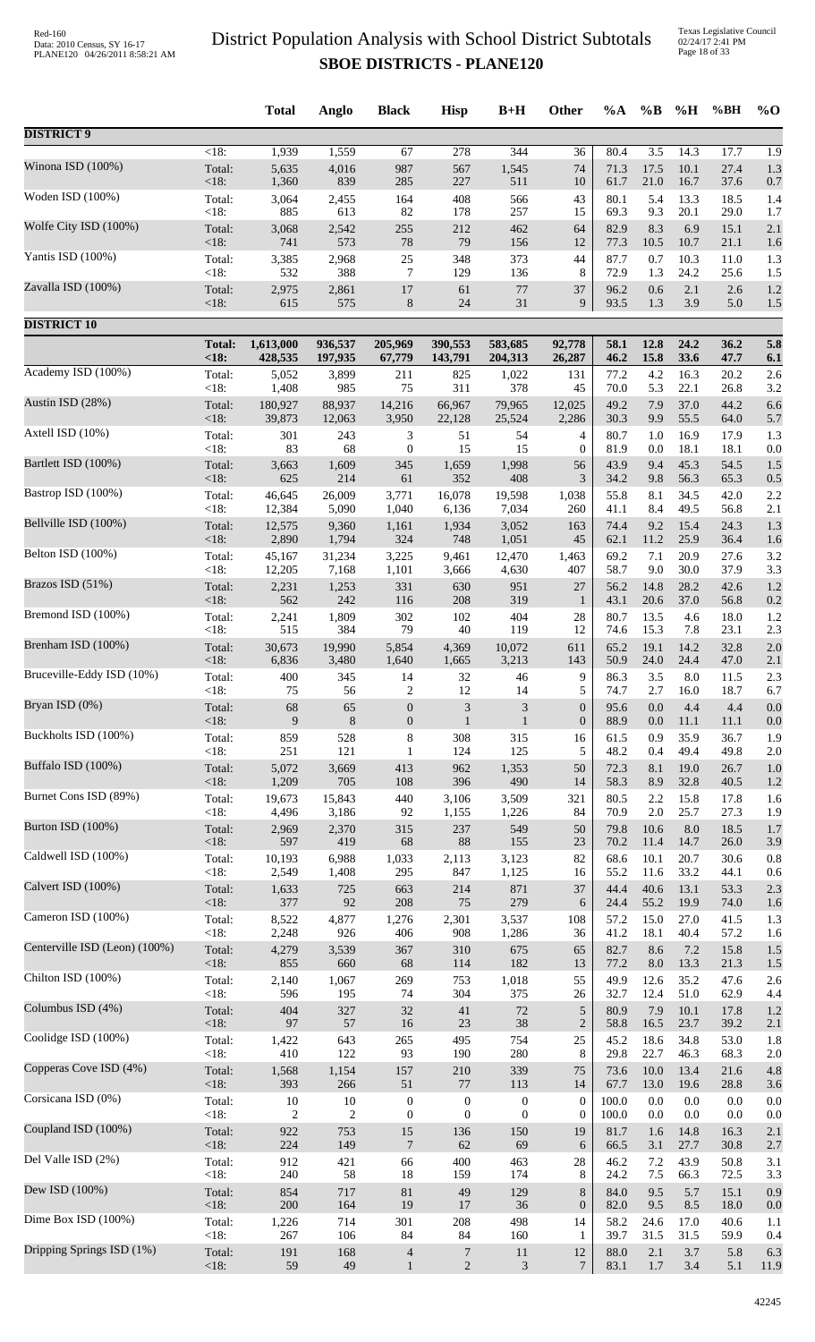Texas Legislative Council 02/24/17 2:41 PM Page 18 of 33

|                               |                | <b>Total</b>   | Anglo          | <b>Black</b>     | <b>Hisp</b>      | $B+H$            | Other            | %A           | $\%B$            | %H           | %BH          | $%$ <sup>O</sup> |
|-------------------------------|----------------|----------------|----------------|------------------|------------------|------------------|------------------|--------------|------------------|--------------|--------------|------------------|
| <b>DISTRICT 9</b>             |                |                |                |                  |                  |                  |                  |              |                  |              |              |                  |
| Winona ISD (100%)             | $<18$ :        | 1,939          | 1,559          | 67               | 278              | 344              | 36               | 80.4         | $\overline{3.5}$ | 14.3         | 17.7         | $\overline{1.9}$ |
|                               | Total:         | 5,635          | 4,016          | 987              | 567              | 1,545            | 74               | 71.3         | 17.5             | 10.1         | 27.4         | 1.3              |
|                               | <18:           | 1,360          | 839            | 285              | 227              | 511              | 10               | 61.7         | 21.0             | 16.7         | 37.6         | 0.7              |
| Woden ISD (100%)              | Total:         | 3,064          | 2,455          | 164              | 408              | 566              | 43               | 80.1         | 5.4              | 13.3         | 18.5         | 1.4              |
|                               | <18:           | 885            | 613            | 82               | 178              | 257              | 15               | 69.3         | 9.3              | 20.1         | 29.0         | 1.7              |
| Wolfe City ISD (100%)         | Total:<br><18: | 3,068          | 2,542<br>573   | 255<br>$78\,$    | 212              | 462              | 64<br>12         | 82.9<br>77.3 | 8.3              | 6.9          | 15.1         | 2.1              |
| Yantis ISD (100%)             | Total:         | 741<br>3,385   | 2,968          | 25               | 79<br>348        | 156<br>373       | 44               | 87.7         | 10.5<br>0.7      | 10.7<br>10.3 | 21.1<br>11.0 | 1.6<br>1.3       |
| Zavalla ISD (100%)            | <18:           | 532            | 388            | 7                | 129              | 136              | 8                | 72.9         | 1.3              | 24.2         | 25.6         | 1.5              |
|                               | Total:         | 2,975          | 2,861          | 17               | 61               | $77\,$           | 37               | 96.2         | 0.6              | 2.1          | 2.6          | 1.2              |
| <b>DISTRICT 10</b>            | $<18$ :        | 615            | 575            | 8                | 24               | 31               | 9                | 93.5         | 1.3              | 3.9          | 5.0          | 1.5              |
|                               | <b>Total:</b>  | 1,613,000      | 936,537        | 205,969          | 390,553          | 583,685          | 92,778           | 58.1         | 12.8             | 24.2         | 36.2         | 5.8              |
| Academy ISD (100%)            | < 18:          | 428,535        | 197,935        | 67,779           | 143,791          | 204,313          | 26,287           | 46.2         | 15.8             | 33.6         | 47.7         | 6.1              |
|                               | Total:         | 5,052          | 3,899          | 211              | 825              | 1,022            | 131              | 77.2         | 4.2              | 16.3         | 20.2         | 2.6              |
|                               | <18:           | 1,408          | 985            | 75               | 311              | 378              | 45               | 70.0         | 5.3              | 22.1         | 26.8         | 3.2              |
| Austin ISD (28%)              | Total:         | 180,927        | 88,937         | 14,216           | 66,967           | 79,965           | 12,025           | 49.2         | 7.9              | 37.0         | 44.2         | 6.6              |
|                               | <18:           | 39,873         | 12,063         | 3,950            | 22,128           | 25,524           | 2,286            | 30.3         | 9.9              | 55.5         | 64.0         | 5.7              |
| Axtell ISD (10%)              | Total:         | 301            | 243            | 3                | 51               | 54               | 4                | 80.7         | 1.0              | 16.9         | 17.9         | 1.3              |
|                               | <18:           | 83             | 68             | $\boldsymbol{0}$ | 15               | 15               | $\overline{0}$   | 81.9         | 0.0              | 18.1         | 18.1         | 0.0              |
| Bartlett ISD (100%)           | Total:         | 3,663          | 1,609          | 345              | 1,659            | 1,998            | 56               | 43.9         | 9.4              | 45.3         | 54.5         | 1.5              |
|                               | $<18$ :        | 625            | 214            | 61               | 352              | 408              | 3                | 34.2         | 9.8              | 56.3         | 65.3         | 0.5              |
| Bastrop ISD (100%)            | Total:         | 46,645         | 26,009         | 3,771            | 16,078           | 19,598           | 1,038            | 55.8         | 8.1              | 34.5         | 42.0         | 2.2              |
| Bellville ISD (100%)          | < 18:          | 12,384         | 5,090          | 1,040            | 6,136            | 7,034            | 260              | 41.1         | 8.4              | 49.5         | 56.8         | 2.1              |
|                               | Total:         | 12,575         | 9,360          | 1,161            | 1,934            | 3,052            | 163              | 74.4         | 9.2              | 15.4         | 24.3         | 1.3              |
| Belton ISD (100%)             | <18:           | 2,890          | 1,794          | 324              | 748              | 1,051            | 45               | 62.1         | 11.2             | 25.9         | 36.4         | 1.6              |
|                               | Total:         | 45,167         | 31,234         | 3,225            | 9,461            | 12,470           | 1,463            | 69.2         | 7.1              | 20.9         | 27.6         | 3.2              |
|                               | <18:           | 12,205         | 7,168          | 1,101            | 3,666            | 4,630            | 407              | 58.7         | 9.0              | 30.0         | 37.9         | 3.3              |
| Brazos ISD (51%)              | Total:         | 2,231          | 1,253          | 331              | 630              | 951              | 27               | 56.2         | 14.8             | 28.2         | 42.6         | 1.2              |
|                               | <18:           | 562            | 242            | 116              | 208              | 319              | $\mathbf{1}$     | 43.1         | 20.6             | 37.0         | 56.8         | 0.2              |
| Bremond ISD (100%)            | Total:         | 2,241          | 1,809          | 302              | 102              | 404              | 28               | 80.7         | 13.5             | 4.6          | 18.0         | 1.2              |
|                               | <18:           | 515            | 384            | 79               | 40               | 119              | 12               | 74.6         | 15.3             | 7.8          | 23.1         | 2.3              |
| Brenham ISD (100%)            | Total:         | 30,673         | 19,990         | 5,854            | 4,369            | 10,072           | 611              | 65.2         | 19.1             | 14.2         | 32.8         | 2.0              |
| Bruceville-Eddy ISD (10%)     | <18:           | 6,836          | 3,480          | 1,640            | 1,665            | 3,213            | 143              | 50.9         | 24.0             | 24.4         | 47.0         | 2.1              |
|                               | Total:         | 400            | 345            | 14               | 32               | 46               | 9                | 86.3         | 3.5              | $8.0\,$      | 11.5         | 2.3              |
| Bryan ISD (0%)                | < 18:          | 75             | 56             | $\overline{2}$   | 12               | 14               | 5                | 74.7         | 2.7              | 16.0         | 18.7         | 6.7              |
|                               | Total:         | 68             | 65             | $\boldsymbol{0}$ | $\mathfrak{Z}$   | $\mathfrak{Z}$   | $\boldsymbol{0}$ | 95.6         | 0.0              | 4.4          | 4.4          | 0.0              |
|                               | <18:           | 9              | $8\phantom{1}$ | $\boldsymbol{0}$ | $\mathbf{1}$     | $\mathbf{1}$     | $\boldsymbol{0}$ | 88.9         | 0.0              | 11.1         | 11.1         | 0.0              |
| Buckholts ISD (100%)          | Total:         | 859            | 528            | 8                | 308              | 315              | 16               | 61.5         | 0.9              | 35.9         | 36.7         | 1.9              |
|                               | < 18:          | 251            | 121            | $\mathbf{1}$     | 124              | 125              | 5                | 48.2         | 0.4              | 49.4         | 49.8         | 2.0              |
| Buffalo ISD (100%)            | Total:         | 5,072          | 3,669          | 413              | 962              | 1,353            | 50               | 72.3         | 8.1              | 19.0         | 26.7         | 1.0              |
|                               | <18:           | 1,209          | 705            | 108              | 396              | 490              | 14               | 58.3         | 8.9              | 32.8         | 40.5         | 1.2              |
| Burnet Cons ISD (89%)         | Total:         | 19,673         | 15,843         | 440              | 3,106            | 3,509            | 321              | 80.5         | 2.2              | 15.8         | 17.8         | 1.6              |
| Burton ISD (100%)             | < 18:          | 4,496          | 3,186          | 92               | 1,155            | 1,226            | 84               | 70.9         | $2.0\,$          | 25.7         | 27.3         | 1.9              |
|                               | Total:         | 2,969          | 2,370          | 315              | 237              | 549              | 50               | 79.8         | 10.6             | 8.0          | 18.5         | 1.7              |
| Caldwell ISD (100%)           | <18:           | 597            | 419            | 68               | 88               | 155              | 23               | 70.2         | 11.4             | 14.7         | 26.0         | 3.9              |
|                               | Total:         | 10,193         | 6,988          | 1,033            | 2,113            | 3,123            | 82               | 68.6         | 10.1             | 20.7         | 30.6         | 0.8              |
|                               | < 18:          | 2,549          | 1,408          | 295              | 847              | 1,125            | 16               | 55.2         | 11.6             | 33.2         | 44.1         | 0.6              |
| Calvert ISD (100%)            | Total:         | 1,633          | 725            | 663              | 214              | 871              | 37               | 44.4         | 40.6             | 13.1         | 53.3         | 2.3              |
|                               | $<18$ :        | 377            | 92             | 208              | 75               | 279              | 6                | 24.4         | 55.2             | 19.9         | 74.0         | 1.6              |
| Cameron ISD (100%)            | Total:         | 8,522          | 4,877          | 1,276            | 2,301            | 3,537            | 108              | 57.2         | 15.0             | 27.0         | 41.5         | 1.3              |
|                               | <18:           | 2,248          | 926            | 406              | 908              | 1,286            | 36               | 41.2         | 18.1             | 40.4         | 57.2         | 1.6              |
| Centerville ISD (Leon) (100%) | Total:         | 4,279          | 3,539          | 367              | 310              | 675              | 65               | 82.7         | 8.6              | 7.2          | 15.8         | 1.5              |
|                               | <18:           | 855            | 660            | 68               | 114              | 182              | 13               | 77.2         | 8.0              | 13.3         | 21.3         | 1.5              |
| Chilton ISD (100%)            | Total:         | 2,140          | 1,067          | 269              | 753              | 1,018            | 55               | 49.9         | 12.6             | 35.2         | 47.6         | 2.6              |
| Columbus ISD (4%)             | <18:           | 596            | 195            | 74               | 304              | 375              | 26               | 32.7         | 12.4             | 51.0         | 62.9         | 4.4              |
|                               | Total:         | 404            | 327            | 32               | 41               | 72               | $\sqrt{5}$       | 80.9         | 7.9              | 10.1         | 17.8         | 1.2              |
| Coolidge ISD (100%)           | <18:           | 97             | 57             | 16               | 23               | 38               | $\boldsymbol{2}$ | 58.8         | 16.5             | 23.7         | 39.2         | 2.1              |
|                               | Total:         | 1,422          | 643            | 265              | 495              | 754              | 25               | 45.2         | 18.6             | 34.8         | 53.0         | 1.8              |
| Copperas Cove ISD (4%)        | $<18$ :        | 410            | 122            | 93               | 190              | 280              | 8                | 29.8         | 22.7             | 46.3         | 68.3         | 2.0              |
|                               | Total:         | 1,568          | 1,154          | 157              | 210              | 339              | 75               | 73.6         | 10.0             | 13.4         | 21.6         | 4.8              |
|                               | <18:           | 393            | 266            | 51               | $77\,$           | 113              | 14               | 67.7         | 13.0             | 19.6         | 28.8         | 3.6              |
| Corsicana ISD (0%)            | Total:         | 10             | 10             | $\boldsymbol{0}$ | $\boldsymbol{0}$ | $\boldsymbol{0}$ | $\boldsymbol{0}$ | 100.0        | $0.0\,$          | 0.0          | 0.0          | 0.0              |
|                               | <18:           | $\overline{c}$ | $\overline{c}$ | $\boldsymbol{0}$ | $\mathbf{0}$     | $\boldsymbol{0}$ | $\boldsymbol{0}$ | 100.0        | 0.0              | 0.0          | 0.0          | 0.0              |
| Coupland ISD (100%)           | Total:         | 922            | 753            | 15               | 136              | 150              | 19               | 81.7         | 1.6              | 14.8         | 16.3         | 2.1              |
|                               | <18:           | 224            | 149            | $\boldsymbol{7}$ | 62               | 69               | 6                | 66.5         | 3.1              | 27.7         | 30.8         | 2.7              |
| Del Valle ISD (2%)            | Total:         | 912            | 421            | 66               | 400              | 463              | 28               | 46.2         | 7.2              | 43.9         | 50.8         | 3.1              |
|                               | <18:           | 240            | 58             | 18               | 159              | 174              | 8                | 24.2         | 7.5              | 66.3         | 72.5         | 3.3              |
| Dew ISD (100%)                | Total:         | 854            | 717            | 81               | 49               | 129              | $\,8\,$          | 84.0         | 9.5              | 5.7          | 15.1         | 0.9              |
| Dime Box ISD (100%)           | $<18$ :        | 200            | 164            | 19               | 17               | 36               | $\boldsymbol{0}$ | 82.0         | 9.5              | 8.5          | 18.0         | 0.0              |
|                               | Total:         | 1,226          | 714            | 301              | 208              | 498              | 14               | 58.2         | 24.6             | 17.0         | 40.6         | 1.1              |
| Dripping Springs ISD (1%)     | <18:           | 267            | 106            | 84               | 84               | 160              | 1                | 39.7         | 31.5             | 31.5         | 59.9         | 0.4              |
|                               | Total:         | 191            | 168            | 4                | $\overline{7}$   | 11               | 12               | 88.0         | 2.1              | $3.7\,$      | 5.8          | 6.3              |
|                               | <18:           | 59             | 49             | $\mathbf{1}$     | $\overline{2}$   | 3                | 7                | 83.1         | $1.7$            | 3.4          | 5.1          | 11.9             |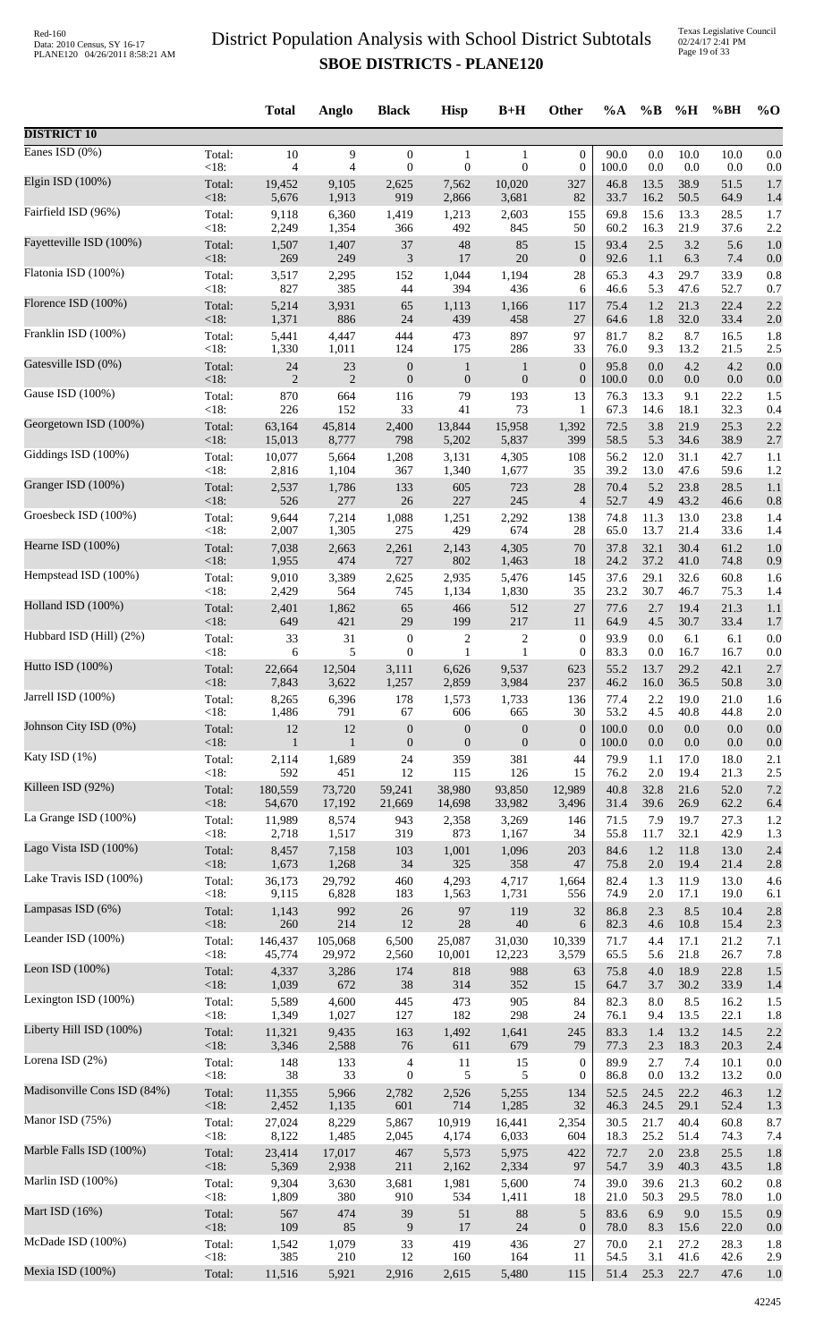Texas Legislative Council 02/24/17 2:41 PM Page 19 of 33

|                             |         | <b>Total</b>   | Anglo          | <b>Black</b>                | <b>Hisp</b>      | $B+H$            | Other            | $\%A$ | $\%B$   | %H   | %BH  | $%$ O |
|-----------------------------|---------|----------------|----------------|-----------------------------|------------------|------------------|------------------|-------|---------|------|------|-------|
| <b>DISTRICT 10</b>          |         |                |                |                             |                  |                  |                  |       |         |      |      |       |
| Eanes ISD $(0\%)$           | Total:  | $10\,$         | 9              | $\boldsymbol{0}$            | $\mathbf{1}$     | $\mathbf{1}$     | $\boldsymbol{0}$ | 90.0  | 0.0     | 10.0 | 10.0 | 0.0   |
| Elgin ISD (100%)            | < 18:   | 4              | 4              | $\boldsymbol{0}$            | $\boldsymbol{0}$ | $\mathbf{0}$     | $\boldsymbol{0}$ | 100.0 | 0.0     | 0.0  | 0.0  | 0.0   |
|                             | Total:  | 19,452         | 9,105          | 2,625                       | 7,562            | 10,020           | 327              | 46.8  | 13.5    | 38.9 | 51.5 | 1.7   |
| Fairfield ISD (96%)         | < 18:   | 5,676          | 1,913          | 919                         | 2,866            | 3,681            | 82               | 33.7  | 16.2    | 50.5 | 64.9 | 1.4   |
|                             | Total:  | 9,118          | 6,360          | 1,419                       | 1,213            | 2,603            | 155              | 69.8  | 15.6    | 13.3 | 28.5 | 1.7   |
|                             | < 18:   | 2,249          | 1,354          | 366                         | 492              | 845              | 50               | 60.2  | 16.3    | 21.9 | 37.6 | 2.2   |
| Fayetteville ISD (100%)     | Total:  | 1,507          | 1,407          | $37\,$                      | 48               | 85               | 15               | 93.4  | 2.5     | 3.2  | 5.6  | 1.0   |
|                             | < 18:   | 269            | 249            | $\ensuremath{\mathfrak{Z}}$ | 17               | 20               | $\boldsymbol{0}$ | 92.6  | 1.1     | 6.3  | 7.4  | 0.0   |
| Flatonia ISD (100%)         | Total:  | 3,517          | 2,295          | 152                         | 1,044            | 1,194            | 28               | 65.3  | 4.3     | 29.7 | 33.9 | 0.8   |
|                             | < 18:   | 827            | 385            | 44                          | 394              | 436              | 6                | 46.6  | 5.3     | 47.6 | 52.7 | 0.7   |
| Florence ISD (100%)         | Total:  | 5,214          | 3,931          | 65                          | 1,113            | 1,166            | 117              | 75.4  | 1.2     | 21.3 | 22.4 | 2.2   |
|                             | < 18:   | 1,371          | 886            | 24                          | 439              | 458              | 27               | 64.6  | 1.8     | 32.0 | 33.4 | 2.0   |
| Franklin ISD (100%)         | Total:  | 5,441          | 4,447          | 444                         | 473              | 897              | 97               | 81.7  | 8.2     | 8.7  | 16.5 | 1.8   |
| Gatesville ISD (0%)         | < 18:   | 1,330          | 1,011          | 124                         | 175              | 286              | 33               | 76.0  | 9.3     | 13.2 | 21.5 | 2.5   |
|                             | Total:  | 24             | 23             | $\boldsymbol{0}$            | $\mathbf{1}$     | $\mathbf{1}$     | $\boldsymbol{0}$ | 95.8  | 0.0     | 4.2  | 4.2  | 0.0   |
| Gause ISD (100%)            | < 18:   | $\overline{2}$ | $\overline{2}$ | $\boldsymbol{0}$            | $\mathbf{0}$     | $\boldsymbol{0}$ | $\boldsymbol{0}$ | 100.0 | 0.0     | 0.0  | 0.0  | 0.0   |
|                             | Total:  | 870            | 664            | 116                         | 79               | 193              | 13               | 76.3  | 13.3    | 9.1  | 22.2 | 1.5   |
| Georgetown ISD (100%)       | < 18:   | 226            | 152            | 33                          | 41               | 73               | 1                | 67.3  | 14.6    | 18.1 | 32.3 | 0.4   |
|                             | Total:  | 63,164         | 45,814         | 2,400                       | 13,844           | 15,958           | 1,392            | 72.5  | 3.8     | 21.9 | 25.3 | 2.2   |
|                             | <18:    | 15,013         | 8,777          | 798                         | 5,202            | 5,837            | 399              | 58.5  | 5.3     | 34.6 | 38.9 | 2.7   |
| Giddings ISD (100%)         | Total:  | 10,077         | 5,664          | 1,208                       | 3,131            | 4,305            | 108              | 56.2  | 12.0    | 31.1 | 42.7 | 1.1   |
|                             | < 18:   | 2,816          | 1,104          | 367                         | 1,340            | 1,677            | 35               | 39.2  | 13.0    | 47.6 | 59.6 | 1.2   |
| Granger ISD (100%)          | Total:  | 2,537          | 1,786          | 133                         | 605              | 723              | 28               | 70.4  | 5.2     | 23.8 | 28.5 | 1.1   |
|                             | < 18:   | 526            | 277            | 26                          | 227              | 245              | $\overline{4}$   | 52.7  | 4.9     | 43.2 | 46.6 | 0.8   |
| Groesbeck ISD (100%)        | Total:  | 9,644          | 7,214          | 1,088                       | 1,251            | 2,292            | 138              | 74.8  | 11.3    | 13.0 | 23.8 | 1.4   |
| Hearne ISD (100%)           | < 18:   | 2,007          | 1,305          | 275                         | 429              | 674              | 28               | 65.0  | 13.7    | 21.4 | 33.6 | 1.4   |
|                             | Total:  | 7,038          | 2,663          | 2,261                       | 2,143            | 4,305            | 70               | 37.8  | 32.1    | 30.4 | 61.2 | 1.0   |
| Hempstead ISD (100%)        | < 18:   | 1,955          | 474            | 727                         | 802              | 1,463            | 18               | 24.2  | 37.2    | 41.0 | 74.8 | 0.9   |
|                             | Total:  | 9,010          | 3,389          | 2,625                       | 2,935            | 5,476            | 145              | 37.6  | 29.1    | 32.6 | 60.8 | 1.6   |
| Holland ISD (100%)          | < 18:   | 2,429          | 564            | 745                         | 1,134            | 1,830            | 35               | 23.2  | 30.7    | 46.7 | 75.3 | 1.4   |
|                             | Total:  | 2,401          | 1,862          | 65                          | 466              | 512              | 27               | 77.6  | 2.7     | 19.4 | 21.3 | 1.1   |
| Hubbard ISD (Hill) (2%)     | < 18:   | 649            | 421            | 29                          | 199              | 217              | 11               | 64.9  | 4.5     | 30.7 | 33.4 | 1.7   |
|                             | Total:  | 33             | 31             | $\boldsymbol{0}$            | $\overline{c}$   | $\overline{c}$   | $\boldsymbol{0}$ | 93.9  | 0.0     | 6.1  | 6.1  | 0.0   |
|                             | $<18$ : | 6              | 5              | $\boldsymbol{0}$            | 1                | 1                | $\boldsymbol{0}$ | 83.3  | 0.0     | 16.7 | 16.7 | 0.0   |
| Hutto ISD (100%)            | Total:  | 22,664         | 12,504         | 3,111                       | 6,626            | 9,537            | 623              | 55.2  | 13.7    | 29.2 | 42.1 | 2.7   |
|                             | $<18$ : | 7,843          | 3,622          | 1,257                       | 2,859            | 3,984            | 237              | 46.2  | 16.0    | 36.5 | 50.8 | 3.0   |
| Jarrell ISD (100%)          | Total:  | 8,265          | 6,396          | 178                         | 1,573            | 1,733            | 136              | 77.4  | 2.2     | 19.0 | 21.0 | 1.6   |
|                             | $<18$ : | 1,486          | 791            | 67                          | 606              | 665              | 30               | 53.2  | 4.5     | 40.8 | 44.8 | 2.0   |
| Johnson City ISD (0%)       | Total:  | 12             | 12             | $\boldsymbol{0}$            | $\mathbf{0}$     | $\boldsymbol{0}$ | $\boldsymbol{0}$ | 100.0 | 0.0     | 0.0  | 0.0  | 0.0   |
|                             | <18:    | $\mathbf{1}$   | $\mathbf{1}$   | $\boldsymbol{0}$            | $\mathbf{0}$     | $\mathbf{0}$     | $\boldsymbol{0}$ | 100.0 | 0.0     | 0.0  | 0.0  | 0.0   |
| Katy ISD (1%)               | Total:  | 2,114          | 1,689          | 24                          | 359              | 381              | 44               | 79.9  | 1.1     | 17.0 | 18.0 | 2.1   |
| Killeen ISD (92%)           | < 18:   | 592            | 451            | 12                          | 115              | 126              | 15               | 76.2  | 2.0     | 19.4 | 21.3 | 2.5   |
|                             | Total:  | 180,559        | 73,720         | 59,241                      | 38,980           | 93,850           | 12,989           | 40.8  | 32.8    | 21.6 | 52.0 | 7.2   |
| La Grange ISD (100%)        | $<18$ : | 54,670         | 17,192         | 21,669                      | 14,698           | 33,982           | 3,496            | 31.4  | 39.6    | 26.9 | 62.2 | 6.4   |
|                             | Total:  | 11,989         | 8,574          | 943                         | 2,358            | 3,269            | 146              | 71.5  | 7.9     | 19.7 | 27.3 | 1.2   |
| Lago Vista ISD (100%)       | < 18:   | 2,718          | 1,517          | 319                         | 873              | 1,167            | 34               | 55.8  | 11.7    | 32.1 | 42.9 | 1.3   |
|                             | Total:  | 8,457          | 7,158          | 103                         | 1,001            | 1,096            | 203              | 84.6  | 1.2     | 11.8 | 13.0 | 2.4   |
|                             | < 18:   | 1,673          | 1,268          | 34                          | 325              | 358              | 47               | 75.8  | 2.0     | 19.4 | 21.4 | 2.8   |
| Lake Travis ISD (100%)      | Total:  | 36,173         | 29,792         | 460                         | 4,293            | 4,717            | 1,664            | 82.4  | 1.3     | 11.9 | 13.0 | 4.6   |
|                             | < 18:   | 9,115          | 6,828          | 183                         | 1,563            | 1,731            | 556              | 74.9  | 2.0     | 17.1 | 19.0 | 6.1   |
| Lampasas ISD (6%)           | Total:  | 1,143          | 992            | 26                          | 97               | 119              | 32               | 86.8  | 2.3     | 8.5  | 10.4 | 2.8   |
|                             | < 18:   | 260            | 214            | 12                          | $28\,$           | 40               | 6                | 82.3  | 4.6     | 10.8 | 15.4 | 2.3   |
| Leander ISD (100%)          | Total:  | 146,437        | 105,068        | 6,500                       | 25,087           | 31,030           | 10,339           | 71.7  | 4.4     | 17.1 | 21.2 | 7.1   |
|                             | < 18:   | 45,774         | 29,972         | 2,560                       | 10,001           | 12,223           | 3,579            | 65.5  | 5.6     | 21.8 | 26.7 | 7.8   |
| Leon ISD (100%)             | Total:  | 4,337          | 3,286          | 174                         | 818              | 988              | 63               | 75.8  | 4.0     | 18.9 | 22.8 | 1.5   |
| Lexington ISD (100%)        | < 18:   | 1,039          | 672            | $38\,$                      | 314              | 352              | 15               | 64.7  | 3.7     | 30.2 | 33.9 | 1.4   |
|                             | Total:  | 5,589          | 4,600          | 445                         | 473              | 905              | 84               | 82.3  | 8.0     | 8.5  | 16.2 | 1.5   |
| Liberty Hill ISD (100%)     | < 18:   | 1,349          | 1,027          | 127                         | 182              | 298              | 24               | 76.1  | 9.4     | 13.5 | 22.1 | 1.8   |
|                             | Total:  | 11,321         | 9,435          | 163                         | 1,492            | 1,641            | 245              | 83.3  | 1.4     | 13.2 | 14.5 | 2.2   |
| Lorena ISD $(2%)$           | <18:    | 3,346          | 2,588          | 76                          | 611              | 679              | 79               | 77.3  | 2.3     | 18.3 | 20.3 | 2.4   |
|                             | Total:  | 148            | 133            | $\overline{\mathcal{A}}$    | 11               | 15               | $\boldsymbol{0}$ | 89.9  | 2.7     | 7.4  | 10.1 | 0.0   |
| Madisonville Cons ISD (84%) | < 18:   | 38             | 33             | $\boldsymbol{0}$            | 5                | 5                | $\mathbf{0}$     | 86.8  | 0.0     | 13.2 | 13.2 | 0.0   |
|                             | Total:  | 11,355         | 5,966          | 2,782                       | 2,526            | 5,255            | 134              | 52.5  | 24.5    | 22.2 | 46.3 | 1.2   |
| Manor ISD (75%)             | < 18:   | 2,452          | 1,135          | 601                         | 714              | 1,285            | 32               | 46.3  | 24.5    | 29.1 | 52.4 | 1.3   |
|                             | Total:  | 27,024         | 8,229          | 5,867                       | 10,919           | 16,441           | 2,354            | 30.5  | 21.7    | 40.4 | 60.8 | 8.7   |
|                             | <18:    | 8,122          | 1,485          | 2,045                       | 4,174            | 6,033            | 604              | 18.3  | 25.2    | 51.4 | 74.3 | 7.4   |
| Marble Falls ISD (100%)     | Total:  | 23,414         | 17,017         | 467                         | 5,573            | 5,975            | 422              | 72.7  | $2.0\,$ | 23.8 | 25.5 | 1.8   |
|                             | < 18:   | 5,369          | 2,938          | 211                         | 2,162            | 2,334            | 97               | 54.7  | 3.9     | 40.3 | 43.5 | 1.8   |
| Marlin ISD (100%)           | Total:  | 9,304          | 3,630          | 3,681                       | 1,981            | 5,600            | 74               | 39.0  | 39.6    | 21.3 | 60.2 | 0.8   |
|                             | < 18:   | 1,809          | 380            | 910                         | 534              | 1,411            | 18               | 21.0  | 50.3    | 29.5 | 78.0 | 1.0   |
| Mart ISD (16%)              | Total:  | 567            | 474            | 39                          | 51               | 88               | $\sqrt{5}$       | 83.6  | 6.9     | 9.0  | 15.5 | 0.9   |
|                             | <18:    | 109            | 85             | 9                           | 17               | 24               | $\boldsymbol{0}$ | 78.0  | 8.3     | 15.6 | 22.0 | 0.0   |
| McDade ISD (100%)           | Total:  | 1,542          | 1,079          | 33                          | 419              | 436              | $27\,$           | 70.0  | 2.1     | 27.2 | 28.3 | 1.8   |
| Mexia ISD (100%)            | < 18:   | 385            | 210            | 12                          | 160              | 164              | 11               | 54.5  | 3.1     | 41.6 | 42.6 | 2.9   |
|                             | Total:  | 11,516         | 5,921          | 2,916                       | 2,615            | 5,480            | 115              | 51.4  | 25.3    | 22.7 | 47.6 | 1.0   |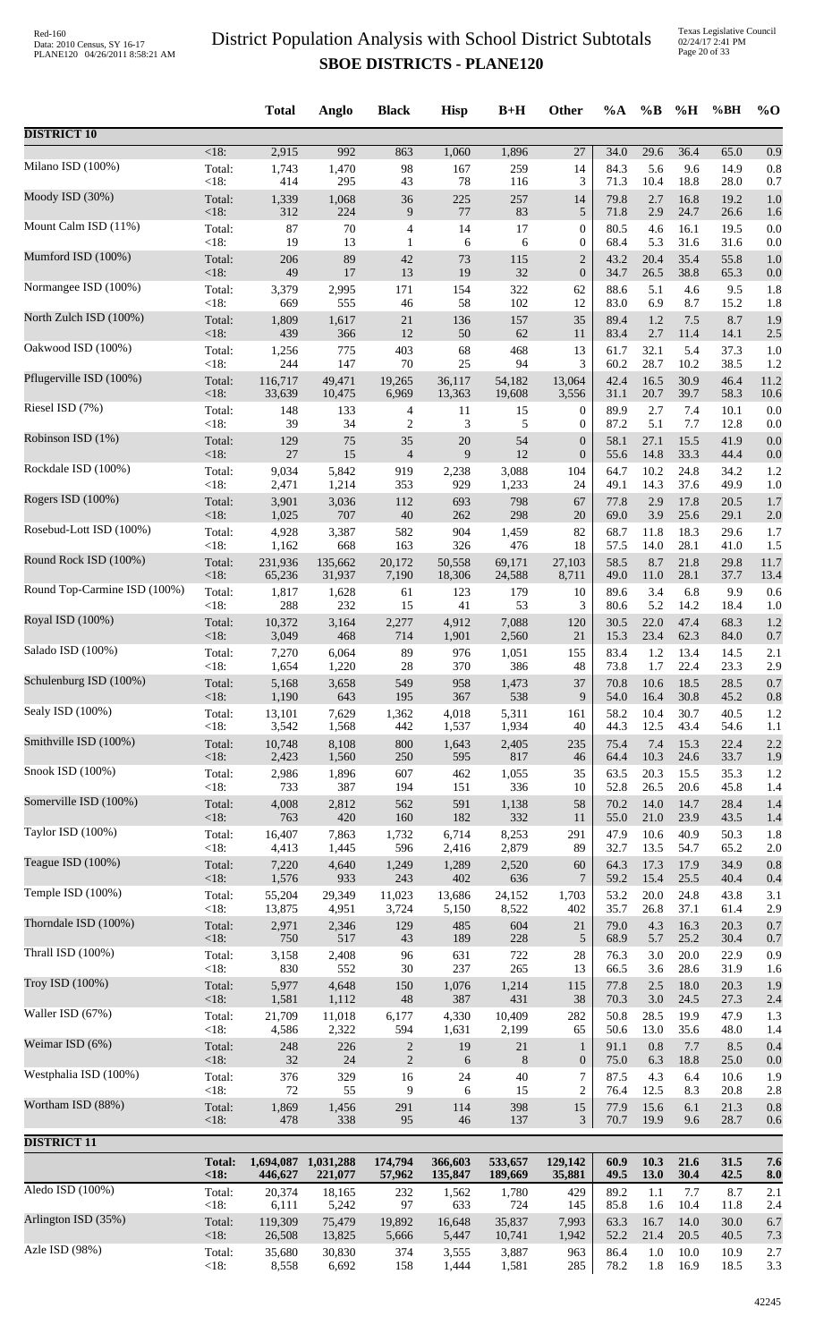|                              |                | <b>Total</b>   | Anglo        | <b>Black</b>   | <b>Hisp</b>  | $B+H$        | Other                            | $\%A$        | $\%B$        | %H           | %BH          | $%$ <sup>O</sup> |
|------------------------------|----------------|----------------|--------------|----------------|--------------|--------------|----------------------------------|--------------|--------------|--------------|--------------|------------------|
| <b>DISTRICT 10</b>           |                |                |              |                |              |              |                                  |              |              |              |              |                  |
| Milano ISD (100%)            | <18:           | 2,915          | 992          | 863            | 1,060        | 1,896        | 27                               | 34.0         | 29.6         | 36.4         | 65.0         | 0.9              |
|                              | Total:         | 1,743          | 1,470        | 98             | 167          | 259          | 14                               | 84.3         | 5.6          | 9.6          | 14.9         | 0.8              |
| Moody ISD (30%)              | <18:           | 414            | 295          | 43             | 78           | 116          | 3                                | 71.3         | 10.4         | 18.8         | 28.0         | 0.7              |
|                              | Total:         | 1,339          | 1,068        | 36             | 225          | 257          | 14                               | 79.8         | 2.7          | 16.8         | 19.2         | 1.0              |
|                              | <18:           | 312            | 224          | 9              | $77\,$       | 83           | 5                                | 71.8         | 2.9          | 24.7         | 26.6         | 1.6              |
| Mount Calm ISD (11%)         | Total:         | 87             | 70           | $\overline{4}$ | 14           | 17           | $\boldsymbol{0}$                 | 80.5         | 4.6          | 16.1         | 19.5         | 0.0              |
|                              | $<18$ :        | 19             | 13           | $\mathbf{1}$   | 6            | 6            | $\boldsymbol{0}$                 | 68.4         | 5.3          | 31.6         | 31.6         | 0.0              |
| Mumford ISD (100%)           | Total:         | 206            | 89           | 42             | 73           | 115          | $\overline{c}$                   | 43.2         | 20.4         | 35.4         | 55.8         | 1.0              |
|                              | <18:           | 49             | 17           | 13             | 19           | 32           | $\boldsymbol{0}$                 | 34.7         | 26.5         | 38.8         | 65.3         | 0.0              |
| Normangee ISD (100%)         | Total:         | 3,379          | 2,995        | 171            | 154          | 322          | 62                               | 88.6         | 5.1          | 4.6          | 9.5          | 1.8              |
|                              | <18:           | 669            | 555          | 46             | 58           | 102          | 12                               | 83.0         | 6.9          | 8.7          | 15.2         | 1.8              |
| North Zulch ISD (100%)       | Total:         | 1,809          | 1,617        | 21             | 136          | 157          | 35                               | 89.4         | 1.2          | $7.5\,$      | 8.7          | 1.9              |
|                              | <18:           | 439            | 366          | 12             | 50           | 62           | 11                               | 83.4         | 2.7          | 11.4         | 14.1         | 2.5              |
| Oakwood ISD (100%)           | Total:         | 1,256          | 775          | 403            | 68           | 468          | 13                               | 61.7         | 32.1         | 5.4          | 37.3         | 1.0              |
|                              | <18:           | 244            | 147          | 70             | 25           | 94           | 3                                | 60.2         | 28.7         | 10.2         | 38.5         | 1.2              |
| Pflugerville ISD (100%)      | Total:         | 116,717        | 49.471       | 19,265         | 36,117       | 54,182       | 13,064                           | 42.4         | 16.5         | 30.9         | 46.4         | 11.2             |
| Riesel ISD (7%)              | $<18$ :        | 33,639         | 10,475       | 6,969          | 13,363       | 19,608       | 3,556                            | 31.1         | 20.7         | 39.7         | 58.3         | 10.6             |
|                              | Total:         | 148            | 133          | $\overline{4}$ | 11           | 15           | 0                                | 89.9         | 2.7          | 7.4          | 10.1         | 0.0              |
| Robinson ISD (1%)            | $<18$ :        | 39             | 34           | $\overline{c}$ | 3            | 5            | $\mathbf{0}$                     | 87.2         | 5.1          | 7.7          | 12.8         | 0.0              |
|                              | Total:         | 129            | 75           | 35             | 20           | 54           | $\boldsymbol{0}$                 | 58.1         | 27.1         | 15.5         | 41.9         | 0.0              |
| Rockdale ISD (100%)          | <18:           | $27\,$         | 15           | $\overline{4}$ | 9            | 12           | $\boldsymbol{0}$                 | 55.6         | 14.8         | 33.3         | 44.4         | 0.0              |
|                              | Total:         | 9,034          | 5,842        | 919            | 2,238        | 3,088        | 104                              | 64.7         | 10.2         | 24.8         | 34.2         | 1.2              |
| Rogers ISD (100%)            | <18:           | 2,471          | 1,214        | 353            | 929          | 1,233        | 24                               | 49.1         | 14.3         | 37.6         | 49.9         | 1.0              |
|                              | Total:         | 3,901          | 3,036        | 112            | 693          | 798          | 67                               | 77.8         | 2.9          | 17.8         | 20.5         | 1.7              |
|                              | <18:           | 1,025          | 707          | 40             | 262          | 298          | 20                               | 69.0         | 3.9          | 25.6         | 29.1         | 2.0              |
| Rosebud-Lott ISD (100%)      | Total:         | 4,928          | 3,387        | 582            | 904          | 1,459        | 82                               | 68.7         | 11.8         | 18.3         | 29.6         | 1.7              |
|                              | $<18$ :        | 1,162          | 668          | 163            | 326          | 476          | 18                               | 57.5         | 14.0         | 28.1         | 41.0         | 1.5              |
| Round Rock ISD (100%)        | Total:         | 231,936        | 135,662      | 20,172         | 50,558       | 69,171       | 27,103                           | 58.5         | 8.7          | 21.8         | 29.8         | 11.7             |
|                              | <18:           | 65,236         | 31,937       | 7,190          | 18,306       | 24,588       | 8,711                            | 49.0         | 11.0         | 28.1         | 37.7         | 13.4             |
| Round Top-Carmine ISD (100%) | Total:         | 1,817          | 1,628        | 61             | 123          | 179          | 10                               | 89.6         | 3.4          | 6.8          | 9.9          | 0.6              |
|                              | <18:           | 288            | 232          | 15             | 41           | 53           | 3                                | 80.6         | 5.2          | 14.2         | 18.4         | 1.0              |
| Royal ISD (100%)             | Total:         | 10,372         | 3,164        | 2,277          | 4,912        | 7,088        | 120                              | 30.5         | 22.0         | 47.4         | 68.3         | 1.2              |
|                              | $<18$ :        | 3,049          | 468          | 714            | 1,901        | 2,560        | 21                               | 15.3         | 23.4         | 62.3         | 84.0         | 0.7              |
| Salado ISD (100%)            | Total:         | 7,270          | 6,064        | 89             | 976          | 1,051        | 155                              | 83.4         | 1.2          | 13.4         | 14.5         | 2.1              |
|                              | <18:           | 1,654          | 1,220        | 28             | 370          | 386          | 48                               | 73.8         | 1.7          | 22.4         | 23.3         | 2.9              |
| Schulenburg ISD (100%)       | Total:         | 5,168          | 3,658        | 549            | 958          | 1,473        | 37                               | 70.8         | 10.6         | 18.5         | 28.5         | 0.7              |
| Sealy ISD (100%)             | $<18$ :        | 1,190          | 643          | 195            | 367          | 538          | 9                                | 54.0         | 16.4         | 30.8         | 45.2         | 0.8              |
|                              | Total:         | 13,101         | 7,629        | 1,362          | 4,018        | 5,311        | 161                              | 58.2         | 10.4         | 30.7         | 40.5         | 1.2              |
| Smithville ISD (100%)        | <18:           | 3,542          | 1,568        | 442            | 1,537        | 1,934        | 40                               | 44.3         | 12.5         | 43.4         | 54.6         | 1.1              |
|                              | Total:         | 10,748         | 8,108        | 800            | 1,643        | 2,405        | 235                              | 75.4         | 7.4          | 15.3         | 22.4         | 2.2              |
| Snook ISD (100%)             | <18:           | 2,423          | 1,560        | 250            | 595          | 817          | 46                               | 64.4         | 10.3         | 24.6         | 33.7         | 1.9              |
|                              | Total:         | 2,986          | 1,896        | 607            | 462          | 1,055        | 35                               | 63.5         | 20.3         | 15.5         | 35.3         | 1.2              |
| Somerville ISD (100%)        | <18:           | 733            | 387          | 194            | 151          | 336          | 10                               | 52.8         | 26.5         | 20.6         | 45.8         | 1.4              |
|                              | Total:         | 4,008          | 2,812        | 562            | 591          | 1,138        | 58                               | 70.2         | 14.0         | 14.7         | 28.4         | 1.4              |
| Taylor ISD (100%)            | <18:           | 763            | 420          | 160            | 182          | 332          | 11                               | 55.0         | 21.0         | 23.9         | 43.5         | 1.4              |
|                              | Total:         | 16,407         | 7,863        | 1,732          | 6,714        | 8,253        | 291                              | 47.9         | 10.6         | 40.9         | 50.3         | 1.8              |
| Teague ISD (100%)            | $<18$ :        | 4,413          | 1,445        | 596            | 2,416        | 2,879        | 89<br>60                         | 32.7<br>64.3 | 13.5         | 54.7<br>17.9 | 65.2<br>34.9 | 2.0<br>0.8       |
|                              | Total:<br><18: | 7,220<br>1,576 | 4,640<br>933 | 1,249<br>243   | 1,289<br>402 | 2,520<br>636 | 7                                | 59.2         | 17.3<br>15.4 | 25.5         | 40.4         | 0.4              |
| Temple ISD (100%)            | Total:         | 55,204         | 29,349       | 11,023         | 13,686       | 24,152       | 1,703                            | 53.2         | 20.0         | 24.8         | 43.8         | 3.1              |
|                              | <18:           | 13,875         | 4,951        | 3,724          | 5,150        | 8,522        | 402                              | 35.7         | 26.8         | 37.1         | 61.4         | 2.9              |
| Thorndale ISD (100%)         | Total:         | 2,971          | 2,346        | 129            | 485          | 604          | 21                               | 79.0         | 4.3          | 16.3         | 20.3         | 0.7              |
|                              | <18:           | 750            | 517          | 43             | 189          | 228          | 5                                | 68.9         | 5.7          | 25.2         | 30.4         | 0.7              |
| Thrall ISD (100%)            | Total:         | 3,158          | 2,408        | 96             | 631          | 722          | 28                               | 76.3         | 3.0          | 20.0         | 22.9         | 0.9              |
|                              | <18:           | 830            | 552          | 30             | 237          | 265          | 13                               | 66.5         | 3.6          | 28.6         | 31.9         | 1.6              |
| Troy ISD (100%)              | Total:         | 5,977          | 4,648        | 150            | 1,076        | 1,214        | 115                              | 77.8         | 2.5          | 18.0         | 20.3         | 1.9              |
|                              | <18:           | 1,581          | 1,112        | 48             | 387          | 431          | 38                               | 70.3         | 3.0          | 24.5         | 27.3         | 2.4              |
| Waller ISD (67%)             | Total:         | 21,709         | 11,018       | 6,177          | 4,330        | 10,409       | 282                              | 50.8         | 28.5         | 19.9         | 47.9         | 1.3              |
|                              | <18:           | 4,586          | 2,322        | 594            | 1,631        | 2,199        | 65                               | 50.6         | 13.0         | 35.6         | 48.0         | 1.4              |
| Weimar ISD (6%)              | Total:         | 248            | 226          | $\overline{2}$ | 19           | $21\,$       | $\mathbf{1}$                     | 91.1         | 0.8          | 7.7          | 8.5          | 0.4              |
|                              | <18:           | 32             | 24           | $\sqrt{2}$     | 6            | 8            | $\mathbf{0}$                     | 75.0         | 6.3          | 18.8         | 25.0         | 0.0              |
| Westphalia ISD (100%)        | Total:         | 376            | 329          | 16             | 24           | 40           | $\overline{7}$<br>$\overline{2}$ | 87.5         | 4.3          | 6.4          | 10.6         | 1.9              |
| Wortham ISD (88%)            | <18:<br>Total: | 72<br>1,869    | 55<br>1,456  | 9<br>291       | 6<br>114     | 15<br>398    | 15                               | 76.4<br>77.9 | 12.5<br>15.6 | 8.3<br>6.1   | 20.8<br>21.3 | 2.8<br>0.8       |
| <b>DISTRICT 11</b>           | $<18$ :        | 478            | 338          | 95             | 46           | 137          | 3                                | 70.7         | 19.9         | 9.6          | 28.7         | 0.6              |
|                              | <b>Total:</b>  | 1,694,087      | 1,031,288    | 174,794        | 366,603      | 533,657      | 129,142                          | 60.9         | 10.3         | 21.6         | 31.5         | 7.6              |
| Aledo ISD (100%)             | < 18:          | 446,627        | 221,077      | 57,962         | 135,847      | 189,669      | 35,881                           | 49.5         | 13.0         | 30.4         | 42.5         | 8.0              |
|                              | Total:         | 20,374         | 18,165       | 232            | 1,562        | 1,780        | 429                              | 89.2         | 1.1          | 7.7          | 8.7          | 2.1              |
| Arlington ISD (35%)          | <18:           | 6,111          | 5,242        | 97             | 633          | 724          | 145                              | 85.8         | 1.6          | 10.4         | 11.8         | 2.4              |
|                              | Total:         | 119,309        | 75,479       | 19,892         | 16,648       | 35,837       | 7,993                            | 63.3         | 16.7         | 14.0         | 30.0         | 6.7              |
|                              | <18:           | 26,508         | 13,825       | 5,666          | 5,447        | 10,741       | 1,942                            | 52.2         | 21.4         | 20.5         | 40.5         | 7.3              |
| Azle ISD (98%)               | Total:         | 35,680         | 30,830       | 374            | 3,555        | 3,887        | 963                              | 86.4         | 1.0          | 10.0         | 10.9         | 2.7              |
|                              | <18:           | 8,558          | 6,692        | 158            | 1,444        | 1,581        | 285                              | 78.2         | 1.8          | 16.9         | 18.5         | 3.3              |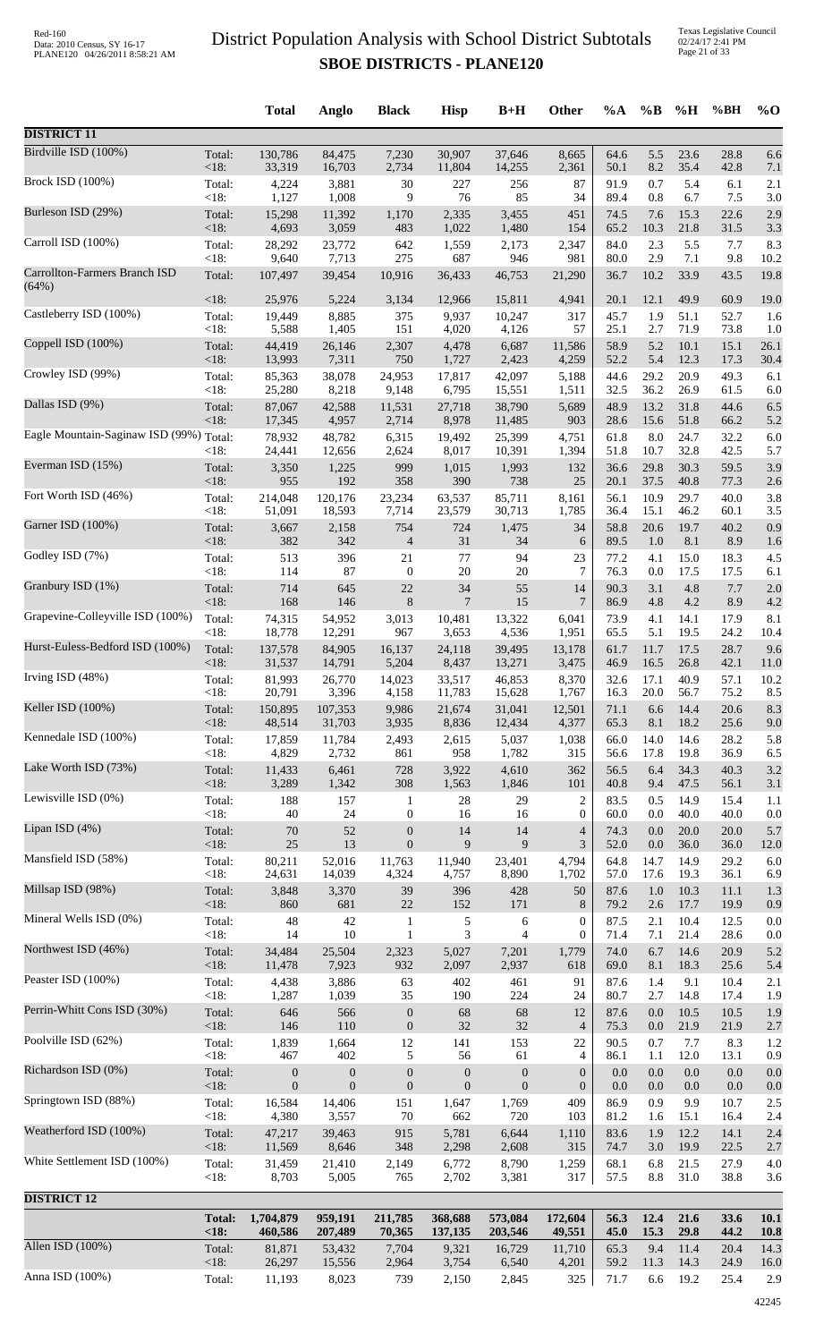|                                         |                        | <b>Total</b>            | Anglo                   | <b>Black</b>                         | <b>Hisp</b>            | $B+H$                  | <b>Other</b>                       | $\%A$        | $\%$ B          | %H           | %BH          | $\%$ O              |
|-----------------------------------------|------------------------|-------------------------|-------------------------|--------------------------------------|------------------------|------------------------|------------------------------------|--------------|-----------------|--------------|--------------|---------------------|
| <b>DISTRICT 11</b>                      |                        |                         |                         |                                      |                        |                        |                                    |              |                 |              |              |                     |
| Birdville ISD (100%)                    | Total:                 | 130,786                 | 84,475                  | 7,230                                | 30,907                 | 37,646                 | 8,665                              | 64.6         | 5.5             | 23.6         | 28.8         | 6.6                 |
| <b>Brock ISD (100%)</b>                 | $<18$ :<br>Total:      | 33,319<br>4,224         | 16,703<br>3,881         | 2,734<br>30                          | 11,804<br>227          | 14,255<br>256          | 2,361<br>87                        | 50.1<br>91.9 | 8.2<br>0.7      | 35.4<br>5.4  | 42.8<br>6.1  | 7.1<br>2.1          |
| Burleson ISD (29%)                      | < 18:                  | 1,127                   | 1,008                   | 9                                    | 76                     | 85                     | 34                                 | 89.4         | 0.8             | 6.7          | 7.5          | 3.0                 |
|                                         | Total:<br>$<18$ :      | 15,298<br>4,693         | 11,392<br>3,059         | 1,170<br>483                         | 2,335<br>1,022         | 3,455<br>1,480         | 451<br>154                         | 74.5<br>65.2 | 7.6<br>10.3     | 15.3<br>21.8 | 22.6<br>31.5 | 2.9<br>3.3          |
| Carroll ISD (100%)                      | Total:<br>< 18:        | 28,292<br>9,640         | 23,772<br>7,713         | 642<br>275                           | 1,559<br>687           | 2,173<br>946           | 2,347<br>981                       | 84.0<br>80.0 | 2.3<br>2.9      | 5.5<br>7.1   | 7.7<br>9.8   | 8.3<br>10.2         |
| Carrollton-Farmers Branch ISD           | Total:                 | 107,497                 | 39,454                  | 10,916                               | 36,433                 | 46,753                 | 21,290                             | 36.7         | 10.2            | 33.9         | 43.5         | 19.8                |
| (64%)                                   | <18:                   | 25,976                  | 5,224                   | 3,134                                | 12,966                 | 15,811                 | 4,941                              | 20.1         | 12.1            | 49.9         | 60.9         | 19.0                |
| Castleberry ISD (100%)                  | Total:<br>$<18$ :      | 19,449<br>5,588         | 8,885<br>1,405          | 375<br>151                           | 9,937<br>4,020         | 10,247                 | 317<br>57                          | 45.7<br>25.1 | 1.9<br>2.7      | 51.1<br>71.9 | 52.7<br>73.8 | 1.6<br>1.0          |
| Coppell ISD (100%)                      | Total:                 | 44,419                  | 26,146                  | 2,307                                | 4,478                  | 4,126<br>6,687         | 11,586                             | 58.9         | 5.2             | 10.1         | 15.1         | 26.1                |
| Crowley ISD (99%)                       | $<18$ :                | 13,993                  | 7,311                   | 750                                  | 1,727                  | 2,423                  | 4,259                              | 52.2         | 5.4<br>29.2     | 12.3         | 17.3         | 30.4                |
|                                         | Total:<br><18:         | 85,363<br>25,280        | 38,078<br>8,218         | 24,953<br>9,148                      | 17,817<br>6,795        | 42,097<br>15,551       | 5,188<br>1,511                     | 44.6<br>32.5 | 36.2            | 20.9<br>26.9 | 49.3<br>61.5 | 6.1<br>6.0          |
| Dallas ISD (9%)                         | Total:<br><18:         | 87,067<br>17,345        | 42,588<br>4,957         | 11,531<br>2,714                      | 27,718<br>8,978        | 38,790<br>11,485       | 5,689<br>903                       | 48.9<br>28.6 | 13.2<br>15.6    | 31.8<br>51.8 | 44.6<br>66.2 | 6.5<br>5.2          |
| Eagle Mountain-Saginaw ISD (99%) Total: |                        | 78,932                  | 48,782                  | 6,315                                | 19,492                 | 25,399                 | 4,751                              | 61.8         | $8.0\,$         | 24.7         | 32.2         | 6.0                 |
| Everman ISD (15%)                       | $<18$ :<br>Total:      | 24,441<br>3,350         | 12,656<br>1,225         | 2,624<br>999                         | 8,017<br>1,015         | 10,391<br>1,993        | 1,394<br>132                       | 51.8<br>36.6 | 10.7<br>29.8    | 32.8<br>30.3 | 42.5<br>59.5 | 5.7<br>3.9          |
|                                         | $<18$ :                | 955                     | 192                     | 358                                  | 390                    | 738                    | 25                                 | 20.1         | 37.5            | 40.8         | 77.3         | 2.6                 |
| Fort Worth ISD (46%)                    | Total:<br><18:         | 214,048<br>51,091       | 120,176<br>18,593       | 23,234<br>7,714                      | 63,537<br>23,579       | 85,711<br>30,713       | 8,161<br>1,785                     | 56.1<br>36.4 | 10.9<br>15.1    | 29.7<br>46.2 | 40.0<br>60.1 | 3.8<br>3.5          |
| Garner ISD (100%)                       | Total:                 | 3,667                   | 2,158                   | 754                                  | 724                    | 1,475                  | 34                                 | 58.8         | 20.6            | 19.7         | 40.2         | 0.9                 |
| Godley ISD (7%)                         | $<18$ :<br>Total:      | 382<br>513              | 342<br>396              | $\overline{\mathcal{A}}$<br>21       | 31<br>77               | 34<br>94               | 6<br>23                            | 89.5<br>77.2 | 1.0<br>4.1      | 8.1<br>15.0  | 8.9<br>18.3  | 1.6<br>4.5          |
| Granbury ISD (1%)                       | < 18:                  | 114                     | 87                      | $\boldsymbol{0}$                     | $20\,$                 | 20                     | $\tau$                             | 76.3         | 0.0             | 17.5         | 17.5         | 6.1                 |
|                                         | Total:<br><18:         | 714<br>168              | 645<br>146              | 22<br>$\,8\,$                        | 34<br>$\overline{7}$   | 55<br>15               | 14<br>7                            | 90.3<br>86.9 | 3.1<br>4.8      | 4.8<br>4.2   | 7.7<br>8.9   | 2.0<br>4.2          |
| Grapevine-Colleyville ISD (100%)        | Total:<br><18:         | 74,315<br>18,778        | 54,952<br>12,291        | 3,013<br>967                         | 10,481<br>3,653        | 13,322<br>4,536        | 6,041<br>1,951                     | 73.9<br>65.5 | 4.1<br>5.1      | 14.1<br>19.5 | 17.9<br>24.2 | 8.1<br>10.4         |
| Hurst-Euless-Bedford ISD (100%)         | Total:                 | 137,578                 | 84,905                  | 16,137                               | 24,118                 | 39,495                 | 13,178                             | 61.7         | 11.7            | 17.5         | 28.7         | 9.6                 |
| Irving ISD $(48%)$                      | <18:<br>Total:         | 31,537<br>81,993        | 14,791<br>26,770        | 5,204<br>14,023                      | 8,437<br>33,517        | 13,271<br>46,853       | 3,475<br>8,370                     | 46.9<br>32.6 | 16.5<br>17.1    | 26.8<br>40.9 | 42.1<br>57.1 | 11.0<br>10.2        |
|                                         | < 18:                  | 20,791                  | 3,396                   | 4,158                                | 11,783                 | 15,628                 | 1,767                              | 16.3         | 20.0            | 56.7         | 75.2         | 8.5                 |
| Keller ISD (100%)                       | Total:<br><18:         | 150,895<br>48,514       | 107,353<br>31,703       | 9,986<br>3,935                       | 21,674<br>8,836        | 31,041<br>12,434       | 12,501<br>4,377                    | 71.1<br>65.3 | 6.6<br>8.1      | 14.4<br>18.2 | 20.6<br>25.6 | 8.3<br>9.0          |
| Kennedale ISD (100%)                    | Total:                 | 17,859                  | 11,784                  | 2,493                                | 2,615                  | 5,037                  | 1,038                              | 66.0         | 14.0            | 14.6         | 28.2         | 5.8                 |
| Lake Worth ISD (73%)                    | < 18:<br>Total:        | 4,829<br>11,433         | 2,732<br>6,461          | 861<br>728                           | 958<br>3,922           | 1,782<br>4,610         | 315<br>362                         | 56.6<br>56.5 | 17.8<br>6.4     | 19.8<br>34.3 | 36.9<br>40.3 | 6.5<br>3.2          |
|                                         | $<18$ :                | 3,289                   | 1,342                   | 308                                  | 1,563                  | 1,846                  | 101                                | 40.8         | 9.4             | 47.5         | 56.1         | 3.1                 |
| Lewisville ISD (0%)                     | Total:<br>< 18:        | 188<br>40               | 157<br>24               | $\mathbf{1}$<br>$\boldsymbol{0}$     | 28<br>16               | 29<br>16               | 2<br>$\mathbf{0}$                  | 83.5<br>60.0 | 0.5<br>0.0      | 14.9<br>40.0 | 15.4<br>40.0 | 1.1<br>0.0          |
| Lipan ISD $(4%)$                        | Total:                 | $70\,$                  | 52                      | $\boldsymbol{0}$                     | 14                     | 14                     | 4                                  | 74.3         | 0.0             | $20.0\,$     | 20.0         | 5.7                 |
| Mansfield ISD (58%)                     | <18:<br>Total:         | $25\,$<br>80,211        | 13<br>52,016            | $\boldsymbol{0}$<br>11,763           | 9<br>11,940            | 9<br>23,401            | 3<br>4,794                         | 52.0<br>64.8 | 0.0<br>14.7     | 36.0<br>14.9 | 36.0<br>29.2 | 12.0<br>6.0         |
| Millsap ISD (98%)                       | < 18:                  | 24,631                  | 14,039                  | 4,324                                | 4,757                  | 8,890                  | 1,702                              | 57.0         | 17.6            | 19.3         | 36.1         | 6.9                 |
|                                         | Total:<br><18:         | 3,848<br>860            | 3,370<br>681            | 39<br>$22\,$                         | 396<br>152             | 428<br>171             | 50<br>8                            | 87.6<br>79.2 | 1.0<br>2.6      | 10.3<br>17.7 | 11.1<br>19.9 | 1.3<br>0.9          |
| Mineral Wells ISD (0%)                  | Total:<br>< 18:        | 48<br>14                | 42<br>10                | $\mathbf{1}$<br>$\mathbf{1}$         | 5<br>3                 | 6<br>$\overline{4}$    | $\mathbf{0}$<br>$\mathbf{0}$       | 87.5<br>71.4 | 2.1<br>7.1      | 10.4<br>21.4 | 12.5<br>28.6 | 0.0<br>0.0          |
| Northwest ISD (46%)                     | Total:                 | 34,484                  | 25,504                  | 2,323                                | 5,027                  | 7,201                  | 1,779                              | 74.0         | 6.7             | 14.6         | 20.9         | 5.2                 |
| Peaster ISD (100%)                      | <18:<br>Total:         | 11,478<br>4,438         | 7,923<br>3,886          | 932<br>63                            | 2,097<br>402           | 2,937<br>461           | 618<br>91                          | 69.0<br>87.6 | 8.1<br>1.4      | 18.3<br>9.1  | 25.6<br>10.4 | 5.4<br>2.1          |
|                                         | < 18:                  | 1,287                   | 1,039                   | 35                                   | 190                    | 224                    | 24                                 | 80.7         | 2.7             | 14.8         | 17.4         | 1.9                 |
| Perrin-Whitt Cons ISD (30%)             | Total:<br><18:         | 646<br>146              | 566<br>110              | $\boldsymbol{0}$<br>$\boldsymbol{0}$ | 68<br>32               | 68<br>32               | 12<br>$\overline{4}$               | 87.6<br>75.3 | 0.0<br>0.0      | 10.5<br>21.9 | 10.5<br>21.9 | 1.9<br>2.7          |
| Poolville ISD (62%)                     | Total:                 | 1,839                   | 1,664                   | 12                                   | 141                    | 153                    | 22                                 | 90.5         | 0.7             | 7.7          | 8.3          | 1.2                 |
| Richardson ISD (0%)                     | < 18:<br>Total:        | 467<br>$\boldsymbol{0}$ | 402<br>$\boldsymbol{0}$ | 5<br>$\boldsymbol{0}$                | 56<br>$\boldsymbol{0}$ | 61<br>$\boldsymbol{0}$ | $\overline{4}$<br>$\boldsymbol{0}$ | 86.1<br>0.0  | 1.1<br>0.0      | 12.0<br>0.0  | 13.1<br>0.0  | 0.9<br>0.0          |
|                                         | <18:                   | $\mathbf{0}$            | $\mathbf{0}$            | $\boldsymbol{0}$                     | $\mathbf{0}$           | $\theta$               | $\mathbf{0}$                       | 0.0          | 0.0             | 0.0          | 0.0          | 0.0                 |
| Springtown ISD (88%)                    | Total:<br><18:         | 16,584<br>4,380         | 14,406<br>3,557         | 151<br>$70\,$                        | 1,647<br>662           | 1,769<br>720           | 409<br>103                         | 86.9<br>81.2 | 0.9<br>1.6      | 9.9<br>15.1  | 10.7<br>16.4 | 2.5<br>2.4          |
| Weatherford ISD (100%)                  | Total:<br><18:         | 47,217<br>11,569        | 39,463<br>8,646         | 915<br>348                           | 5,781<br>2,298         | 6,644<br>2,608         | 1,110<br>315                       | 83.6<br>74.7 | 1.9<br>3.0      | 12.2<br>19.9 | 14.1<br>22.5 | 2.4<br>2.7          |
| White Settlement ISD (100%)             | Total:                 | 31,459                  | 21,410                  | 2,149                                | 6,772                  | 8,790                  | 1,259                              | 68.1         | 6.8             | 21.5         | 27.9         | 4.0                 |
|                                         | < 18:                  | 8,703                   | 5,005                   | 765                                  | 2,702                  | 3,381                  | 317                                | 57.5         | $\!\!\!\!\!8.8$ | 31.0         | 38.8         | 3.6                 |
| <b>DISTRICT 12</b>                      |                        |                         |                         |                                      |                        |                        |                                    |              |                 |              |              |                     |
|                                         | <b>Total:</b><br>< 18: | 1,704,879<br>460,586    | 959,191<br>207,489      | 211,785<br>70,365                    | 368,688<br>137,135     | 573,084<br>203,546     | 172,604<br>49,551                  | 56.3<br>45.0 | 12.4<br>15.3    | 21.6<br>29.8 | 33.6<br>44.2 | 10.1<br><b>10.8</b> |
| Allen ISD (100%)                        | Total:<br><18:         | 81,871<br>26,297        | 53,432<br>15,556        | 7,704<br>2,964                       | 9,321<br>3,754         | 16,729<br>6,540        | 11,710<br>4,201                    | 65.3<br>59.2 | 9.4<br>11.3     | 11.4<br>14.3 | 20.4<br>24.9 | 14.3<br>16.0        |
| Anna ISD (100%)                         | Total:                 | 11,193                  | 8,023                   | 739                                  | 2,150                  | 2,845                  | 325                                | 71.7         | 6.6             | 19.2         | 25.4         | 2.9                 |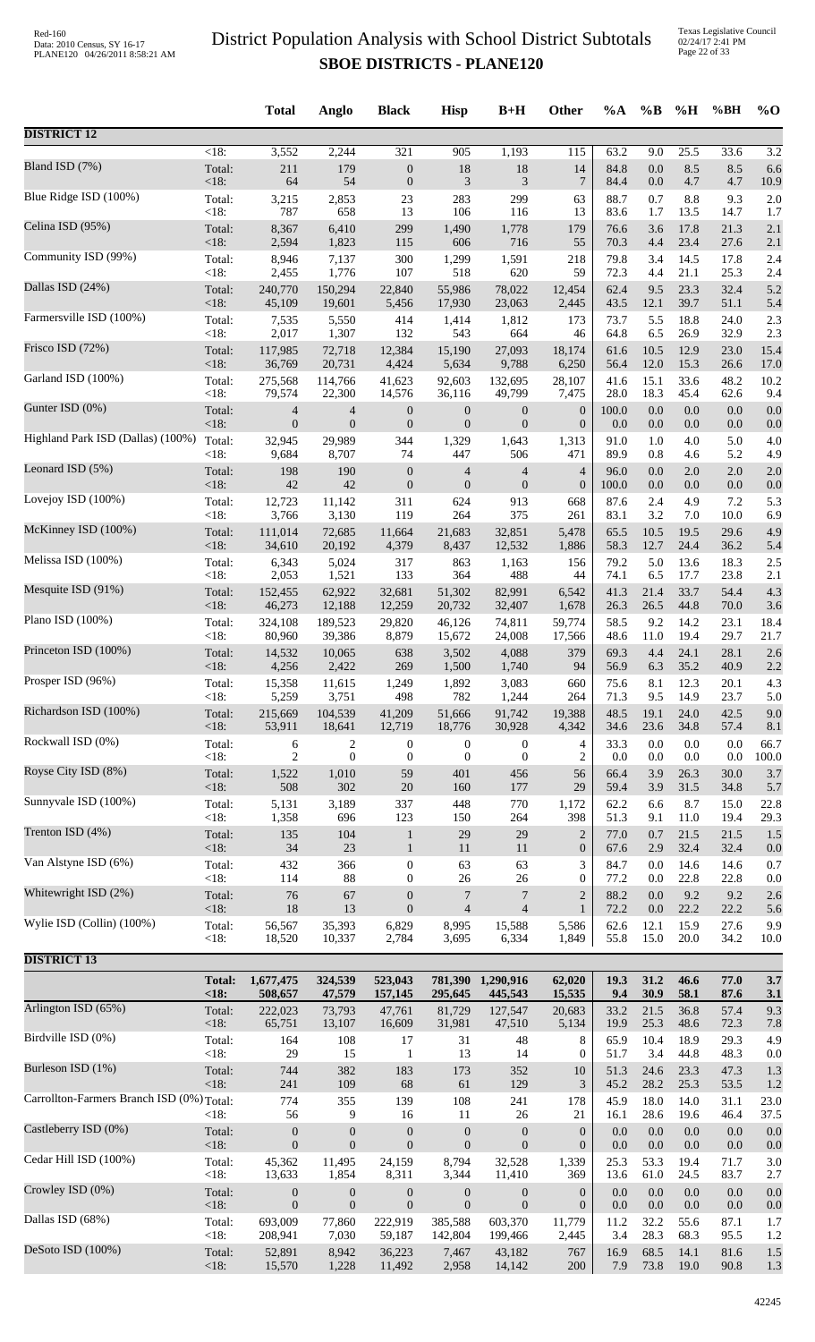|                                           |                    | <b>Total</b>   | Anglo            | <b>Black</b>     | <b>Hisp</b>      | $B+H$            | Other            | %A      | $\%B$   | %H      | %BH     | $%$ <sup>O</sup> |
|-------------------------------------------|--------------------|----------------|------------------|------------------|------------------|------------------|------------------|---------|---------|---------|---------|------------------|
| <b>DISTRICT 12</b>                        |                    |                |                  |                  |                  |                  |                  |         |         |         |         |                  |
| Bland ISD (7%)                            | $\overline{<}18$ : | 3,552          | 2,244            | 321              | 905              | 1,193            | $\overline{115}$ | 63.2    | 9.0     | 25.5    | 33.6    | 3.2              |
|                                           | Total:             | 211            | 179              | $\boldsymbol{0}$ | 18               | 18               | 14               | 84.8    | 0.0     | 8.5     | 8.5     | 6.6              |
| Blue Ridge ISD (100%)                     | <18:               | 64             | 54               | $\boldsymbol{0}$ | 3                | $\mathfrak{Z}$   | $\overline{7}$   | 84.4    | $0.0\,$ | 4.7     | 4.7     | 10.9             |
|                                           | Total:             | 3,215          | 2,853            | 23               | 283              | 299              | 63               | 88.7    | 0.7     | 8.8     | 9.3     | 2.0              |
|                                           | < 18:              | 787            | 658              | 13               | 106              | 116              | 13               | 83.6    | 1.7     | 13.5    | 14.7    | 1.7              |
| Celina ISD (95%)                          | Total:             | 8,367          | 6,410            | 299              | 1,490            | 1,778            | 179              | 76.6    | 3.6     | 17.8    | 21.3    | 2.1              |
|                                           | <18:               | 2,594          | 1,823            | 115              | 606              | 716              | 55               | 70.3    | 4.4     | 23.4    | 27.6    | 2.1              |
| Community ISD (99%)                       | Total:             | 8,946          | 7,137            | 300              | 1,299            | 1,591            | 218              | 79.8    | 3.4     | 14.5    | 17.8    | 2.4              |
|                                           | < 18:              | 2,455          | 1,776            | 107              | 518              | 620              | 59               | 72.3    | 4.4     | 21.1    | 25.3    | 2.4              |
| Dallas ISD (24%)                          | Total:             | 240,770        | 150,294          | 22,840           | 55,986           | 78,022           | 12,454           | 62.4    | 9.5     | 23.3    | 32.4    | 5.2              |
| Farmersville ISD (100%)                   | $<18$ :            | 45,109         | 19,601           | 5,456            | 17,930           | 23,063           | 2,445            | 43.5    | 12.1    | 39.7    | 51.1    | 5.4              |
|                                           | Total:             | 7,535          | 5,550            | 414              | 1,414            | 1,812            | 173              | 73.7    | 5.5     | 18.8    | 24.0    | 2.3              |
| Frisco ISD (72%)                          | < 18:              | 2,017          | 1,307            | 132              | 543              | 664              | 46               | 64.8    | 6.5     | 26.9    | 32.9    | 2.3              |
|                                           | Total:             | 117,985        | 72,718           | 12,384           | 15,190           | 27,093           | 18,174           | 61.6    | 10.5    | 12.9    | 23.0    | 15.4             |
| Garland ISD (100%)                        | <18:               | 36,769         | 20,731           | 4,424            | 5,634            | 9,788            | 6,250            | 56.4    | 12.0    | 15.3    | 26.6    | 17.0             |
|                                           | Total:             | 275,568        | 114,766          | 41,623           | 92,603           | 132,695          | 28,107           | 41.6    | 15.1    | 33.6    | 48.2    | 10.2             |
|                                           | < 18:              | 79,574         | 22,300           | 14,576           | 36,116           | 49,799           | 7,475            | 28.0    | 18.3    | 45.4    | 62.6    | 9.4              |
| Gunter ISD (0%)                           | Total:             | 4              | $\overline{4}$   | $\boldsymbol{0}$ | $\boldsymbol{0}$ | $\boldsymbol{0}$ | $\boldsymbol{0}$ | 100.0   | 0.0     | $0.0\,$ | 0.0     | 0.0              |
|                                           | <18:               | $\overline{0}$ | $\boldsymbol{0}$ | $\boldsymbol{0}$ | $\overline{0}$   | $\mathbf{0}$     | $\boldsymbol{0}$ | 0.0     | 0.0     | 0.0     | 0.0     | 0.0              |
| Highland Park ISD (Dallas) (100%)         | Total:             | 32,945         | 29,989           | 344              | 1,329            | 1,643            | 1,313            | 91.0    | 1.0     | 4.0     | 5.0     | 4.0              |
|                                           | < 18:              | 9,684          | 8,707            | 74               | 447              | 506              | 471              | 89.9    | 0.8     | 4.6     | 5.2     | 4.9              |
| Leonard ISD (5%)                          | Total:             | 198            | 190              | $\boldsymbol{0}$ | $\overline{4}$   | $\overline{4}$   | 4                | 96.0    | 0.0     | 2.0     | $2.0\,$ | 2.0              |
|                                           | <18:               | 42             | 42               | $\boldsymbol{0}$ | $\mathbf{0}$     | $\mathbf{0}$     | $\boldsymbol{0}$ | 100.0   | 0.0     | 0.0     | 0.0     | 0.0              |
| Lovejoy ISD (100%)                        | Total:             | 12,723         | 11,142           | 311              | 624              | 913              | 668              | 87.6    | 2.4     | 4.9     | 7.2     | 5.3              |
| McKinney ISD (100%)                       | <18:               | 3,766          | 3,130            | 119              | 264              | 375              | 261              | 83.1    | 3.2     | 7.0     | 10.0    | 6.9              |
|                                           | Total:             | 111,014        | 72,685           | 11,664           | 21,683           | 32,851           | 5,478            | 65.5    | 10.5    | 19.5    | 29.6    | 4.9              |
| Melissa ISD (100%)                        | <18:               | 34,610         | 20,192           | 4,379            | 8,437            | 12,532           | 1,886            | 58.3    | 12.7    | 24.4    | 36.2    | 5.4              |
|                                           | Total:             | 6,343          | 5,024            | 317              | 863              | 1,163            | 156              | 79.2    | 5.0     | 13.6    | 18.3    | 2.5              |
|                                           | $<18$ :            | 2,053          | 1,521            | 133              | 364              | 488              | 44               | 74.1    | 6.5     | 17.7    | 23.8    | 2.1              |
| Mesquite ISD (91%)                        | Total:             | 152,455        | 62,922           | 32,681           | 51,302           | 82,991           | 6,542            | 41.3    | 21.4    | 33.7    | 54.4    | 4.3              |
|                                           | < 18:              | 46,273         | 12,188           | 12,259           | 20,732           | 32,407           | 1,678            | 26.3    | 26.5    | 44.8    | 70.0    | 3.6              |
| Plano ISD (100%)                          | Total:             | 324,108        | 189,523          | 29,820           | 46,126           | 74,811           | 59,774           | 58.5    | 9.2     | 14.2    | 23.1    | 18.4             |
|                                           | $<18$ :            | 80,960         | 39,386           | 8,879            | 15,672           | 24,008           | 17,566           | 48.6    | 11.0    | 19.4    | 29.7    | 21.7             |
| Princeton ISD (100%)                      | Total:             | 14,532         | 10,065           | 638              | 3,502            | 4,088            | 379              | 69.3    | 4.4     | 24.1    | 28.1    | 2.6              |
|                                           | <18:               | 4,256          | 2,422            | 269              | 1,500            | 1,740            | 94               | 56.9    | 6.3     | 35.2    | 40.9    | 2.2              |
| Prosper ISD (96%)                         | Total:             | 15,358         | 11,615           | 1,249            | 1,892            | 3,083            | 660              | 75.6    | 8.1     | 12.3    | 20.1    | 4.3              |
| Richardson ISD (100%)                     | <18:               | 5,259          | 3,751            | 498              | 782              | 1,244            | 264              | 71.3    | 9.5     | 14.9    | 23.7    | 5.0              |
|                                           | Total:             | 215,669        | 104,539          | 41,209           | 51,666           | 91,742           | 19,388           | 48.5    | 19.1    | 24.0    | 42.5    | 9.0              |
| Rockwall ISD (0%)                         | $<18$ :            | 53,911         | 18,641           | 12,719           | 18,776           | 30,928           | 4,342            | 34.6    | 23.6    | 34.8    | 57.4    | 8.1              |
|                                           | Total:             | 6              | $\overline{c}$   | $\boldsymbol{0}$ | $\boldsymbol{0}$ | $\boldsymbol{0}$ | 4                | 33.3    | $0.0\,$ | 0.0     | 0.0     | 66.7             |
|                                           | < 18:              | 2              | $\mathbf{0}$     | $\boldsymbol{0}$ | $\boldsymbol{0}$ | $\boldsymbol{0}$ | $\overline{c}$   | 0.0     | 0.0     | 0.0     | 0.0     | 100.0            |
| Royse City ISD (8%)                       | Total:             | 1,522          | 1,010            | 59               | 401              | 456              | 56               | 66.4    | 3.9     | 26.3    | 30.0    | 3.7              |
|                                           | <18:               | 508            | 302              | $20\,$           | 160              | 177              | 29               | 59.4    | 3.9     | 31.5    | 34.8    | 5.7              |
| Sunnyvale ISD (100%)                      | Total:             | 5,131          | 3,189            | 337              | 448              | 770              | 1,172            | 62.2    | 6.6     | 8.7     | 15.0    | 22.8             |
|                                           | < 18:              | 1,358          | 696              | 123              | 150              | 264              | 398              | 51.3    | 9.1     | 11.0    | 19.4    | 29.3             |
| Trenton ISD (4%)                          | Total:             | 135            | 104              | $\mathbf 1$      | 29               | 29               | $\overline{2}$   | 77.0    | 0.7     | 21.5    | 21.5    | 1.5              |
|                                           | <18:               | 34             | 23               | $\mathbf{1}$     | 11               | 11               | $\boldsymbol{0}$ | 67.6    | 2.9     | 32.4    | 32.4    | 0.0              |
| Van Alstyne ISD (6%)                      | Total:             | 432            | 366              | $\boldsymbol{0}$ | 63               | 63               | 3                | 84.7    | 0.0     | 14.6    | 14.6    | 0.7              |
| Whitewright ISD (2%)                      | < 18:              | 114            | 88               | $\boldsymbol{0}$ | 26               | 26               | 0                | 77.2    | 0.0     | 22.8    | 22.8    | 0.0              |
|                                           | Total:             | 76             | 67               | $\boldsymbol{0}$ | 7                | $\overline{7}$   | $\overline{c}$   | 88.2    | 0.0     | 9.2     | 9.2     | 2.6              |
| Wylie ISD (Collin) (100%)                 | <18:               | 18             | 13               | $\boldsymbol{0}$ | $\overline{4}$   | $\overline{4}$   | $\mathbf{1}$     | 72.2    | $0.0\,$ | 22.2    | 22.2    | 5.6              |
|                                           | Total:             | 56,567         | 35,393           | 6,829            | 8,995            | 15,588           | 5,586            | 62.6    | 12.1    | 15.9    | 27.6    | 9.9              |
|                                           | <18:               | 18,520         | 10,337           | 2,784            | 3,695            | 6,334            | 1,849            | 55.8    | 15.0    | 20.0    | 34.2    | 10.0             |
| <b>DISTRICT 13</b>                        | <b>Total:</b>      | 1,677,475      | 324,539          | 523,043          | 781,390          | 1,290,916        | 62,020           | 19.3    | 31.2    | 46.6    | 77.0    | 3.7              |
|                                           | <18:               | 508,657        | 47,579           | 157,145          | 295,645          | 445,543          | 15,535           | 9.4     | 30.9    | 58.1    | 87.6    | 3.1              |
| Arlington ISD (65%)                       | Total:             | 222,023        | 73,793           | 47,761           | 81,729           | 127,547          | 20,683           | 33.2    | 21.5    | 36.8    | 57.4    | 9.3              |
|                                           | <18:               | 65,751         | 13,107           | 16,609           | 31,981           | 47,510           | 5,134            | 19.9    | 25.3    | 48.6    | 72.3    | 7.8              |
| Birdville ISD (0%)                        | Total:             | 164            | 108              | 17               | 31               | 48               | 8                | 65.9    | 10.4    | 18.9    | 29.3    | 4.9              |
|                                           | < 18:              | 29             | 15               | $\mathbf{1}$     | 13               | 14               | 0                | 51.7    | 3.4     | 44.8    | 48.3    | 0.0              |
| Burleson ISD (1%)                         | Total:             | 744            | 382              | 183              | 173              | 352              | 10               | 51.3    | 24.6    | 23.3    | 47.3    | 1.3              |
|                                           | <18:               | 241            | 109              | 68               | 61               | 129              | 3                | 45.2    | 28.2    | 25.3    | 53.5    | 1.2              |
| Carrollton-Farmers Branch ISD (0%) Total: |                    | 774            | 355              | 139              | 108              | 241              | 178              | 45.9    | 18.0    | 14.0    | 31.1    | 23.0             |
| Castleberry ISD (0%)                      | $<18$ :            | 56             | 9                | 16               | 11               | $26\,$           | 21               | 16.1    | 28.6    | 19.6    | 46.4    | 37.5             |
|                                           | Total:             | $\mathbf{0}$   | $\boldsymbol{0}$ | $\boldsymbol{0}$ | $\mathbf{0}$     | $\boldsymbol{0}$ | $\boldsymbol{0}$ | 0.0     | 0.0     | 0.0     | 0.0     | 0.0              |
| Cedar Hill ISD (100%)                     | <18:               | $\mathbf{0}$   | $\mathbf{0}$     | $\boldsymbol{0}$ | $\mathbf{0}$     | $\boldsymbol{0}$ | $\boldsymbol{0}$ | $0.0\,$ | $0.0\,$ | 0.0     | 0.0     | 0.0              |
|                                           | Total:             | 45,362         | 11,495           | 24,159           | 8,794            | 32,528           | 1,339            | 25.3    | 53.3    | 19.4    | 71.7    | 3.0              |
| Crowley ISD (0%)                          | <18:               | 13,633         | 1,854            | 8,311            | 3,344            | 11,410           | 369              | 13.6    | 61.0    | 24.5    | 83.7    | 2.7              |
|                                           | Total:             | $\mathbf{0}$   | $\boldsymbol{0}$ | $\boldsymbol{0}$ | $\mathbf{0}$     | $\boldsymbol{0}$ | $\boldsymbol{0}$ | $0.0\,$ | 0.0     | 0.0     | 0.0     | 0.0              |
|                                           | <18:               | $\mathbf{0}$   | $\boldsymbol{0}$ | $\boldsymbol{0}$ | $\mathbf{0}$     | $\boldsymbol{0}$ | $\boldsymbol{0}$ | $0.0\,$ | 0.0     | 0.0     | 0.0     | 0.0              |
| Dallas ISD (68%)                          | Total:             | 693,009        | 77,860           | 222,919          | 385,588          | 603,370          | 11,779           | 11.2    | 32.2    | 55.6    | 87.1    | 1.7              |
|                                           | <18:               | 208,941        | 7,030            | 59,187           | 142,804          | 199,466          | 2,445            | 3.4     | 28.3    | 68.3    | 95.5    | 1.2              |
| DeSoto ISD (100%)                         | Total:             | 52,891         | 8,942            | 36,223           | 7,467            | 43,182           | 767              | 16.9    | 68.5    | 14.1    | 81.6    | 1.5              |
|                                           | <18:               | 15,570         | 1,228            | 11,492           | 2,958            | 14,142           | 200              | 7.9     | 73.8    | 19.0    | 90.8    | 1.3              |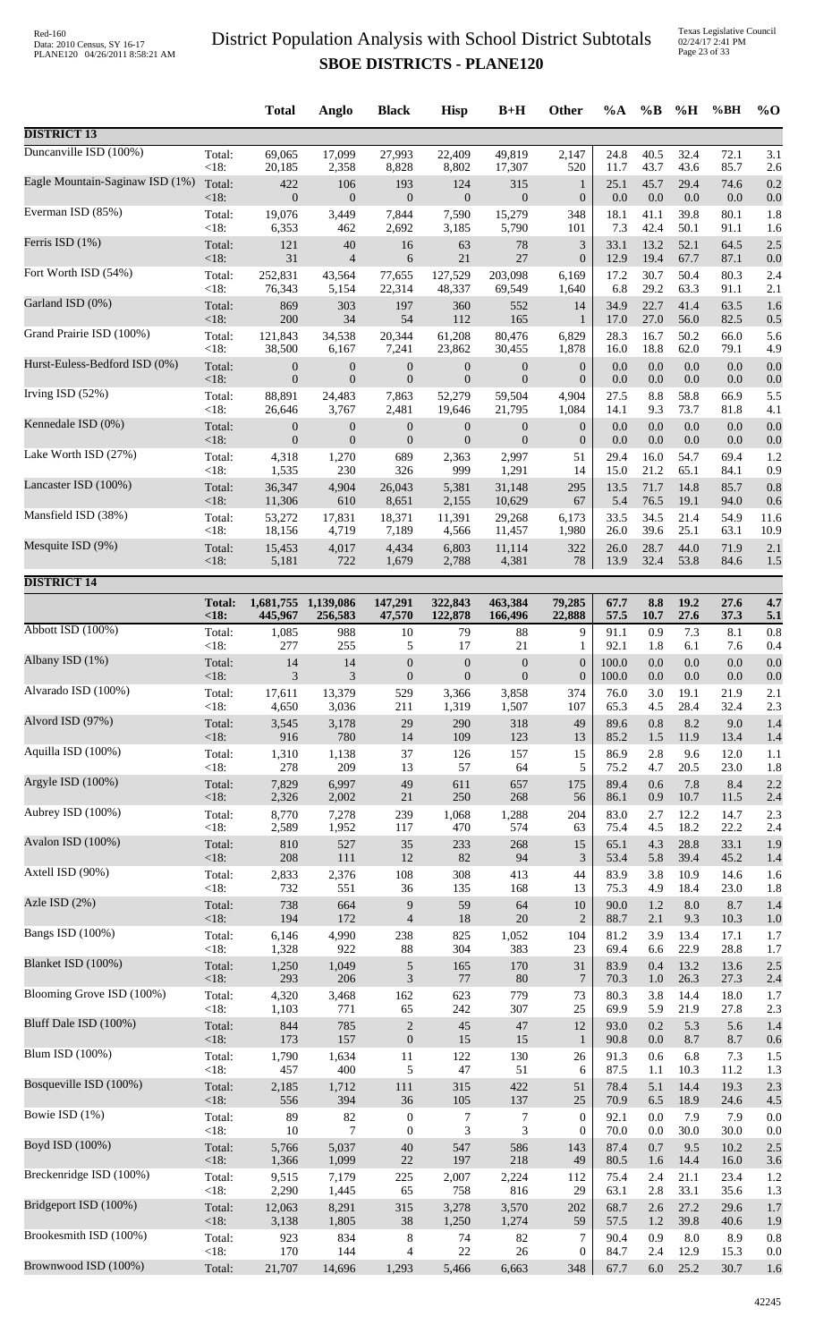Texas Legislative Council 02/24/17 2:41 PM Page 23 of 33

|                                 |               | <b>Total</b>     | Anglo                          | <b>Black</b>      | <b>Hisp</b>      | $B+H$            | Other            | $\%A$   | $\%B$   | %H      | %BH  | $%$ <sup>O</sup> |
|---------------------------------|---------------|------------------|--------------------------------|-------------------|------------------|------------------|------------------|---------|---------|---------|------|------------------|
| <b>DISTRICT 13</b>              |               |                  |                                |                   |                  |                  |                  |         |         |         |      |                  |
| Duncanville ISD (100%)          | Total:        | 69,065           | 17,099                         | 27,993            | 22,409           | 49,819           | 2,147            | 24.8    | 40.5    | 32.4    | 72.1 | 3.1              |
| Eagle Mountain-Saginaw ISD (1%) | <18:          | 20,185           | 2,358                          | 8,828             | 8,802            | 17,307           | 520              | 11.7    | 43.7    | 43.6    | 85.7 | 2.6              |
|                                 | Total:        | 422              | 106                            | 193               | 124              | 315              | $\mathbf{1}$     | 25.1    | 45.7    | 29.4    | 74.6 | 0.2              |
|                                 | < 18:         | $\mathbf{0}$     | $\mathbf{0}$                   | $\boldsymbol{0}$  | $\boldsymbol{0}$ | $\mathbf{0}$     | $\boldsymbol{0}$ | $0.0\,$ | $0.0\,$ | $0.0\,$ | 0.0  | 0.0              |
| Everman ISD (85%)               | Total:        | 19,076           | 3,449                          | 7,844             | 7,590            | 15,279           | 348              | 18.1    | 41.1    | 39.8    | 80.1 | 1.8              |
|                                 | < 18:         | 6,353            | 462                            | 2,692             | 3,185            | 5,790            | 101              | 7.3     | 42.4    | 50.1    | 91.1 | 1.6              |
| Ferris ISD (1%)                 | Total:        | 121              | 40                             | 16                | 63               | 78               | 3                | 33.1    | 13.2    | 52.1    | 64.5 | 2.5              |
|                                 | < 18:         | 31               | $\overline{\mathcal{L}}$       | 6                 | 21               | 27               | $\boldsymbol{0}$ | 12.9    | 19.4    | 67.7    | 87.1 | 0.0              |
| Fort Worth ISD (54%)            | Total:        | 252,831          | 43,564                         | 77,655            | 127,529          | 203,098          | 6,169            | 17.2    | 30.7    | 50.4    | 80.3 | 2.4              |
| Garland ISD (0%)                | < 18:         | 76,343           | 5,154                          | 22,314            | 48,337           | 69,549           | 1,640            | 6.8     | 29.2    | 63.3    | 91.1 | 2.1              |
|                                 | Total:        | 869              | 303                            | 197               | 360              | 552              | 14               | 34.9    | 22.7    | 41.4    | 63.5 | 1.6              |
|                                 | <18:          | 200              | 34                             | 54                | 112              | 165              | 1                | 17.0    | 27.0    | 56.0    | 82.5 | 0.5              |
| Grand Prairie ISD (100%)        | Total:        | 121,843          | 34,538                         | 20,344            | 61,208           | 80,476           | 6,829            | 28.3    | 16.7    | 50.2    | 66.0 | 5.6              |
|                                 | <18:          | 38,500           | 6,167                          | 7,241             | 23,862           | 30,455           | 1,878            | 16.0    | 18.8    | 62.0    | 79.1 | 4.9              |
| Hurst-Euless-Bedford ISD (0%)   | Total:        | $\boldsymbol{0}$ | $\boldsymbol{0}$               | $\boldsymbol{0}$  | $\boldsymbol{0}$ | $\boldsymbol{0}$ | $\boldsymbol{0}$ | 0.0     | $0.0\,$ | $0.0\,$ | 0.0  | 0.0              |
|                                 | < 18:         | $\boldsymbol{0}$ | $\boldsymbol{0}$               | $\mathbf{0}$      | $\boldsymbol{0}$ | $\mathbf{0}$     | $\boldsymbol{0}$ | 0.0     | 0.0     | 0.0     | 0.0  | 0.0              |
| Irving ISD (52%)                | Total:        | 88,891           | 24,483                         | 7,863             | 52,279           | 59,504           | 4,904            | 27.5    | 8.8     | 58.8    | 66.9 | 5.5              |
| Kennedale ISD (0%)              | < 18:         | 26,646           | 3,767                          | 2,481             | 19,646           | 21,795           | 1,084            | 14.1    | 9.3     | 73.7    | 81.8 | 4.1              |
|                                 | Total:        | $\boldsymbol{0}$ | $\boldsymbol{0}$               | $\boldsymbol{0}$  | $\boldsymbol{0}$ | $\boldsymbol{0}$ | $\boldsymbol{0}$ | 0.0     | 0.0     | 0.0     | 0.0  | 0.0              |
| Lake Worth ISD (27%)            | <18:          | $\overline{0}$   | $\overline{0}$                 | $\mathbf{0}$      | $\overline{0}$   | $\overline{0}$   | $\boldsymbol{0}$ | 0.0     | 0.0     | 0.0     | 0.0  | 0.0              |
|                                 | Total:        | 4,318            | 1,270                          | 689               | 2,363            | 2,997            | 51               | 29.4    | 16.0    | 54.7    | 69.4 | 1.2              |
|                                 | <18:          | 1,535            | 230                            | 326               | 999              | 1,291            | 14               | 15.0    | 21.2    | 65.1    | 84.1 | 0.9              |
| Lancaster ISD (100%)            | Total:        | 36,347           | 4,904                          | 26,043            | 5,381            | 31,148           | 295              | 13.5    | 71.7    | 14.8    | 85.7 | 0.8              |
|                                 | <18:          | 11,306           | 610                            | 8,651             | 2,155            | 10,629           | 67               | 5.4     | 76.5    | 19.1    | 94.0 | 0.6              |
| Mansfield ISD (38%)             | Total:        | 53,272           | 17,831                         | 18,371            | 11,391           | 29,268           | 6,173            | 33.5    | 34.5    | 21.4    | 54.9 | 11.6             |
| Mesquite ISD (9%)               | < 18:         | 18,156           | 4,719                          | 7,189             | 4,566            | 11,457           | 1,980            | 26.0    | 39.6    | 25.1    | 63.1 | 10.9             |
|                                 | Total:        | 15,453           | 4,017                          | 4,434             | 6,803            | 11,114           | 322              | 26.0    | 28.7    | 44.0    | 71.9 | 2.1              |
|                                 | < 18:         | 5,181            | 722                            | 1,679             | 2,788            | 4,381            | $78\,$           | 13.9    | 32.4    | 53.8    | 84.6 | 1.5              |
| <b>DISTRICT 14</b>              | <b>Total:</b> |                  |                                |                   | 322,843          | 463,384          | 79,285           | 67.7    | 8.8     | 19.2    | 27.6 | 4.7              |
|                                 | <18           | 445,967          | 1,681,755 1,139,086<br>256,583 | 147,291<br>47,570 | 122,878          | 166,496          | 22,888           | 57.5    | 10.7    | 27.6    | 37.3 | 5.1              |
| Abbott ISD (100%)               | Total:        | 1,085            | 988                            | 10                | 79               | 88               | 9                | 91.1    | 0.9     | 7.3     | 8.1  | 0.8              |
|                                 | <18:          | 277              | 255                            | 5                 | 17               | $21\,$           | 1                | 92.1    | 1.8     | 6.1     | 7.6  | 0.4              |
| Albany ISD (1%)                 | Total:        | 14               | 14                             | $\boldsymbol{0}$  | $\boldsymbol{0}$ | $\boldsymbol{0}$ | $\boldsymbol{0}$ | 100.0   | 0.0     | 0.0     | 0.0  | 0.0              |
| Alvarado ISD (100%)             | < 18:         | 3                | 3                              | $\mathbf{0}$      | $\boldsymbol{0}$ | $\mathbf{0}$     | $\boldsymbol{0}$ | 100.0   | 0.0     | 0.0     | 0.0  | 0.0              |
|                                 | Total:        | 17,611           | 13,379                         | 529               | 3,366            | 3,858            | 374              | 76.0    | 3.0     | 19.1    | 21.9 | 2.1              |
| Alvord ISD (97%)                | <18:          | 4,650            | 3,036                          | 211               | 1,319            | 1,507            | 107              | 65.3    | 4.5     | 28.4    | 32.4 | 2.3              |
|                                 | Total:        | 3,545            | 3,178                          | 29                | 290              | 318              | 49               | 89.6    | 0.8     | 8.2     | 9.0  | 1.4              |
|                                 | < 18:         | 916              | 780                            | 14                | 109              | 123              | 13               | 85.2    | 1.5     | 11.9    | 13.4 | 1.4              |
| Aquilla ISD (100%)              | Total:        | 1,310            | 1,138                          | 37                | 126              | 157              | 15               | 86.9    | 2.8     | 9.6     | 12.0 | 1.1              |
|                                 | <18:          | 278              | 209                            | 13                | 57               | 64               | 5                | 75.2    | 4.7     | 20.5    | 23.0 | 1.8              |
| Argyle ISD (100%)               | Total:        | 7,829            | 6,997                          | 49                | 611              | 657              | 175              | 89.4    | 0.6     | 7.8     | 8.4  | 2.2              |
|                                 | <18:          | 2,326            | 2,002                          | $21\,$            | 250              | 268              | 56               | 86.1    | 0.9     | 10.7    | 11.5 | 2.4              |
| Aubrey ISD (100%)               | Total:        | 8,770            | 7,278                          | 239               | 1,068            | 1,288            | 204              | 83.0    | 2.7     | 12.2    | 14.7 | 2.3              |
| Avalon ISD (100%)               | <18:          | 2,589            | 1,952                          | 117               | 470              | 574              | 63               | 75.4    | 4.5     | 18.2    | 22.2 | 2.4              |
|                                 | Total:        | 810              | 527                            | 35                | 233              | 268              | 15               | 65.1    | 4.3     | 28.8    | 33.1 | 1.9              |
| Axtell ISD (90%)                | < 18:         | 208              | 111                            | 12                | 82               | 94               | $\mathfrak{Z}$   | 53.4    | 5.8     | 39.4    | 45.2 | 1.4              |
|                                 | Total:        | 2,833            | 2,376                          | 108               | 308              | 413              | 44               | 83.9    | 3.8     | 10.9    | 14.6 | 1.6              |
|                                 | <18:          | 732              | 551                            | 36                | 135              | 168              | 13               | 75.3    | 4.9     | 18.4    | 23.0 | 1.8              |
| Azle ISD (2%)                   | Total:        | 738              | 664                            | 9                 | 59               | 64               | $10\,$           | 90.0    | 1.2     | $8.0\,$ | 8.7  | 1.4              |
|                                 | <18:          | 194              | 172                            | $\overline{4}$    | 18               | 20               | $\overline{2}$   | 88.7    | 2.1     | 9.3     | 10.3 | 1.0              |
| Bangs ISD (100%)                | Total:        | 6,146            | 4,990                          | 238               | 825              | 1,052            | 104              | 81.2    | 3.9     | 13.4    | 17.1 | 1.7              |
| Blanket ISD (100%)              | <18:          | 1,328            | 922                            | $88\,$            | 304              | 383              | 23               | 69.4    | 6.6     | 22.9    | 28.8 | 1.7              |
|                                 | Total:        | 1,250            | 1,049                          | $\sqrt{5}$        | 165              | 170              | 31               | 83.9    | 0.4     | 13.2    | 13.6 | 2.5              |
| Blooming Grove ISD (100%)       | <18:          | 293              | 206                            | $\mathfrak{Z}$    | $77\,$           | $80\,$           | $7\phantom{.0}$  | 70.3    | 1.0     | 26.3    | 27.3 | 2.4              |
|                                 | Total:        | 4,320            | 3,468                          | 162               | 623              | 779              | 73               | 80.3    | 3.8     | 14.4    | 18.0 | 1.7              |
|                                 | < 18:         | 1,103            | 771                            | 65                | 242              | 307              | 25               | 69.9    | 5.9     | 21.9    | 27.8 | 2.3              |
| Bluff Dale ISD (100%)           | Total:        | 844              | 785                            | $\sqrt{2}$        | 45               | 47               | 12               | 93.0    | 0.2     | 5.3     | 5.6  | 1.4              |
|                                 | < 18:         | 173              | 157                            | $\boldsymbol{0}$  | 15               | 15               | $\mathbf{1}$     | 90.8    | 0.0     | 8.7     | 8.7  | 0.6              |
| Blum ISD (100%)                 | Total:        | 1,790            | 1,634                          | 11                | 122              | 130              | 26               | 91.3    | 0.6     | 6.8     | 7.3  | 1.5              |
| Bosqueville ISD (100%)          | <18:          | 457              | 400                            | 5                 | 47               | 51               | 6                | 87.5    | 1.1     | 10.3    | 11.2 | 1.3              |
|                                 | Total:        | 2,185            | 1,712                          | 111               | 315              | 422              | 51               | 78.4    | 5.1     | 14.4    | 19.3 | 2.3              |
| Bowie ISD (1%)                  | <18:          | 556              | 394                            | 36                | 105              | 137              | 25               | 70.9    | 6.5     | 18.9    | 24.6 | 4.5              |
|                                 | Total:        | 89               | 82                             | $\boldsymbol{0}$  | 7                | 7                | $\mathbf{0}$     | 92.1    | $0.0\,$ | 7.9     | 7.9  | 0.0              |
|                                 | < 18:         | 10               | $\overline{7}$                 | $\boldsymbol{0}$  | 3                | 3                | $\boldsymbol{0}$ | 70.0    | 0.0     | 30.0    | 30.0 | 0.0              |
| Boyd ISD (100%)                 | Total:        | 5,766            | 5,037                          | $40\,$            | 547              | 586              | 143              | 87.4    | 0.7     | 9.5     | 10.2 | 2.5              |
|                                 | < 18:         | 1,366            | 1,099                          | 22                | 197              | 218              | 49               | 80.5    | 1.6     | 14.4    | 16.0 | 3.6              |
| Breckenridge ISD (100%)         | Total:        | 9,515            | 7,179                          | 225               | 2,007            | 2,224            | 112              | 75.4    | 2.4     | 21.1    | 23.4 | 1.2              |
| Bridgeport ISD (100%)           | < 18:         | 2,290            | 1,445                          | 65                | 758              | 816              | 29               | 63.1    | 2.8     | 33.1    | 35.6 | 1.3              |
|                                 | Total:        | 12,063           | 8,291                          | 315               | 3,278            | 3,570            | 202              | 68.7    | 2.6     | 27.2    | 29.6 | 1.7              |
| Brookesmith ISD (100%)          | <18:          | 3,138            | 1,805                          | $38\,$            | 1,250            | 1,274            | 59               | 57.5    | 1.2     | 39.8    | 40.6 | 1.9              |
|                                 | Total:        | 923              | 834                            | 8                 | 74               | 82               | 7                | 90.4    | 0.9     | 8.0     | 8.9  | 0.8              |
|                                 | <18:          | 170              | 144                            | 4                 | $22\,$           | $26\,$           | 0                | 84.7    | 2.4     | 12.9    | 15.3 | 0.0              |
| Brownwood ISD (100%)            | Total:        | 21,707           | 14,696                         | 1,293             | 5,466            | 6,663            | 348              | 67.7    | $6.0\,$ | 25.2    | 30.7 | 1.6              |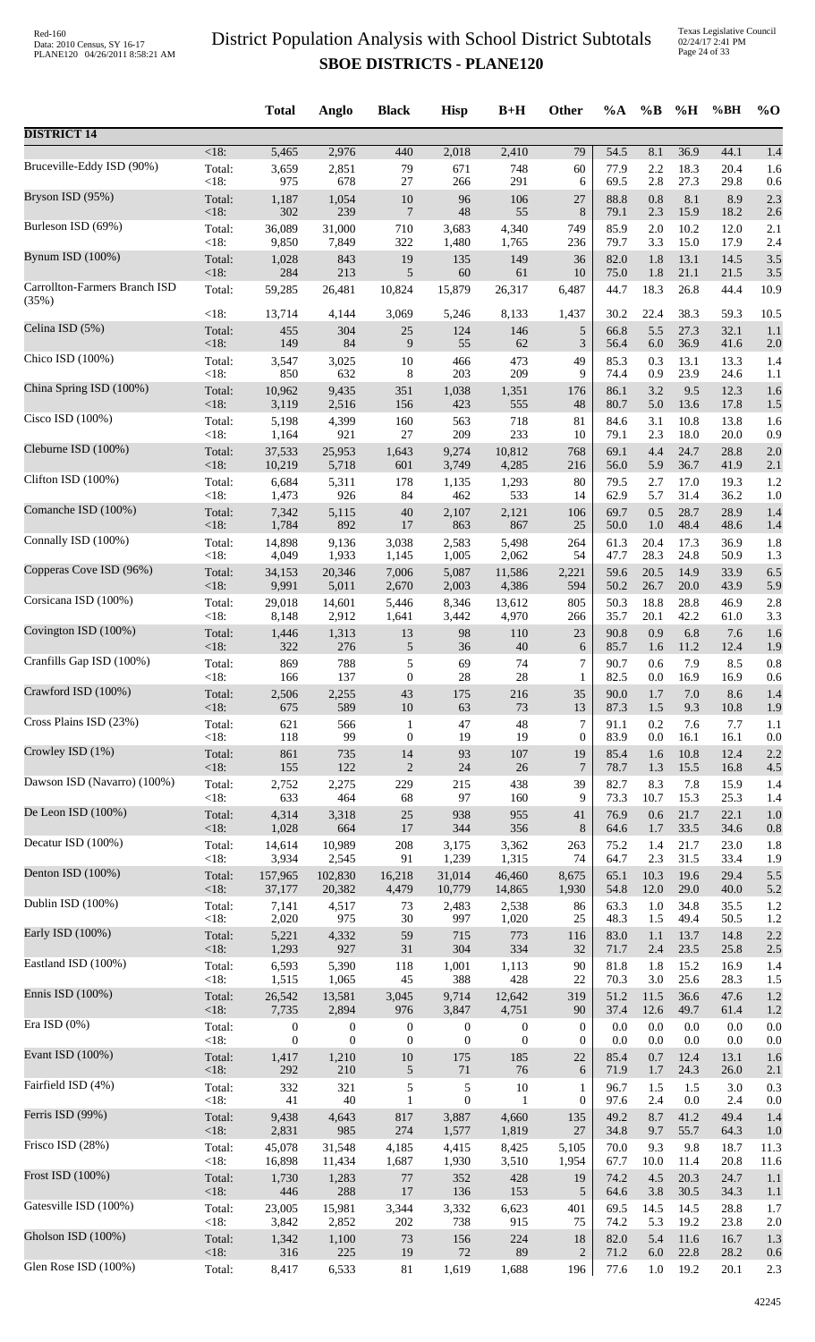|                               |                | <b>Total</b>       | Anglo            | <b>Black</b>     | <b>Hisp</b>  | $B+H$            | <b>Other</b>     | $\%A$        | $\%B$      | %H           | %BH          | $%$ <sup>O</sup> |
|-------------------------------|----------------|--------------------|------------------|------------------|--------------|------------------|------------------|--------------|------------|--------------|--------------|------------------|
| <b>DISTRICT 14</b>            |                |                    |                  |                  |              |                  |                  |              |            |              |              |                  |
| Bruceville-Eddy ISD (90%)     | $<18$ :        | $\overline{5,465}$ | 2,976            | 440              | 2,018        | 2,410            | 79               | 54.5         | 8.1        | 36.9         | 44.1         | 1.4              |
|                               | Total:         | 3,659              | 2,851            | 79               | 671          | 748              | 60               | 77.9         | 2.2        | 18.3         | 20.4         | 1.6              |
|                               | $<18$ :        | 975                | 678              | 27               | 266          | 291              | 6                | 69.5         | 2.8        | 27.3         | 29.8         | 0.6              |
| Bryson ISD (95%)              | Total:         | 1,187              | 1,054            | $10\,$           | 96           | 106              | 27               | 88.8         | 0.8        | 8.1          | 8.9          | 2.3              |
|                               | <18:           | 302                | 239              | $\overline{7}$   | 48           | 55               | 8                | 79.1         | 2.3        | 15.9         | 18.2         | 2.6              |
| Burleson ISD (69%)            | Total:<br><18: | 36,089             | 31,000           | 710              | 3,683        | 4,340            | 749              | 85.9<br>79.7 | 2.0<br>3.3 | 10.2<br>15.0 | 12.0<br>17.9 | 2.1              |
| Bynum ISD (100%)              | Total:         | 9,850<br>1,028     | 7,849<br>843     | 322<br>19        | 1,480<br>135 | 1,765<br>149     | 236<br>36        | 82.0         | 1.8        | 13.1         | 14.5         | 2.4<br>3.5       |
| Carrollton-Farmers Branch ISD | <18:           | 284                | 213              | 5                | 60           | 61               | 10               | 75.0         | 1.8        | 21.1         | 21.5         | 3.5              |
|                               | Total:         | 59,285             | 26,481           | 10,824           | 15,879       | 26,317           | 6,487            | 44.7         | 18.3       | 26.8         | 44.4         | 10.9             |
| (35%)                         | <18:           | 13,714             | 4,144            | 3,069            | 5,246        | 8,133            | 1,437            | 30.2         | 22.4       | 38.3         | 59.3         | 10.5             |
| Celina ISD (5%)               | Total:         | 455                | 304              | 25               | 124          | 146              | 5                | 66.8         | 5.5        | 27.3         | 32.1         | 1.1              |
| Chico ISD (100%)              | <18:           | 149                | 84               | 9                | 55           | 62               | $\mathfrak{Z}$   | 56.4         | $6.0\,$    | 36.9         | 41.6         | 2.0              |
|                               | Total:         | 3,547              | 3,025            | $10\,$           | 466          | 473              | 49               | 85.3         | 0.3        | 13.1         | 13.3         | 1.4              |
| China Spring ISD (100%)       | $<18$ :        | 850                | 632              | 8                | 203          | 209              | 9                | 74.4         | 0.9        | 23.9         | 24.6         | 1.1              |
|                               | Total:         | 10,962             | 9,435            | 351              | 1,038        | 1,351            | 176              | 86.1         | 3.2        | 9.5          | 12.3         | 1.6              |
| Cisco ISD (100%)              | <18:           | 3,119              | 2,516            | 156              | 423          | 555              | 48               | 80.7         | 5.0        | 13.6         | 17.8         | 1.5              |
|                               | Total:         | 5,198              | 4,399            | 160              | 563          | 718              | 81               | 84.6         | 3.1        | 10.8         | 13.8         | 1.6              |
|                               | <18:           | 1,164              | 921              | 27               | 209          | 233              | 10               | 79.1         | 2.3        | 18.0         | 20.0         | 0.9              |
| Cleburne ISD (100%)           | Total:         | 37,533             | 25,953           | 1,643            | 9,274        | 10,812           | 768              | 69.1         | 4.4        | 24.7         | 28.8         | 2.0              |
|                               | <18:           | 10,219             | 5,718            | 601              | 3,749        | 4,285            | 216              | 56.0         | 5.9        | 36.7         | 41.9         | 2.1              |
| Clifton ISD (100%)            | Total:         | 6,684              | 5,311            | 178              | 1,135        | 1,293            | 80               | 79.5         | 2.7        | 17.0         | 19.3         | 1.2              |
|                               | <18:           | 1,473              | 926              | 84               | 462          | 533              | 14               | 62.9         | 5.7        | 31.4         | 36.2         | 1.0              |
| Comanche ISD (100%)           | Total:         | 7,342              | 5,115            | 40               | 2,107        | 2,121            | 106              | 69.7         | 0.5        | 28.7         | 28.9         | 1.4              |
| Connally ISD (100%)           | <18:           | 1,784              | 892              | 17               | 863          | 867              | 25               | 50.0         | 1.0        | 48.4         | 48.6         | 1.4              |
|                               | Total:         | 14,898             | 9,136            | 3,038            | 2,583        | 5,498            | 264              | 61.3         | 20.4       | 17.3         | 36.9         | 1.8              |
| Copperas Cove ISD (96%)       | <18:           | 4,049              | 1,933            | 1,145            | 1,005        | 2,062            | 54               | 47.7         | 28.3       | 24.8         | 50.9         | 1.3              |
|                               | Total:         | 34,153             | 20,346           | 7,006            | 5,087        | 11,586           | 2,221            | 59.6         | 20.5       | 14.9         | 33.9         | 6.5              |
|                               | <18:           | 9,991              | 5,011            | 2,670            | 2,003        | 4,386            | 594              | 50.2         | 26.7       | 20.0         | 43.9         | 5.9              |
| Corsicana ISD (100%)          | Total:         | 29,018             | 14,601           | 5,446            | 8,346        | 13,612           | 805              | 50.3         | 18.8       | 28.8         | 46.9         | 2.8              |
|                               | <18:           | 8,148              | 2,912            | 1,641            | 3,442        | 4,970            | 266              | 35.7         | 20.1       | 42.2         | 61.0         | 3.3              |
| Covington ISD (100%)          | Total:         | 1,446              | 1,313            | 13               | 98           | 110              | 23               | 90.8         | 0.9        | 6.8          | 7.6          | 1.6              |
|                               | $<18$ :        | 322                | 276              | 5                | 36           | 40               | 6                | 85.7         | 1.6        | 11.2         | 12.4         | 1.9              |
| Cranfills Gap ISD (100%)      | Total:         | 869                | 788              | 5                | 69           | 74               | 7                | 90.7         | 0.6        | 7.9          | 8.5          | 0.8              |
| Crawford ISD (100%)           | $<18$ :        | 166                | 137              | $\mathbf{0}$     | 28           | 28               | 1                | 82.5         | 0.0        | 16.9         | 16.9         | 0.6              |
|                               | Total:         | 2,506              | 2,255            | 43               | 175          | 216              | 35               | 90.0         | 1.7        | 7.0          | 8.6          | 1.4              |
| Cross Plains ISD (23%)        | <18:           | 675                | 589              | $10\,$           | 63           | 73               | 13               | 87.3         | 1.5        | 9.3          | 10.8         | 1.9              |
|                               | Total:         | 621                | 566              | $\mathbf{1}$     | 47           | 48               | 7                | 91.1         | 0.2        | 7.6          | 7.7          | 1.1              |
|                               | <18:           | 118                | 99               | $\boldsymbol{0}$ | 19           | 19               | $\overline{0}$   | 83.9         | 0.0        | 16.1         | 16.1         | 0.0              |
| Crowley ISD (1%)              | Total:         | 861                | 735              | 14               | 93           | 107              | 19               | 85.4         | 1.6        | 10.8         | 12.4         | 2.2              |
|                               | <18:           | 155                | 122              | $\mathbf{2}$     | 24           | 26               | $\overline{7}$   | 78.7         | 1.3        | 15.5         | 16.8         | 4.5              |
| Dawson ISD (Navarro) (100%)   | Total:         | 2,752              | 2,275            | 229              | 215          | 438              | 39               | 82.7         | 8.3        | 7.8          | 15.9         | 1.4              |
|                               | <18:           | 633                | 464              | 68               | 97           | 160              | 9                | 73.3         | 10.7       | 15.3         | 25.3         | 1.4              |
| De Leon ISD (100%)            | Total:         | 4,314              | 3,318            | 25               | 938          | 955              | 41               | 76.9         | 0.6        | 21.7         | 22.1         | 1.0              |
|                               | $<18$ :        | 1,028              | 664              | 17               | 344          | 356              | 8                | 64.6         | 1.7        | 33.5         | 34.6         | 0.8              |
| Decatur ISD (100%)            | Total:         | 14,614             | 10,989           | $208\,$          | 3,175        | 3,362            | 263              | 75.2         | 1.4        | 21.7         | 23.0         | 1.8              |
| Denton ISD (100%)             | <18:           | 3,934              | 2,545            | 91               | 1,239        | 1,315            | 74               | 64.7         | 2.3        | 31.5         | 33.4         | 1.9              |
|                               | Total:         | 157,965            | 102,830          | 16,218           | 31,014       | 46,460           | 8,675            | 65.1         | 10.3       | 19.6         | 29.4         | 5.5              |
| Dublin ISD (100%)             | <18:           | 37,177             | 20,382           | 4,479            | 10,779       | 14,865           | 1,930            | 54.8         | 12.0       | 29.0         | 40.0         | 5.2              |
|                               | Total:         | 7,141              | 4,517            | 73               | 2,483        | 2,538            | 86               | 63.3         | 1.0        | 34.8         | 35.5         | 1.2              |
|                               | <18:           | 2,020              | 975              | $30\,$           | 997          | 1,020            | 25               | 48.3         | 1.5        | 49.4         | 50.5         | 1.2              |
| Early ISD (100%)              | Total:         | 5,221              | 4,332            | 59               | 715          | 773              | 116              | 83.0         | 1.1        | 13.7         | 14.8         | 2.2              |
|                               | <18:           | 1,293              | 927              | 31               | 304          | 334              | 32               | 71.7         | 2.4        | 23.5         | 25.8         | 2.5              |
| Eastland ISD (100%)           | Total:         | 6,593              | 5,390            | 118              | 1,001        | 1,113            | 90               | 81.8         | 1.8        | 15.2         | 16.9         | 1.4              |
|                               | < 18:          | 1,515              | 1,065            | 45               | 388          | 428              | 22               | 70.3         | 3.0        | 25.6         | 28.3         | 1.5              |
| Ennis ISD (100%)              | Total:         | 26,542             | 13,581           | 3,045            | 9,714        | 12,642           | 319              | 51.2         | 11.5       | 36.6         | 47.6         | 1.2              |
|                               | <18:           | 7,735              | 2,894            | 976              | 3,847        | 4,751            | 90               | 37.4         | 12.6       | 49.7         | 61.4         | 1.2              |
| Era ISD $(0\%)$               | Total:         | $\boldsymbol{0}$   | $\boldsymbol{0}$ | $\boldsymbol{0}$ | $\mathbf{0}$ | $\boldsymbol{0}$ | $\boldsymbol{0}$ | 0.0          | 0.0        | 0.0          | 0.0          | 0.0              |
| Evant ISD (100%)              | <18:           | $\boldsymbol{0}$   | $\boldsymbol{0}$ | $\mathbf{0}$     | $\mathbf{0}$ | $\mathbf{0}$     | $\mathbf{0}$     | 0.0          | 0.0        | 0.0          | 0.0          | 0.0              |
|                               | Total:         | 1,417              | 1,210            | $10\,$           | 175          | 185              | 22               | 85.4         | 0.7        | 12.4         | 13.1         | 1.6              |
| Fairfield ISD (4%)            | $<18$ :        | 292                | 210              | 5                | 71           | 76               | 6                | 71.9         | 1.7        | 24.3         | 26.0         | 2.1              |
|                               | Total:         | 332                | 321              | $\sqrt{5}$       | 5            | 10               | 1                | 96.7         | 1.5        | 1.5          | 3.0          | 0.3              |
|                               | <18:           | 41                 | 40               | $\mathbf{1}$     | $\mathbf{0}$ | -1               | $\mathbf{0}$     | 97.6         | 2.4        | $0.0\,$      | 2.4          | 0.0              |
| Ferris ISD (99%)              | Total:         | 9,438              | 4,643            | 817              | 3,887        | 4,660            | 135              | 49.2         | 8.7        | 41.2         | 49.4         | 1.4              |
|                               | <18:           | 2,831              | 985              | 274              | 1,577        | 1,819            | 27               | 34.8         | 9.7        | 55.7         | 64.3         | 1.0              |
| Frisco ISD (28%)              | Total:         | 45,078             | 31,548           | 4,185            | 4,415        | 8,425            | 5,105            | 70.0         | 9.3        | 9.8          | 18.7         | 11.3             |
|                               | <18:           | 16,898             | 11,434           | 1,687            | 1,930        | 3,510            | 1,954            | 67.7         | 10.0       | 11.4         | 20.8         | 11.6             |
| Frost ISD (100%)              | Total:         | 1,730              | 1,283            | 77               | 352          | 428              | 19               | 74.2         | 4.5        | 20.3         | 24.7         | 1.1              |
| Gatesville ISD (100%)         | <18:           | 446                | 288              | 17               | 136          | 153              | 5                | 64.6         | 3.8        | 30.5         | 34.3         | 1.1              |
|                               | Total:         | 23,005             | 15,981           | 3,344            | 3,332        | 6,623            | 401              | 69.5         | 14.5       | 14.5         | 28.8         | 1.7              |
| Gholson ISD (100%)            | <18:           | 3,842              | 2,852            | 202              | 738          | 915              | 75               | 74.2         | 5.3        | 19.2         | 23.8         | 2.0              |
|                               | Total:         | 1,342              | 1,100            | 73               | 156          | 224              | $18\,$           | 82.0         | 5.4        | 11.6         | 16.7         | 1.3              |
|                               | <18:           | 316                | 225              | 19               | 72           | 89               | $\overline{2}$   | 71.2         | 6.0        | 22.8         | 28.2         | 0.6              |
| Glen Rose ISD (100%)          | Total:         | 8,417              | 6,533            | 81               | 1,619        | 1,688            | 196              | 77.6         | $1.0\,$    | 19.2         | 20.1         | 2.3              |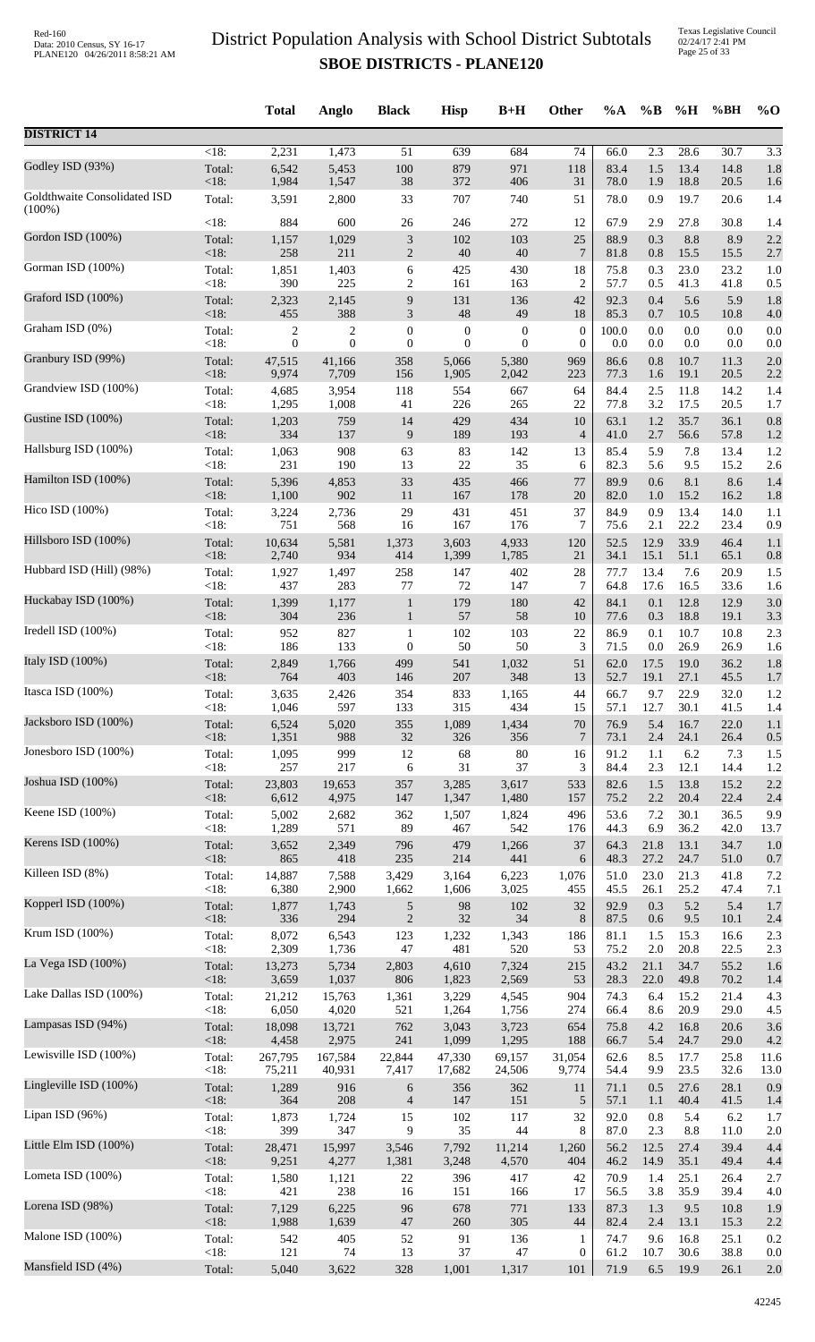|                                           |                   | <b>Total</b>     | Anglo          | <b>Black</b>             | <b>Hisp</b>      | $B+H$            | Other            | %A           | $\%B$        | %H           | %BH          | $%$ <sup>O</sup> |
|-------------------------------------------|-------------------|------------------|----------------|--------------------------|------------------|------------------|------------------|--------------|--------------|--------------|--------------|------------------|
| <b>DISTRICT 14</b>                        |                   |                  |                |                          |                  |                  |                  |              |              |              |              |                  |
|                                           | $<18$ :           | 2,231            | 1,473          | 51                       | 639              | 684              | $\overline{74}$  | 66.0         | 2.3          | 28.6         | 30.7         | 3.3              |
| Godley ISD (93%)                          | Total:            | 6,542            | 5,453          | 100                      | 879              | 971              | 118              | 83.4         | 1.5          | 13.4         | 14.8         | 1.8              |
|                                           | <18:              | 1,984            | 1,547          | $38\,$                   | 372              | 406              | 31               | 78.0         | 1.9          | 18.8         | 20.5         | 1.6              |
| Goldthwaite Consolidated ISD<br>$(100\%)$ | Total:            | 3,591            | 2,800          | 33                       | 707              | 740              | 51               | 78.0         | 0.9          | 19.7         | 20.6         | 1.4              |
| Gordon ISD (100%)                         | <18:              | 884              | 600            | 26                       | 246              | 272              | 12               | 67.9         | 2.9          | 27.8         | 30.8         | 1.4              |
|                                           | Total:            | 1,157            | 1,029          | 3                        | 102              | 103              | 25               | 88.9         | 0.3          | 8.8          | 8.9          | 2.2              |
|                                           | $<18$ :           | 258              | 211            | $\mathbf{2}$             | 40               | 40               | 7                | 81.8         | 0.8          | 15.5         | 15.5         | 2.7              |
| Gorman ISD (100%)                         | Total:            | 1,851            | 1,403          | 6                        | 425              | 430              | 18               | 75.8         | 0.3          | 23.0         | 23.2         | 1.0              |
|                                           | <18:              | 390              | 225            | 2                        | 161              | 163              | 2                | 57.7         | 0.5          | 41.3         | 41.8         | 0.5              |
| Graford ISD (100%)                        | Total:            | 2,323            | 2,145          | 9                        | 131              | 136              | 42               | 92.3         | 0.4          | 5.6          | 5.9          | 1.8              |
|                                           | $<18$ :           | 455              | 388            | 3                        | 48               | 49               | 18               | 85.3         | 0.7          | 10.5         | 10.8         | 4.0              |
| Graham ISD (0%)                           | Total:            | 2                | $\overline{c}$ | $\boldsymbol{0}$         | $\boldsymbol{0}$ | $\boldsymbol{0}$ | $\boldsymbol{0}$ | 100.0        | 0.0          | 0.0          | 0.0          | 0.0              |
|                                           | <18:              | $\boldsymbol{0}$ | $\theta$       | $\boldsymbol{0}$         | $\mathbf{0}$     | $\boldsymbol{0}$ | $\boldsymbol{0}$ | 0.0          | 0.0          | 0.0          | 0.0          | 0.0              |
| Granbury ISD (99%)                        | Total:            | 47,515           | 41,166         | 358                      | 5,066            | 5,380            | 969              | 86.6         | 0.8          | 10.7         | 11.3         | 2.0              |
|                                           | <18:              | 9,974            | 7,709          | 156                      | 1,905            | 2,042            | 223              | 77.3         | 1.6          | 19.1         | 20.5         | 2.2              |
| Grandview ISD (100%)                      | Total:            | 4,685            | 3,954          | 118                      | 554              | 667              | 64               | 84.4         | 2.5          | 11.8         | 14.2         | 1.4              |
| Gustine ISD (100%)                        | $<18$ :           | 1,295            | 1,008          | 41                       | 226              | 265              | 22               | 77.8         | 3.2          | 17.5         | 20.5         | 1.7              |
|                                           | Total:            | 1,203            | 759            | 14                       | 429              | 434              | 10               | 63.1         | 1.2          | 35.7         | 36.1         | 0.8              |
| Hallsburg ISD (100%)                      | < 18:             | 334              | 137            | $\boldsymbol{9}$         | 189              | 193              | $\overline{4}$   | 41.0         | 2.7          | 56.6         | 57.8         | 1.2              |
|                                           | Total:            | 1,063            | 908            | 63                       | 83               | 142              | 13               | 85.4         | 5.9          | 7.8          | 13.4         | 1.2              |
| Hamilton ISD (100%)                       | $<18$ :           | 231              | 190            | 13                       | 22               | 35               | 6                | 82.3         | 5.6          | 9.5          | 15.2         | 2.6              |
|                                           | Total:            | 5,396            | 4,853          | 33                       | 435              | 466              | 77               | 89.9         | 0.6          | 8.1          | 8.6          | 1.4              |
|                                           | <18:              | 1,100            | 902            | 11                       | 167              | 178              | 20               | 82.0         | 1.0          | 15.2         | 16.2         | 1.8              |
| Hico ISD (100%)                           | Total:            | 3,224            | 2,736          | 29                       | 431              | 451              | 37               | 84.9         | 0.9          | 13.4         | 14.0         | 1.1              |
|                                           | <18:              | 751              | 568            | 16                       | 167              | 176              | 7                | 75.6         | 2.1          | 22.2         | 23.4         | 0.9              |
| Hillsboro ISD (100%)                      | Total:            | 10,634           | 5,581          | 1,373                    | 3,603            | 4,933            | 120              | 52.5         | 12.9         | 33.9         | 46.4         | 1.1              |
|                                           | $<18$ :           | 2,740            | 934            | 414                      | 1,399            | 1,785            | 21               | 34.1         | 15.1         | 51.1         | 65.1         | 0.8              |
| Hubbard ISD (Hill) (98%)                  | Total:<br>$<18$ : | 1,927<br>437     | 1,497<br>283   | 258                      | 147<br>72        | 402              | 28<br>$\tau$     | 77.7<br>64.8 | 13.4<br>17.6 | 7.6          | 20.9         | 1.5              |
| Huckabay ISD (100%)                       | Total:            | 1,399            | 1,177          | 77<br>$\mathbf{1}$       | 179              | 147<br>180       | 42               | 84.1         | 0.1          | 16.5<br>12.8 | 33.6<br>12.9 | 1.6<br>3.0       |
| Iredell ISD (100%)                        | <18:              | 304              | 236            | $\mathbf{1}$             | 57               | 58               | 10               | 77.6         | 0.3          | 18.8         | 19.1         | 3.3              |
|                                           | Total:            | 952              | 827            | $\mathbf{1}$             | 102              | 103              | 22               | 86.9         | 0.1          | 10.7         | 10.8         | 2.3              |
| Italy ISD (100%)                          | <18:              | 186              | 133            | 0                        | 50               | 50               | 3                | 71.5         | 0.0          | 26.9         | 26.9         | 1.6              |
|                                           | Total:            | 2,849            | 1,766          | 499                      | 541              | 1,032            | 51               | 62.0         | 17.5         | 19.0         | 36.2         | 1.8              |
| Itasca ISD (100%)                         | $<18$ :           | 764              | 403            | 146                      | 207              | 348              | 13               | 52.7         | 19.1         | 27.1         | 45.5         | 1.7              |
|                                           | Total:            | 3,635            | 2,426          | 354                      | 833              | 1,165            | $44\,$           | 66.7         | 9.7          | 22.9         | 32.0         | 1.2              |
| Jacksboro ISD (100%)                      | $<18$ :           | 1,046            | 597            | 133                      | 315              | 434              | 15               | 57.1         | 12.7         | 30.1         | 41.5         | 1.4              |
|                                           | Total:            | 6,524            | 5,020          | 355                      | 1,089            | 1,434            | $70\,$           | 76.9         | 5.4          | 16.7         | 22.0         | 1.1              |
|                                           | <18:              | 1,351            | 988            | 32                       | 326              | 356              | 7                | 73.1         | 2.4          | 24.1         | 26.4         | 0.5              |
| Jonesboro ISD (100%)                      | Total:            | 1,095            | 999            | 12                       | 68               | 80               | 16               | 91.2         | 1.1          | $6.2\,$      | 7.3          | 1.5              |
|                                           | $<18$ :           | 257              | 217            | 6                        | 31               | 37               | 3                | 84.4         | 2.3          | 12.1         | 14.4         | 1.2              |
| Joshua ISD (100%)                         | Total:            | 23,803           | 19,653         | 357                      | 3,285            | 3,617            | 533              | 82.6         | 1.5          | 13.8         | 15.2         | 2.2              |
|                                           | <18:              | 6,612            | 4,975          | 147                      | 1,347            | 1,480            | 157              | 75.2         | 2.2          | 20.4         | 22.4         | 2.4              |
| Keene ISD (100%)                          | Total:            | 5,002            | 2,682          | 362                      | 1,507            | 1,824            | 496              | 53.6         | 7.2          | 30.1         | 36.5         | 9.9              |
|                                           | $<18$ :           | 1,289            | 571            | 89                       | 467              | 542              | 176              | 44.3         | 6.9          | 36.2         | 42.0         | 13.7             |
| Kerens ISD (100%)                         | Total:            | 3,652            | 2,349          | 796                      | 479              | 1,266            | 37               | 64.3         | 21.8         | 13.1         | 34.7         | 1.0              |
|                                           | <18:              | 865              | 418            | $235\,$                  | 214              | 441              | 6                | 48.3         | 27.2         | 24.7         | 51.0         | 0.7              |
| Killeen ISD (8%)                          | Total:<br><18:    | 14,887           | 7,588          | 3,429<br>1,662           | 3,164            | 6,223            | 1,076            | 51.0         | 23.0         | 21.3         | 41.8         | 7.2              |
| Kopperl ISD (100%)                        | Total:            | 6,380<br>1,877   | 2,900<br>1,743 | 5                        | 1,606<br>98      | 3,025<br>102     | 455<br>32        | 45.5<br>92.9 | 26.1<br>0.3  | 25.2<br>5.2  | 47.4<br>5.4  | 7.1<br>1.7       |
| Krum ISD (100%)                           | <18:              | 336              | 294            | $\mathbf{2}$             | 32               | 34               | $8\,$            | 87.5         | 0.6          | 9.5          | 10.1         | 2.4              |
|                                           | Total:            | 8,072            | 6,543          | 123                      | 1,232            | 1,343            | 186              | 81.1         | 1.5          | 15.3         | 16.6         | 2.3              |
| La Vega ISD (100%)                        | $<18$ :           | 2,309            | 1,736          | 47                       | 481              | 520              | 53               | 75.2         | $2.0\,$      | 20.8         | 22.5         | 2.3              |
|                                           | Total:            | 13,273           | 5,734          | 2,803                    | 4,610            | 7,324            | 215              | 43.2         | 21.1         | 34.7         | 55.2         | 1.6              |
| Lake Dallas ISD (100%)                    | $<18$ :           | 3,659            | 1,037          | 806                      | 1,823            | 2,569            | 53               | 28.3         | 22.0         | 49.8         | 70.2         | 1.4              |
|                                           | Total:            | 21,212           | 15,763         | 1,361                    | 3,229            | 4,545            | 904              | 74.3         | 6.4          | 15.2         | 21.4         | 4.3              |
|                                           | <18:              | 6,050            | 4,020          | 521                      | 1,264            | 1,756            | 274              | 66.4         | 8.6          | 20.9         | 29.0         | 4.5              |
| Lampasas ISD (94%)                        | Total:            | 18,098           | 13,721         | 762                      | 3,043            | 3,723            | 654              | 75.8         | 4.2          | 16.8         | 20.6         | 3.6              |
|                                           | <18:              | 4,458            | 2,975          | 241                      | 1,099            | 1,295            | 188              | 66.7         | 5.4          | 24.7         | 29.0         | 4.2              |
| Lewisville ISD (100%)                     | Total:            | 267,795          | 167,584        | 22,844                   | 47,330           | 69,157           | 31,054           | 62.6         | 8.5          | 17.7         | 25.8         | 11.6             |
|                                           | $<18$ :           | 75,211           | 40,931         | 7,417                    | 17,682           | 24,506           | 9,774            | 54.4         | 9.9          | 23.5         | 32.6         | 13.0             |
| Lingleville ISD (100%)                    | Total:            | 1,289            | 916            | 6                        | 356              | 362              | 11               | 71.1         | 0.5          | 27.6         | 28.1         | 0.9              |
|                                           | <18:              | 364              | 208            | $\overline{\mathcal{A}}$ | 147              | 151              | 5                | 57.1         | 1.1          | 40.4         | 41.5         | 1.4              |
| Lipan ISD (96%)                           | Total:            | 1,873            | 1,724          | 15                       | 102              | 117              | 32               | 92.0         | 0.8          | 5.4          | 6.2          | 1.7              |
|                                           | <18:              | 399              | 347            | 9                        | 35               | 44               | 8                | 87.0         | 2.3          | 8.8          | 11.0         | 2.0              |
| Little Elm ISD (100%)                     | Total:            | 28,471           | 15,997         | 3,546                    | 7,792            | 11,214           | 1,260            | 56.2         | 12.5         | 27.4         | 39.4         | 4.4              |
|                                           | <18:              | 9,251            | 4,277          | 1,381                    | 3,248            | 4,570            | 404              | 46.2         | 14.9         | 35.1         | 49.4         | 4.4              |
| Lometa ISD (100%)                         | Total:            | 1,580            | 1,121          | $22\,$                   | 396              | 417              | 42               | 70.9         | 1.4          | 25.1         | 26.4         | 2.7              |
|                                           | <18:              | 421              | 238            | 16                       | 151              | 166              | 17               | 56.5         | 3.8          | 35.9         | 39.4         | 4.0              |
| Lorena ISD (98%)                          | Total:            | 7,129            | 6,225          | 96                       | 678              | 771              | 133              | 87.3         | 1.3          | 9.5          | 10.8         | 1.9              |
|                                           | <18:              | 1,988            | 1,639          | $47\,$                   | 260              | 305              | 44               | 82.4         | 2.4          | 13.1         | 15.3         | 2.2              |
| Malone ISD (100%)                         | Total:            | 542              | 405            | 52                       | 91               | 136              | 1                | 74.7         | 9.6          | 16.8         | 25.1         | 0.2              |
|                                           | $<18$ :           | 121              | 74             | 13                       | 37               | 47               | $\boldsymbol{0}$ | 61.2         | 10.7         | 30.6         | 38.8         | 0.0              |
| Mansfield ISD (4%)                        | Total:            | 5,040            | 3,622          | 328                      | 1,001            | 1,317            | 101              | 71.9         | 6.5          | 19.9         | 26.1         | 2.0              |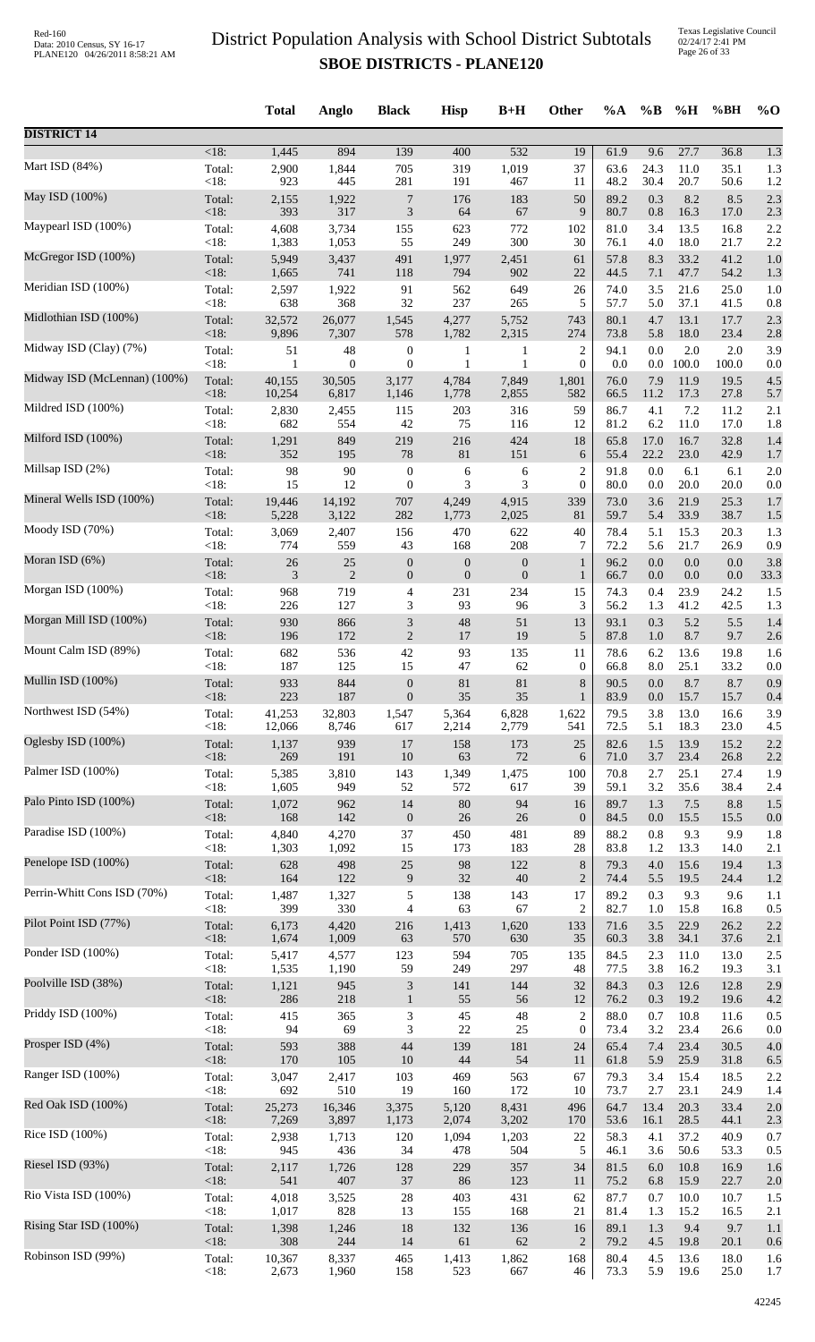|                              |                   | <b>Total</b>  | Anglo          | <b>Black</b>                | <b>Hisp</b>      | $B+H$            | Other            | $\%A$        | $\%B$      | %H           | %BH          | $%$ <sup>O</sup> |
|------------------------------|-------------------|---------------|----------------|-----------------------------|------------------|------------------|------------------|--------------|------------|--------------|--------------|------------------|
| <b>DISTRICT 14</b>           |                   |               |                |                             |                  |                  |                  |              |            |              |              |                  |
| Mart ISD (84%)               | $<18$ :           | 1,445         | 894            | 139                         | 400              | 532              | 19               | 61.9         | 9.6        | 27.7         | 36.8         | 1.3              |
|                              | Total:            | 2,900         | 1,844          | 705                         | 319              | 1,019            | 37               | 63.6         | 24.3       | 11.0         | 35.1         | 1.3              |
| May ISD (100%)               | <18:              | 923           | 445            | 281                         | 191              | 467              | 11               | 48.2         | 30.4       | 20.7         | 50.6         | 1.2              |
|                              | Total:            | 2,155         | 1,922          | $\overline{7}$              | 176              | 183              | 50               | 89.2         | 0.3        | 8.2          | 8.5          | 2.3              |
|                              | <18:              | 393           | 317            | $\ensuremath{\mathfrak{Z}}$ | 64               | 67               | 9                | 80.7         | 0.8        | 16.3         | 17.0         | 2.3              |
| Maypearl ISD (100%)          | Total:            | 4,608         | 3,734          | 155                         | 623              | 772              | 102              | 81.0         | 3.4        | 13.5         | 16.8         | 2.2              |
|                              | <18:              | 1,383         | 1,053          | 55                          | 249              | 300              | 30               | 76.1         | 4.0        | 18.0         | 21.7         | 2.2              |
| McGregor ISD (100%)          | Total:            | 5,949         | 3,437          | 491                         | 1,977            | 2,451            | 61               | 57.8         | 8.3        | 33.2         | 41.2         | 1.0              |
|                              | <18:              | 1,665         | 741            | 118                         | 794              | 902              | 22               | 44.5         | 7.1        | 47.7         | 54.2         | 1.3              |
| Meridian ISD (100%)          | Total:            | 2,597         | 1,922          | 91<br>32                    | 562              | 649              | 26               | 74.0         | 3.5        | 21.6         | 25.0         | 1.0              |
| Midlothian ISD (100%)        | <18:<br>Total:    | 638<br>32,572 | 368<br>26,077  | 1,545                       | 237<br>4,277     | 265<br>5,752     | 5<br>743         | 57.7<br>80.1 | 5.0<br>4.7 | 37.1<br>13.1 | 41.5<br>17.7 | 0.8<br>2.3       |
| Midway ISD (Clay) (7%)       | <18:              | 9,896         | 7,307          | 578                         | 1,782            | 2,315            | 274              | 73.8         | 5.8        | 18.0         | 23.4         | 2.8              |
|                              | Total:            | 51            | 48             | $\boldsymbol{0}$            | 1                | $\mathbf{1}$     | $\overline{2}$   | 94.1         | 0.0        | 2.0          | 2.0          | 3.9              |
| Midway ISD (McLennan) (100%) | <18:              | 1             | $\mathbf{0}$   | $\boldsymbol{0}$            | $\mathbf{1}$     | 1                | $\overline{0}$   | 0.0          | $0.0\,$    | 100.0        | 100.0        | 0.0              |
|                              | Total:            | 40,155        | 30,505         | 3,177                       | 4,784            | 7,849            | 1,801            | 76.0         | 7.9        | 11.9         | 19.5         | 4.5              |
| Mildred ISD (100%)           | <18:              | 10,254        | 6,817          | 1,146                       | 1,778            | 2,855            | 582              | 66.5         | 11.2       | 17.3         | 27.8         | 5.7              |
|                              | Total:            | 2,830         | 2,455          | 115                         | 203              | 316              | 59               | 86.7         | 4.1        | 7.2          | 11.2         | 2.1              |
| Milford ISD (100%)           | <18:              | 682           | 554            | 42                          | 75               | 116              | 12               | 81.2         | 6.2        | 11.0         | 17.0         | 1.8              |
|                              | Total:            | 1,291         | 849            | 219                         | 216              | 424              | 18               | 65.8         | 17.0       | 16.7         | 32.8         | 1.4              |
|                              | $<18$ :           | 352           | 195            | 78                          | $81\,$           | 151              | 6                | 55.4         | 22.2       | 23.0         | 42.9         | 1.7              |
| Millsap ISD (2%)             | Total:            | 98            | 90             | $\boldsymbol{0}$            | 6                | 6                | $\overline{c}$   | 91.8         | $0.0\,$    | 6.1          | 6.1          | 2.0              |
|                              | <18:              | 15            | 12             | $\boldsymbol{0}$            | 3                | 3                | $\mathbf{0}$     | 80.0         | 0.0        | 20.0         | 20.0         | 0.0              |
| Mineral Wells ISD (100%)     | Total:            | 19,446        | 14,192         | 707                         | 4,249            | 4,915            | 339              | 73.0         | 3.6        | 21.9         | 25.3         | 1.7              |
|                              | <18:              | 5,228         | 3,122          | 282                         | 1,773            | 2,025            | 81               | 59.7         | 5.4        | 33.9         | 38.7         | 1.5              |
| Moody ISD (70%)              | Total:            | 3,069         | 2,407          | 156                         | 470              | 622              | 40               | 78.4         | 5.1        | 15.3         | 20.3         | 1.3              |
|                              | <18:              | 774           | 559            | 43                          | 168              | 208              | 7                | 72.2         | 5.6        | 21.7         | 26.9         | 0.9              |
| Moran ISD (6%)               | Total:            | 26            | $25\,$         | $\boldsymbol{0}$            | $\boldsymbol{0}$ | $\boldsymbol{0}$ | $\mathbf{1}$     | 96.2         | 0.0        | 0.0          | 0.0          | 3.8              |
|                              | <18:              | 3             | $\overline{2}$ | $\mathbf{0}$                | $\boldsymbol{0}$ | $\boldsymbol{0}$ | $\mathbf{1}$     | 66.7         | 0.0        | $0.0\,$      | 0.0          | 33.3             |
| Morgan ISD (100%)            | Total:            | 968           | 719            | 4                           | 231              | 234              | 15               | 74.3         | 0.4        | 23.9         | 24.2         | 1.5              |
| Morgan Mill ISD (100%)       | <18:              | 226           | 127            | 3                           | 93               | 96               | 3                | 56.2         | 1.3        | 41.2         | 42.5         | 1.3              |
|                              | Total:            | 930           | 866            | $\ensuremath{\mathfrak{Z}}$ | 48               | 51               | 13               | 93.1         | 0.3        | 5.2          | 5.5          | 1.4              |
| Mount Calm ISD (89%)         | <18:              | 196           | 172            | $\boldsymbol{2}$            | 17               | 19               | $\mathfrak{S}$   | 87.8         | 1.0        | 8.7          | 9.7          | 2.6              |
|                              | Total:            | 682           | 536            | 42                          | 93               | 135              | 11               | 78.6         | 6.2        | 13.6         | 19.8         | 1.6              |
| Mullin ISD (100%)            | <18:              | 187           | 125            | 15                          | $47\,$           | 62               | $\boldsymbol{0}$ | 66.8         | $8.0\,$    | 25.1         | 33.2         | 0.0              |
|                              | Total:            | 933           | 844            | $\boldsymbol{0}$            | 81               | 81               | $\,8\,$          | 90.5         | 0.0        | 8.7          | 8.7          | 0.9              |
| Northwest ISD (54%)          | $<18$ :           | 223           | 187            | $\mathbf{0}$                | 35               | 35               | 1                | 83.9         | 0.0        | 15.7         | 15.7         | 0.4              |
|                              | Total:            | 41,253        | 32,803         | 1,547                       | 5,364            | 6,828            | 1,622            | 79.5         | 3.8        | 13.0         | 16.6         | 3.9              |
|                              | <18:              | 12,066        | 8,746          | 617                         | 2,214            | 2,779            | 541              | 72.5         | 5.1        | 18.3         | 23.0         | 4.5              |
| Oglesby ISD (100%)           | Total:            | 1,137         | 939            | 17                          | 158              | 173              | 25               | 82.6         | 1.5        | 13.9         | 15.2         | 2.2              |
|                              | <18:              | 269           | 191            | 10                          | 63               | 72               | 6                | 71.0         | 3.7        | 23.4         | 26.8         | 2.2              |
| Palmer ISD (100%)            | Total:            | 5,385         | 3,810          | 143                         | 1,349            | 1,475            | 100              | 70.8         | 2.7        | 25.1         | 27.4         | 1.9              |
|                              | <18:              | 1,605         | 949            | 52                          | 572              | 617              | 39               | 59.1         | 3.2        | 35.6         | 38.4         | 2.4              |
| Palo Pinto ISD (100%)        | Total:            | 1,072<br>168  | 962            | 14                          | $80\,$           | 94               | 16               | 89.7         | 1.3        | 7.5          | 8.8          | 1.5              |
| Paradise ISD (100%)          | $<18$ :<br>Total: | 4,840         | 142<br>4,270   | $\boldsymbol{0}$<br>37      | 26<br>450        | 26<br>481        | $\theta$<br>89   | 84.5<br>88.2 | 0.0<br>0.8 | 15.5<br>9.3  | 15.5<br>9.9  | 0.0<br>1.8       |
| Penelope ISD (100%)          | $<18$ :           | 1,303         | 1,092          | 15                          | 173              | 183              | 28               | 83.8         | 1.2        | 13.3         | 14.0         | 2.1              |
|                              | Total:            | 628           | 498            | 25                          | 98               | 122              | $\,8\,$          | 79.3         | 4.0        | 15.6         | 19.4         | 1.3              |
| Perrin-Whitt Cons ISD (70%)  | <18:              | 164           | 122            | $\boldsymbol{9}$            | 32               | $40\,$           | $\overline{2}$   | 74.4         | 5.5        | 19.5         | 24.4         | 1.2              |
|                              | Total:            | 1,487         | 1,327          | $\sqrt{5}$                  | 138              | 143              | 17               | 89.2         | 0.3        | 9.3          | 9.6          | 1.1              |
| Pilot Point ISD (77%)        | <18:              | 399           | 330            | $\overline{4}$              | 63               | 67               | $\overline{2}$   | 82.7         | 1.0        | 15.8         | 16.8         | 0.5              |
|                              | Total:            | 6,173         | 4,420          | 216                         | 1,413            | 1,620            | 133              | 71.6         | 3.5        | 22.9         | 26.2         | 2.2              |
|                              | <18:              | 1,674         | 1,009          | 63                          | 570              | 630              | 35               | 60.3         | 3.8        | 34.1         | 37.6         | 2.1              |
| Ponder ISD (100%)            | Total:            | 5,417         | 4,577          | 123                         | 594              | 705              | 135              | 84.5         | 2.3        | 11.0         | 13.0         | 2.5              |
|                              | <18:              | 1,535         | 1,190          | 59                          | 249              | 297              | 48               | 77.5         | 3.8        | 16.2         | 19.3         | 3.1              |
| Poolville ISD (38%)          | Total:            | 1,121         | 945            | $\ensuremath{\mathfrak{Z}}$ | 141              | 144              | 32               | 84.3         | 0.3        | 12.6         | 12.8         | 2.9              |
|                              | <18:              | 286           | 218            | $\mathbf{1}$                | 55               | 56               | 12               | 76.2         | 0.3        | 19.2         | 19.6         | 4.2              |
| Priddy ISD (100%)            | Total:            | 415           | 365            | $\mathfrak{Z}$              | 45               | 48               | $\sqrt{2}$       | 88.0         | 0.7        | 10.8         | 11.6         | 0.5              |
|                              | <18:              | 94            | 69             | 3                           | $22\,$           | 25               | $\boldsymbol{0}$ | 73.4         | 3.2        | 23.4         | 26.6         | 0.0              |
| Prosper ISD (4%)             | Total:<br><18:    | 593           | 388<br>105     | 44<br>10                    | 139<br>44        | 181<br>54        | 24<br>11         | 65.4         | 7.4        | 23.4<br>25.9 | 30.5         | 4.0              |
| Ranger ISD (100%)            | Total:            | 170<br>3,047  | 2,417          | 103                         | 469              | 563              | 67               | 61.8<br>79.3 | 5.9<br>3.4 | 15.4         | 31.8<br>18.5 | 6.5<br>2.2       |
| Red Oak ISD (100%)           | <18:              | 692           | 510            | 19                          | 160              | 172              | 10               | 73.7         | 2.7        | 23.1         | 24.9         | 1.4              |
|                              | Total:            | 25,273        | 16,346         | 3,375                       | 5,120            | 8,431            | 496              | 64.7         | 13.4       | 20.3         | 33.4         | 2.0              |
| Rice ISD (100%)              | $<18$ :           | 7,269         | 3,897          | 1,173                       | 2,074            | 3,202            | 170              | 53.6         | 16.1       | 28.5         | 44.1         | 2.3              |
|                              | Total:            | 2,938         | 1,713          | 120                         | 1,094            | 1,203            | 22               | 58.3         | 4.1        | 37.2         | 40.9         | 0.7              |
|                              | <18:              | 945           | 436            | 34                          | 478              | 504              | $\sqrt{5}$       | 46.1         | 3.6        | 50.6         | 53.3         | 0.5              |
| Riesel ISD (93%)             | Total:            | 2,117         | 1,726          | 128                         | 229              | 357              | 34               | 81.5         | $6.0\,$    | 10.8         | 16.9         | 1.6              |
|                              | <18:              | 541           | 407            | $37\,$                      | 86               | 123              | 11               | 75.2         | 6.8        | 15.9         | 22.7         | 2.0              |
| Rio Vista ISD (100%)         | Total:            | 4,018         | 3,525          | $28\,$                      | 403              | 431              | 62               | 87.7         | 0.7        | 10.0         | 10.7         | 1.5              |
|                              | <18:              | 1,017         | 828            | 13                          | 155              | 168              | 21               | 81.4         | 1.3        | 15.2         | 16.5         | 2.1              |
| Rising Star ISD (100%)       | Total:            | 1,398         | 1,246          | 18                          | 132              | 136              | 16               | 89.1         | 1.3        | 9.4          | 9.7          | 1.1              |
|                              | <18:              | 308           | 244            | 14                          | 61               | 62               | $\mathbf{2}$     | 79.2         | 4.5        | 19.8         | 20.1         | 0.6              |
| Robinson ISD (99%)           | Total:            | 10,367        | 8,337          | 465                         | 1,413            | 1,862            | 168              | 80.4         | 4.5        | 13.6         | 18.0         | 1.6              |
|                              | $<18$ :           | 2,673         | 1,960          | 158                         | 523              | 667              | 46               | 73.3         | 5.9        | 19.6         | 25.0         | 1.7              |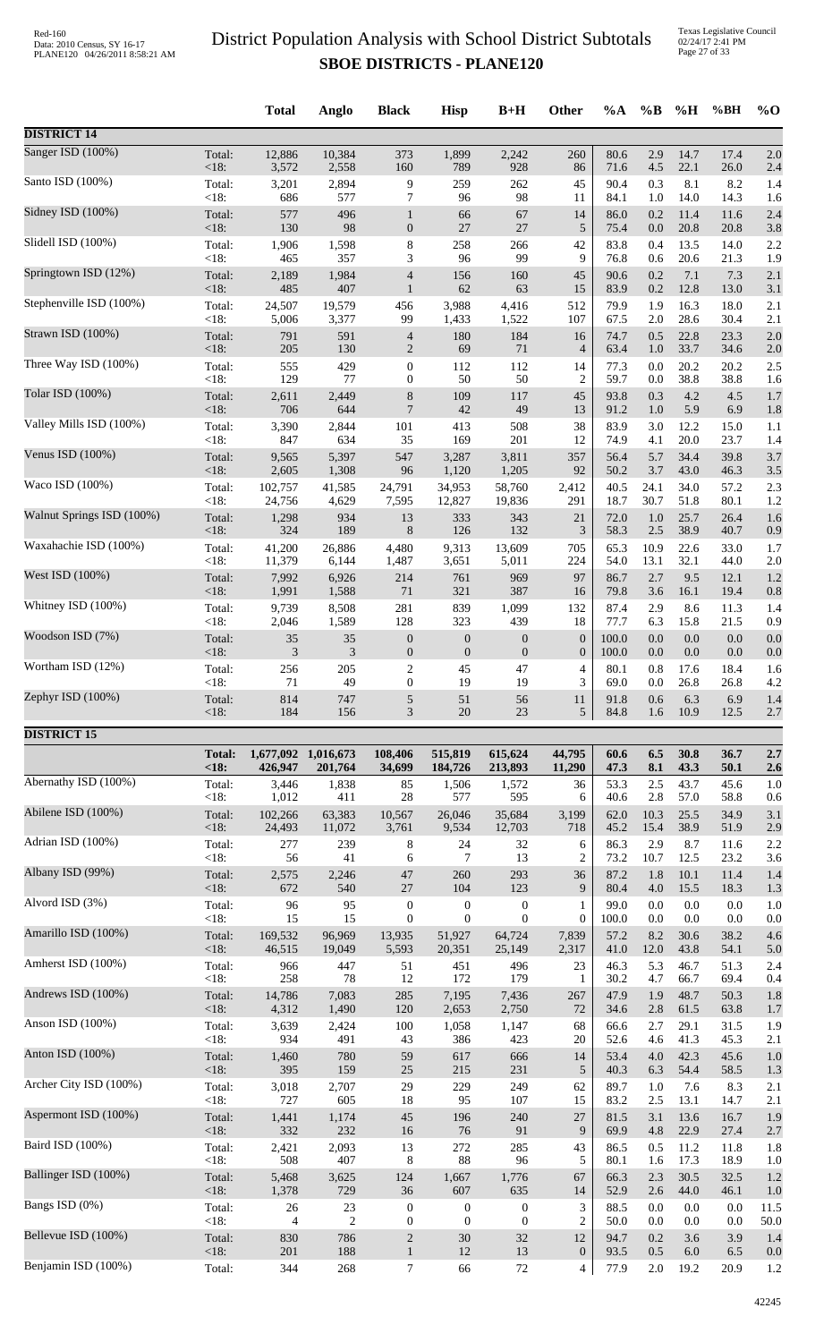Texas Legislative Council 02/24/17 2:41 PM Page 27 of 33

|                           |                   | <b>Total</b>             | Anglo                | <b>Black</b>                         | <b>Hisp</b>                          | $B+H$                                | Other                                       | $\%A$          | $\%$ B         | %H           | %BH          | $\%$ O       |
|---------------------------|-------------------|--------------------------|----------------------|--------------------------------------|--------------------------------------|--------------------------------------|---------------------------------------------|----------------|----------------|--------------|--------------|--------------|
| <b>DISTRICT 14</b>        |                   |                          |                      |                                      |                                      |                                      |                                             |                |                |              |              |              |
| Sanger ISD (100%)         | Total:            | 12,886                   | 10,384               | 373                                  | 1,899                                | 2,242                                | 260                                         | 80.6           | 2.9            | 14.7         | 17.4         | 2.0          |
| Santo ISD (100%)          | < 18:<br>Total:   | 3,572<br>3,201           | 2,558<br>2,894       | 160<br>9                             | 789<br>259                           | 928<br>262                           | 86<br>45                                    | 71.6<br>90.4   | 4.5<br>0.3     | 22.1<br>8.1  | 26.0<br>8.2  | 2.4<br>1.4   |
|                           | < 18:             | 686                      | 577                  | $\boldsymbol{7}$                     | 96                                   | 98                                   | 11                                          | 84.1           | 1.0            | 14.0         | 14.3         | 1.6          |
| Sidney ISD (100%)         | Total:<br>< 18:   | 577<br>130               | 496<br>98            | $\mathbf{1}$<br>$\boldsymbol{0}$     | 66<br>$27\,$                         | 67<br>27                             | 14<br>$\sqrt{5}$                            | 86.0<br>75.4   | 0.2<br>$0.0\,$ | 11.4<br>20.8 | 11.6<br>20.8 | 2.4<br>3.8   |
| Slidell ISD (100%)        | Total:            | 1,906                    | 1,598                | $\,8\,$                              | 258                                  | 266                                  | 42                                          | 83.8           | 0.4            | 13.5         | 14.0         | 2.2          |
| Springtown ISD (12%)      | < 18:<br>Total:   | 465<br>2,189             | 357<br>1,984         | 3<br>$\overline{4}$                  | 96<br>156                            | 99<br>160                            | 9<br>45                                     | 76.8<br>90.6   | 0.6<br>0.2     | 20.6<br>7.1  | 21.3<br>7.3  | 1.9<br>2.1   |
| Stephenville ISD (100%)   | < 18:             | 485                      | 407                  | $\mathbf{1}$                         | 62                                   | 63                                   | 15                                          | 83.9           | 0.2            | 12.8         | 13.0         | 3.1          |
|                           | Total:<br>< 18:   | 24,507<br>5,006          | 19,579<br>3,377      | 456<br>99                            | 3,988<br>1,433                       | 4,416<br>1,522                       | 512<br>107                                  | 79.9<br>67.5   | 1.9<br>2.0     | 16.3<br>28.6 | 18.0<br>30.4 | 2.1<br>2.1   |
| Strawn ISD (100%)         | Total:<br>< 18:   | 791<br>205               | 591<br>130           | $\overline{4}$<br>$\boldsymbol{2}$   | 180<br>69                            | 184<br>71                            | 16<br>$\overline{4}$                        | 74.7<br>63.4   | 0.5<br>1.0     | 22.8<br>33.7 | 23.3<br>34.6 | 2.0<br>2.0   |
| Three Way ISD (100%)      | Total:            | 555                      | 429                  | $\boldsymbol{0}$                     | 112                                  | 112                                  | 14                                          | 77.3           | 0.0            | 20.2         | 20.2         | 2.5          |
| Tolar ISD (100%)          | < 18:<br>Total:   | 129<br>2,611             | 77<br>2,449          | $\mathbf{0}$<br>$\,8\,$              | 50<br>109                            | 50<br>117                            | $\overline{2}$<br>45                        | 59.7<br>93.8   | 0.0<br>0.3     | 38.8<br>4.2  | 38.8<br>4.5  | 1.6<br>1.7   |
|                           | < 18:             | 706                      | 644                  | $\overline{7}$                       | 42                                   | 49                                   | 13                                          | 91.2           | 1.0            | 5.9          | 6.9          | 1.8          |
| Valley Mills ISD (100%)   | Total:<br>< 18:   | 3,390<br>847             | 2,844<br>634         | 101<br>35                            | 413<br>169                           | 508<br>201                           | 38<br>12                                    | 83.9<br>74.9   | 3.0<br>4.1     | 12.2<br>20.0 | 15.0<br>23.7 | 1.1<br>1.4   |
| Venus ISD (100%)          | Total:<br>< 18:   | 9,565<br>2,605           | 5,397<br>1,308       | 547<br>96                            | 3,287<br>1,120                       | 3,811<br>1,205                       | 357<br>92                                   | 56.4<br>50.2   | 5.7<br>3.7     | 34.4<br>43.0 | 39.8<br>46.3 | 3.7<br>3.5   |
| Waco ISD (100%)           | Total:            | 102,757                  | 41,585               | 24,791                               | 34,953                               | 58,760                               | 2,412                                       | 40.5           | 24.1           | 34.0         | 57.2         | 2.3          |
| Walnut Springs ISD (100%) | < 18:<br>Total:   | 24,756<br>1,298          | 4,629<br>934         | 7,595<br>13                          | 12,827<br>333                        | 19,836<br>343                        | 291<br>21                                   | 18.7<br>72.0   | 30.7<br>1.0    | 51.8<br>25.7 | 80.1<br>26.4 | 1.2<br>1.6   |
|                           | < 18:             | 324                      | 189                  | $\,8\,$                              | 126                                  | 132                                  | 3                                           | 58.3           | 2.5            | 38.9         | 40.7         | 0.9          |
| Waxahachie ISD (100%)     | Total:<br>< 18:   | 41,200<br>11,379         | 26,886<br>6,144      | 4,480<br>1,487                       | 9,313<br>3,651                       | 13,609<br>5,011                      | 705<br>224                                  | 65.3<br>54.0   | 10.9<br>13.1   | 22.6<br>32.1 | 33.0<br>44.0 | 1.7<br>2.0   |
| West ISD (100%)           | Total:            | 7,992                    | 6,926                | 214                                  | 761                                  | 969                                  | 97                                          | 86.7           | 2.7            | 9.5          | 12.1         | 1.2          |
| Whitney ISD (100%)        | < 18:<br>Total:   | 1,991<br>9,739           | 1,588<br>8,508       | $71\,$<br>281                        | 321<br>839                           | 387<br>1,099                         | 16<br>132                                   | 79.8<br>87.4   | 3.6<br>2.9     | 16.1<br>8.6  | 19.4<br>11.3 | 0.8<br>1.4   |
| Woodson ISD (7%)          | < 18:             | 2,046                    | 1,589                | 128                                  | 323                                  | 439                                  | 18                                          | 77.7           | 6.3            | 15.8         | 21.5         | 0.9          |
|                           | Total:<br>< 18:   | $35\,$<br>3              | 35<br>3              | $\boldsymbol{0}$<br>$\boldsymbol{0}$ | $\boldsymbol{0}$<br>$\boldsymbol{0}$ | $\boldsymbol{0}$<br>$\boldsymbol{0}$ | $\mathbf{0}$<br>$\boldsymbol{0}$            | 100.0<br>100.0 | 0.0<br>0.0     | 0.0<br>0.0   | 0.0<br>0.0   | 0.0<br>0.0   |
| Wortham ISD (12%)         | Total:<br>$<18$ : | 256<br>71                | 205<br>49            | $\sqrt{2}$<br>$\boldsymbol{0}$       | 45<br>19                             | 47<br>19                             | $\overline{4}$<br>3                         | 80.1<br>69.0   | 0.8<br>0.0     | 17.6<br>26.8 | 18.4<br>26.8 | 1.6<br>4.2   |
| Zephyr ISD (100%)         | Total:            | 814                      | 747                  | 5                                    | 51                                   | 56                                   | 11                                          | 91.8           | 0.6            | 6.3          | 6.9          | 1.4          |
|                           | <18:              | 184                      | 156                  | 3                                    | 20                                   | 23                                   | 5                                           | 84.8           | 1.6            | 10.9         | 12.5         | 2.7          |
| <b>DISTRICT 15</b>        | <b>Total:</b>     |                          | 1,677,092 1,016,673  | 108,406                              | 515,819                              | 615,624                              | 44,795                                      | 60.6           | 6.5            | 30.8         | 36.7         | 2.7          |
|                           | <18:              | 426,947                  | 201,764              | 34,699                               | 184,726                              | 213,893                              | 11,290                                      | 47.3           | 8.1            | 43.3         | 50.1         | 2.6          |
| Abernathy ISD (100%)      | Total:<br>< 18:   | 3,446<br>1,012           | 1,838<br>411         | 85<br>28                             | 1,506<br>577                         | 1,572<br>595                         | 36<br>6                                     | 53.3<br>40.6   | 2.5<br>2.8     | 43.7<br>57.0 | 45.6<br>58.8 | 1.0<br>0.6   |
| Abilene ISD (100%)        | Total:            | 102,266                  | 63,383               | 10,567                               | 26,046                               | 35,684                               | 3,199                                       | 62.0           | 10.3           | 25.5         | 34.9         | 3.1          |
| Adrian ISD (100%)         | < 18:<br>Total:   | 24,493<br>277            | 11,072<br>239        | 3,761<br>8                           | 9,534<br>24                          | 12,703<br>32                         | 718<br>6                                    | 45.2<br>86.3   | 15.4<br>2.9    | 38.9<br>8.7  | 51.9<br>11.6 | 2.9<br>2.2   |
|                           | < 18:             | 56                       | 41                   | 6                                    | 7                                    | 13                                   | $\overline{2}$                              | 73.2           | 10.7           | 12.5         | 23.2         | 3.6          |
| Albany ISD (99%)          | Total:<br>< 18:   | 2,575<br>672             | 2,246<br>540         | 47<br>27                             | 260<br>104                           | 293<br>123                           | 36<br>9                                     | 87.2<br>80.4   | 1.8<br>4.0     | 10.1<br>15.5 | 11.4<br>18.3 | 1.4<br>1.3   |
| Alvord ISD (3%)           | Total:<br>< 18:   | 96<br>15                 | 95<br>15             | $\boldsymbol{0}$<br>$\boldsymbol{0}$ | $\boldsymbol{0}$<br>$\boldsymbol{0}$ | $\mathbf{0}$<br>$\boldsymbol{0}$     | 1<br>$\boldsymbol{0}$                       | 99.0<br>100.0  | 0.0<br>0.0     | 0.0<br>0.0   | 0.0<br>0.0   | 1.0<br>0.0   |
| Amarillo ISD (100%)       | Total:            | 169,532                  | 96,969               | 13,935                               | 51,927                               | 64,724                               | 7,839                                       | 57.2           | 8.2            | 30.6         | 38.2         | 4.6          |
| Amherst ISD (100%)        | < 18:<br>Total:   | 46,515<br>966            | 19,049<br>447        | 5,593<br>51                          | 20,351<br>451                        | 25,149<br>496                        | 2,317<br>23                                 | 41.0<br>46.3   | 12.0<br>5.3    | 43.8<br>46.7 | 54.1<br>51.3 | 5.0<br>2.4   |
|                           | < 18:             | 258                      | 78                   | 12                                   | 172                                  | 179                                  | 1                                           | 30.2           | 4.7            | 66.7         | 69.4         | 0.4          |
| Andrews ISD (100%)        | Total:<br>< 18:   | 14,786<br>4,312          | 7,083<br>1,490       | 285<br>120                           | 7,195<br>2,653                       | 7,436<br>2,750                       | 267<br>72                                   | 47.9<br>34.6   | 1.9<br>2.8     | 48.7<br>61.5 | 50.3<br>63.8 | 1.8<br>1.7   |
| Anson ISD (100%)          | Total:<br>< 18:   | 3,639<br>934             | 2,424<br>491         | 100                                  | 1,058<br>386                         | 1,147<br>423                         | 68                                          | 66.6<br>52.6   | 2.7<br>4.6     | 29.1<br>41.3 | 31.5<br>45.3 | 1.9          |
| Anton ISD (100%)          | Total:            | 1,460                    | 780                  | 43<br>59                             | 617                                  | 666                                  | 20<br>14                                    | 53.4           | 4.0            | 42.3         | 45.6         | 2.1<br>1.0   |
| Archer City ISD (100%)    | < 18:             | 395                      | 159                  | $25\,$                               | 215                                  | 231                                  | $\sqrt{5}$                                  | 40.3           | 6.3            | 54.4         | 58.5         | 1.3          |
|                           | Total:<br>< 18:   | 3,018<br>727             | 2,707<br>605         | 29<br>18                             | 229<br>95                            | 249<br>107                           | 62<br>15                                    | 89.7<br>83.2   | 1.0<br>2.5     | 7.6<br>13.1  | 8.3<br>14.7  | 2.1<br>2.1   |
| Aspermont ISD (100%)      | Total:<br>< 18:   | 1,441<br>332             | 1,174<br>232         | 45<br>16                             | 196<br>76                            | 240<br>91                            | 27<br>9                                     | 81.5<br>69.9   | 3.1<br>4.8     | 13.6<br>22.9 | 16.7<br>27.4 | 1.9<br>2.7   |
| Baird ISD (100%)          | Total:            | 2,421                    | 2,093                | 13                                   | 272                                  | 285                                  | 43                                          | 86.5           | 0.5            | 11.2         | 11.8         | 1.8          |
| Ballinger ISD (100%)      | < 18:<br>Total:   | 508<br>5,468             | 407<br>3,625         | 8<br>124                             | 88<br>1,667                          | 96<br>1,776                          | 5<br>67                                     | 80.1<br>66.3   | 1.6<br>2.3     | 17.3<br>30.5 | 18.9<br>32.5 | 1.0<br>1.2   |
|                           | < 18:             | 1,378                    | 729                  | 36                                   | 607                                  | 635                                  | 14                                          | 52.9           | 2.6            | 44.0         | 46.1         | 1.0          |
| Bangs ISD (0%)            | Total:<br>< 18:   | $26\,$<br>$\overline{4}$ | 23<br>$\overline{2}$ | $\boldsymbol{0}$<br>$\boldsymbol{0}$ | $\boldsymbol{0}$<br>$\boldsymbol{0}$ | $\boldsymbol{0}$<br>$\boldsymbol{0}$ | $\ensuremath{\mathfrak{Z}}$<br>$\mathbf{2}$ | 88.5<br>50.0   | 0.0<br>0.0     | 0.0<br>0.0   | 0.0<br>0.0   | 11.5<br>50.0 |
| Bellevue ISD (100%)       | Total:<br>< 18:   | 830<br>201               | 786<br>188           | $\sqrt{2}$<br>$\mathbf{1}$           | $30\,$<br>$12\,$                     | 32<br>13                             | 12<br>$\mathbf{0}$                          | 94.7<br>93.5   | 0.2<br>0.5     | 3.6<br>6.0   | 3.9<br>6.5   | 1.4<br>0.0   |
| Benjamin ISD (100%)       | Total:            | 344                      | 268                  | $7\phantom{.0}$                      | 66                                   | $72\,$                               | $\overline{4}$                              | 77.9           | $2.0\,$        | 19.2         | 20.9         | 1.2          |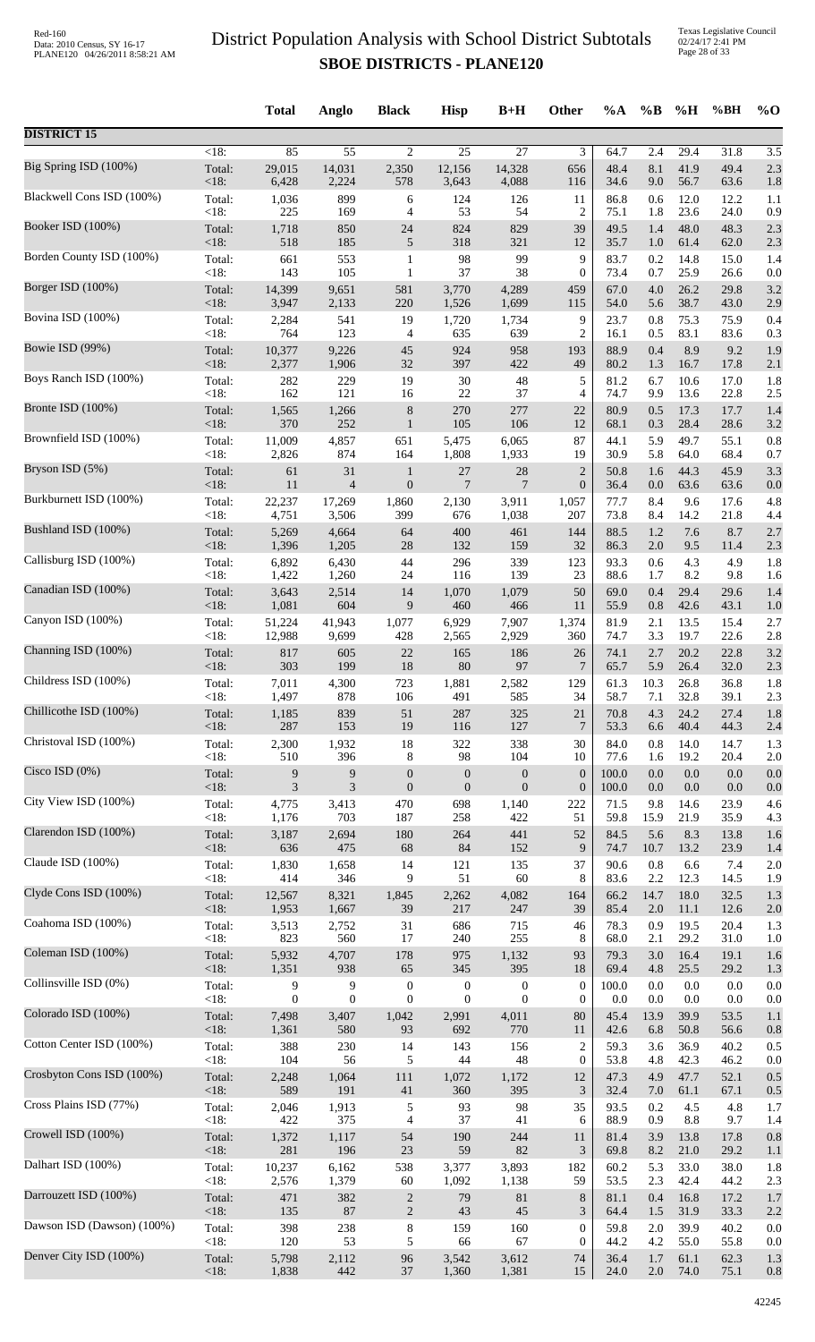|                            |                | <b>Total</b>     | Anglo            | <b>Black</b>     | <b>Hisp</b>      | $B+H$            | Other            | %A           | $\%B$      | %H           | %BH          | $\%$ O     |
|----------------------------|----------------|------------------|------------------|------------------|------------------|------------------|------------------|--------------|------------|--------------|--------------|------------|
| <b>DISTRICT 15</b>         |                |                  |                  |                  |                  |                  |                  |              |            |              |              |            |
| Big Spring ISD (100%)      | $<18$ :        | 85               | $\overline{55}$  | $\overline{c}$   | $\overline{25}$  | $\overline{27}$  | 3                | 64.7         | 2.4        | 29.4         | 31.8         | 3.5        |
|                            | Total:         | 29,015           | 14,031           | 2,350            | 12,156           | 14,328           | 656              | 48.4         | 8.1        | 41.9         | 49.4         | 2.3        |
|                            | <18:           | 6,428            | 2,224            | 578              | 3,643            | 4,088            | 116              | 34.6         | 9.0        | 56.7         | 63.6         | 1.8        |
| Blackwell Cons ISD (100%)  | Total:         | 1,036            | 899              | 6                | 124              | 126              | 11               | 86.8         | 0.6        | 12.0         | 12.2         | 1.1        |
|                            | <18:           | 225              | 169              | 4                | 53               | 54               | $\overline{c}$   | 75.1         | 1.8        | 23.6         | 24.0         | 0.9        |
| Booker ISD (100%)          | Total:         | 1,718            | 850              | 24               | 824              | 829              | 39               | 49.5         | 1.4        | 48.0         | 48.3         | 2.3        |
|                            | <18:           | 518              | 185              | 5                | 318              | 321              | 12               | 35.7         | 1.0        | 61.4         | 62.0         | 2.3        |
| Borden County ISD (100%)   | Total:         | 661              | 553              | $\mathbf{1}$     | 98               | 99               | 9                | 83.7         | 0.2        | 14.8         | 15.0         | 1.4        |
| Borger ISD (100%)          | <18:           | 143              | 105              | 1                | 37               | 38               | $\boldsymbol{0}$ | 73.4         | 0.7        | 25.9         | 26.6         | 0.0        |
|                            | Total:         | 14,399           | 9,651            | 581              | 3,770            | 4,289            | 459              | 67.0         | 4.0        | 26.2         | 29.8         | 3.2        |
| Bovina ISD (100%)          | <18:           | 3,947            | 2,133            | 220              | 1,526            | 1,699            | 115              | 54.0         | 5.6        | 38.7         | 43.0         | 2.9        |
|                            | Total:         | 2,284            | 541              | 19               | 1,720            | 1,734            | 9                | 23.7         | 0.8        | 75.3         | 75.9         | 0.4        |
|                            | <18:           | 764              | 123              | 4                | 635              | 639              | $\overline{c}$   | 16.1         | 0.5        | 83.1         | 83.6         | 0.3        |
| Bowie ISD (99%)            | Total:         | 10,377           | 9,226            | 45               | 924              | 958              | 193              | 88.9         | 0.4        | 8.9          | 9.2          | 1.9        |
|                            | <18:           | 2,377            | 1,906            | 32               | 397              | 422              | 49               | 80.2         | 1.3        | 16.7         | 17.8         | 2.1        |
| Boys Ranch ISD (100%)      | Total:         | 282              | 229              | 19               | $30\,$           | $\sqrt{48}$      | 5                | 81.2         | 6.7        | 10.6         | 17.0         | 1.8        |
|                            | <18:           | 162              | 121              | 16               | 22               | 37               | 4                | 74.7         | 9.9        | 13.6         | 22.8         | 2.5        |
| Bronte ISD (100%)          | Total:         | 1,565            | 1,266            | $\,$ 8 $\,$      | 270              | 277              | 22               | 80.9         | 0.5        | 17.3         | 17.7         | 1.4        |
| Brownfield ISD (100%)      | <18:           | 370              | 252              | $\mathbf{1}$     | 105              | 106              | 12               | 68.1         | 0.3        | 28.4         | 28.6         | 3.2        |
|                            | Total:         | 11,009           | 4,857            | 651              | 5,475            | 6,065            | 87               | 44.1         | 5.9        | 49.7         | 55.1         | 0.8        |
| Bryson ISD (5%)            | < 18:          | 2,826            | 874              | 164              | 1,808            | 1,933            | 19               | 30.9         | 5.8        | 64.0         | 68.4         | 0.7        |
|                            | Total:         | 61               | 31               | 1                | 27               | $28\,$           | $\boldsymbol{2}$ | 50.8         | 1.6        | 44.3         | 45.9         | 3.3        |
|                            | <18:           | 11               | $\overline{4}$   | $\boldsymbol{0}$ | $\overline{7}$   | 7                | $\boldsymbol{0}$ | 36.4         | 0.0        | 63.6         | 63.6         | 0.0        |
| Burkburnett ISD (100%)     | Total:         | 22,237           | 17,269           | 1,860            | 2,130            | 3,911            | 1,057            | 77.7         | 8.4        | 9.6          | 17.6         | 4.8        |
|                            | <18:           | 4,751            | 3,506            | 399              | 676              | 1,038            | 207              | 73.8         | 8.4        | 14.2         | 21.8         | 4.4        |
| Bushland ISD (100%)        | Total:         | 5,269            | 4,664            | 64               | 400              | 461              | 144              | 88.5         | 1.2        | 7.6          | 8.7          | 2.7        |
|                            | <18:           | 1,396            | 1,205            | 28               | 132              | 159              | 32               | 86.3         | 2.0        | 9.5          | 11.4         | 2.3        |
| Callisburg ISD (100%)      | Total:         | 6,892            | 6,430            | 44               | 296              | 339              | 123              | 93.3         | 0.6        | 4.3          | 4.9          | 1.8        |
| Canadian ISD (100%)        | <18:           | 1,422            | 1,260            | 24               | 116              | 139              | 23               | 88.6         | 1.7        | 8.2          | 9.8          | 1.6        |
|                            | Total:         | 3,643            | 2,514            | 14               | 1,070            | 1,079            | 50               | 69.0         | 0.4        | 29.4         | 29.6         | 1.4        |
| Canyon ISD (100%)          | <18:           | 1,081            | 604<br>41,943    | 9                | 460              | 466              | 11               | 55.9         | 0.8        | 42.6<br>13.5 | 43.1         | 1.0        |
|                            | Total:<br><18: | 51,224<br>12,988 | 9,699            | 1,077<br>428     | 6,929<br>2,565   | 7,907<br>2,929   | 1,374<br>360     | 81.9<br>74.7 | 2.1<br>3.3 | 19.7         | 15.4<br>22.6 | 2.7<br>2.8 |
| Channing ISD (100%)        | Total:         | 817              | 605              | 22               | 165              | 186              | 26               | 74.1         | 2.7        | 20.2         | 22.8         | 3.2        |
|                            | < 18:          | 303              | 199              | 18               | 80               | 97               | 7                | 65.7         | 5.9        | 26.4         | 32.0         | 2.3        |
| Childress ISD (100%)       | Total:         | 7,011            | 4,300            | 723              | 1,881            | 2,582            | 129              | 61.3         | 10.3       | 26.8         | 36.8         | 1.8        |
|                            | < 18:          | 1,497            | 878              | 106              | 491              | 585              | 34               | 58.7         | 7.1        | 32.8         | 39.1         | 2.3        |
| Chillicothe ISD (100%)     | Total:         | 1,185            | 839              | 51               | 287              | 325              | 21               | 70.8         | 4.3        | 24.2         | 27.4         | 1.8        |
| Christoval ISD (100%)      | $<18$ :        | 287              | 153              | 19               | 116              | 127              | 7                | 53.3         | 6.6        | 40.4         | 44.3         | 2.4        |
|                            | Total:         | 2,300            | 1,932            | 18               | 322              | 338              | 30               | 84.0         | $0.8\,$    | 14.0         | 14.7         | 1.3        |
| Cisco ISD (0%)             | <18:           | 510              | 396              | 8                | 98               | 104              | 10               | 77.6         | 1.6        | 19.2         | 20.4         | 2.0        |
|                            | Total:         | 9                | 9                | $\boldsymbol{0}$ | $\boldsymbol{0}$ | $\boldsymbol{0}$ | $\boldsymbol{0}$ | 100.0        | 0.0        | $0.0\,$      | 0.0          | 0.0        |
|                            | <18:           | $\mathfrak{Z}$   | 3                | $\boldsymbol{0}$ | $\boldsymbol{0}$ | $\boldsymbol{0}$ | $\boldsymbol{0}$ | 100.0        | 0.0        | 0.0          | 0.0          | 0.0        |
| City View ISD (100%)       | Total:         | 4,775            | 3,413            | 470              | 698              | 1,140            | 222              | 71.5         | 9.8        | 14.6         | 23.9         | 4.6        |
|                            | <18:           | 1,176            | 703              | 187              | 258              | 422              | 51               | 59.8         | 15.9       | 21.9         | 35.9         | 4.3        |
| Clarendon ISD (100%)       | Total:         | 3,187            | 2,694            | 180              | 264              | 441              | 52               | 84.5         | 5.6        | 8.3          | 13.8         | 1.6        |
|                            | $<18$ :        | 636              | 475              | 68               | 84               | 152              | 9                | 74.7         | 10.7       | 13.2         | 23.9         | 1.4        |
| Claude ISD (100%)          | Total:         | 1,830            | 1,658            | 14               | 121              | 135              | 37               | 90.6         | $0.8\,$    | 6.6          | 7.4          | 2.0        |
| Clyde Cons ISD (100%)      | <18:           | 414              | 346              | 9                | 51               | 60               | 8                | 83.6         | 2.2        | 12.3         | 14.5         | 1.9        |
|                            | Total:         | 12,567           | 8,321            | 1,845            | 2,262            | 4,082            | 164              | 66.2         | 14.7       | 18.0         | 32.5         | 1.3        |
| Coahoma ISD (100%)         | <18:           | 1,953            | 1,667            | 39               | 217              | 247              | 39               | 85.4         | 2.0        | 11.1         | 12.6         | 2.0        |
|                            | Total:         | 3,513            | 2,752            | 31               | 686              | 715              | 46               | 78.3         | 0.9        | 19.5         | 20.4         | 1.3        |
|                            | <18:           | 823              | 560              | 17               | 240              | 255              | 8                | 68.0         | 2.1        | 29.2         | 31.0         | 1.0        |
| Coleman ISD (100%)         | Total:         | 5,932            | 4,707            | 178              | 975              | 1,132            | 93               | 79.3         | 3.0        | 16.4         | 19.1         | 1.6        |
|                            | <18:           | 1,351            | 938              | 65               | 345              | 395              | 18               | 69.4         | 4.8        | 25.5         | 29.2         | 1.3        |
| Collinsville ISD (0%)      | Total:         | 9                | 9                | $\boldsymbol{0}$ | $\boldsymbol{0}$ | $\boldsymbol{0}$ | $\boldsymbol{0}$ | 100.0        | 0.0        | 0.0          | 0.0          | 0.0        |
|                            | $<18$ :        | $\overline{0}$   | $\boldsymbol{0}$ | $\boldsymbol{0}$ | $\mathbf{0}$     | $\overline{0}$   | $\theta$         | 0.0          | 0.0        | 0.0          | 0.0          | 0.0        |
| Colorado ISD (100%)        | Total:         | 7,498            | 3,407            | 1,042            | 2,991            | 4,011            | 80               | 45.4         | 13.9       | 39.9         | 53.5         | 1.1        |
| Cotton Center ISD (100%)   | <18:           | 1,361            | 580              | 93               | 692              | 770              | 11               | 42.6         | 6.8        | 50.8         | 56.6         | 0.8        |
|                            | Total:         | 388              | 230              | 14               | 143              | 156              | $\overline{c}$   | 59.3         | 3.6        | 36.9         | 40.2         | 0.5        |
| Crosbyton Cons ISD (100%)  | $<18$ :        | 104              | 56               | 5                | 44               | 48               | $\mathbf{0}$     | 53.8         | 4.8        | 42.3         | 46.2         | 0.0        |
|                            | Total:         | 2,248            | 1,064            | 111              | 1,072            | 1,172            | 12               | 47.3         | 4.9        | 47.7         | 52.1         | 0.5        |
| Cross Plains ISD (77%)     | <18:           | 589              | 191              | 41               | 360              | 395              | 3                | 32.4         | 7.0        | 61.1         | 67.1         | 0.5        |
|                            | Total:         | 2,046            | 1,913            | 5                | 93               | 98               | 35               | 93.5         | 0.2        | 4.5          | 4.8          | 1.7        |
| Crowell ISD (100%)         | $<18$ :        | 422              | 375              | 4                | 37               | 41               | 6                | 88.9         | 0.9        | 8.8          | 9.7          | 1.4        |
|                            | Total:         | 1,372            | 1,117            | 54               | 190              | 244              | 11               | 81.4         | 3.9        | 13.8         | 17.8         | 0.8        |
|                            | <18:           | 281              | 196              | 23               | 59               | 82               | 3                | 69.8         | 8.2        | 21.0         | 29.2         | 1.1        |
| Dalhart ISD (100%)         | Total:         | 10,237           | 6,162            | 538              | 3,377            | 3,893            | 182              | 60.2         | 5.3        | 33.0         | 38.0         | 1.8        |
|                            | <18:           | 2,576            | 1,379            | 60               | 1,092            | 1,138            | 59               | 53.5         | 2.3        | 42.4         | 44.2         | 2.3        |
| Darrouzett ISD (100%)      | Total:         | 471              | 382              | $\sqrt{2}$       | 79               | 81               | $\,8\,$          | 81.1         | 0.4        | 16.8         | 17.2         | 1.7        |
|                            | <18:           | 135              | 87               | $\mathbf{2}$     | 43               | 45               | 3                | 64.4         | 1.5        | 31.9         | 33.3         | 2.2        |
| Dawson ISD (Dawson) (100%) | Total:         | 398              | 238              | 8                | 159              | 160              | $\theta$         | 59.8         | 2.0        | 39.9         | 40.2         | 0.0        |
| Denver City ISD (100%)     | <18:           | 120              | 53               | 5                | 66               | 67               | $\overline{0}$   | 44.2         | 4.2        | 55.0         | 55.8         | 0.0        |
|                            | Total:         | 5,798            | 2,112            | 96               | 3,542            | 3,612            | 74               | 36.4         | 1.7        | 61.1         | 62.3         | 1.3        |
|                            | <18:           | 1,838            | 442              | 37               | 1,360            | 1,381            | 15               | 24.0         | $2.0\,$    | 74.0         | 75.1         | 0.8        |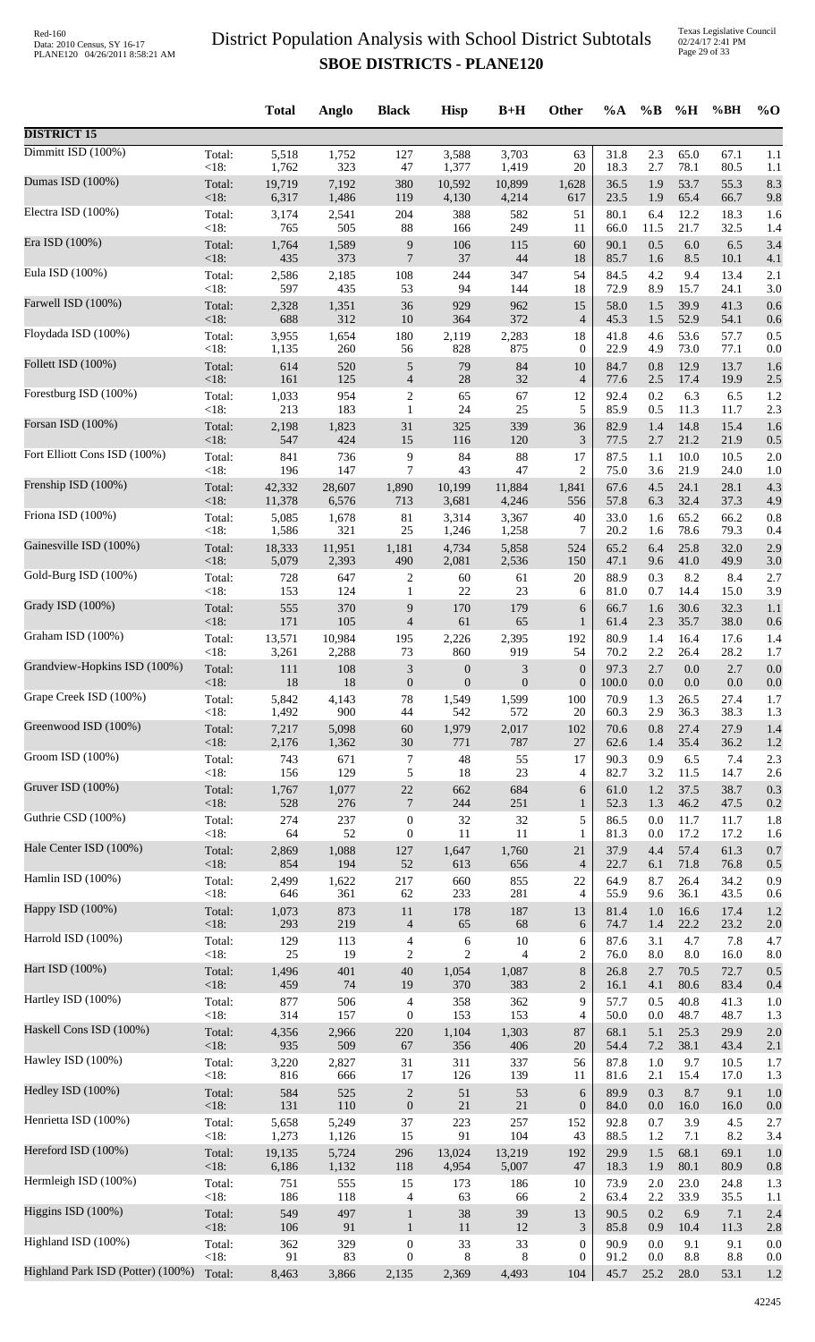Texas Legislative Council 02/24/17 2:41 PM Page 29 of 33

|                                   |                 | <b>Total</b>    | Anglo          | <b>Black</b>                      | <b>Hisp</b>             | $B+H$                              | <b>Other</b>           | $\%A$        | $\%$ B     | %H              | %BH          | $\%$ O     |
|-----------------------------------|-----------------|-----------------|----------------|-----------------------------------|-------------------------|------------------------------------|------------------------|--------------|------------|-----------------|--------------|------------|
| <b>DISTRICT 15</b>                |                 |                 |                |                                   |                         |                                    |                        |              |            |                 |              |            |
| Dimmitt ISD (100%)                | Total:          | 5,518           | 1,752          | 127                               | 3,588                   | 3,703                              | 63                     | 31.8         | 2.3        | 65.0            | 67.1         | 1.1        |
| Dumas ISD (100%)                  | < 18:           | 1,762           | 323            | $47\,$                            | 1,377                   | 1,419                              | 20                     | 18.3         | 2.7        | 78.1            | 80.5         | 1.1        |
|                                   | Total:          | 19,719          | 7,192          | 380                               | 10,592                  | 10,899                             | 1,628                  | 36.5         | 1.9        | 53.7            | 55.3         | 8.3        |
| Electra ISD (100%)                | < 18:<br>Total: | 6,317<br>3,174  | 1,486<br>2,541 | 119<br>204                        | 4,130<br>388            | 4,214<br>582                       | 617<br>51              | 23.5<br>80.1 | 1.9<br>6.4 | 65.4<br>12.2    | 66.7<br>18.3 | 9.8        |
|                                   | < 18:           | 765             | 505            | 88                                | 166                     | 249                                | 11                     | 66.0         | 11.5       | 21.7            | 32.5         | 1.6<br>1.4 |
| Era ISD (100%)                    | Total:          | 1,764           | 1,589          | 9                                 | 106                     | 115                                | 60                     | 90.1         | 0.5        | $6.0\,$         | 6.5          | 3.4        |
|                                   | <18:            | 435             | 373            | $\overline{7}$                    | 37                      | 44                                 | 18                     | 85.7         | 1.6        | 8.5             | 10.1         | 4.1        |
| Eula ISD (100%)                   | Total:          | 2,586           | 2,185          | 108                               | 244                     | 347                                | 54                     | 84.5         | 4.2        | 9.4             | 13.4         | 2.1        |
|                                   | < 18:           | 597             | 435            | 53                                | 94                      | 144                                | 18                     | 72.9         | 8.9        | 15.7            | 24.1         | 3.0        |
| Farwell ISD (100%)                | Total:          | 2,328           | 1,351          | 36                                | 929                     | 962                                | 15                     | 58.0         | 1.5        | 39.9            | 41.3         | 0.6        |
|                                   | < 18:           | 688             | 312            | 10                                | 364                     | 372                                | $\overline{4}$         | 45.3         | 1.5        | 52.9            | 54.1         | 0.6        |
| Floydada ISD (100%)               | Total:          | 3,955           | 1,654          | 180                               | 2,119                   | 2,283                              | 18                     | 41.8         | 4.6        | 53.6            | 57.7         | 0.5        |
| Follett ISD (100%)                | < 18:           | 1,135           | 260            | 56                                | 828                     | 875                                | $\boldsymbol{0}$       | 22.9         | 4.9        | 73.0            | 77.1         | 0.0        |
|                                   | Total:          | 614             | 520            | $\sqrt{5}$                        | 79                      | 84                                 | 10                     | 84.7         | 0.8        | 12.9            | 13.7         | 1.6        |
| Forestburg ISD (100%)             | <18:            | 161             | 125            | $\overline{4}$                    | $28\,$                  | 32                                 | $\overline{4}$         | 77.6         | 2.5        | 17.4            | 19.9         | 2.5        |
|                                   | Total:          | 1,033           | 954            | $\overline{c}$                    | 65                      | 67                                 | 12                     | 92.4         | 0.2        | 6.3             | 6.5          | 1.2        |
| Forsan ISD (100%)                 | < 18:           | 213             | 183            | $\mathbf{1}$                      | 24                      | 25                                 | 5                      | 85.9         | 0.5        | 11.3            | 11.7         | 2.3        |
|                                   | Total:          | 2,198           | 1,823          | 31                                | 325                     | 339                                | 36                     | 82.9         | 1.4        | 14.8            | 15.4         | 1.6        |
| Fort Elliott Cons ISD (100%)      | <18:            | 547             | 424            | 15                                | 116                     | 120                                | 3                      | 77.5         | 2.7        | 21.2            | 21.9         | 0.5        |
|                                   | Total:          | 841             | 736            | 9                                 | 84                      | 88                                 | 17                     | 87.5         | 1.1        | 10.0            | 10.5         | 2.0        |
|                                   | < 18:           | 196             | 147            | $\overline{7}$                    | 43                      | 47                                 | 2                      | 75.0         | 3.6        | 21.9            | 24.0         | 1.0        |
| Frenship ISD (100%)               | Total:          | 42,332          | 28,607         | 1,890                             | 10,199                  | 11,884                             | 1,841                  | 67.6         | 4.5        | 24.1            | 28.1         | 4.3        |
|                                   | < 18:           | 11,378          | 6,576          | 713                               | 3,681                   | 4,246                              | 556                    | 57.8         | 6.3        | 32.4            | 37.3         | 4.9        |
| Friona ISD (100%)                 | Total:          | 5,085           | 1,678          | 81                                | 3,314                   | 3,367                              | 40                     | 33.0         | 1.6        | 65.2            | 66.2         | 0.8        |
| Gainesville ISD (100%)            | < 18:           | 1,586           | 321            | $25\,$                            | 1,246                   | 1,258                              | 7                      | 20.2         | 1.6        | 78.6            | 79.3         | 0.4        |
|                                   | Total:          | 18,333          | 11,951         | 1,181                             | 4,734                   | 5,858                              | 524                    | 65.2         | 6.4        | 25.8            | 32.0         | 2.9        |
| Gold-Burg ISD (100%)              | <18:            | 5,079           | 2,393          | 490                               | 2,081                   | 2,536                              | 150                    | 47.1         | 9.6        | 41.0            | 49.9         | 3.0        |
|                                   | Total:          | 728             | 647            | 2                                 | 60                      | 61                                 | 20                     | 88.9         | 0.3        | 8.2             | 8.4          | 2.7        |
|                                   | < 18:           | 153             | 124            | $\mathbf{1}$                      | 22                      | 23                                 | 6                      | 81.0         | 0.7        | 14.4            | 15.0         | 3.9        |
| Grady ISD (100%)                  | Total:          | 555             | 370            | 9                                 | 170                     | 179                                | 6                      | 66.7         | 1.6        | 30.6            | 32.3         | 1.1        |
|                                   | <18:            | 171             | 105            | $\overline{4}$                    | 61                      | 65                                 | $\mathbf{1}$           | 61.4         | 2.3        | 35.7            | 38.0         | 0.6        |
| Graham ISD (100%)                 | Total:          | 13,571          | 10,984         | 195                               | 2,226                   | 2,395                              | 192                    | 80.9<br>70.2 | 1.4<br>2.2 | 16.4            | 17.6<br>28.2 | 1.4        |
| Grandview-Hopkins ISD (100%)      | <18:<br>Total:  | 3,261<br>111    | 2,288<br>108   | 73<br>$\ensuremath{\mathfrak{Z}}$ | 860<br>$\boldsymbol{0}$ | 919<br>$\ensuremath{\mathfrak{Z}}$ | 54<br>$\boldsymbol{0}$ | 97.3         | 2.7        | 26.4<br>$0.0\,$ | 2.7          | 1.7<br>0.0 |
| Grape Creek ISD (100%)            | $<18$ :         | 18              | 18             | $\boldsymbol{0}$                  | $\overline{0}$          | $\theta$                           | $\boldsymbol{0}$       | 100.0        | 0.0        | 0.0             | 0.0          | 0.0        |
|                                   | Total:          | 5,842           | 4,143          | 78                                | 1,549                   | 1,599                              | 100                    | 70.9         | 1.3        | 26.5            | 27.4         | 1.7        |
| Greenwood ISD (100%)              | < 18:           | 1,492           | 900            | 44                                | 542                     | 572                                | 20                     | 60.3         | 2.9        | 36.3            | 38.3         | 1.3        |
|                                   | Total:          | 7,217           | 5,098          | $60\,$                            | 1,979                   | 2,017                              | 102                    | 70.6         | 0.8        | 27.4            | 27.9         | 1.4        |
| Groom ISD (100%)                  | <18:            | 2,176           | 1,362          | $30\,$                            | 771                     | 787                                | 27                     | 62.6         | 1.4        | 35.4            | 36.2         | 1.2        |
|                                   | Total:          | 743             | 671            | 7                                 | 48                      | 55                                 | 17                     | 90.3         | 0.9        | 6.5             | 7.4          | 2.3        |
|                                   | < 18:           | 156             | 129            | 5                                 | 18                      | 23                                 | 4                      | 82.7         | 3.2        | 11.5            | 14.7         | 2.6        |
| Gruver ISD (100%)                 | Total:          | 1,767           | 1,077          | $22\,$                            | 662                     | 684                                | 6                      | 61.0         | 1.2        | 37.5            | 38.7         | 0.3        |
|                                   | < 18:           | 528             | 276            | $\overline{7}$                    | 244                     | 251                                | $\mathbf{1}$           | 52.3         | 1.3        | 46.2            | 47.5         | 0.2        |
| Guthrie CSD (100%)                | Total:          | 274             | 237            | $\boldsymbol{0}$                  | 32                      | 32                                 | 5                      | 86.5         | 0.0        | 11.7            | 11.7         | 1.8        |
|                                   | $<18$ :         | 64              | 52             | $\boldsymbol{0}$                  | 11                      | 11                                 | 1                      | 81.3         | 0.0        | 17.2            | 17.2         | 1.6        |
| Hale Center ISD (100%)            | Total:          | 2,869           | 1,088          | 127                               | 1,647                   | 1,760                              | 21                     | 37.9         | 4.4        | 57.4            | 61.3         | 0.7        |
|                                   | < 18:           | 854             | 194            | $52\,$                            | 613                     | 656                                | $\overline{4}$         | 22.7         | 6.1        | 71.8            | 76.8         | 0.5        |
| Hamlin ISD (100%)                 | Total:          | 2,499           | 1,622          | 217                               | 660                     | 855                                | 22                     | 64.9         | 8.7        | 26.4            | 34.2         | 0.9        |
| Happy ISD (100%)                  | < 18:           | 646             | 361            | 62                                | 233                     | 281                                | $\overline{4}$         | 55.9         | 9.6        | 36.1            | 43.5         | 0.6        |
|                                   | Total:          | 1,073           | 873            | $11\,$                            | 178                     | 187                                | 13                     | 81.4         | 1.0        | 16.6            | 17.4         | 1.2        |
| Harrold ISD (100%)                | < 18:           | 293             | 219            | $\overline{4}$                    | 65                      | 68                                 | 6                      | 74.7         | 1.4        | 22.2            | 23.2         | 2.0        |
|                                   | Total:          | 129             | 113            | $\overline{\mathcal{A}}$          | 6                       | 10                                 | 6                      | 87.6         | 3.1        | 4.7             | 7.8          | 4.7        |
| Hart ISD (100%)                   | < 18:           | $25\,$          | 19             | $\overline{c}$                    | $\overline{c}$          | $\overline{4}$                     | $\overline{c}$         | 76.0         | 8.0        | 8.0             | 16.0         | 8.0        |
|                                   | Total:          | 1,496           | 401            | 40                                | 1,054                   | 1,087                              | $\,8\,$                | 26.8         | 2.7        | 70.5            | 72.7         | 0.5        |
|                                   | < 18:           | 459             | 74             | 19                                | 370                     | 383                                | $\overline{2}$         | 16.1         | 4.1        | 80.6            | 83.4         | 0.4        |
| Hartley ISD (100%)                | Total:          | 877             | 506            | 4                                 | 358                     | 362                                | 9                      | 57.7         | 0.5        | 40.8            | 41.3         | 1.0        |
|                                   | < 18:           | 314             | 157            | $\boldsymbol{0}$                  | 153                     | 153                                | 4                      | 50.0         | 0.0        | 48.7            | 48.7         | 1.3        |
| Haskell Cons ISD (100%)           | Total:          | 4,356           | 2,966          | 220                               | 1,104                   | 1,303                              | 87                     | 68.1         | 5.1        | 25.3            | 29.9         | 2.0        |
|                                   | < 18:           | 935             | 509            | 67                                | 356                     | 406                                | 20                     | 54.4         | 7.2        | 38.1            | 43.4         | 2.1        |
| Hawley ISD (100%)                 | Total:          | 3,220           | 2,827          | 31                                | 311                     | 337                                | 56                     | 87.8         | 1.0        | 9.7             | 10.5         | 1.7        |
|                                   | < 18:           | 816             | 666            | 17                                | 126                     | 139                                | 11                     | 81.6         | 2.1        | 15.4            | 17.0         | 1.3        |
| Hedley ISD (100%)                 | Total:          | 584             | 525            | $\sqrt{2}$                        | 51                      | 53                                 | 6                      | 89.9         | 0.3        | 8.7             | 9.1          | 1.0        |
| Henrietta ISD (100%)              | <18:            | 131             | 110            | $\boldsymbol{0}$                  | 21                      | 21                                 | $\boldsymbol{0}$       | 84.0         | 0.0        | 16.0            | 16.0         | 0.0        |
|                                   | Total:          | 5,658           | 5,249          | 37                                | 223                     | 257                                | 152                    | 92.8         | 0.7        | 3.9             | 4.5          | 2.7        |
| Hereford ISD (100%)               | < 18:           | 1,273           | 1,126<br>5,724 | 15                                | 91                      | 104                                | 43                     | 88.5<br>29.9 | 1.2        | 7.1<br>68.1     | 8.2          | 3.4        |
|                                   | Total:<br>< 18: | 19,135<br>6,186 | 1,132          | 296<br>118                        | 13,024<br>4,954         | 13,219<br>5,007                    | 192<br>47              | 18.3         | 1.5<br>1.9 | 80.1            | 69.1<br>80.9 | 1.0<br>0.8 |
| Hermleigh ISD (100%)              | Total:          | 751             | 555            | 15                                | 173                     | 186                                | 10                     | 73.9         | 2.0        | 23.0            | 24.8         | 1.3        |
|                                   | < 18:           | 186             | 118            | 4                                 | 63                      | 66                                 | $\overline{2}$         | 63.4         | 2.2        | 33.9            | 35.5         | 1.1        |
| Higgins ISD $(100%)$              | Total:          | 549             | 497            | $\mathbf{1}$                      | 38                      | 39                                 | 13                     | 90.5         | 0.2        | 6.9             | 7.1          | 2.4        |
|                                   | < 18:           | 106             | 91             | $\mathbf{1}$                      | 11                      | 12                                 | $\mathfrak{Z}$         | 85.8         | 0.9        | 10.4            | 11.3         | 2.8        |
| Highland ISD (100%)               | Total:          | 362             | 329            | $\boldsymbol{0}$                  | 33                      | 33                                 | $\boldsymbol{0}$       | 90.9         | 0.0        | 9.1             | 9.1          | 0.0        |
| Highland Park ISD (Potter) (100%) | < 18:           | 91              | 83             | $\mathbf{0}$                      | 8                       | 8                                  | $\boldsymbol{0}$       | 91.2         | 0.0        | 8.8             | 8.8          | 0.0        |
|                                   | Total:          | 8,463           | 3,866          | 2,135                             | 2,369                   | 4,493                              | 104                    | 45.7         | 25.2       | 28.0            | 53.1         | 1.2        |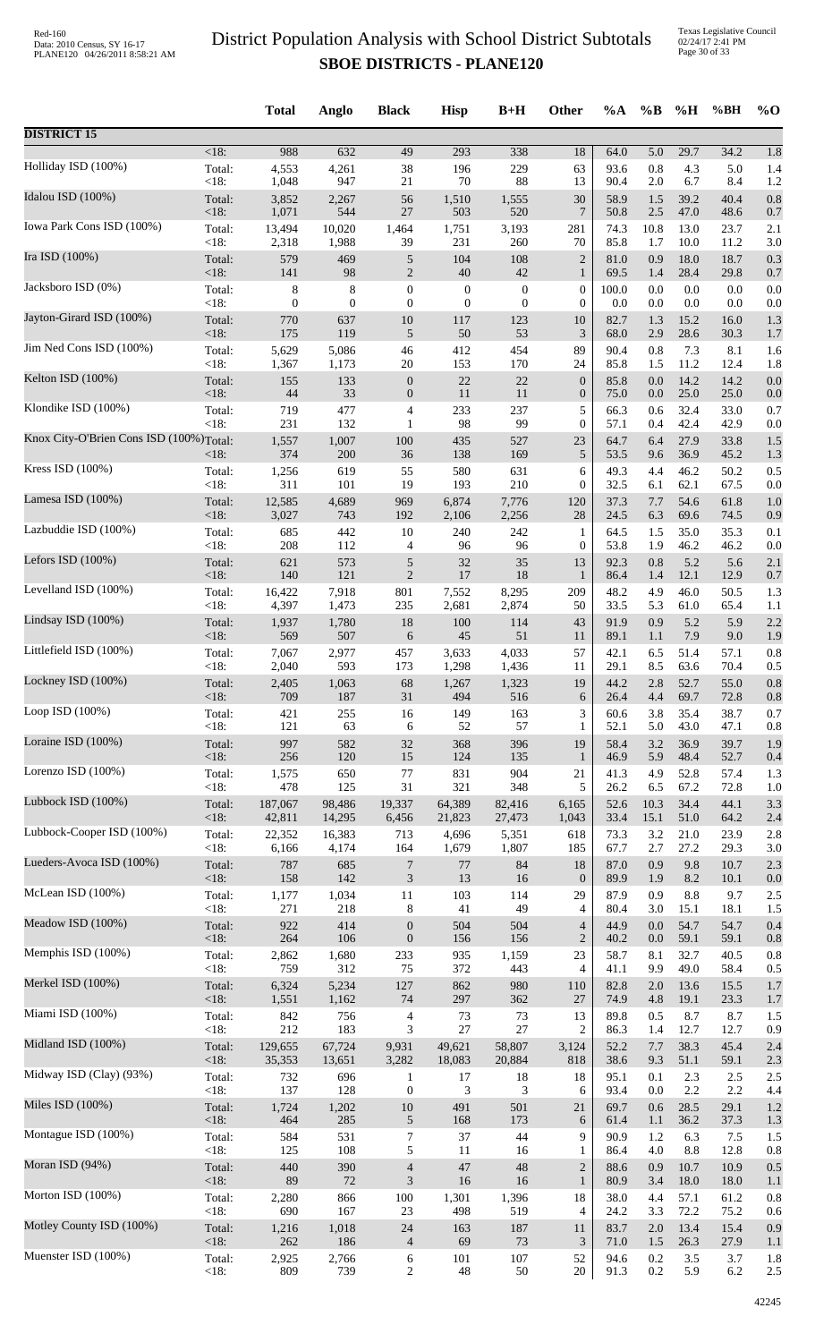|                                         |                   | <b>Total</b>   | Anglo        | <b>Black</b>                 | <b>Hisp</b>      | $B+H$            | Other                  | %A           | $\%B$      | %H             | %BH          | $%$ <sup>O</sup> |
|-----------------------------------------|-------------------|----------------|--------------|------------------------------|------------------|------------------|------------------------|--------------|------------|----------------|--------------|------------------|
| <b>DISTRICT 15</b>                      |                   |                |              |                              |                  |                  |                        |              |            |                |              |                  |
| Holliday ISD (100%)                     | $<18$ :           | 988            | 632          | 49                           | 293<br>196       | 338<br>229       | 18                     | 64.0<br>93.6 | 5.0<br>0.8 | 29.7<br>4.3    | 34.2         | 1.8              |
|                                         | Total:<br><18:    | 4,553<br>1,048 | 4,261<br>947 | 38<br>$21\,$                 | $70\,$           | 88               | 63<br>13               | 90.4         | 2.0        | 6.7            | 5.0<br>8.4   | 1.4<br>1.2       |
| Idalou ISD (100%)                       | Total:            | 3,852          | 2,267        | 56                           | 1,510            | 1,555            | 30                     | 58.9         | 1.5        | 39.2           | 40.4         | 0.8              |
|                                         | <18:              | 1,071          | 544          | $27\,$                       | 503              | 520              | $\tau$                 | 50.8         | 2.5        | 47.0           | 48.6         | 0.7              |
| Iowa Park Cons ISD (100%)               | Total:            | 13,494         | 10,020       | 1,464                        | 1,751            | 3,193            | 281                    | 74.3         | 10.8       | 13.0           | 23.7         | 2.1              |
|                                         | <18:              | 2,318          | 1,988        | 39                           | 231              | 260              | 70                     | 85.8         | 1.7        | 10.0           | 11.2         | 3.0              |
| Ira ISD (100%)                          | Total:            | 579            | 469          | $\sqrt{5}$                   | 104              | 108              | $\overline{2}$         | 81.0         | 0.9        | 18.0           | 18.7         | 0.3              |
|                                         | <18:              | 141            | 98           | $\mathbf{2}$                 | $40\,$           | 42               | $\mathbf{1}$           | 69.5         | 1.4        | 28.4           | 29.8         | 0.7              |
| Jacksboro ISD (0%)                      | Total:            | 8              | 8            | $\boldsymbol{0}$             | $\boldsymbol{0}$ | $\boldsymbol{0}$ | $\boldsymbol{0}$       | 100.0        | 0.0        | $0.0\,$        | 0.0          | 0.0              |
| Jayton-Girard ISD (100%)                | $<18$ :           | $\overline{0}$ | $\mathbf{0}$ | $\mathbf{0}$                 | $\boldsymbol{0}$ | $\mathbf{0}$     | $\boldsymbol{0}$       | 0.0          | 0.0        | 0.0            | 0.0          | 0.0              |
|                                         | Total:            | 770            | 637          | $10\,$                       | 117              | 123              | 10                     | 82.7         | 1.3        | 15.2           | 16.0         | 1.3              |
| Jim Ned Cons ISD (100%)                 | <18:              | 175            | 119          | $\sqrt{5}$                   | $50\,$           | 53               | 3                      | 68.0         | 2.9        | 28.6           | 30.3         | 1.7              |
|                                         | Total:            | 5,629          | 5,086        | $46\,$                       | 412              | 454              | 89                     | 90.4         | 0.8        | 7.3            | 8.1          | 1.6              |
| Kelton ISD (100%)                       | < 18:             | 1,367          | 1,173        | $20\,$                       | 153              | 170              | 24                     | 85.8         | 1.5        | 11.2           | 12.4         | 1.8              |
|                                         | Total:            | 155            | 133          | $\boldsymbol{0}$             | $22\,$           | $22\,$           | $\boldsymbol{0}$       | 85.8         | 0.0        | 14.2           | 14.2         | 0.0              |
| Klondike ISD (100%)                     | < 18:             | 44             | 33           | $\boldsymbol{0}$             | 11               | 11               | $\boldsymbol{0}$       | 75.0         | 0.0        | 25.0           | 25.0         | 0.0              |
|                                         | Total:            | 719            | 477          | $\overline{\mathcal{A}}$     | 233              | 237              | 5                      | 66.3         | 0.6        | 32.4           | 33.0         | 0.7              |
| Knox City-O'Brien Cons ISD (100%)Total: | <18:              | 231            | 132          | $\mathbf{1}$                 | 98               | 99               | $\boldsymbol{0}$       | 57.1         | 0.4        | 42.4           | 42.9         | 0.0              |
|                                         | $<18$ :           | 1,557<br>374   | 1,007<br>200 | $100\,$<br>36                | 435<br>138       | 527<br>169       | 23<br>5                | 64.7<br>53.5 | 6.4<br>9.6 | 27.9<br>36.9   | 33.8<br>45.2 | 1.5<br>1.3       |
| Kress ISD (100%)                        | Total:            | 1,256          | 619          | 55                           | 580              | 631              | 6                      | 49.3         | 4.4        | 46.2           | 50.2         | 0.5              |
|                                         | <18:              | 311            | 101          | 19                           | 193              | 210              | $\boldsymbol{0}$       | 32.5         | 6.1        | 62.1           | 67.5         | 0.0              |
| Lamesa ISD (100%)                       | Total:            | 12,585         | 4,689        | 969                          | 6,874            | 7,776            | 120                    | 37.3         | 7.7        | 54.6           | 61.8         | 1.0              |
|                                         | $<18$ :           | 3,027          | 743          | 192                          | 2,106            | 2,256            | 28                     | 24.5         | 6.3        | 69.6           | 74.5         | 0.9              |
| Lazbuddie ISD (100%)                    | Total:            | 685            | 442          | 10                           | 240              | 242              | $\mathbf{1}$           | 64.5         | 1.5        | 35.0           | 35.3         | 0.1              |
|                                         | < 18:             | 208            | 112          | 4                            | 96               | 96               | $\boldsymbol{0}$       | 53.8         | 1.9        | 46.2           | 46.2         | 0.0              |
| Lefors ISD $(100\%)$                    | Total:            | 621            | 573<br>121   | $\sqrt{5}$<br>$\mathfrak{2}$ | 32<br>17         | 35<br>18         | 13                     | 92.3         | 0.8        | 5.2            | 5.6          | 2.1              |
| Levelland ISD (100%)                    | $<18$ :<br>Total: | 140<br>16,422  | 7,918        | 801                          | 7,552            | 8,295            | $\mathbf{1}$<br>209    | 86.4<br>48.2 | 1.4<br>4.9 | 12.1<br>46.0   | 12.9<br>50.5 | 0.7<br>1.3       |
| Lindsay ISD (100%)                      | <18:              | 4,397          | 1,473        | 235                          | 2,681            | 2,874            | 50                     | 33.5         | 5.3        | 61.0           | 65.4         | 1.1              |
|                                         | Total:            | 1,937          | 1,780        | 18                           | 100              | 114              | 43                     | 91.9         | 0.9        | 5.2            | 5.9          | 2.2              |
| Littlefield ISD (100%)                  | <18:              | 569            | 507          | 6                            | 45               | 51               | 11                     | 89.1         | 1.1        | 7.9            | 9.0          | 1.9              |
|                                         | Total:            | 7,067          | 2,977        | 457                          | 3,633            | 4,033            | 57                     | 42.1         | 6.5        | 51.4           | 57.1         | 0.8              |
| Lockney ISD (100%)                      | <18:              | 2,040          | 593          | 173                          | 1,298            | 1,436            | 11                     | 29.1         | 8.5        | 63.6           | 70.4         | 0.5              |
|                                         | Total:            | 2,405          | 1,063        | 68                           | 1,267            | 1,323            | 19                     | 44.2         | $2.8\,$    | 52.7           | 55.0         | 0.8              |
| Loop ISD (100%)                         | ${<}18:$          | 709            | 187          | 31                           | 494              | 516              | 6                      | 26.4         | 4.4        | 69.7           | 72.8         | 0.8              |
|                                         | Total:            | 421            | 255          | 16                           | 149              | 163              | 3                      | 60.6         | 3.8        | 35.4           | 38.7         | 0.7              |
|                                         | $<18$ :           | 121            | 63           | 6                            | 52               | 57               | 1                      | 52.1         | 5.0        | 43.0           | 47.1         | 0.8              |
| Loraine ISD (100%)                      | Total:            | 997            | 582          | $32\,$                       | 368              | 396              | 19                     | 58.4         | 3.2        | 36.9           | 39.7         | 1.9              |
|                                         | <18:              | 256            | 120          | 15                           | 124              | 135              | $\mathbf{1}$           | 46.9         | 5.9        | 48.4           | 52.7         | 0.4              |
| Lorenzo ISD (100%)                      | Total:            | 1,575          | 650          | 77                           | 831              | 904              | 21                     | 41.3         | 4.9        | 52.8           | 57.4         | 1.3              |
|                                         | < 18:             | 478            | 125          | 31                           | 321              | 348              | 5                      | 26.2         | 6.5        | 67.2           | 72.8         | 1.0              |
| Lubbock ISD (100%)                      | Total:            | 187,067        | 98,486       | 19,337                       | 64,389           | 82,416           | 6,165                  | 52.6         | 10.3       | 34.4           | 44.1         | 3.3              |
|                                         | <18:              | 42,811         | 14,295       | 6,456                        | 21,823           | 27,473           | 1,043                  | 33.4         | 15.1       | 51.0           | 64.2         | 2.4              |
| Lubbock-Cooper ISD (100%)               | Total:            | 22,352         | 16,383       | 713                          | 4,696            | 5,351            | 618                    | 73.3         | 3.2        | 21.0           | 23.9         | 2.8              |
| Lueders-Avoca ISD (100%)                | $<18$ :           | 6,166          | 4,174        | 164                          | 1,679            | 1,807            | 185                    | 67.7         | 2.7        | 27.2           | 29.3         | 3.0              |
|                                         | Total:            | 787            | 685          | $\boldsymbol{7}$             | $77\,$           | 84               | 18                     | 87.0         | 0.9        | 9.8            | 10.7         | 2.3              |
| McLean ISD (100%)                       | $<18$ :           | 158            | 142          | $\ensuremath{\mathfrak{Z}}$  | 13               | 16               | $\boldsymbol{0}$<br>29 | 89.9         | 1.9<br>0.9 | 8.2<br>$8.8\,$ | 10.1<br>9.7  | 0.0<br>2.5       |
|                                         | Total:<br>< 18:   | 1,177<br>271   | 1,034<br>218 | 11<br>8                      | 103<br>41        | 114<br>49        | 4                      | 87.9<br>80.4 | 3.0        | 15.1           | 18.1         | 1.5              |
| Meadow ISD (100%)                       | Total:            | 922            | 414          | $\boldsymbol{0}$             | 504              | 504              | $\overline{4}$         | 44.9         | 0.0        | 54.7           | 54.7         | 0.4              |
|                                         | <18:              | 264            | 106          | $\boldsymbol{0}$             | 156              | 156              | $\sqrt{2}$             | 40.2         | 0.0        | 59.1           | 59.1         | 0.8              |
| Memphis ISD (100%)                      | Total:            | 2,862          | 1,680        | 233                          | 935              | 1,159            | 23                     | 58.7         | 8.1        | 32.7           | 40.5         | 0.8              |
|                                         | < 18:             | 759            | 312          | 75                           | 372              | 443              | 4                      | 41.1         | 9.9        | 49.0           | 58.4         | 0.5              |
| Merkel ISD (100%)                       | Total:            | 6,324          | 5,234        | 127                          | 862              | 980              | 110                    | 82.8         | 2.0        | 13.6           | 15.5         | 1.7              |
|                                         | <18:              | 1,551          | 1,162        | 74                           | 297              | 362              | 27                     | 74.9         | 4.8        | 19.1           | 23.3         | 1.7              |
| Miami ISD (100%)                        | Total:            | 842            | 756          | $\overline{\mathcal{A}}$     | 73               | 73               | 13                     | 89.8         | 0.5        | 8.7            | 8.7          | 1.5              |
|                                         | $<18$ :           | 212            | 183          | 3                            | $27\,$           | 27               | $\overline{c}$         | 86.3         | 1.4        | 12.7           | 12.7         | 0.9              |
| Midland ISD (100%)                      | Total:            | 129,655        | 67,724       | 9,931                        | 49,621           | 58,807           | 3,124                  | 52.2         | 7.7        | 38.3           | 45.4         | 2.4              |
| Midway ISD (Clay) (93%)                 | <18:              | 35,353         | 13,651       | 3,282                        | 18,083           | 20,884           | 818                    | 38.6         | 9.3        | 51.1           | 59.1         | 2.3              |
|                                         | Total:            | 732            | 696          | $\mathbf{1}$                 | 17               | 18               | 18                     | 95.1         | 0.1        | 2.3            | 2.5          | 2.5              |
| Miles ISD (100%)                        | < 18:             | 137            | 128          | $\boldsymbol{0}$             | 3                | 3                | 6                      | 93.4         | 0.0        | 2.2            | 2.2          | 4.4              |
|                                         | Total:            | 1,724          | 1,202        | $10\,$                       | 491              | 501              | 21                     | 69.7         | 0.6        | 28.5           | 29.1         | 1.2              |
| Montague ISD (100%)                     | <18:              | 464            | 285          | 5                            | 168              | 173              | 6                      | 61.4         | 1.1        | 36.2           | 37.3         | 1.3              |
|                                         | Total:            | 584            | 531          | 7                            | 37               | 44               | 9                      | 90.9         | 1.2        | 6.3            | 7.5          | 1.5              |
|                                         | $<18$ :           | 125            | 108          | 5                            | 11               | 16               | $\mathbf{1}$           | 86.4         | 4.0        | 8.8            | 12.8         | 0.8              |
| Moran ISD (94%)                         | Total:            | 440            | 390          | $\overline{4}$               | 47               | 48               | $\mathbf{2}$           | 88.6         | 0.9        | 10.7           | 10.9         | 0.5              |
|                                         | <18:              | 89             | 72           | 3                            | 16               | 16               | $\mathbf{1}$           | 80.9         | 3.4        | 18.0           | 18.0         | 1.1              |
| Morton ISD (100%)                       | Total:            | 2,280          | 866          | 100                          | 1,301            | 1,396            | 18                     | 38.0         | 4.4        | 57.1           | 61.2         | 0.8              |
|                                         | $<18$ :           | 690            | 167          | 23                           | 498              | 519              | 4                      | 24.2         | 3.3        | 72.2           | 75.2         | 0.6              |
| Motley County ISD (100%)                | Total:            | 1,216<br>262   | 1,018        | 24                           | 163<br>69        | 187<br>73        | 11                     | 83.7         | 2.0<br>1.5 | 13.4<br>26.3   | 15.4         | 0.9              |
| Muenster ISD (100%)                     | <18:<br>Total:    | 2,925          | 186<br>2,766 | $\overline{4}$<br>6          | 101              | 107              | 3<br>52                | 71.0<br>94.6 | 0.2        | 3.5            | 27.9<br>3.7  | 1.1<br>1.8       |
|                                         | $<18$ :           | 809            | 739          | $\boldsymbol{2}$             | 48               | $50\,$           | 20                     | 91.3         | $0.2\,$    | 5.9            | 6.2          | 2.5              |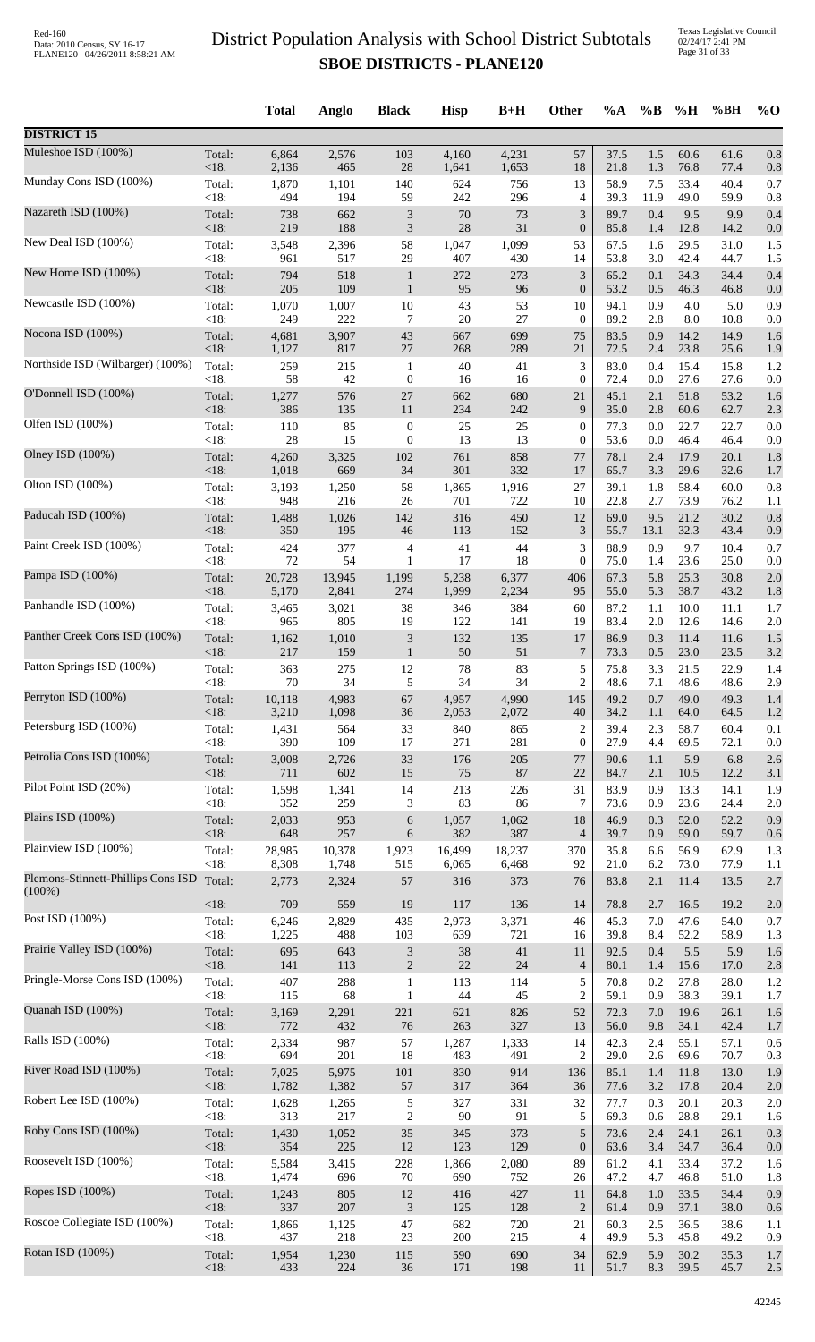Texas Legislative Council 02/24/17 2:41 PM Page 31 of 33

|                                    |                 | <b>Total</b> | Anglo        | <b>Black</b>                | <b>Hisp</b> | $B+H$      | Other                       | %A           | $\%B$      | %H          | %BH         | $%$ <sup>O</sup> |
|------------------------------------|-----------------|--------------|--------------|-----------------------------|-------------|------------|-----------------------------|--------------|------------|-------------|-------------|------------------|
| <b>DISTRICT 15</b>                 |                 |              |              |                             |             |            |                             |              |            |             |             |                  |
| Muleshoe ISD (100%)                | Total:          | 6,864        | 2,576        | 103                         | 4,160       | 4,231      | 57                          | 37.5         | 1.5        | 60.6        | 61.6        | 0.8              |
| Munday Cons ISD (100%)             | <18:            | 2,136        | 465          | 28                          | 1,641       | 1,653      | $18\,$                      | 21.8         | 1.3        | 76.8        | 77.4        | 0.8              |
|                                    | Total:          | 1,870        | 1,101        | 140                         | 624         | 756        | 13                          | 58.9         | 7.5        | 33.4        | 40.4        | 0.7              |
| Nazareth ISD (100%)                | < 18:           | 494          | 194          | 59                          | 242         | 296        | 4                           | 39.3         | 11.9       | 49.0        | 59.9        | 0.8              |
|                                    | Total:          | 738          | 662          | $\ensuremath{\mathfrak{Z}}$ | $70\,$      | 73         | $\mathfrak{Z}$              | 89.7         | 0.4        | 9.5         | 9.9         | 0.4              |
|                                    | <18:            | 219          | 188          | $\mathfrak{Z}$              | 28          | 31         | $\boldsymbol{0}$            | 85.8         | 1.4        | 12.8        | 14.2        | 0.0              |
| New Deal ISD (100%)                | Total:          | 3,548        | 2,396        | 58                          | 1,047       | 1,099      | 53                          | 67.5         | 1.6        | 29.5        | 31.0        | 1.5              |
|                                    | < 18:           | 961          | 517          | 29                          | 407         | 430        | 14                          | 53.8         | 3.0        | 42.4        | 44.7        | 1.5              |
| New Home ISD (100%)                | Total:          | 794          | 518          | $\mathbf{1}$                | 272         | 273        | $\ensuremath{\mathfrak{Z}}$ | 65.2         | 0.1        | 34.3        | 34.4        | 0.4              |
|                                    | <18:            | 205          | 109          | $\mathbf{1}$                | 95          | 96         | $\boldsymbol{0}$            | 53.2         | 0.5        | 46.3        | 46.8        | 0.0              |
| Newcastle ISD (100%)               | Total:          | 1,070        | 1,007        | $10\,$                      | 43          | 53         | 10                          | 94.1         | 0.9        | 4.0         | 5.0         | 0.9              |
|                                    | <18:            | 249          | 222          | 7                           | $20\,$      | 27         | $\boldsymbol{0}$            | 89.2         | 2.8        | 8.0         | 10.8        | 0.0              |
| Nocona ISD (100%)                  | Total:          | 4,681        | 3,907        | 43                          | 667         | 699        | 75                          | 83.5         | 0.9        | 14.2        | 14.9        | 1.6              |
| Northside ISD (Wilbarger) (100%)   | <18:            | 1,127        | 817          | $27\,$                      | 268         | 289        | 21                          | 72.5         | 2.4        | 23.8        | 25.6        | 1.9              |
|                                    | Total:          | 259          | 215          | $\mathbf{1}$                | 40          | 41         | 3                           | 83.0         | 0.4        | 15.4        | 15.8        | 1.2              |
| O'Donnell ISD (100%)               | <18:            | 58           | 42           | $\boldsymbol{0}$            | 16          | 16         | $\boldsymbol{0}$            | 72.4         | 0.0        | 27.6        | 27.6        | 0.0              |
|                                    | Total:          | 1,277        | 576          | $27\,$                      | 662         | 680        | 21                          | 45.1         | 2.1        | 51.8        | 53.2        | 1.6              |
| Olfen ISD (100%)                   | <18:            | 386          | 135          | 11                          | 234         | 242        | 9                           | 35.0         | 2.8        | 60.6        | 62.7        | 2.3              |
|                                    | Total:          | 110          | 85           | $\boldsymbol{0}$            | $25\,$      | $25\,$     | $\boldsymbol{0}$            | 77.3         | 0.0        | 22.7        | 22.7        | 0.0              |
|                                    | < 18:           | 28           | 15           | $\boldsymbol{0}$            | 13          | 13         | $\boldsymbol{0}$            | 53.6         | 0.0        | 46.4        | 46.4        | 0.0              |
| Olney ISD (100%)                   | Total:          | 4,260        | 3,325        | 102                         | 761         | 858        | 77                          | 78.1         | 2.4        | 17.9        | 20.1        | 1.8              |
|                                    | <18:            | 1,018        | 669          | 34                          | 301         | 332        | 17                          | 65.7         | 3.3        | 29.6        | 32.6        | 1.7              |
| Olton ISD (100%)                   | Total:          | 3,193        | 1,250        | 58                          | 1,865       | 1,916      | 27                          | 39.1         | 1.8        | 58.4        | 60.0        | 0.8              |
|                                    | < 18:           | 948          | 216          | 26                          | 701         | 722        | 10                          | 22.8         | 2.7        | 73.9        | 76.2        | 1.1              |
| Paducah ISD (100%)                 | Total:          | 1,488        | 1,026        | 142                         | 316         | 450        | 12                          | 69.0         | 9.5        | 21.2        | 30.2        | 0.8              |
| Paint Creek ISD (100%)             | <18:            | 350          | 195          | 46                          | 113         | 152        | $\mathfrak{Z}$              | 55.7         | 13.1       | 32.3        | 43.4        | 0.9              |
|                                    | Total:          | 424          | 377          | 4                           | 41          | 44         | $\ensuremath{\mathfrak{Z}}$ | 88.9         | 0.9        | 9.7         | 10.4        | 0.7              |
| Pampa ISD (100%)                   | <18:            | 72           | 54           | $\mathbf{1}$                | 17          | 18         | $\boldsymbol{0}$            | 75.0         | 1.4        | 23.6        | 25.0        | 0.0              |
|                                    | Total:          | 20,728       | 13,945       | 1,199                       | 5,238       | 6,377      | 406                         | 67.3         | 5.8        | 25.3        | 30.8        | 2.0              |
|                                    | <18:            | 5,170        | 2,841        | 274                         | 1,999       | 2,234      | 95                          | 55.0         | 5.3        | 38.7        | 43.2        | 1.8              |
| Panhandle ISD (100%)               | Total:          | 3,465        | 3,021        | 38                          | 346         | 384        | 60                          | 87.2         | 1.1        | 10.0        | 11.1        | 1.7              |
|                                    | <18:            | 965          | 805          | 19                          | 122         | 141        | 19                          | 83.4         | 2.0        | 12.6        | 14.6        | 2.0              |
| Panther Creek Cons ISD (100%)      | Total:          | 1,162        | 1,010        | $\ensuremath{\mathfrak{Z}}$ | 132         | 135        | 17                          | 86.9         | 0.3        | 11.4        | 11.6        | 1.5              |
|                                    | <18:            | 217          | 159          | $\mathbf{1}$                | 50          | 51         | 7                           | 73.3         | 0.5        | 23.0        | 23.5        | 3.2              |
| Patton Springs ISD (100%)          | Total:          | 363          | 275          | 12                          | $78\,$      | 83         | 5                           | 75.8         | 3.3        | 21.5        | 22.9        | 1.4              |
| Perryton ISD (100%)                | $<18$ :         | 70           | 34           | 5                           | 34          | 34         | $\overline{c}$              | 48.6         | 7.1        | 48.6        | 48.6        | 2.9              |
|                                    | Total:          | 10,118       | 4,983        | 67                          | 4,957       | 4,990      | 145                         | 49.2         | 0.7        | 49.0        | 49.3        | 1.4              |
| Petersburg ISD (100%)              | <18:            | 3,210        | 1,098        | 36                          | 2,053       | 2,072      | 40                          | 34.2         | 1.1        | 64.0        | 64.5        | 1.2              |
|                                    | Total:          | 1,431        | 564          | 33                          | 840         | 865        | $\overline{c}$              | 39.4         | 2.3        | 58.7        | 60.4        | 0.1              |
| Petrolia Cons ISD (100%)           | < 18:<br>Total: | 390          | 109          | 17<br>33                    | 271<br>176  | 281<br>205 | $\boldsymbol{0}$<br>77      | 27.9<br>90.6 | 4.4<br>1.1 | 69.5<br>5.9 | 72.1<br>6.8 | 0.0              |
|                                    | <18:            | 3,008<br>711 | 2,726<br>602 | 15                          | 75          | 87         | 22                          | 84.7         | 2.1        | 10.5        | 12.2        | 2.6<br>3.1       |
| Pilot Point ISD (20%)              | Total:          | 1,598        | 1,341        | 14                          | 213         | 226        | 31                          | 83.9         | 0.9        | 13.3        | 14.1        | 1.9              |
|                                    | $<18$ :         | 352          | 259          | 3                           | 83          | 86         | 7                           | 73.6         | 0.9        | 23.6        | 24.4        | 2.0              |
| Plains ISD (100%)                  | Total:          | 2,033        | 953          | 6                           | 1,057       | 1,062      | 18                          | 46.9         | 0.3        | 52.0        | 52.2        | 0.9              |
|                                    | <18:            | 648          | 257          | 6                           | 382         | 387        | $\overline{4}$              | 39.7         | 0.9        | 59.0        | 59.7        | 0.6              |
| Plainview ISD (100%)               | Total:          | 28,985       | 10,378       | 1,923                       | 16,499      | 18,237     | 370                         | 35.8         | 6.6        | 56.9        | 62.9        | 1.3              |
| Plemons-Stinnett-Phillips Cons ISD | <18:            | 8,308        | 1,748        | 515                         | 6,065       | 6,468      | 92                          | 21.0         | 6.2        | 73.0        | 77.9        | 1.1              |
|                                    | Total:          | 2,773        | 2,324        | 57                          | 316         | 373        | 76                          | 83.8         | 2.1        | 11.4        | 13.5        | 2.7              |
| $(100\%)$                          | <18:            | 709          | 559          | 19                          | 117         | 136        | 14                          | 78.8         | 2.7        | 16.5        | 19.2        | 2.0              |
| Post ISD (100%)                    | Total:          | 6,246        | 2,829        | 435                         | 2,973       | 3,371      | 46                          | 45.3         | 7.0        | 47.6        | 54.0        | 0.7              |
|                                    | < 18:           | 1,225        | 488          | 103                         | 639         | 721        | 16                          | 39.8         | 8.4        | 52.2        | 58.9        | 1.3              |
| Prairie Valley ISD (100%)          | Total:          | 695          | 643          | $\ensuremath{\mathfrak{Z}}$ | 38          | 41         | 11                          | 92.5         | 0.4        | 5.5         | 5.9         | 1.6              |
|                                    | <18:            | 141          | 113          | $\sqrt{2}$                  | $22\,$      | 24         | $\overline{4}$              | 80.1         | 1.4        | 15.6        | 17.0        | 2.8              |
| Pringle-Morse Cons ISD (100%)      | Total:          | 407          | 288          | $\mathbf{1}$                | 113         | 114        | 5                           | 70.8         | 0.2        | 27.8        | 28.0        | 1.2              |
| Quanah ISD (100%)                  | < 18:           | 115          | 68           | $\mathbf{1}$                | 44          | 45         | $\overline{c}$              | 59.1         | 0.9        | 38.3        | 39.1        | 1.7              |
|                                    | Total:          | 3,169        | 2,291        | 221                         | 621         | 826        | 52                          | 72.3         | 7.0        | 19.6        | 26.1        | 1.6              |
| Ralls ISD (100%)                   | <18:            | 772          | 432          | 76                          | 263         | 327        | 13                          | 56.0         | 9.8        | 34.1        | 42.4        | 1.7              |
|                                    | Total:          | 2,334        | 987          | 57                          | 1,287       | 1,333      | 14                          | 42.3         | 2.4        | 55.1        | 57.1        | 0.6              |
| River Road ISD (100%)              | < 18:           | 694          | 201          | $18\,$                      | 483         | 491        | $\overline{c}$              | 29.0         | 2.6        | 69.6        | 70.7        | 0.3              |
|                                    | Total:          | 7,025        | 5,975        | $101\,$                     | 830         | 914        | 136                         | 85.1         | 1.4        | 11.8        | 13.0        | 1.9              |
| Robert Lee ISD (100%)              | <18:            | 1,782        | 1,382        | 57                          | 317         | 364        | 36                          | 77.6         | 3.2        | 17.8        | 20.4        | 2.0              |
|                                    | Total:          | 1,628        | 1,265        | $\sqrt{5}$                  | 327         | 331        | 32                          | 77.7         | 0.3        | 20.1        | 20.3        | 2.0              |
|                                    | < 18:           | 313          | 217          | $\sqrt{2}$                  | 90          | 91         | 5                           | 69.3         | 0.6        | 28.8        | 29.1        | 1.6              |
| Roby Cons ISD (100%)               | Total:          | 1,430        | 1,052        | 35                          | 345         | 373        | $\sqrt{5}$                  | 73.6         | 2.4        | 24.1        | 26.1        | 0.3              |
|                                    | <18:            | 354          | 225          | 12                          | 123         | 129        | $\boldsymbol{0}$            | 63.6         | 3.4        | 34.7        | 36.4        | 0.0              |
| Roosevelt ISD (100%)               | Total:          | 5,584        | 3,415        | 228                         | 1,866       | 2,080      | 89                          | 61.2         | 4.1        | 33.4        | 37.2        | 1.6              |
|                                    | < 18:           | 1,474        | 696          | 70                          | 690         | 752        | 26                          | 47.2         | 4.7        | 46.8        | 51.0        | 1.8              |
| Ropes ISD (100%)                   | Total:          | 1,243        | 805          | 12                          | 416         | 427        | 11                          | 64.8         | 1.0        | 33.5        | 34.4        | 0.9              |
|                                    | <18:            | 337          | 207          | $\mathfrak{Z}$              | 125         | 128        | $\overline{2}$              | 61.4         | 0.9        | 37.1        | 38.0        | 0.6              |
| Roscoe Collegiate ISD (100%)       | Total:          | 1,866        | 1,125        | 47                          | 682         | 720        | 21                          | 60.3         | 2.5        | 36.5        | 38.6        | 1.1              |
| Rotan ISD (100%)                   | <18:            | 437          | 218          | 23                          | 200         | 215        | 4                           | 49.9         | 5.3        | 45.8        | 49.2        | 0.9              |
|                                    | Total:          | 1,954        | 1,230        | 115                         | 590         | 690        | 34                          | 62.9         | 5.9        | 30.2        | 35.3        | 1.7              |
|                                    | <18:            | 433          | 224          | $36\,$                      | 171         | 198        | 11                          | 51.7         | 8.3        | 39.5        | 45.7        | 2.5              |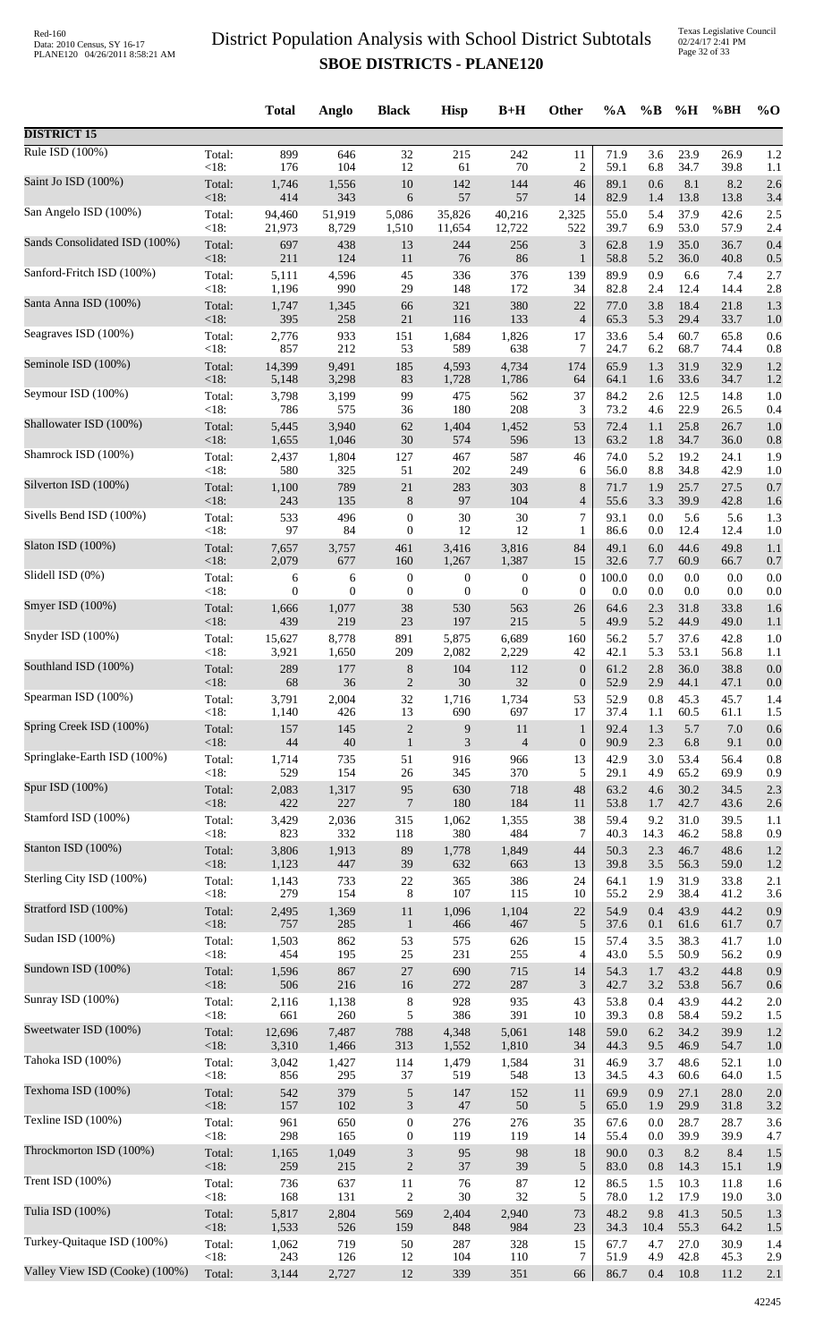Texas Legislative Council 02/24/17 2:41 PM Page 32 of 33

|                                |         | <b>Total</b> | Anglo            | <b>Black</b>     | <b>Hisp</b>       | $B+H$            | <b>Other</b>     | %A    | $\%$ B  | %H   | %BH  | $\%$ O |
|--------------------------------|---------|--------------|------------------|------------------|-------------------|------------------|------------------|-------|---------|------|------|--------|
| <b>DISTRICT 15</b>             |         |              |                  |                  |                   |                  |                  |       |         |      |      |        |
| Rule ISD $(100\%)$             | Total:  | 899          | 646              | 32               | 215               | 242              | 11               | 71.9  | 3.6     | 23.9 | 26.9 | 1.2    |
| Saint Jo ISD (100%)            | <18:    | 176          | 104              | 12               | 61                | $70\,$           | $\overline{2}$   | 59.1  | 6.8     | 34.7 | 39.8 | 1.1    |
|                                | Total:  | 1,746        | 1,556            | $10\,$           | 142               | 144              | 46               | 89.1  | 0.6     | 8.1  | 8.2  | 2.6    |
| San Angelo ISD (100%)          | <18:    | 414          | 343              | 6                | 57                | 57               | 14               | 82.9  | 1.4     | 13.8 | 13.8 | 3.4    |
|                                | Total:  | 94,460       | 51,919           | 5,086            | 35,826            | 40,216           | 2,325            | 55.0  | 5.4     | 37.9 | 42.6 | 2.5    |
|                                | $<18$ : | 21,973       | 8,729            | 1,510            | 11,654            | 12,722           | 522              | 39.7  | 6.9     | 53.0 | 57.9 | 2.4    |
| Sands Consolidated ISD (100%)  | Total:  | 697          | 438              | 13               | 244               | 256              | $\mathfrak{Z}$   | 62.8  | 1.9     | 35.0 | 36.7 | 0.4    |
|                                | <18:    | 211          | 124              | 11               | 76                | 86               | $\mathbf{1}$     | 58.8  | 5.2     | 36.0 | 40.8 | 0.5    |
| Sanford-Fritch ISD (100%)      | Total:  | 5,111        | 4,596            | 45               | 336               | 376              | 139              | 89.9  | 0.9     | 6.6  | 7.4  | 2.7    |
| Santa Anna ISD (100%)          | <18:    | 1,196        | 990              | 29               | 148               | 172              | 34               | 82.8  | 2.4     | 12.4 | 14.4 | 2.8    |
|                                | Total:  | 1,747        | 1,345            | 66               | 321               | 380              | 22               | 77.0  | 3.8     | 18.4 | 21.8 | 1.3    |
| Seagraves ISD (100%)           | <18:    | 395          | 258              | $21\,$           | 116               | 133              | $\overline{4}$   | 65.3  | 5.3     | 29.4 | 33.7 | 1.0    |
|                                | Total:  | 2,776        | 933              | 151              | 1,684             | 1,826            | 17               | 33.6  | 5.4     | 60.7 | 65.8 | 0.6    |
| Seminole ISD (100%)            | <18:    | 857          | 212              | 53               | 589               | 638              | 7                | 24.7  | 6.2     | 68.7 | 74.4 | 0.8    |
|                                | Total:  | 14,399       | 9,491            | 185              | 4,593             | 4,734            | 174              | 65.9  | 1.3     | 31.9 | 32.9 | 1.2    |
|                                | <18:    | 5,148        | 3,298            | 83               | 1,728             | 1,786            | 64               | 64.1  | 1.6     | 33.6 | 34.7 | 1.2    |
| Seymour ISD (100%)             | Total:  | 3,798        | 3,199            | 99               | 475               | 562              | 37               | 84.2  | 2.6     | 12.5 | 14.8 | 1.0    |
|                                | $<18$ : | 786          | 575              | 36               | 180               | 208              | 3                | 73.2  | 4.6     | 22.9 | 26.5 | 0.4    |
| Shallowater ISD (100%)         | Total:  | 5,445        | 3,940            | 62               | 1,404             | 1,452            | 53               | 72.4  | 1.1     | 25.8 | 26.7 | 1.0    |
|                                | <18:    | 1,655        | 1,046            | $30\,$           | 574               | 596              | 13               | 63.2  | 1.8     | 34.7 | 36.0 | 0.8    |
| Shamrock ISD (100%)            | Total:  | 2,437        | 1,804            | 127              | 467               | 587              | 46               | 74.0  | 5.2     | 19.2 | 24.1 | 1.9    |
| Silverton ISD (100%)           | <18:    | 580          | 325              | 51               | $202\,$           | 249              | 6                | 56.0  | $8.8\,$ | 34.8 | 42.9 | 1.0    |
|                                | Total:  | 1,100        | 789              | $21\,$           | 283               | 303              | 8                | 71.7  | 1.9     | 25.7 | 27.5 | 0.7    |
| Sivells Bend ISD (100%)        | <18:    | 243          | 135              | $\,8\,$          | $\ensuremath{97}$ | 104              | $\overline{4}$   | 55.6  | 3.3     | 39.9 | 42.8 | 1.6    |
|                                | Total:  | 533          | 496              | $\boldsymbol{0}$ | 30                | 30               | $\overline{7}$   | 93.1  | 0.0     | 5.6  | 5.6  | 1.3    |
|                                | <18:    | 97           | 84               | $\boldsymbol{0}$ | 12                | 12               | 1                | 86.6  | 0.0     | 12.4 | 12.4 | 1.0    |
| Slaton ISD (100%)              | Total:  | 7,657        | 3,757            | 461              | 3,416             | 3,816            | 84               | 49.1  | 6.0     | 44.6 | 49.8 | 1.1    |
|                                | <18:    | 2,079        | 677              | 160              | 1,267             | 1,387            | 15               | 32.6  | 7.7     | 60.9 | 66.7 | 0.7    |
| Slidell ISD (0%)               | Total:  | 6            | 6                | $\boldsymbol{0}$ | 0                 | $\boldsymbol{0}$ | $\boldsymbol{0}$ | 100.0 | 0.0     | 0.0  | 0.0  | 0.0    |
|                                | < 18:   | $\theta$     | $\boldsymbol{0}$ | $\boldsymbol{0}$ | $\boldsymbol{0}$  | $\boldsymbol{0}$ | $\boldsymbol{0}$ | 0.0   | 0.0     | 0.0  | 0.0  | 0.0    |
| Smyer ISD (100%)               | Total:  | 1,666        | 1,077            | 38               | 530               | 563              | 26               | 64.6  | 2.3     | 31.8 | 33.8 | 1.6    |
|                                | <18:    | 439          | 219              | 23               | 197               | 215              | 5                | 49.9  | 5.2     | 44.9 | 49.0 | 1.1    |
| Snyder ISD (100%)              | Total:  | 15,627       | 8,778            | 891              | 5,875             | 6,689            | 160              | 56.2  | 5.7     | 37.6 | 42.8 | 1.0    |
| Southland ISD (100%)           | <18:    | 3,921        | 1,650            | 209              | 2,082             | 2,229            | 42               | 42.1  | 5.3     | 53.1 | 56.8 | 1.1    |
|                                | Total:  | 289          | 177              | $8\,$            | 104               | 112              | $\mathbf{0}$     | 61.2  | 2.8     | 36.0 | 38.8 | 0.0    |
| Spearman ISD (100%)            | $<18$ : | 68           | 36               | $\mathfrak{2}$   | 30                | 32               | $\boldsymbol{0}$ | 52.9  | 2.9     | 44.1 | 47.1 | 0.0    |
|                                | Total:  | 3,791        | 2,004            | 32               | 1,716             | 1,734            | 53               | 52.9  | 0.8     | 45.3 | 45.7 | 1.4    |
| Spring Creek ISD (100%)        | <18:    | 1,140        | 426              | 13               | 690               | 697              | 17               | 37.4  | 1.1     | 60.5 | 61.1 | 1.5    |
|                                | Total:  | 157          | 145              | $\sqrt{2}$       | 9                 | 11               | $\mathbf{1}$     | 92.4  | 1.3     | 5.7  | 7.0  | 0.6    |
|                                | <18:    | 44           | $40\,$           | $\mathbf{1}$     | 3                 | $\overline{4}$   | $\boldsymbol{0}$ | 90.9  | 2.3     | 6.8  | 9.1  | 0.0    |
| Springlake-Earth ISD (100%)    | Total:  | 1,714        | 735              | 51               | 916               | 966              | 13               | 42.9  | 3.0     | 53.4 | 56.4 | 0.8    |
|                                | <18:    | 529          | 154              | 26               | 345               | 370              | 5                | 29.1  | 4.9     | 65.2 | 69.9 | 0.9    |
| Spur ISD (100%)                | Total:  | 2,083        | 1,317            | 95               | 630               | 718              | 48               | 63.2  | 4.6     | 30.2 | 34.5 | 2.3    |
|                                | <18:    | 422          | 227              | $\overline{7}$   | 180               | 184              | 11               | 53.8  | 1.7     | 42.7 | 43.6 | 2.6    |
| Stamford ISD (100%)            | Total:  | 3,429        | 2,036            | 315              | 1,062             | 1,355            | 38               | 59.4  | 9.2     | 31.0 | 39.5 | 1.1    |
| Stanton ISD (100%)             | <18:    | 823          | 332              | 118              | 380               | 484              | $\tau$           | 40.3  | 14.3    | 46.2 | 58.8 | 0.9    |
|                                | Total:  | 3,806        | 1,913            | 89               | 1,778             | 1,849            | 44               | 50.3  | 2.3     | 46.7 | 48.6 | 1.2    |
| Sterling City ISD (100%)       | <18:    | 1,123        | 447              | 39               | 632               | 663              | 13               | 39.8  | 3.5     | 56.3 | 59.0 | 1.2    |
|                                | Total:  | 1,143        | 733              | $22\,$           | 365               | 386              | 24               | 64.1  | 1.9     | 31.9 | 33.8 | 2.1    |
|                                | < 18:   | 279          | 154              | 8                | 107               | 115              | 10               | 55.2  | 2.9     | 38.4 | 41.2 | 3.6    |
| Stratford ISD (100%)           | Total:  | 2,495        | 1,369            | 11               | 1,096             | 1,104            | 22               | 54.9  | 0.4     | 43.9 | 44.2 | 0.9    |
|                                | <18:    | 757          | 285              | $\mathbf{1}$     | 466               | 467              | $\sqrt{5}$       | 37.6  | 0.1     | 61.6 | 61.7 | 0.7    |
| Sudan ISD (100%)               | Total:  | 1,503        | 862              | 53               | 575               | 626              | 15               | 57.4  | 3.5     | 38.3 | 41.7 | 1.0    |
|                                | <18:    | 454          | 195              | $25\,$           | 231               | 255              | $\overline{4}$   | 43.0  | 5.5     | 50.9 | 56.2 | 0.9    |
| Sundown ISD (100%)             | Total:  | 1,596        | 867              | $27\,$           | 690               | 715              | 14               | 54.3  | 1.7     | 43.2 | 44.8 | 0.9    |
|                                | <18:    | 506          | 216              | 16               | 272               | 287              | $\mathfrak{Z}$   | 42.7  | 3.2     | 53.8 | 56.7 | 0.6    |
| Sunray ISD (100%)              | Total:  | 2,116        | 1,138            | $\,8\,$          | 928               | 935              | 43               | 53.8  | 0.4     | 43.9 | 44.2 | 2.0    |
| Sweetwater ISD (100%)          | < 18:   | 661          | 260              | 5                | 386               | 391              | 10               | 39.3  | 0.8     | 58.4 | 59.2 | 1.5    |
|                                | Total:  | 12,696       | 7,487            | 788              | 4,348             | 5,061            | 148              | 59.0  | 6.2     | 34.2 | 39.9 | 1.2    |
| Tahoka ISD (100%)              | <18:    | 3,310        | 1,466            | 313              | 1,552             | 1,810            | 34               | 44.3  | 9.5     | 46.9 | 54.7 | 1.0    |
|                                | Total:  | 3,042        | 1,427            | 114              | 1,479             | 1,584            | 31               | 46.9  | 3.7     | 48.6 | 52.1 | 1.0    |
| Texhoma ISD (100%)             | <18:    | 856          | 295              | 37               | 519               | 548              | 13               | 34.5  | 4.3     | 60.6 | 64.0 | 1.5    |
|                                | Total:  | 542          | 379              | $\sqrt{5}$       | 147               | 152              | 11               | 69.9  | 0.9     | 27.1 | 28.0 | 2.0    |
|                                | <18:    | 157          | 102              | 3                | 47                | 50               | 5                | 65.0  | 1.9     | 29.9 | 31.8 | 3.2    |
| Texline ISD (100%)             | Total:  | 961          | 650              | $\boldsymbol{0}$ | 276               | 276              | 35               | 67.6  | 0.0     | 28.7 | 28.7 | 3.6    |
|                                | $<18$ : | 298          | 165              | $\mathbf{0}$     | 119               | 119              | 14               | 55.4  | 0.0     | 39.9 | 39.9 | 4.7    |
| Throckmorton ISD (100%)        | Total:  | 1,165        | 1,049            | 3                | 95                | 98               | 18               | 90.0  | 0.3     | 8.2  | 8.4  | 1.5    |
|                                | <18:    | 259          | 215              | $\sqrt{2}$       | 37                | 39               | 5                | 83.0  | $0.8\,$ | 14.3 | 15.1 | 1.9    |
| Trent ISD $(100\%)$            | Total:  | 736          | 637              | 11               | $76\,$            | 87               | 12               | 86.5  | 1.5     | 10.3 | 11.8 | 1.6    |
| Tulia ISD (100%)               | <18:    | 168          | 131              | $\boldsymbol{2}$ | $30\,$            | 32               | 5                | 78.0  | 1.2     | 17.9 | 19.0 | 3.0    |
|                                | Total:  | 5,817        | 2,804            | 569              | 2,404             | 2,940            | 73               | 48.2  | 9.8     | 41.3 | 50.5 | 1.3    |
| Turkey-Quitaque ISD (100%)     | <18:    | 1,533        | 526              | 159              | 848               | 984              | 23               | 34.3  | 10.4    | 55.3 | 64.2 | 1.5    |
|                                | Total:  | 1,062        | 719              | 50               | 287               | 328              | 15               | 67.7  | 4.7     | 27.0 | 30.9 | 1.4    |
| Valley View ISD (Cooke) (100%) | <18:    | 243          | 126              | 12               | 104               | 110              | 7                | 51.9  | 4.9     | 42.8 | 45.3 | 2.9    |
|                                | Total:  | 3,144        | 2,727            | $12\,$           | 339               | 351              | 66               | 86.7  | 0.4     | 10.8 | 11.2 | 2.1    |